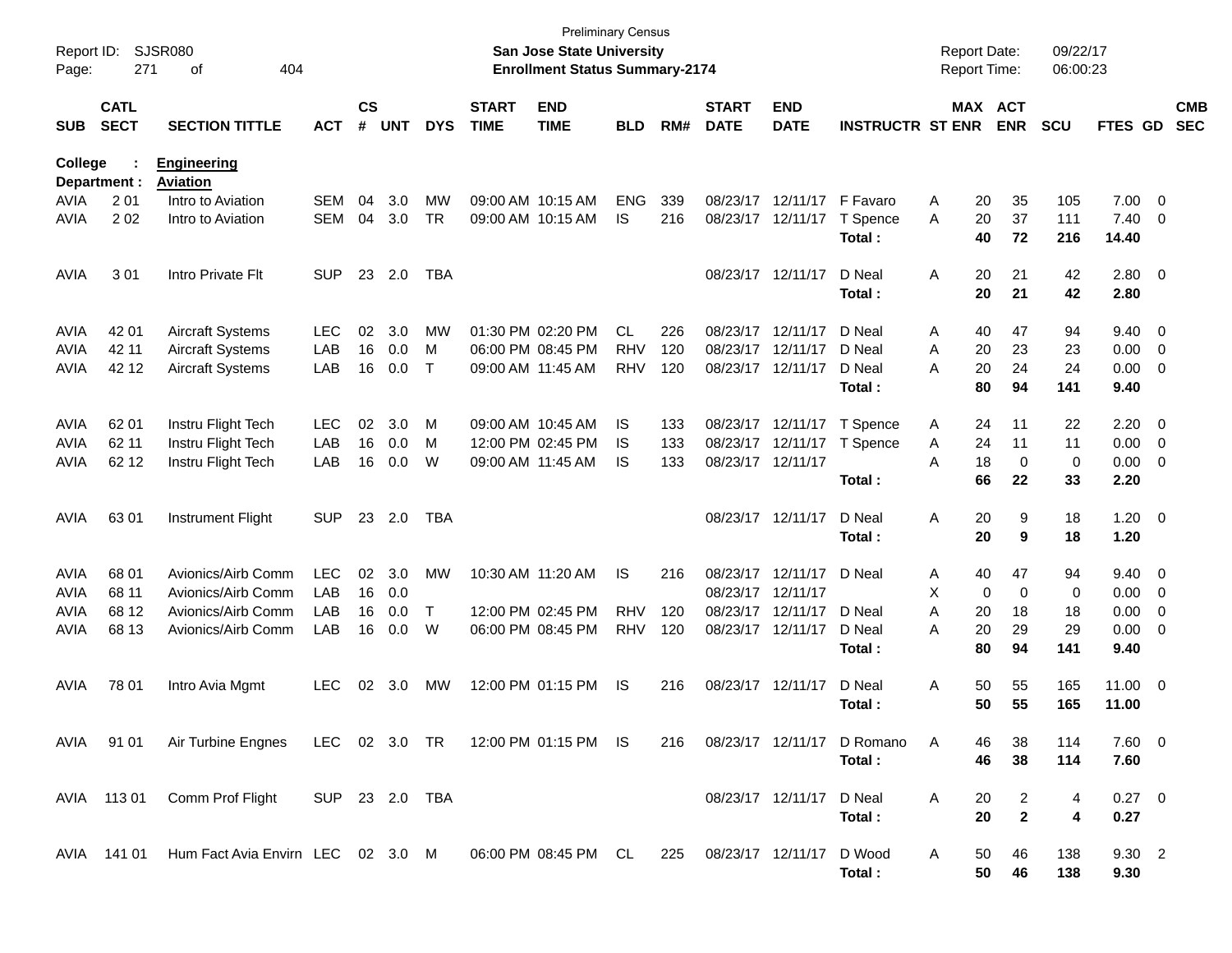| Report ID:<br>Page: | 271                        | SJSR080<br>404<br>οf                          |                |                    |            |            |                             | San Jose State University<br><b>Enrollment Status Summary-2174</b> | <b>Preliminary Census</b> |     |                             |                            |                            | <b>Report Date:</b><br>Report Time: |                              | 09/22/17<br>06:00:23 |                       |                          |                          |
|---------------------|----------------------------|-----------------------------------------------|----------------|--------------------|------------|------------|-----------------------------|--------------------------------------------------------------------|---------------------------|-----|-----------------------------|----------------------------|----------------------------|-------------------------------------|------------------------------|----------------------|-----------------------|--------------------------|--------------------------|
| <b>SUB</b>          | <b>CATL</b><br><b>SECT</b> | <b>SECTION TITTLE</b>                         | <b>ACT</b>     | $\mathsf{cs}$<br># | <b>UNT</b> | <b>DYS</b> | <b>START</b><br><b>TIME</b> | <b>END</b><br><b>TIME</b>                                          | <b>BLD</b>                | RM# | <b>START</b><br><b>DATE</b> | <b>END</b><br><b>DATE</b>  | <b>INSTRUCTR ST ENR</b>    |                                     | <b>MAX ACT</b><br><b>ENR</b> | <b>SCU</b>           | FTES GD               |                          | <b>CMB</b><br><b>SEC</b> |
| College             | Department :               | <b>Engineering</b><br><b>Aviation</b>         |                |                    |            |            |                             |                                                                    |                           |     |                             |                            |                            |                                     |                              |                      |                       |                          |                          |
| <b>AVIA</b>         | 2 0 1                      | Intro to Aviation                             | SEM            | 04                 | 3.0        | <b>MW</b>  |                             | 09:00 AM 10:15 AM                                                  | <b>ENG</b>                | 339 |                             | 08/23/17 12/11/17 F Favaro |                            | A                                   | 20<br>35                     | 105                  | 7.00                  | $\overline{\mathbf{0}}$  |                          |
| AVIA                | 202                        | Intro to Aviation                             | SEM            | 04                 | 3.0        | <b>TR</b>  |                             | 09:00 AM 10:15 AM                                                  | IS                        | 216 |                             | 08/23/17 12/11/17          | T Spence<br>Total:         | A                                   | 37<br>20<br>40<br>72         | 111<br>216           | 7.40<br>14.40         | $\overline{0}$           |                          |
| <b>AVIA</b>         | 301                        | Intro Private Flt                             | <b>SUP</b>     | 23                 | 2.0        | TBA        |                             |                                                                    |                           |     |                             | 08/23/17 12/11/17          | D Neal<br>Total:           | A                                   | 20<br>21<br>20<br>21         | 42<br>42             | 2.80<br>2.80          | $\overline{\phantom{0}}$ |                          |
| <b>AVIA</b>         | 42 01                      | <b>Aircraft Systems</b>                       | <b>LEC</b>     | 02                 | 3.0        | <b>MW</b>  |                             | 01:30 PM 02:20 PM                                                  | <b>CL</b>                 | 226 |                             | 08/23/17 12/11/17          | D Neal                     | A                                   | 47<br>40                     | 94                   | 9.40                  | $\overline{\mathbf{0}}$  |                          |
| <b>AVIA</b>         | 42 11                      | <b>Aircraft Systems</b>                       | LAB            | 16                 | 0.0        | м          |                             | 06:00 PM 08:45 PM                                                  | <b>RHV</b>                | 120 |                             | 08/23/17 12/11/17          | D Neal                     | A                                   | 20<br>23                     | 23                   | 0.00                  | $\overline{\mathbf{0}}$  |                          |
| <b>AVIA</b>         | 42 12                      | <b>Aircraft Systems</b>                       | LAB            | 16                 | 0.0        | Т          |                             | 09:00 AM 11:45 AM                                                  | <b>RHV</b>                | 120 |                             | 08/23/17 12/11/17          | D Neal                     | A                                   | 20<br>24                     | 24                   | 0.00                  | $\overline{\mathbf{0}}$  |                          |
|                     |                            |                                               |                |                    |            |            |                             |                                                                    |                           |     |                             |                            | Total:                     |                                     | 80<br>94                     | 141                  | 9.40                  |                          |                          |
| <b>AVIA</b>         | 62 01                      | Instru Flight Tech                            | <b>LEC</b>     | 02                 | 3.0        | M          |                             | 09:00 AM 10:45 AM                                                  | IS                        | 133 |                             | 08/23/17 12/11/17          | T Spence                   | A                                   | 24<br>11                     | 22                   | 2.20                  | $\overline{\mathbf{0}}$  |                          |
| <b>AVIA</b>         | 62 11                      | Instru Flight Tech                            | LAB            | 16                 | 0.0        | м          |                             | 12:00 PM 02:45 PM                                                  | IS                        | 133 |                             | 08/23/17 12/11/17          | T Spence                   | A                                   | 24<br>11                     | 11                   | 0.00                  | $\overline{\mathbf{0}}$  |                          |
| <b>AVIA</b>         | 62 12                      | Instru Flight Tech                            | LAB            | 16                 | 0.0        | W          |                             | 09:00 AM 11:45 AM                                                  | <b>IS</b>                 | 133 |                             | 08/23/17 12/11/17          |                            | A                                   | $\mathbf 0$<br>18            | 0                    | 0.00                  | $\overline{\mathbf{0}}$  |                          |
|                     |                            |                                               |                |                    |            |            |                             |                                                                    |                           |     |                             |                            | Total:                     |                                     | 66<br>22                     | 33                   | 2.20                  |                          |                          |
| AVIA                | 63 01                      | Instrument Flight                             | <b>SUP</b>     | 23                 | 2.0        | TBA        |                             |                                                                    |                           |     |                             | 08/23/17 12/11/17          | D Neal                     | Α                                   | 20<br>9                      | 18                   | $1.20 \t 0$           |                          |                          |
|                     |                            |                                               |                |                    |            |            |                             |                                                                    |                           |     |                             |                            | Total:                     |                                     | 20<br>9                      | 18                   | 1.20                  |                          |                          |
| <b>AVIA</b>         | 68 01                      | Avionics/Airb Comm                            | <b>LEC</b>     | 02                 | 3.0        | <b>MW</b>  |                             | 10:30 AM 11:20 AM                                                  | IS                        | 216 |                             | 08/23/17 12/11/17          | D Neal                     | A                                   | 40<br>47                     | 94                   | 9.40                  | $\overline{\mathbf{0}}$  |                          |
| <b>AVIA</b>         | 68 11                      | Avionics/Airb Comm                            | LAB            | 16                 | 0.0        |            |                             |                                                                    |                           |     | 08/23/17 12/11/17           |                            |                            | X                                   | $\mathbf 0$<br>$\mathbf 0$   | 0                    | 0.00                  | $\overline{\mathbf{0}}$  |                          |
| <b>AVIA</b>         | 68 12                      | Avionics/Airb Comm                            | LAB            | 16                 | 0.0        | Τ          |                             | 12:00 PM 02:45 PM                                                  | <b>RHV</b>                | 120 |                             | 08/23/17 12/11/17          | D Neal                     | A                                   | 20<br>18                     | 18                   | 0.00                  | 0                        |                          |
| <b>AVIA</b>         | 68 13                      | Avionics/Airb Comm                            | LAB            | 16                 | 0.0        | W          |                             | 06:00 PM 08:45 PM                                                  | <b>RHV</b>                | 120 |                             | 08/23/17 12/11/17          | D Neal                     | A                                   | 20<br>29                     | 29                   | 0.00                  | 0                        |                          |
|                     |                            |                                               |                |                    |            |            |                             |                                                                    |                           |     |                             |                            | Total:                     |                                     | 80<br>94                     | 141                  | 9.40                  |                          |                          |
| AVIA                | 78 01                      | Intro Avia Mgmt                               | <b>LEC</b>     | 02                 | 3.0        | MW         |                             | 12:00 PM 01:15 PM                                                  | <b>IS</b>                 | 216 |                             | 08/23/17 12/11/17          | D Neal                     | Α                                   | 50<br>55                     | 165                  | 11.00 0               |                          |                          |
|                     |                            |                                               |                |                    |            |            |                             |                                                                    |                           |     |                             |                            | Total :                    |                                     | 50<br>55                     | 165                  | 11.00                 |                          |                          |
|                     | AVIA 91 01                 | Air Turbine Engnes                            |                |                    |            |            |                             | LEC 02 3.0 TR 12:00 PM 01:15 PM IS                                 |                           | 216 |                             |                            | 08/23/17 12/11/17 D Romano | A                                   | 38<br>46                     | 114                  | $7.60 \t 0$           |                          |                          |
|                     |                            |                                               |                |                    |            |            |                             |                                                                    |                           |     |                             |                            | Total:                     |                                     | 46<br>38                     | 114                  | 7.60                  |                          |                          |
|                     |                            | AVIA 113 01 Comm Prof Flight                  | SUP 23 2.0 TBA |                    |            |            |                             |                                                                    |                           |     |                             | 08/23/17 12/11/17          | D Neal                     | A                                   | 20<br>2                      | 4                    | $0.27 \ 0$            |                          |                          |
|                     |                            |                                               |                |                    |            |            |                             |                                                                    |                           |     |                             |                            | Total:                     |                                     | 20<br>$\mathbf{2}$           | 4                    | 0.27                  |                          |                          |
|                     |                            | AVIA 141 01 Hum Fact Avia Envirn LEC 02 3.0 M |                |                    |            |            |                             | 06:00 PM 08:45 PM CL                                               |                           | 225 | 08/23/17 12/11/17           |                            | D Wood<br>Total:           | A                                   | 50<br>46<br>50<br>46         | 138<br>138           | $9.30\quad 2$<br>9.30 |                          |                          |
|                     |                            |                                               |                |                    |            |            |                             |                                                                    |                           |     |                             |                            |                            |                                     |                              |                      |                       |                          |                          |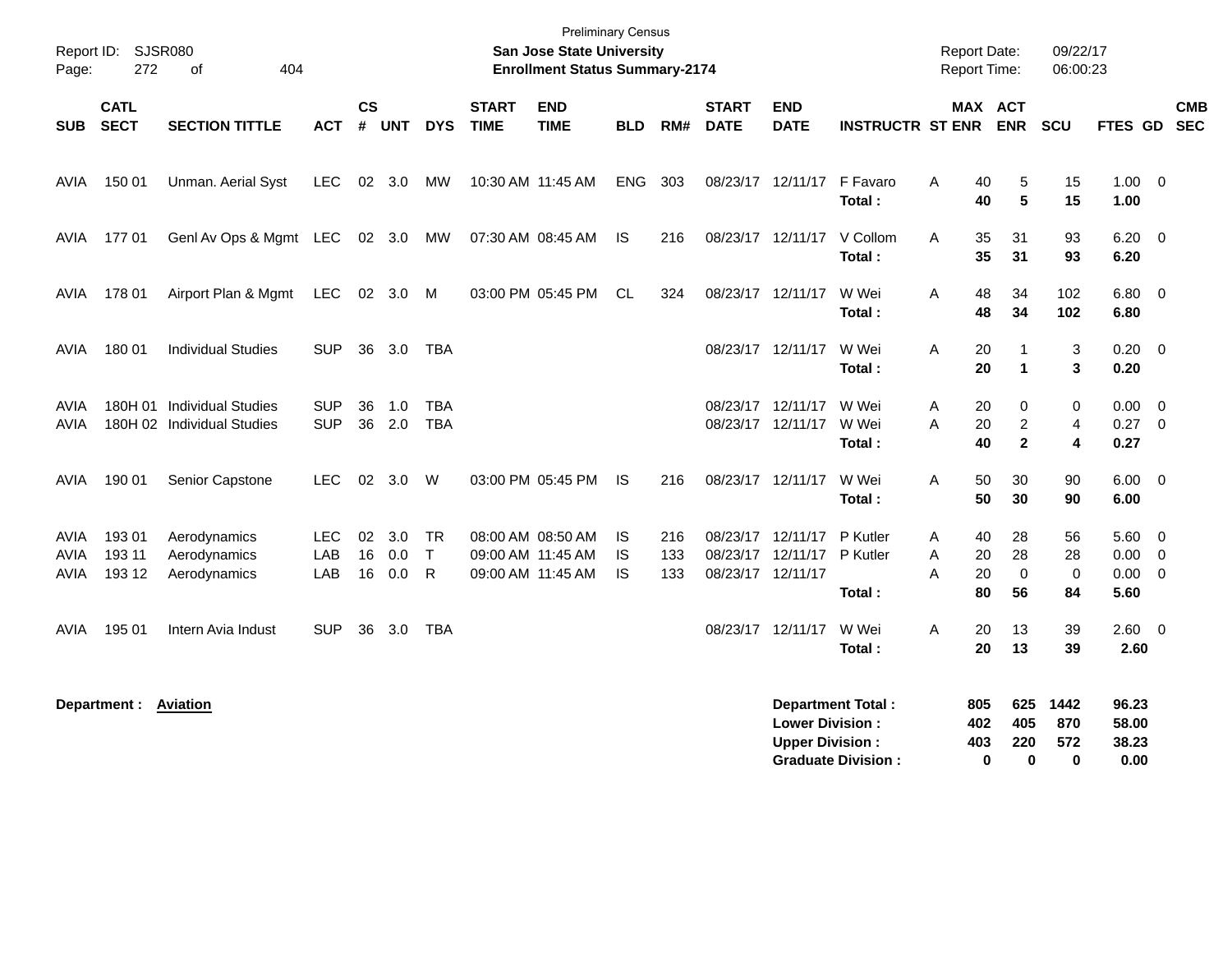| Page:                | Report ID: SJSR080<br>272  | 404<br>of                                               |                          |                    |                   |                           |                             | <b>Preliminary Census</b><br><b>San Jose State University</b><br><b>Enrollment Status Summary-2174</b> |                       |                   |                             |                                                  |                                                       | <b>Report Date:</b><br><b>Report Time:</b> |                                           | 09/22/17<br>06:00:23    |                                         |                          |
|----------------------|----------------------------|---------------------------------------------------------|--------------------------|--------------------|-------------------|---------------------------|-----------------------------|--------------------------------------------------------------------------------------------------------|-----------------------|-------------------|-----------------------------|--------------------------------------------------|-------------------------------------------------------|--------------------------------------------|-------------------------------------------|-------------------------|-----------------------------------------|--------------------------|
| <b>SUB</b>           | <b>CATL</b><br><b>SECT</b> | <b>SECTION TITTLE</b>                                   | <b>ACT</b>               | $\mathsf{cs}$<br># | <b>UNT</b>        | <b>DYS</b>                | <b>START</b><br><b>TIME</b> | <b>END</b><br><b>TIME</b>                                                                              | <b>BLD</b>            | RM#               | <b>START</b><br><b>DATE</b> | <b>END</b><br><b>DATE</b>                        | <b>INSTRUCTR ST ENR</b>                               |                                            | MAX ACT<br><b>ENR</b>                     | SCU                     | FTES GD                                 | <b>CMB</b><br><b>SEC</b> |
| AVIA                 | 150 01                     | Unman. Aerial Syst                                      | LEC.                     | 02                 | 3.0               | МW                        |                             | 10:30 AM 11:45 AM                                                                                      | <b>ENG</b>            | 303               |                             | 08/23/17 12/11/17                                | F Favaro<br>Total:                                    | Α<br>40<br>40                              | 5<br>$5\phantom{a}$                       | 15<br>15                | $1.00 \t 0$<br>1.00                     |                          |
| AVIA                 | 17701                      | GenI Av Ops & Mgmt LEC 02 3.0                           |                          |                    |                   | MW                        |                             | 07:30 AM 08:45 AM                                                                                      | IS                    | 216               |                             | 08/23/17 12/11/17                                | V Collom<br>Total:                                    | Α<br>35<br>35                              | 31<br>31                                  | 93<br>93                | $6.20 \quad 0$<br>6.20                  |                          |
| AVIA                 | 178 01                     | Airport Plan & Mgmt                                     | <b>LEC</b>               |                    | $02 \quad 3.0$    | M                         |                             | 03:00 PM 05:45 PM                                                                                      | CL.                   | 324               |                             | 08/23/17 12/11/17                                | W Wei<br>Total:                                       | A<br>48<br>48                              | 34<br>34                                  | 102<br>102              | $6.80$ 0<br>6.80                        |                          |
| AVIA                 | 180 01                     | <b>Individual Studies</b>                               | <b>SUP</b>               | 36                 | 3.0               | <b>TBA</b>                |                             |                                                                                                        |                       |                   |                             | 08/23/17 12/11/17                                | W Wei<br>Total:                                       | 20<br>A<br>20                              | $\mathbf 1$<br>1                          | 3<br>3                  | $0.20 \ 0$<br>0.20                      |                          |
| AVIA<br>AVIA         | 180H 01                    | <b>Individual Studies</b><br>180H 02 Individual Studies | <b>SUP</b><br><b>SUP</b> | 36                 | 1.0<br>36 2.0     | <b>TBA</b><br><b>TBA</b>  |                             |                                                                                                        |                       |                   |                             | 08/23/17 12/11/17<br>08/23/17 12/11/17           | W Wei<br>W Wei<br>Total:                              | 20<br>Α<br>20<br>A<br>40                   | 0<br>2<br>$\overline{2}$                  | 0<br>4<br>4             | 0.00<br>$0.27$ 0<br>0.27                | $\overline{\mathbf{0}}$  |
| AVIA                 | 190 01                     | Senior Capstone                                         | LEC.                     | 02                 | 3.0               | W                         |                             | 03:00 PM 05:45 PM                                                                                      | IS                    | 216               | 08/23/17 12/11/17           |                                                  | W Wei<br>Total:                                       | 50<br>Α<br>50                              | 30<br>30                                  | 90<br>90                | $6.00 \quad 0$<br>6.00                  |                          |
| AVIA<br>AVIA<br>AVIA | 193 01<br>193 11<br>193 12 | Aerodynamics<br>Aerodynamics<br>Aerodynamics            | LEC.<br>LAB<br>LAB       | 02<br>16<br>16     | 3.0<br>0.0<br>0.0 | <b>TR</b><br>$\top$<br>R. |                             | 08:00 AM 08:50 AM<br>09:00 AM 11:45 AM<br>09:00 AM 11:45 AM                                            | IS<br>IS<br><b>IS</b> | 216<br>133<br>133 | 08/23/17 12/11/17           | 08/23/17 12/11/17<br>08/23/17 12/11/17           | P Kutler<br>P Kutler<br>Total:                        | 40<br>A<br>Α<br>20<br>A<br>20<br>80        | 28<br>28<br>0<br>56                       | 56<br>28<br>0<br>84     | $5.60$ 0<br>0.00<br>$0.00 \t 0$<br>5.60 | $\overline{\phantom{0}}$ |
| AVIA                 | 195 01                     | Intern Avia Indust                                      | <b>SUP</b>               | 36                 | 3.0               | TBA                       |                             |                                                                                                        |                       |                   |                             | 08/23/17 12/11/17                                | W Wei<br>Total:                                       | 20<br>Α<br>20                              | 13<br>13                                  | 39<br>39                | 2.60 0<br>2.60                          |                          |
|                      | Department :               | <b>Aviation</b>                                         |                          |                    |                   |                           |                             |                                                                                                        |                       |                   |                             | <b>Lower Division:</b><br><b>Upper Division:</b> | <b>Department Total:</b><br><b>Graduate Division:</b> | 805<br>402<br>403                          | 625<br>405<br>220<br>$\bf{0}$<br>$\bf{0}$ | 1442<br>870<br>572<br>0 | 96.23<br>58.00<br>38.23<br>0.00         |                          |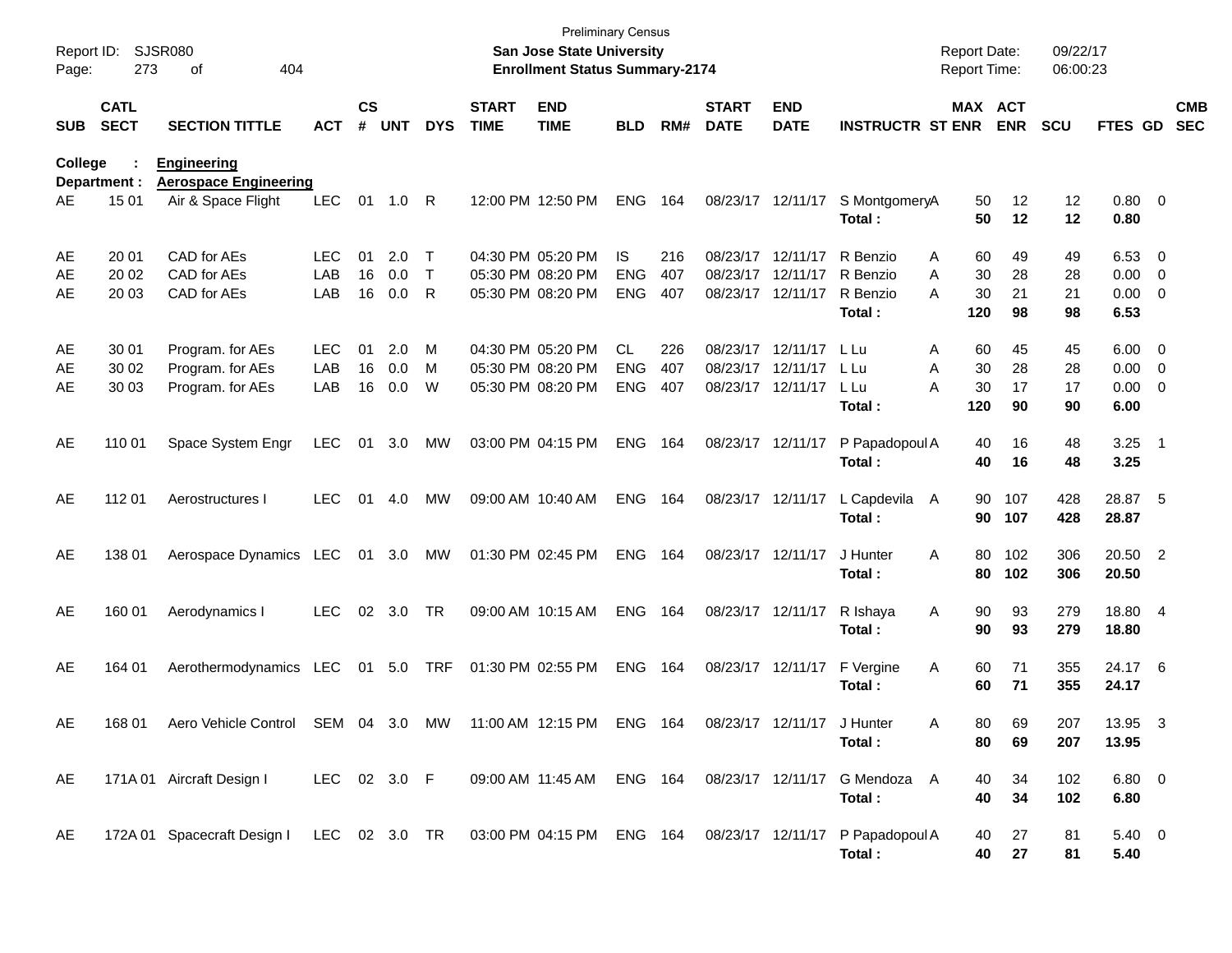| Report ID:<br>Page: | 273                        | <b>SJSR080</b><br>404<br>οf                                              |              |                    |            |               |                             | <b>Preliminary Census</b><br><b>San Jose State University</b><br><b>Enrollment Status Summary-2174</b> |                          |            |                             |                           |                                | <b>Report Date:</b><br><b>Report Time:</b> |                | 09/22/17<br>06:00:23 |                      |                                           |                          |
|---------------------|----------------------------|--------------------------------------------------------------------------|--------------|--------------------|------------|---------------|-----------------------------|--------------------------------------------------------------------------------------------------------|--------------------------|------------|-----------------------------|---------------------------|--------------------------------|--------------------------------------------|----------------|----------------------|----------------------|-------------------------------------------|--------------------------|
| <b>SUB</b>          | <b>CATL</b><br><b>SECT</b> | <b>SECTION TITTLE</b>                                                    | <b>ACT</b>   | $\mathsf{cs}$<br># | <b>UNT</b> | <b>DYS</b>    | <b>START</b><br><b>TIME</b> | <b>END</b><br><b>TIME</b>                                                                              | <b>BLD</b>               | RM#        | <b>START</b><br><b>DATE</b> | <b>END</b><br><b>DATE</b> | <b>INSTRUCTR ST ENR</b>        | <b>MAX ACT</b>                             | <b>ENR</b>     | <b>SCU</b>           | FTES GD              |                                           | <b>CMB</b><br><b>SEC</b> |
| College             | Department :<br>15 01      | <b>Engineering</b><br><b>Aerospace Engineering</b><br>Air & Space Flight | <b>LEC</b>   | 01                 | 1.0        | - R           |                             | 12:00 PM 12:50 PM                                                                                      | <b>ENG</b>               |            | 08/23/17 12/11/17           |                           |                                | 50                                         | 12             |                      | 0.80 0               |                                           |                          |
| AE                  |                            |                                                                          |              |                    |            |               |                             |                                                                                                        |                          | 164        |                             |                           | S MontgomeryA<br>Total:        | 50                                         | 12             | 12<br>12             | 0.80                 |                                           |                          |
| AE                  | 20 01                      | CAD for AEs                                                              | <b>LEC</b>   | 01                 | 2.0        | Τ             |                             | 04:30 PM 05:20 PM                                                                                      | IS                       | 216        | 08/23/17                    | 12/11/17                  | R Benzio                       | 60<br>Α                                    | 49             | 49                   | 6.53                 | $\overline{\phantom{0}}$                  |                          |
| AE<br>AE            | 20 02<br>20 03             | CAD for AEs<br>CAD for AEs                                               | LAB<br>LAB   | 16<br>16           | 0.0<br>0.0 | $\top$<br>R   |                             | 05:30 PM 08:20 PM<br>05:30 PM 08:20 PM                                                                 | <b>ENG</b><br><b>ENG</b> | 407<br>407 | 08/23/17<br>08/23/17        | 12/11/17<br>12/11/17      | R Benzio<br>R Benzio<br>Total: | 30<br>Α<br>30<br>А<br>120                  | 28<br>21<br>98 | 28<br>21<br>98       | 0.00<br>0.00<br>6.53 | $\mathbf 0$<br>$\overline{\mathbf{0}}$    |                          |
| AE                  | 30 01                      | Program. for AEs                                                         | <b>LEC</b>   | 01                 | 2.0        | М             |                             | 04:30 PM 05:20 PM                                                                                      | <b>CL</b>                | 226        | 08/23/17                    | 12/11/17                  | L Lu                           | 60<br>Α                                    | 45             | 45                   | 6.00                 | $\overline{\phantom{0}}$                  |                          |
| AE<br>AE            | 30 02<br>30 03             | Program. for AEs<br>Program. for AEs                                     | LAB<br>LAB   | 16<br>16           | 0.0<br>0.0 | M<br>W        |                             | 05:30 PM 08:20 PM<br>05:30 PM 08:20 PM                                                                 | <b>ENG</b><br><b>ENG</b> | 407<br>407 | 08/23/17<br>08/23/17        | 12/11/17<br>12/11/17      | L Lu<br>L Lu<br>Total:         | 30<br>Α<br>30<br>А<br>120                  | 28<br>17<br>90 | 28<br>17<br>90       | 0.00<br>0.00<br>6.00 | $\overline{0}$<br>$\overline{\mathbf{0}}$ |                          |
| AE                  | 110 01                     | Space System Engr                                                        | <b>LEC</b>   | 01                 | 3.0        | MW            |                             | 03:00 PM 04:15 PM                                                                                      | <b>ENG</b>               | 164        | 08/23/17 12/11/17           |                           | P Papadopoul A<br>Total:       | 40<br>40                                   | 16<br>16       | 48<br>48             | 3.25<br>3.25         | $\overline{\phantom{1}}$                  |                          |
| AE                  | 112 01                     | Aerostructures I                                                         | <b>LEC</b>   | 01                 | 4.0        | МW            |                             | 09:00 AM 10:40 AM                                                                                      | <b>ENG</b>               | 164        | 08/23/17 12/11/17           |                           | L Capdevila<br>Total:          | 90<br>A<br>90                              | 107<br>107     | 428<br>428           | 28.87 5<br>28.87     |                                           |                          |
| AE                  | 138 01                     | Aerospace Dynamics LEC                                                   |              | 01                 | 3.0        | МW            |                             | 01:30 PM 02:45 PM                                                                                      | <b>ENG</b>               | 164        | 08/23/17 12/11/17           |                           | J Hunter<br>Total:             | 80<br>Α<br>80                              | 102<br>102     | 306<br>306           | 20.50 2<br>20.50     |                                           |                          |
| AE                  | 160 01                     | Aerodynamics I                                                           | <b>LEC</b>   | 02                 | 3.0        | TR            |                             | 09:00 AM 10:15 AM                                                                                      | <b>ENG</b>               | 164        | 08/23/17 12/11/17           |                           | R Ishaya<br>Total:             | 90<br>Α<br>90                              | 93<br>93       | 279<br>279           | 18.80 4<br>18.80     |                                           |                          |
| AE                  | 164 01                     | Aerothermodynamics LEC                                                   |              | 01                 | 5.0        | TRF           |                             | 01:30 PM 02:55 PM                                                                                      | <b>ENG</b>               | 164        | 08/23/17 12/11/17           |                           | F Vergine<br>Total:            | Α<br>60<br>60                              | 71<br>71       | 355<br>355           | 24.17 6<br>24.17     |                                           |                          |
| AE                  | 168 01                     | Aero Vehicle Control                                                     | SEM 04 3.0   |                    |            | MW            |                             | 11:00 AM 12:15 PM                                                                                      | ENG 164                  |            |                             | 08/23/17 12/11/17         | J Hunter<br>Total:             | 80.<br>Α<br>80                             | 69<br>69       | 207<br>207           | 13.95<br>13.95       | $\mathbf{3}$                              |                          |
| AE                  |                            | 171A 01 Aircraft Design I                                                | LEC 02 3.0 F |                    |            |               |                             | 09:00 AM 11:45 AM ENG 164                                                                              |                          |            | 08/23/17 12/11/17           |                           | G Mendoza A<br>Total:          | 40<br>40                                   | 34<br>34       | 102<br>102           | $6.80\ 0$<br>6.80    |                                           |                          |
| AE                  |                            | 172A 01 Spacecraft Design I                                              |              |                    |            | LEC 02 3.0 TR |                             | 03:00 PM 04:15 PM ENG 164                                                                              |                          |            |                             | 08/23/17 12/11/17         | P Papadopoul A<br>Total:       | 40<br>40                                   | 27<br>27       | 81<br>81             | $5.40\ 0$<br>5.40    |                                           |                          |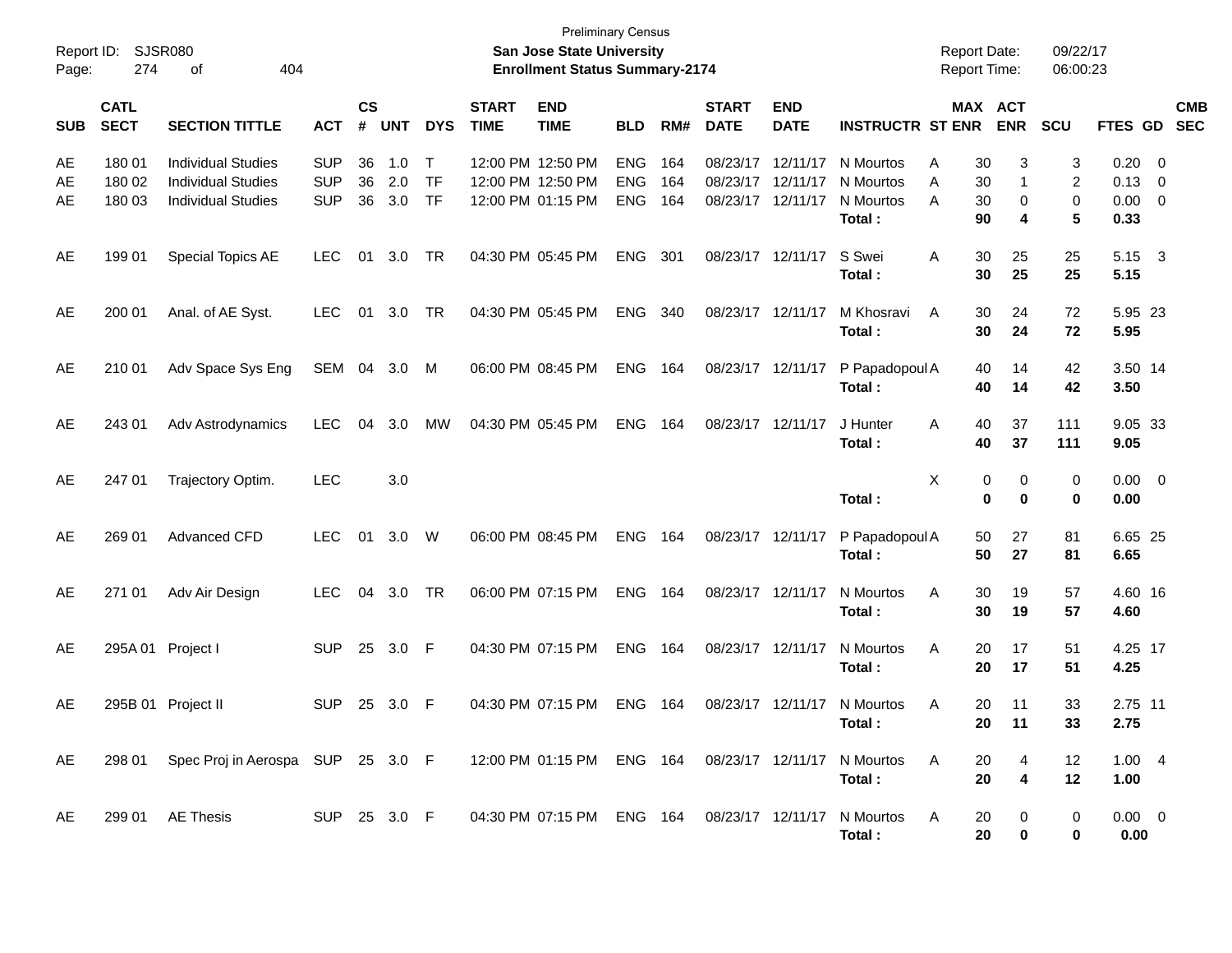| Report ID:<br>Page: | 274                        | SJSR080<br>404<br>οf                                                                |                                        |                    |                   |                                  |                             | <b>Preliminary Census</b><br>San Jose State University<br><b>Enrollment Status Summary-2174</b> |                                        |                   |                                  |                                  |                                               | <b>Report Date:</b><br>Report Time: |                                          | 09/22/17<br>06:00:23       |                              |                                                                                |
|---------------------|----------------------------|-------------------------------------------------------------------------------------|----------------------------------------|--------------------|-------------------|----------------------------------|-----------------------------|-------------------------------------------------------------------------------------------------|----------------------------------------|-------------------|----------------------------------|----------------------------------|-----------------------------------------------|-------------------------------------|------------------------------------------|----------------------------|------------------------------|--------------------------------------------------------------------------------|
| <b>SUB</b>          | <b>CATL</b><br><b>SECT</b> | <b>SECTION TITTLE</b>                                                               | <b>ACT</b>                             | $\mathsf{cs}$<br># | <b>UNT</b>        | <b>DYS</b>                       | <b>START</b><br><b>TIME</b> | <b>END</b><br><b>TIME</b>                                                                       | <b>BLD</b>                             | RM#               | <b>START</b><br><b>DATE</b>      | <b>END</b><br><b>DATE</b>        | <b>INSTRUCTR ST ENR</b>                       |                                     | MAX ACT<br><b>ENR</b>                    | SCU                        |                              | <b>CMB</b><br>FTES GD SEC                                                      |
| AE<br>AE<br>AE      | 180 01<br>180 02<br>180 03 | <b>Individual Studies</b><br><b>Individual Studies</b><br><b>Individual Studies</b> | <b>SUP</b><br><b>SUP</b><br><b>SUP</b> | 36<br>36<br>36     | 1.0<br>2.0<br>3.0 | $\top$<br><b>TF</b><br><b>TF</b> |                             | 12:00 PM 12:50 PM<br>12:00 PM 12:50 PM<br>12:00 PM 01:15 PM                                     | <b>ENG</b><br><b>ENG</b><br><b>ENG</b> | 164<br>164<br>164 | 08/23/17<br>08/23/17<br>08/23/17 | 12/11/17<br>12/11/17<br>12/11/17 | N Mourtos<br>N Mourtos<br>N Mourtos<br>Total: | Α<br>A<br>A                         | 30<br>3<br>1<br>30<br>0<br>30<br>90<br>4 | 3<br>2<br>$\mathbf 0$<br>5 | 0.20<br>0.13<br>0.00<br>0.33 | $\overline{\phantom{0}}$<br>$\overline{\mathbf{0}}$<br>$\overline{\mathbf{0}}$ |
| AE                  | 199 01                     | Special Topics AE                                                                   | <b>LEC</b>                             | 01                 | 3.0               | TR                               |                             | 04:30 PM 05:45 PM                                                                               | <b>ENG</b>                             | 301               | 08/23/17 12/11/17                |                                  | S Swei<br>Total:                              | A                                   | 30<br>25<br>30<br>25                     | 25<br>25                   | 5.15<br>5.15                 | $\overline{\mathbf{3}}$                                                        |
| AE                  | 200 01                     | Anal. of AE Syst.                                                                   | <b>LEC</b>                             | 01                 | 3.0               | TR                               |                             | 04:30 PM 05:45 PM                                                                               | <b>ENG</b>                             | 340               | 08/23/17 12/11/17                |                                  | M Khosravi<br>Total:                          | A                                   | 30<br>24<br>30<br>24                     | 72<br>72                   | 5.95 23<br>5.95              |                                                                                |
| AE                  | 210 01                     | Adv Space Sys Eng                                                                   | SEM 04 3.0                             |                    |                   | M                                |                             | 06:00 PM 08:45 PM                                                                               | <b>ENG</b>                             | 164               | 08/23/17 12/11/17                |                                  | P Papadopoul A<br>Total:                      |                                     | 14<br>40<br>40<br>14                     | 42<br>42                   | 3.50 14<br>3.50              |                                                                                |
| AE                  | 243 01                     | Adv Astrodynamics                                                                   | <b>LEC</b>                             | 04                 | 3.0               | MW                               |                             | 04:30 PM 05:45 PM                                                                               | <b>ENG</b>                             | 164               | 08/23/17                         | 12/11/17                         | J Hunter<br>Total:                            | A                                   | 40<br>37<br>40<br>37                     | 111<br>111                 | 9.05 33<br>9.05              |                                                                                |
| AE                  | 247 01                     | Trajectory Optim.                                                                   | <b>LEC</b>                             |                    | 3.0               |                                  |                             |                                                                                                 |                                        |                   |                                  |                                  | Total:                                        | X                                   | 0<br>0<br>$\mathbf 0$<br>$\mathbf 0$     | 0<br>$\mathbf 0$           | $0.00 \t 0$<br>0.00          |                                                                                |
| AE                  | 269 01                     | Advanced CFD                                                                        | <b>LEC</b>                             | 01                 | 3.0               | W                                |                             | 06:00 PM 08:45 PM                                                                               | <b>ENG</b>                             | 164               | 08/23/17 12/11/17                |                                  | P Papadopoul A<br>Total:                      |                                     | 27<br>50<br>50<br>27                     | 81<br>81                   | 6.65 25<br>6.65              |                                                                                |
| AE                  | 271 01                     | Adv Air Design                                                                      | <b>LEC</b>                             | 04                 | 3.0               | TR                               |                             | 06:00 PM 07:15 PM                                                                               | <b>ENG</b>                             | 164               | 08/23/17 12/11/17                |                                  | N Mourtos<br>Total:                           | A                                   | 30<br>19<br>30<br>19                     | 57<br>57                   | 4.60 16<br>4.60              |                                                                                |
| AE                  |                            | 295A 01 Project I                                                                   | <b>SUP</b>                             | 25                 | 3.0               | - F                              |                             | 04:30 PM 07:15 PM                                                                               | <b>ENG</b>                             | 164               | 08/23/17 12/11/17                |                                  | N Mourtos<br>Total:                           | A                                   | 17<br>20<br>20<br>17                     | 51<br>51                   | 4.25 17<br>4.25              |                                                                                |
| AE                  |                            | 295B 01 Project II                                                                  | <b>SUP</b>                             | 25                 | - 3.0             | - F                              |                             | 04:30 PM 07:15 PM                                                                               | <b>ENG</b>                             | 164               |                                  | 08/23/17 12/11/17                | N Mourtos<br>Total:                           | A                                   | 20<br>11<br>20<br>$-11$                  | 33<br>33                   | 2.75 11<br>2.75              |                                                                                |
| AE                  |                            | 298 01 Spec Proj in Aerospa SUP 25 3.0 F                                            |                                        |                    |                   |                                  |                             | 12:00 PM 01:15 PM ENG 164 08/23/17 12/11/17                                                     |                                        |                   |                                  |                                  | N Mourtos<br>Total:                           | A                                   | 20<br>4<br>$\overline{\mathbf{4}}$<br>20 | 12<br>12                   | 1.004<br>1.00                |                                                                                |
| AE                  |                            | 299 01 AE Thesis                                                                    | SUP 25 3.0 F                           |                    |                   |                                  |                             | 04:30 PM 07:15 PM ENG 164 08/23/17 12/11/17                                                     |                                        |                   |                                  |                                  | N Mourtos<br>Total:                           | A                                   | 20<br>0<br>20<br>0                       | 0<br>0                     | $0.00 \t 0$<br>0.00          |                                                                                |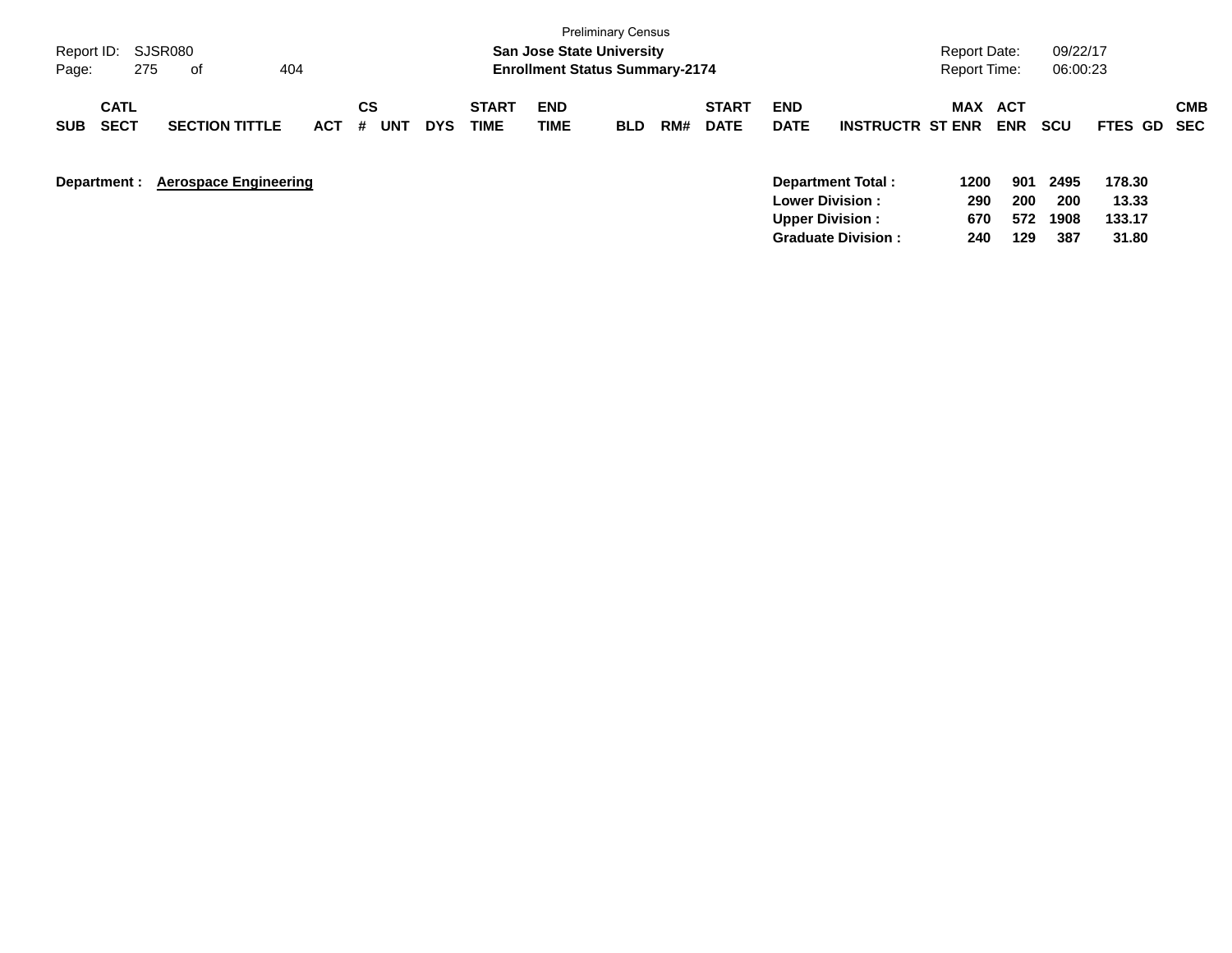|                                          |                              |            |                |            |                             |                                       | <b>Preliminary Census</b> |     |                             |                           |                                              |                     |                   |             |                 |                   |
|------------------------------------------|------------------------------|------------|----------------|------------|-----------------------------|---------------------------------------|---------------------------|-----|-----------------------------|---------------------------|----------------------------------------------|---------------------|-------------------|-------------|-----------------|-------------------|
| Report ID:                               | SJSR080                      |            |                |            |                             | <b>San Jose State University</b>      |                           |     |                             |                           |                                              | Report Date:        |                   | 09/22/17    |                 |                   |
| 275<br>Page:                             | 404<br>0f                    |            |                |            |                             | <b>Enrollment Status Summary-2174</b> |                           |     |                             |                           |                                              | <b>Report Time:</b> |                   | 06:00:23    |                 |                   |
| <b>CATL</b><br><b>SECT</b><br><b>SUB</b> | <b>SECTION TITTLE</b>        | <b>ACT</b> | CS<br>#<br>UN1 | <b>DYS</b> | <b>START</b><br><b>TIME</b> | <b>END</b><br>TIME                    | <b>BLD</b>                | RM# | <b>START</b><br><b>DATE</b> | <b>END</b><br><b>DATE</b> | <b>INSTRUCTR ST ENR</b>                      | MAX                 | ACT<br><b>ENR</b> | <b>SCU</b>  | <b>FTES GD</b>  | <b>CMB</b><br>SEC |
| Department :                             | <b>Aerospace Engineering</b> |            |                |            |                             |                                       |                           |     |                             |                           | Department Total:<br><b>Lower Division :</b> | 1200<br>290         | 901<br>200        | 2495<br>200 | 178.30<br>13.33 |                   |
|                                          |                              |            |                |            |                             |                                       |                           |     |                             |                           | <b>Upper Division:</b>                       | 670                 | 572               | 1908        | 133.17          |                   |
|                                          |                              |            |                |            |                             |                                       |                           |     |                             |                           | <b>Graduate Division:</b>                    | 240                 | 129               | 387         | 31.80           |                   |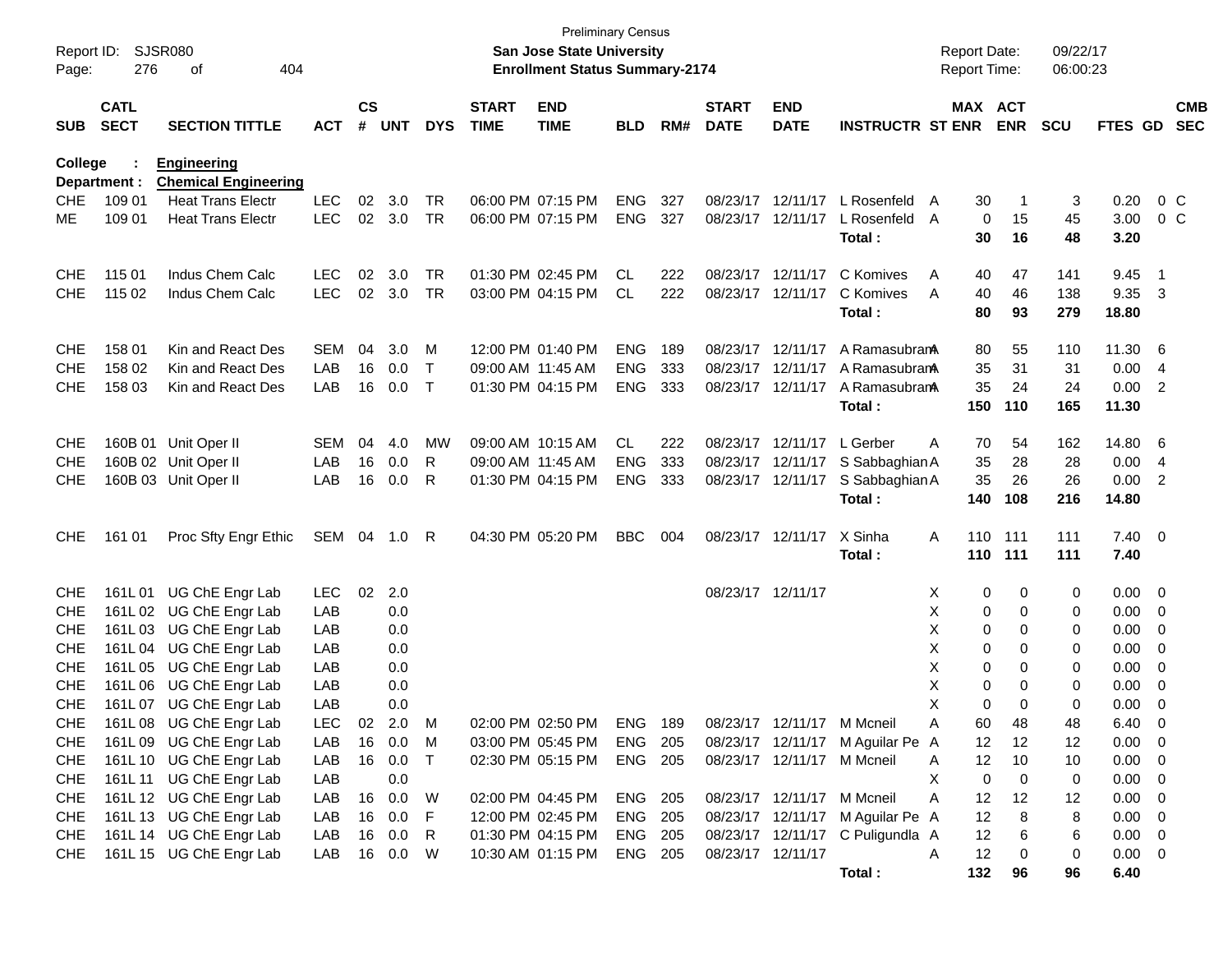| Report ID:               |                        | SJSR080                                                 |            |               |            |              |              | <b>Preliminary Census</b><br>San Jose State University |                    |     |                   |                            |                                  | <b>Report Date:</b> |            | 09/22/17   |                |                                                      |            |
|--------------------------|------------------------|---------------------------------------------------------|------------|---------------|------------|--------------|--------------|--------------------------------------------------------|--------------------|-----|-------------------|----------------------------|----------------------------------|---------------------|------------|------------|----------------|------------------------------------------------------|------------|
| Page:                    | 276<br>404<br>οf       |                                                         |            |               |            |              |              | <b>Enrollment Status Summary-2174</b>                  |                    |     |                   |                            |                                  | <b>Report Time:</b> |            | 06:00:23   |                |                                                      |            |
|                          | <b>CATL</b>            |                                                         |            | $\mathsf{cs}$ |            |              | <b>START</b> | <b>END</b>                                             |                    |     | <b>START</b>      | <b>END</b>                 |                                  | MAX ACT             |            |            |                |                                                      | <b>CMB</b> |
| <b>SUB</b>               | <b>SECT</b>            | <b>SECTION TITTLE</b>                                   | <b>ACT</b> | #             | <b>UNT</b> | <b>DYS</b>   | <b>TIME</b>  | <b>TIME</b>                                            | <b>BLD</b>         | RM# | <b>DATE</b>       | <b>DATE</b>                | <b>INSTRUCTR ST ENR</b>          |                     | <b>ENR</b> | <b>SCU</b> | <b>FTES GD</b> |                                                      | <b>SEC</b> |
| <b>College</b>           |                        | <b>Engineering</b>                                      |            |               |            |              |              |                                                        |                    |     |                   |                            |                                  |                     |            |            |                |                                                      |            |
| <b>CHE</b>               | Department :<br>109 01 | <b>Chemical Engineering</b><br><b>Heat Trans Electr</b> | <b>LEC</b> | 02            | 3.0        | TR           |              | 06:00 PM 07:15 PM                                      | <b>ENG</b>         | 327 | 08/23/17          | 12/11/17                   | L Rosenfeld                      | 30<br>A             | -1         | 3          | 0.20           | $0\,$ C                                              |            |
| ME                       | 109 01                 | <b>Heat Trans Electr</b>                                | <b>LEC</b> | 02            | 3.0        | <b>TR</b>    |              | 06:00 PM 07:15 PM                                      | <b>ENG</b>         | 327 | 08/23/17          | 12/11/17                   | L Rosenfeld                      | 0<br>A              | 15         | 45         | 3.00           | $0\,$ C                                              |            |
|                          |                        |                                                         |            |               |            |              |              |                                                        |                    |     |                   |                            | Total:                           | 30                  | 16         | 48         | 3.20           |                                                      |            |
| <b>CHE</b>               | 115 01                 | Indus Chem Calc                                         | <b>LEC</b> | 02            | 3.0        | TR           |              | 01:30 PM 02:45 PM                                      | CL                 | 222 | 08/23/17          | 12/11/17                   | C Komives                        | A<br>40             | 47         | 141        | 9.45           | $\overline{1}$                                       |            |
| <b>CHE</b>               | 115 02                 | Indus Chem Calc                                         | <b>LEC</b> | 02            | 3.0        | <b>TR</b>    |              | 03:00 PM 04:15 PM                                      | CL                 | 222 | 08/23/17          | 12/11/17                   | C Komives                        | A<br>40             | 46         | 138        | 9.35           | -3                                                   |            |
|                          |                        |                                                         |            |               |            |              |              |                                                        |                    |     |                   |                            | Total:                           | 80                  | 93         | 279        | 18.80          |                                                      |            |
| <b>CHE</b>               | 158 01                 | Kin and React Des                                       | <b>SEM</b> | 04            | 3.0        | М            |              | 12:00 PM 01:40 PM                                      | <b>ENG</b>         | 189 | 08/23/17          | 12/11/17                   | A RamasubranA                    | 80                  | 55         | 110        | 11.30          | - 6                                                  |            |
| <b>CHE</b>               | 158 02                 | Kin and React Des                                       | LAB        | 16            | 0.0        | $\mathsf{T}$ |              | 09:00 AM 11:45 AM                                      | <b>ENG</b>         | 333 | 08/23/17          | 12/11/17                   | A Ramasubran                     | 35                  | 31         | 31         | 0.00           | 4                                                    |            |
| <b>CHE</b>               | 158 03                 | Kin and React Des                                       | LAB        | 16            | 0.0        | $\top$       |              | 01:30 PM 04:15 PM                                      | <b>ENG</b>         | 333 | 08/23/17          | 12/11/17                   | A Ramasubran                     | 35                  | 24         | 24         | 0.00           | 2                                                    |            |
|                          |                        |                                                         |            |               |            |              |              |                                                        |                    |     |                   |                            | Total:                           | 150                 | 110        | 165        | 11.30          |                                                      |            |
| <b>CHE</b>               | 160B 01                | Unit Oper II                                            | <b>SEM</b> | 04            | 4.0        | MW           |              | 09:00 AM 10:15 AM                                      | CL.                | 222 | 08/23/17          | 12/11/17                   | L Gerber                         | 70<br>Α             | 54         | 162        | 14.80          | - 6                                                  |            |
| <b>CHE</b>               |                        | 160B 02 Unit Oper II                                    | LAB        | 16            | 0.0        | R            |              | 09:00 AM 11:45 AM                                      | <b>ENG</b>         | 333 | 08/23/17          | 12/11/17                   | S Sabbaghian A                   | 35                  | 28         | 28         | 0.00           | $\overline{4}$                                       |            |
| <b>CHE</b>               |                        | 160B 03 Unit Oper II                                    | LAB        | 16            | 0.0        | R            |              | 01:30 PM 04:15 PM                                      | <b>ENG</b>         | 333 |                   | 08/23/17 12/11/17          | S Sabbaghian A                   | 35                  | 26         | 26         | 0.00           | $\overline{2}$                                       |            |
|                          |                        |                                                         |            |               |            |              |              |                                                        |                    |     |                   |                            | Total:                           | 140                 | 108        | 216        | 14.80          |                                                      |            |
| <b>CHE</b>               | 161 01                 | Proc Sfty Engr Ethic                                    | SEM        |               | 04 1.0     | R            |              | 04:30 PM 05:20 PM                                      | <b>BBC</b>         | 004 |                   | 08/23/17 12/11/17          | X Sinha                          | A<br>110            | 111        | 111        | $7.40 \quad 0$ |                                                      |            |
|                          |                        |                                                         |            |               |            |              |              |                                                        |                    |     |                   |                            | Total:                           | 110                 | 111        | 111        | 7.40           |                                                      |            |
| <b>CHE</b>               | 161L01                 | UG ChE Engr Lab                                         | <b>LEC</b> | 02            | 2.0        |              |              |                                                        |                    |     | 08/23/17 12/11/17 |                            |                                  | X<br>0              | 0          | 0          | 0.00           | $\overline{\phantom{0}}$                             |            |
| <b>CHE</b>               | 161L 02                | UG ChE Engr Lab                                         | LAB        |               | 0.0        |              |              |                                                        |                    |     |                   |                            |                                  | Х<br>0              | 0          | 0          | 0.00           | - 0                                                  |            |
| <b>CHE</b>               | 161L03                 | UG ChE Engr Lab                                         | LAB        |               | 0.0        |              |              |                                                        |                    |     |                   |                            |                                  | Χ<br>0              | 0          | 0          | 0.00           | 0                                                    |            |
| <b>CHE</b>               | 161L04                 | UG ChE Engr Lab                                         | LAB        |               | 0.0        |              |              |                                                        |                    |     |                   |                            |                                  | Χ<br>0              | 0          | 0          | 0.00           | 0                                                    |            |
| <b>CHE</b>               | 161L 05                | UG ChE Engr Lab                                         | LAB        |               | 0.0        |              |              |                                                        |                    |     |                   |                            |                                  | Χ<br>0              | 0          | 0          | 0.00           | 0                                                    |            |
| <b>CHE</b>               | 161L06                 | UG ChE Engr Lab                                         | LAB        |               | 0.0        |              |              |                                                        |                    |     |                   |                            |                                  | Χ<br>0              | 0          | 0          | 0.00           | 0                                                    |            |
| <b>CHE</b>               | 161L 07                | UG ChE Engr Lab                                         | LAB        |               | 0.0        |              |              |                                                        |                    |     |                   |                            |                                  | Χ<br>0              | 0          | 0          | 0.00           | 0                                                    |            |
| <b>CHE</b>               |                        | 161L 08 UG ChE Engr Lab                                 | LEC 02     |               | $2.0$ M    |              |              | 02:00 PM 02:50 PM                                      | ENG 189            |     |                   | 08/23/17 12/11/17 M Mcneil |                                  | 60<br>Α             | 48         | 48         | 6.40           | - 0                                                  |            |
| <b>CHE</b>               |                        | 161L 09 UG ChE Engr Lab                                 | LAB        | 16            | 0.0        | M            |              | 03:00 PM 05:45 PM                                      | ENG 205            |     |                   |                            | 08/23/17 12/11/17 M Aguilar Pe A | 12                  | 12         | 12         | $0.00 \t 0$    |                                                      |            |
| <b>CHE</b>               | 161L 10                | UG ChE Engr Lab                                         | LAB        | 16            | 0.0        | $\top$       |              | 02:30 PM 05:15 PM                                      | ENG 205            |     |                   | 08/23/17 12/11/17 M Mcneil |                                  | 12<br>Α             | 10         | 10         | 0.00           | $\overline{\phantom{0}}$                             |            |
| <b>CHE</b>               | 161L 11                | UG ChE Engr Lab<br>161L 12 UG ChE Engr Lab              | LAB<br>LAB | 16            | 0.0<br>0.0 |              |              | 02:00 PM 04:45 PM                                      |                    |     |                   | 08/23/17 12/11/17 M Mcneil |                                  | х<br>0<br>12<br>Α   | 0          | 0          | 0.00<br>0.00   | $\overline{\phantom{0}}$                             |            |
| <b>CHE</b><br><b>CHE</b> |                        | 161L 13 UG ChE Engr Lab                                 | LAB        | 16            | 0.0        | W<br>F       |              | 12:00 PM 02:45 PM                                      | ENG 205<br>ENG 205 |     |                   | 08/23/17 12/11/17          | M Aguilar Pe A                   | 12                  | 12<br>8    | 12<br>8    | 0.00           | $\overline{\phantom{0}}$<br>$\overline{\phantom{0}}$ |            |
| <b>CHE</b>               |                        | 161L 14 UG ChE Engr Lab                                 | LAB        | 16            | 0.0        | R            |              | 01:30 PM 04:15 PM                                      | ENG 205            |     |                   |                            | 08/23/17 12/11/17 C Puligundla A | 12                  | 6          | 6          | $0.00 \t 0$    |                                                      |            |
| CHE                      |                        | 161L 15 UG ChE Engr Lab                                 | LAB        | 16            | 0.0        | W            |              | 10:30 AM 01:15 PM                                      | ENG 205            |     | 08/23/17 12/11/17 |                            |                                  | 12<br>Α             | 0          | 0          | $0.00 \t 0$    |                                                      |            |
|                          |                        |                                                         |            |               |            |              |              |                                                        |                    |     |                   |                            | Total:                           | 132                 | 96         | 96         | 6.40           |                                                      |            |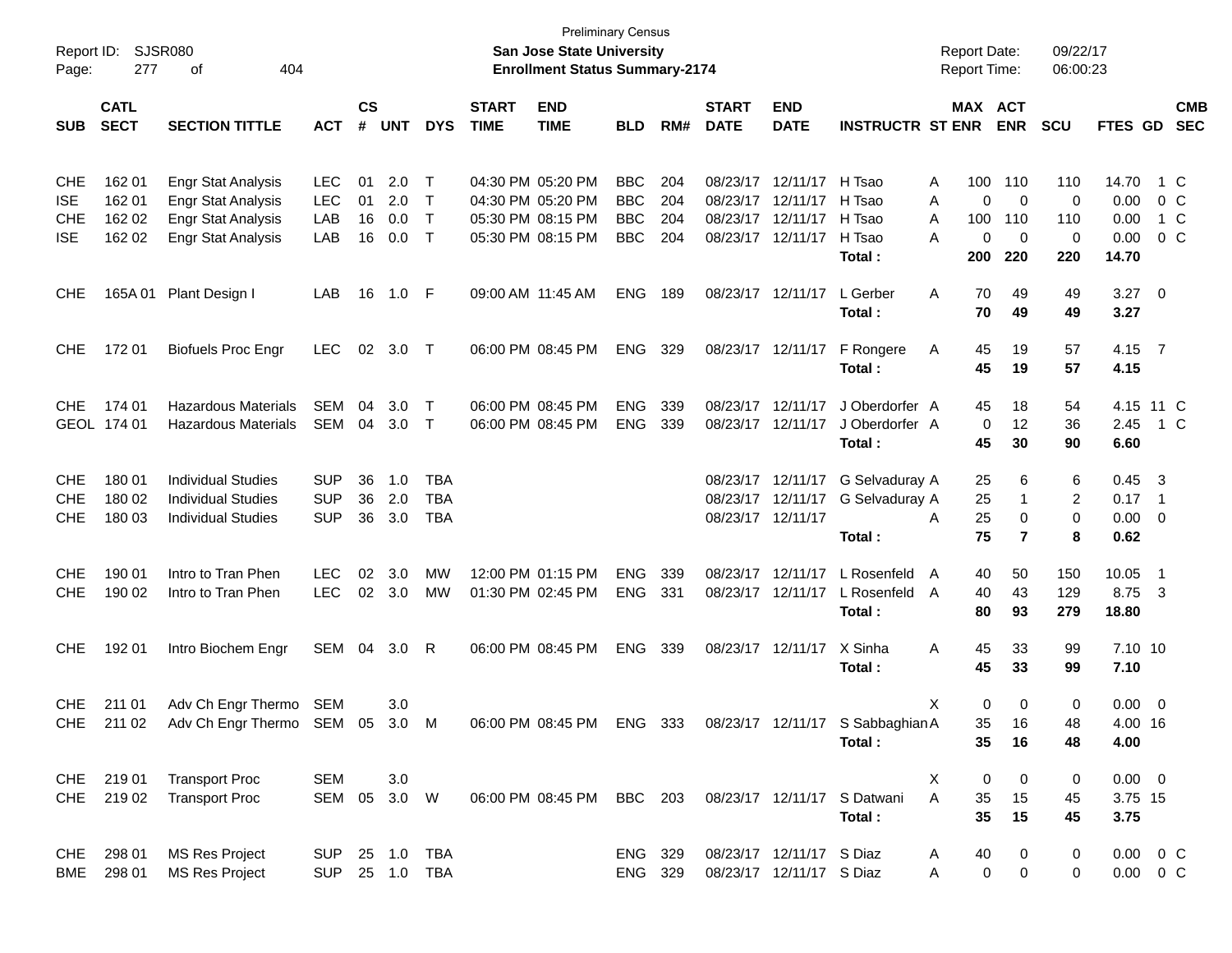|                     |             |                                            |               |    |            |                |             | <b>Preliminary Census</b>                                                 |            |              |                   |                          |                                                            |                                            |                       |                      |                |                          |            |
|---------------------|-------------|--------------------------------------------|---------------|----|------------|----------------|-------------|---------------------------------------------------------------------------|------------|--------------|-------------------|--------------------------|------------------------------------------------------------|--------------------------------------------|-----------------------|----------------------|----------------|--------------------------|------------|
| Report ID:<br>Page: | 277         | SJSR080<br>404<br>οf                       |               |    |            |                |             | <b>San Jose State University</b><br><b>Enrollment Status Summary-2174</b> |            |              |                   |                          |                                                            | <b>Report Date:</b><br><b>Report Time:</b> |                       | 09/22/17<br>06:00:23 |                |                          |            |
|                     |             |                                            |               |    |            |                |             |                                                                           |            |              |                   |                          |                                                            |                                            |                       |                      |                |                          |            |
|                     | <b>CATL</b> |                                            | $\mathsf{cs}$ |    |            | <b>START</b>   | <b>END</b>  |                                                                           |            | <b>START</b> | <b>END</b>        |                          |                                                            | MAX ACT                                    |                       |                      |                | <b>CMB</b>               |            |
| <b>SUB</b>          | <b>SECT</b> | <b>SECTION TITTLE</b>                      | <b>ACT</b>    | #  | <b>UNT</b> | <b>DYS</b>     | <b>TIME</b> | <b>TIME</b>                                                               | <b>BLD</b> | RM#          | <b>DATE</b>       | <b>DATE</b>              | <b>INSTRUCTR ST ENR</b>                                    |                                            | <b>ENR</b>            | <b>SCU</b>           | FTES GD        |                          | <b>SEC</b> |
|                     |             |                                            |               |    |            |                |             |                                                                           |            |              |                   |                          |                                                            |                                            |                       |                      |                |                          |            |
| <b>CHE</b>          | 162 01      | <b>Engr Stat Analysis</b>                  | <b>LEC</b>    | 01 | 2.0        | $\top$         |             | 04:30 PM 05:20 PM                                                         | <b>BBC</b> | 204          | 08/23/17          | 12/11/17                 | H Tsao                                                     | 100<br>Α                                   | 110                   | 110                  | 14.70          |                          | 1 C        |
| <b>ISE</b>          | 162 01      | <b>Engr Stat Analysis</b>                  | <b>LEC</b>    | 01 | 2.0        | $\mathsf{T}$   |             | 04:30 PM 05:20 PM                                                         | <b>BBC</b> | 204          | 08/23/17          | 12/11/17                 | H Tsao                                                     | Α                                          | $\mathbf 0$<br>0      | 0                    | 0.00           |                          | 0 C        |
| <b>CHE</b>          | 162 02      | <b>Engr Stat Analysis</b>                  | LAB           | 16 | 0.0        | $\mathsf{T}$   |             | 05:30 PM 08:15 PM                                                         | <b>BBC</b> | 204          | 08/23/17          | 12/11/17                 | H Tsao                                                     | 100<br>Α                                   | 110                   | 110                  | 0.00           |                          | 1 C        |
| <b>ISE</b>          | 162 02      | <b>Engr Stat Analysis</b>                  | LAB           | 16 | 0.0        | $\top$         |             | 05:30 PM 08:15 PM                                                         | <b>BBC</b> | 204          |                   | 08/23/17 12/11/17        | H Tsao                                                     | A                                          | $\mathbf 0$<br>0      | $\mathbf 0$          | 0.00           |                          | $0\,$ C    |
|                     |             |                                            |               |    |            |                |             |                                                                           |            |              |                   |                          | Total:                                                     | 200                                        | 220                   | 220                  | 14.70          |                          |            |
| <b>CHE</b>          | 165A 01     | Plant Design I                             | LAB           | 16 | 1.0        | - F            |             | 09:00 AM 11:45 AM                                                         | <b>ENG</b> | 189          |                   | 08/23/17 12/11/17        | L Gerber                                                   | A<br>70                                    | 49                    | 49                   | $3.27$ 0       |                          |            |
|                     |             |                                            |               |    |            |                |             |                                                                           |            |              |                   |                          | Total:                                                     | 70                                         | 49                    | 49                   | 3.27           |                          |            |
|                     |             |                                            |               |    |            |                |             |                                                                           |            |              |                   |                          |                                                            |                                            |                       |                      |                |                          |            |
| <b>CHE</b>          | 172 01      | <b>Biofuels Proc Engr</b>                  | <b>LEC</b>    | 02 | 3.0        | $\top$         |             | 06:00 PM 08:45 PM                                                         | <b>ENG</b> | 329          |                   | 08/23/17 12/11/17        | F Rongere                                                  | 45<br>Α                                    | 19                    | 57                   | 4.15 7         |                          |            |
|                     |             |                                            |               |    |            |                |             |                                                                           |            |              |                   |                          | Total:                                                     | 45                                         | 19                    | 57                   | 4.15           |                          |            |
| <b>CHE</b>          | 174 01      | <b>Hazardous Materials</b>                 | <b>SEM</b>    | 04 | 3.0        | $\top$         |             | 06:00 PM 08:45 PM                                                         | <b>ENG</b> | 339          | 08/23/17          | 12/11/17                 | J Oberdorfer A                                             | 45                                         | 18                    | 54                   | 4.15 11 C      |                          |            |
|                     | GEOL 174 01 | <b>Hazardous Materials</b>                 | SEM           | 04 | 3.0        | $\top$         |             | 06:00 PM 08:45 PM                                                         | <b>ENG</b> | 339          |                   | 08/23/17 12/11/17        | J Oberdorfer A                                             |                                            | 12<br>0               | 36                   | 2.45           |                          | 1 C        |
|                     |             |                                            |               |    |            |                |             |                                                                           |            |              |                   |                          | Total:                                                     | 45                                         | 30                    | 90                   | 6.60           |                          |            |
| <b>CHE</b>          | 180 01      | <b>Individual Studies</b>                  | <b>SUP</b>    | 36 | 1.0        | <b>TBA</b>     |             |                                                                           |            |              |                   | 08/23/17 12/11/17        | G Selvaduray A                                             | 25                                         | 6                     | 6                    | 0.45           | $\overline{\mathbf{3}}$  |            |
| CHE                 | 180 02      | <b>Individual Studies</b>                  | <b>SUP</b>    | 36 | 2.0        | <b>TBA</b>     |             |                                                                           |            |              |                   | 08/23/17 12/11/17        | G Selvaduray A                                             | 25                                         | 1                     | 2                    | $0.17 \quad 1$ |                          |            |
| <b>CHE</b>          | 180 03      | <b>Individual Studies</b>                  | <b>SUP</b>    | 36 | 3.0        | <b>TBA</b>     |             |                                                                           |            |              | 08/23/17 12/11/17 |                          |                                                            | 25<br>A                                    | 0                     | $\mathbf 0$          | $0.00 \t 0$    |                          |            |
|                     |             |                                            |               |    |            |                |             |                                                                           |            |              |                   |                          | Total :                                                    | 75                                         | $\overline{7}$        | 8                    | 0.62           |                          |            |
| <b>CHE</b>          | 190 01      | Intro to Tran Phen                         | <b>LEC</b>    | 02 | 3.0        | MW             |             | 12:00 PM 01:15 PM                                                         | <b>ENG</b> | 339          | 08/23/17          | 12/11/17                 | L Rosenfeld                                                | 40<br>A                                    | 50                    | 150                  | 10.05          | $\overline{\phantom{1}}$ |            |
| <b>CHE</b>          | 190 02      | Intro to Tran Phen                         | <b>LEC</b>    | 02 | 3.0        | МW             |             | 01:30 PM 02:45 PM                                                         | <b>ENG</b> | 331          |                   | 08/23/17 12/11/17        | L Rosenfeld                                                | 40<br>A                                    | 43                    | 129                  | 8.75           | $\overline{\mathbf{3}}$  |            |
|                     |             |                                            |               |    |            |                |             |                                                                           |            |              |                   |                          | Total:                                                     | 80                                         | 93                    | 279                  | 18.80          |                          |            |
| <b>CHE</b>          | 192 01      | Intro Biochem Engr                         | SEM           | 04 | 3.0        | R              |             | 06:00 PM 08:45 PM                                                         | <b>ENG</b> | 339          | 08/23/17 12/11/17 |                          | X Sinha                                                    | 45<br>A                                    | 33                    | 99                   | 7.10 10        |                          |            |
|                     |             |                                            |               |    |            |                |             |                                                                           |            |              |                   |                          | Total:                                                     | 45                                         | 33                    | 99                   | 7.10           |                          |            |
|                     |             |                                            |               |    |            |                |             |                                                                           |            |              |                   |                          |                                                            |                                            |                       |                      |                |                          |            |
| <b>CHE</b>          | 211 01      | Adv Ch Engr Thermo                         | SEM           |    | 3.0        |                |             |                                                                           |            |              |                   |                          |                                                            | X                                          | 0<br>0                | 0                    | $0.00 \t 0$    |                          |            |
|                     |             | CHE 211 02 Adv Ch Engr Thermo SEM 05 3.0 M |               |    |            |                |             |                                                                           |            |              |                   |                          | 06:00 PM 08:45 PM ENG 333 08/23/17 12/11/17 S Sabbaghian A |                                            | 35<br>16              | 48                   | 4.00 16        |                          |            |
|                     |             |                                            |               |    |            |                |             |                                                                           |            |              |                   |                          | Total:                                                     |                                            | 35<br>16              | 48                   | 4.00           |                          |            |
| CHE                 | 21901       | <b>Transport Proc</b>                      | <b>SEM</b>    |    | 3.0        |                |             |                                                                           |            |              |                   |                          |                                                            | X                                          | 0<br>0                | 0                    | $0.00 \t 0$    |                          |            |
| <b>CHE</b>          | 219 02      | <b>Transport Proc</b>                      | SEM 05 3.0 W  |    |            |                |             | 06:00 PM 08:45 PM BBC 203                                                 |            |              |                   |                          | 08/23/17 12/11/17 S Datwani                                | A<br>35                                    | 15                    | 45                   | 3.75 15        |                          |            |
|                     |             |                                            |               |    |            |                |             |                                                                           |            |              |                   |                          | Total:                                                     | 35                                         | 15                    | 45                   | 3.75           |                          |            |
| CHE                 | 298 01      | <b>MS Res Project</b>                      | SUP           |    | 25 1.0     | <b>TBA</b>     |             |                                                                           | ENG 329    |              |                   | 08/23/17 12/11/17 S Diaz |                                                            | 40<br>A                                    | 0                     | 0                    | $0.00 \t 0 C$  |                          |            |
| BME                 | 298 01      | <b>MS Res Project</b>                      |               |    |            | SUP 25 1.0 TBA |             |                                                                           | ENG 329    |              |                   | 08/23/17 12/11/17 S Diaz |                                                            | Α                                          | 0<br>$\boldsymbol{0}$ | 0                    | $0.00 \t 0 C$  |                          |            |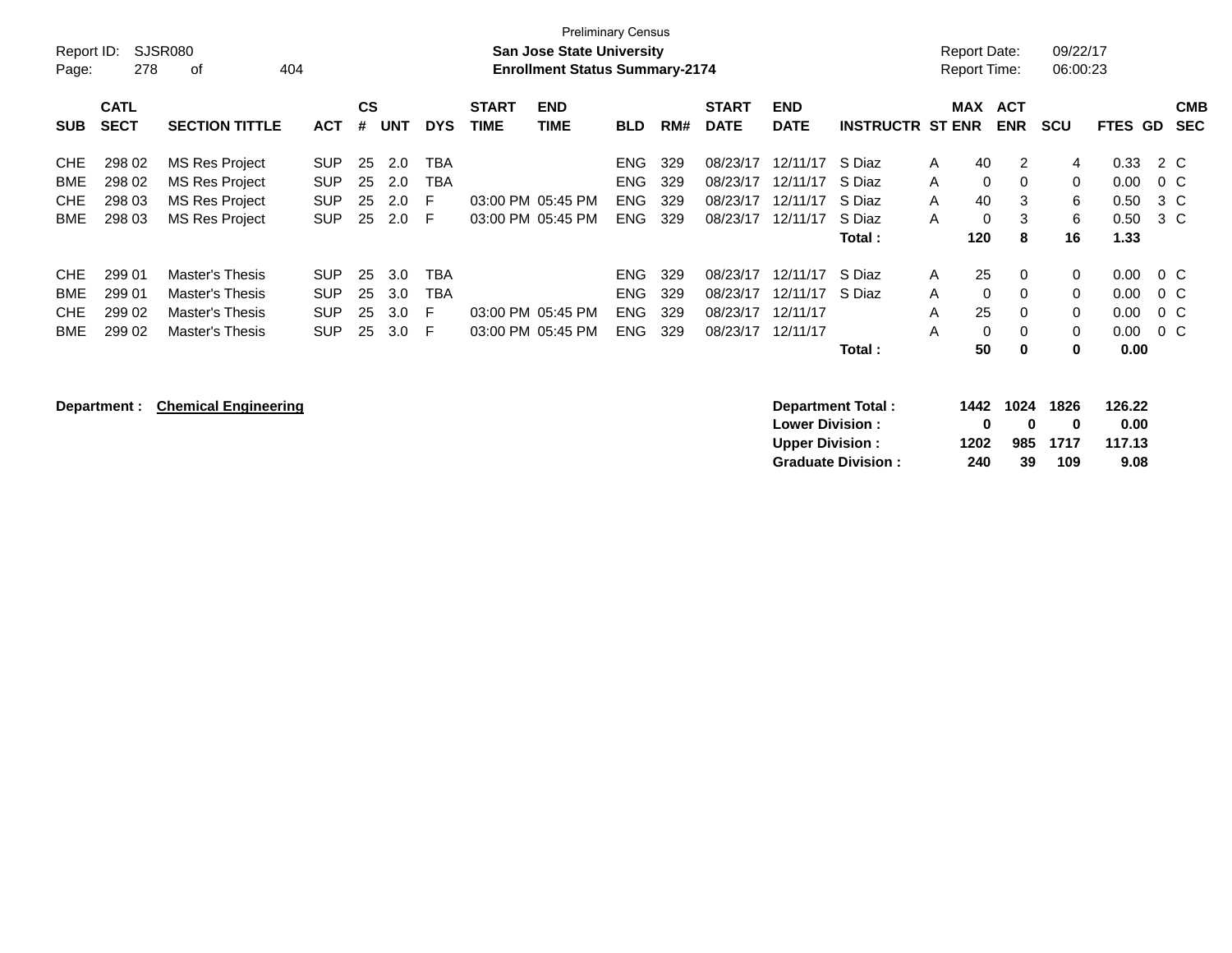| Report ID:<br>Page:                    | 278                                  | <b>Preliminary Census</b><br><b>SJSR080</b><br><b>San Jose State University</b><br><b>Enrollment Status Summary-2174</b><br>404<br>оf |                                                |                      |                          |                             |                             |                                        |                                                      |                          |                                              |                                              |                                                |                                                                 | <b>Report Date:</b><br><b>Report Time:</b>               | 09/22/17<br>06:00:23             |                                      |                                       |                          |
|----------------------------------------|--------------------------------------|---------------------------------------------------------------------------------------------------------------------------------------|------------------------------------------------|----------------------|--------------------------|-----------------------------|-----------------------------|----------------------------------------|------------------------------------------------------|--------------------------|----------------------------------------------|----------------------------------------------|------------------------------------------------|-----------------------------------------------------------------|----------------------------------------------------------|----------------------------------|--------------------------------------|---------------------------------------|--------------------------|
| <b>SUB</b>                             | <b>CATL</b><br><b>SECT</b>           | <b>SECTION TITTLE</b>                                                                                                                 | <b>ACT</b>                                     | CS<br>#              | <b>UNT</b>               | <b>DYS</b>                  | <b>START</b><br><b>TIME</b> | <b>END</b><br><b>TIME</b>              | <b>BLD</b>                                           | RM#                      | <b>START</b><br><b>DATE</b>                  | <b>END</b><br><b>DATE</b>                    | <b>INSTRUCTR ST ENR</b>                        | <b>MAX</b>                                                      | <b>ACT</b><br><b>ENR</b>                                 | <b>SCU</b>                       | <b>FTES GD</b>                       |                                       | <b>CMB</b><br><b>SEC</b> |
| <b>CHE</b><br>BME<br><b>CHE</b><br>BME | 298 02<br>298 02<br>298 03<br>298 03 | MS Res Project<br>MS Res Project<br><b>MS Res Project</b><br>MS Res Project                                                           | SUP.<br><b>SUP</b><br><b>SUP</b><br><b>SUP</b> | 25<br>25<br>25<br>25 | 2.0<br>2.0<br>2.0<br>2.0 | TBA<br>TBA<br>F<br>E        |                             | 03:00 PM 05:45 PM<br>03:00 PM 05:45 PM | <b>ENG</b><br><b>ENG</b><br><b>ENG</b><br>ENG.       | 329<br>329<br>329<br>329 | 08/23/17<br>08/23/17<br>08/23/17<br>08/23/17 | 12/11/17<br>12/11/17<br>12/11/17<br>12/11/17 | S Diaz<br>S Diaz<br>S Diaz<br>S Diaz<br>Total: | 40<br>A<br>$\mathbf{0}$<br>A<br>40<br>A<br>$\Omega$<br>A<br>120 | 2<br>$\Omega$<br>3<br>3<br>8                             | 4<br>$\mathbf 0$<br>6<br>6<br>16 | 0.33<br>0.00<br>0.50<br>0.50<br>1.33 | 2 C<br>$0\,C$<br>3 C<br>3 C           |                          |
| CHE<br><b>BME</b><br><b>CHE</b><br>BME | 299 01<br>299 01<br>299 02<br>299 02 | Master's Thesis<br>Master's Thesis<br>Master's Thesis<br>Master's Thesis                                                              | SUP.<br><b>SUP</b><br><b>SUP</b><br><b>SUP</b> | 25<br>25<br>25<br>25 | 3.0<br>3.0<br>3.0<br>3.0 | TBA<br><b>TBA</b><br>F<br>E | 03:00 PM                    | 03:00 PM 05:45 PM<br>05:45 PM          | <b>ENG</b><br><b>ENG</b><br><b>ENG</b><br><b>ENG</b> | 329<br>329<br>329<br>329 | 08/23/17<br>08/23/17<br>08/23/17<br>08/23/17 | 12/11/17<br>12/11/17<br>12/11/17<br>12/11/17 | S Diaz<br>S Diaz<br>Total :                    | 25<br>A<br>$\mathbf{0}$<br>A<br>25<br>A<br>$\Omega$<br>A<br>50  | $\Omega$<br>$\Omega$<br>$\Omega$<br>$\Omega$<br>$\bf{0}$ | 0<br>$\mathbf 0$<br>0<br>0<br>0  | 0.00<br>0.00<br>0.00<br>0.00<br>0.00 | $0\,$ C<br>$0\,C$<br>$0\,C$<br>$0\,C$ |                          |

**Department : Chemical Engineering <b>Department Total :** 1442 1024 1826 126.22 **Lower Division :**  $\begin{array}{cccc} 0 & 0 & 0 & 0.00 \\ \text{Upper Division:} & 1202 & 985 & 1717 & 117.13 \end{array}$ **Upper Division : 1202 985 1717 117.13 Graduate Division : 240 39 109 9.08**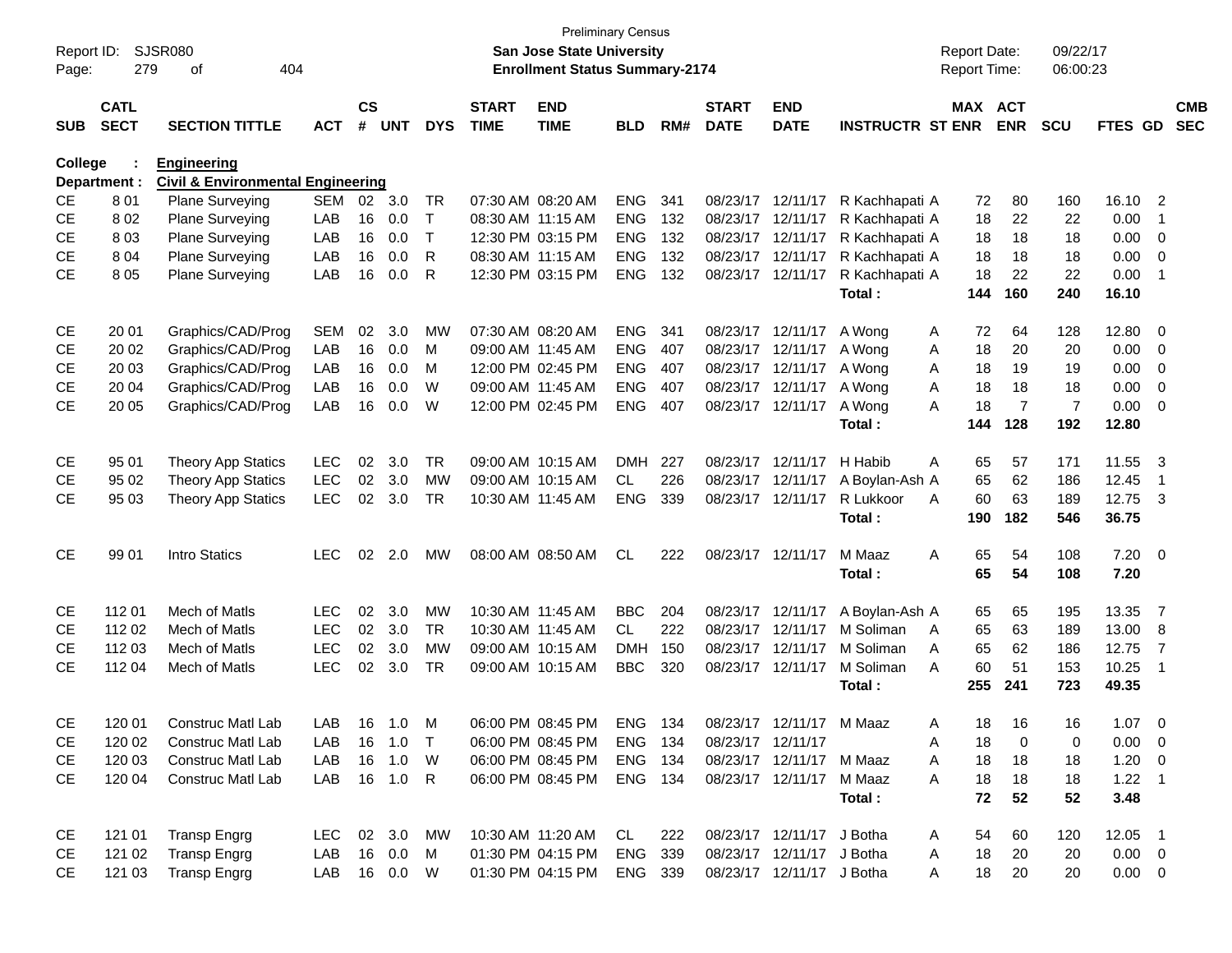| Report ID:<br>Page: | 279                        | <b>SJSR080</b><br>404<br>of                  |              |                    |            |              |                             | <b>Preliminary Census</b><br><b>San Jose State University</b><br><b>Enrollment Status Summary-2174</b> |            |     |                             |                           |                         | <b>Report Date:</b><br><b>Report Time:</b> |            | 09/22/17<br>06:00:23 |                |                         |                          |
|---------------------|----------------------------|----------------------------------------------|--------------|--------------------|------------|--------------|-----------------------------|--------------------------------------------------------------------------------------------------------|------------|-----|-----------------------------|---------------------------|-------------------------|--------------------------------------------|------------|----------------------|----------------|-------------------------|--------------------------|
|                     |                            |                                              |              |                    |            |              |                             |                                                                                                        |            |     |                             |                           |                         |                                            |            |                      |                |                         |                          |
| <b>SUB</b>          | <b>CATL</b><br><b>SECT</b> | <b>SECTION TITTLE</b>                        | <b>ACT</b>   | $\mathsf{cs}$<br># | <b>UNT</b> | <b>DYS</b>   | <b>START</b><br><b>TIME</b> | <b>END</b><br><b>TIME</b>                                                                              | <b>BLD</b> | RM# | <b>START</b><br><b>DATE</b> | <b>END</b><br><b>DATE</b> | <b>INSTRUCTR ST ENR</b> | MAX ACT                                    | <b>ENR</b> | <b>SCU</b>           | FTES GD        |                         | <b>CMB</b><br><b>SEC</b> |
| College             |                            | <b>Engineering</b>                           |              |                    |            |              |                             |                                                                                                        |            |     |                             |                           |                         |                                            |            |                      |                |                         |                          |
|                     | Department :               | <b>Civil &amp; Environmental Engineering</b> |              |                    |            |              |                             |                                                                                                        |            |     |                             |                           |                         |                                            |            |                      |                |                         |                          |
| CE                  | 801                        | <b>Plane Surveying</b>                       | <b>SEM</b>   | 02                 | 3.0        | TR           |                             | 07:30 AM 08:20 AM                                                                                      | <b>ENG</b> | 341 |                             | 08/23/17 12/11/17         | R Kachhapati A          | 72                                         | 80         | 160                  | 16.10          | $\overline{2}$          |                          |
| <b>CE</b>           | 802                        | <b>Plane Surveying</b>                       | LAB          | 16                 | 0.0        | т            | 08:30 AM 11:15 AM           |                                                                                                        | <b>ENG</b> | 132 |                             | 08/23/17 12/11/17         | R Kachhapati A          | 18                                         | 22         | 22                   | 0.00           | -1                      |                          |
| <b>CE</b>           | 803                        | Plane Surveying                              | LAB          | 16                 | 0.0        | $\mathsf{T}$ |                             | 12:30 PM 03:15 PM                                                                                      | <b>ENG</b> | 132 |                             | 08/23/17 12/11/17         | R Kachhapati A          | 18                                         | 18         | 18                   | 0.00           | - 0                     |                          |
| <b>CE</b>           | 804                        | Plane Surveying                              | LAB          | 16                 | 0.0        | R            | 08:30 AM 11:15 AM           |                                                                                                        | <b>ENG</b> | 132 |                             | 08/23/17 12/11/17         | R Kachhapati A          | 18                                         | 18         | 18                   | 0.00           | $\overline{0}$          |                          |
| <b>CE</b>           | 805                        | Plane Surveying                              | LAB          | 16                 | 0.0        | R            |                             | 12:30 PM 03:15 PM                                                                                      | <b>ENG</b> | 132 |                             | 08/23/17 12/11/17         | R Kachhapati A          | 18                                         | 22         | 22                   | 0.00           | -1                      |                          |
|                     |                            |                                              |              |                    |            |              |                             |                                                                                                        |            |     |                             |                           | Total:                  | 144                                        | 160        | 240                  | 16.10          |                         |                          |
| CE                  | 20 01                      | Graphics/CAD/Prog                            | <b>SEM</b>   | 02                 | 3.0        | MW           |                             | 07:30 AM 08:20 AM                                                                                      | <b>ENG</b> | 341 |                             | 08/23/17 12/11/17         | A Wong                  | 72<br>A                                    | 64         | 128                  | 12.80          | $\overline{\mathbf{0}}$ |                          |
| СE                  | 20 02                      | Graphics/CAD/Prog                            | LAB          | 16                 | 0.0        | M            |                             | 09:00 AM 11:45 AM                                                                                      | <b>ENG</b> | 407 |                             | 08/23/17 12/11/17         | A Wong                  | 18<br>A                                    | 20         | 20                   | 0.00           | - 0                     |                          |
| СE                  | 20 03                      | Graphics/CAD/Prog                            | LAB          | 16                 | 0.0        | м            |                             | 12:00 PM 02:45 PM                                                                                      | <b>ENG</b> | 407 |                             | 08/23/17 12/11/17         | A Wong                  | 18<br>A                                    | 19         | 19                   | 0.00           | 0                       |                          |
| СE                  | 20 04                      | Graphics/CAD/Prog                            | LAB          | 16                 | 0.0        | W            |                             | 09:00 AM 11:45 AM                                                                                      | <b>ENG</b> | 407 |                             | 08/23/17 12/11/17         | A Wong                  | 18<br>A                                    | 18         | 18                   | 0.00           | 0                       |                          |
| <b>CE</b>           | 20 05                      | Graphics/CAD/Prog                            | LAB          | 16                 | 0.0        | W            |                             | 12:00 PM 02:45 PM                                                                                      | <b>ENG</b> | 407 |                             | 08/23/17 12/11/17         | A Wong                  | 18<br>A                                    | 7          | $\overline{7}$       | 0.00           | 0                       |                          |
|                     |                            |                                              |              |                    |            |              |                             |                                                                                                        |            |     |                             |                           | Total:                  | 144                                        | 128        | 192                  | 12.80          |                         |                          |
| CE                  | 95 01                      | <b>Theory App Statics</b>                    | <b>LEC</b>   | 02                 | 3.0        | <b>TR</b>    |                             | 09:00 AM 10:15 AM                                                                                      | <b>DMH</b> | 227 |                             | 08/23/17 12/11/17         | H Habib                 | Α<br>65                                    | 57         | 171                  | 11.55          | - 3                     |                          |
| CE.                 | 95 02                      | Theory App Statics                           | <b>LEC</b>   | 02 <sub>2</sub>    | 3.0        | <b>MW</b>    |                             | 09:00 AM 10:15 AM                                                                                      | CL         | 226 |                             | 08/23/17 12/11/17         | A Boylan-Ash A          | 65                                         | 62         | 186                  | 12.45          | -1                      |                          |
| CЕ                  | 95 03                      | <b>Theory App Statics</b>                    | <b>LEC</b>   | 02                 | 3.0        | <b>TR</b>    |                             | 10:30 AM 11:45 AM                                                                                      | <b>ENG</b> | 339 |                             | 08/23/17 12/11/17         | R Lukkoor               | 60<br>A                                    | 63         | 189                  | 12.75          | $\overline{\mathbf{3}}$ |                          |
|                     |                            |                                              |              |                    |            |              |                             |                                                                                                        |            |     |                             |                           | Total:                  | 190                                        | 182        | 546                  | 36.75          |                         |                          |
| <b>CE</b>           | 99 01                      | Intro Statics                                | <b>LEC</b>   | 02                 | 2.0        | MW           |                             | 08:00 AM 08:50 AM                                                                                      | <b>CL</b>  | 222 |                             | 08/23/17 12/11/17         | M Maaz                  | 65<br>A                                    | 54         | 108                  | $7.20 \ 0$     |                         |                          |
|                     |                            |                                              |              |                    |            |              |                             |                                                                                                        |            |     |                             |                           | Total :                 | 65                                         | 54         | 108                  | 7.20           |                         |                          |
| CE                  | 112 01                     | Mech of Matls                                | <b>LEC</b>   | 02                 | 3.0        | <b>MW</b>    | 10:30 AM 11:45 AM           |                                                                                                        | <b>BBC</b> | 204 |                             | 08/23/17 12/11/17         | A Boylan-Ash A          | 65                                         | 65         | 195                  | 13.35          | $\overline{7}$          |                          |
| <b>CE</b>           | 112 02                     | Mech of Matls                                | <b>LEC</b>   | 02                 | 3.0        | <b>TR</b>    |                             | 10:30 AM 11:45 AM                                                                                      | <b>CL</b>  | 222 |                             | 08/23/17 12/11/17         | M Soliman               | 65<br>A                                    | 63         | 189                  | 13.00          | - 8                     |                          |
| CЕ                  | 112 03                     | Mech of Matls                                | <b>LEC</b>   | 02                 | 3.0        | <b>MW</b>    |                             | 09:00 AM 10:15 AM                                                                                      | <b>DMH</b> | 150 |                             | 08/23/17 12/11/17         | M Soliman               | 65<br>A                                    | 62         | 186                  | 12.75          | $\overline{7}$          |                          |
| <b>CE</b>           | 112 04                     | Mech of Matls                                | <b>LEC</b>   | 02                 | 3.0        | TR           |                             | 09:00 AM 10:15 AM                                                                                      | <b>BBC</b> | 320 |                             | 08/23/17 12/11/17         | M Soliman               | 60<br>A                                    | 51         | 153                  | 10.25          | -1                      |                          |
|                     |                            |                                              |              |                    |            |              |                             |                                                                                                        |            |     |                             |                           | Total :                 | 255                                        | 241        | 723                  | 49.35          |                         |                          |
| <b>CE</b>           | 120 01                     | Construc Matl Lab                            |              |                    | LAB 16 1.0 | M            |                             | 06:00 PM 08:45 PM                                                                                      | ENG 134    |     |                             | 08/23/17 12/11/17         | M Maaz                  | 18<br>A                                    | -16        | 16                   | 1.07           | - 0                     |                          |
| CЕ                  | 120 02                     | Construc Matl Lab                            | LAB          |                    | 16 1.0     | $\top$       |                             | 06:00 PM 08:45 PM                                                                                      | ENG 134    |     |                             | 08/23/17 12/11/17         |                         | Α<br>18                                    | 0          | 0                    | $0.00 \t 0$    |                         |                          |
| CE                  | 120 03                     | <b>Construc Matl Lab</b>                     | LAB          |                    | 16 1.0     | W            |                             | 06:00 PM 08:45 PM                                                                                      | ENG 134    |     |                             | 08/23/17 12/11/17 M Maaz  |                         | 18<br>A                                    | 18         | 18                   | $1.20 \t 0$    |                         |                          |
| CE                  | 120 04                     | Construc Matl Lab                            | LAB          |                    | 16  1.0  R |              |                             | 06:00 PM 08:45 PM                                                                                      | ENG 134    |     |                             | 08/23/17 12/11/17 M Maaz  |                         | 18<br>A                                    | 18         | 18                   | $1.22 \quad 1$ |                         |                          |
|                     |                            |                                              |              |                    |            |              |                             |                                                                                                        |            |     |                             |                           | Total:                  | 72                                         | 52         | 52                   | 3.48           |                         |                          |
| CE                  | 121 01                     | <b>Transp Engrg</b>                          | LEC          |                    | 02 3.0     | MW           |                             | 10:30 AM 11:20 AM                                                                                      | CL         | 222 |                             | 08/23/17 12/11/17 J Botha |                         | A<br>54                                    | 60         | 120                  | 12.05 1        |                         |                          |
| CE                  | 121 02                     | <b>Transp Engrg</b>                          | LAB          |                    | 16 0.0     | M            |                             | 01:30 PM 04:15 PM                                                                                      | ENG        | 339 |                             | 08/23/17 12/11/17 J Botha |                         | 18<br>A                                    | 20         | 20                   | $0.00 \t 0$    |                         |                          |
| CE.                 | 121 03                     | <b>Transp Engrg</b>                          | LAB 16 0.0 W |                    |            |              |                             | 01:30 PM 04:15 PM                                                                                      | ENG 339    |     |                             | 08/23/17 12/11/17 J Botha |                         | 18<br>A                                    | 20         | 20                   | $0.00 \t 0$    |                         |                          |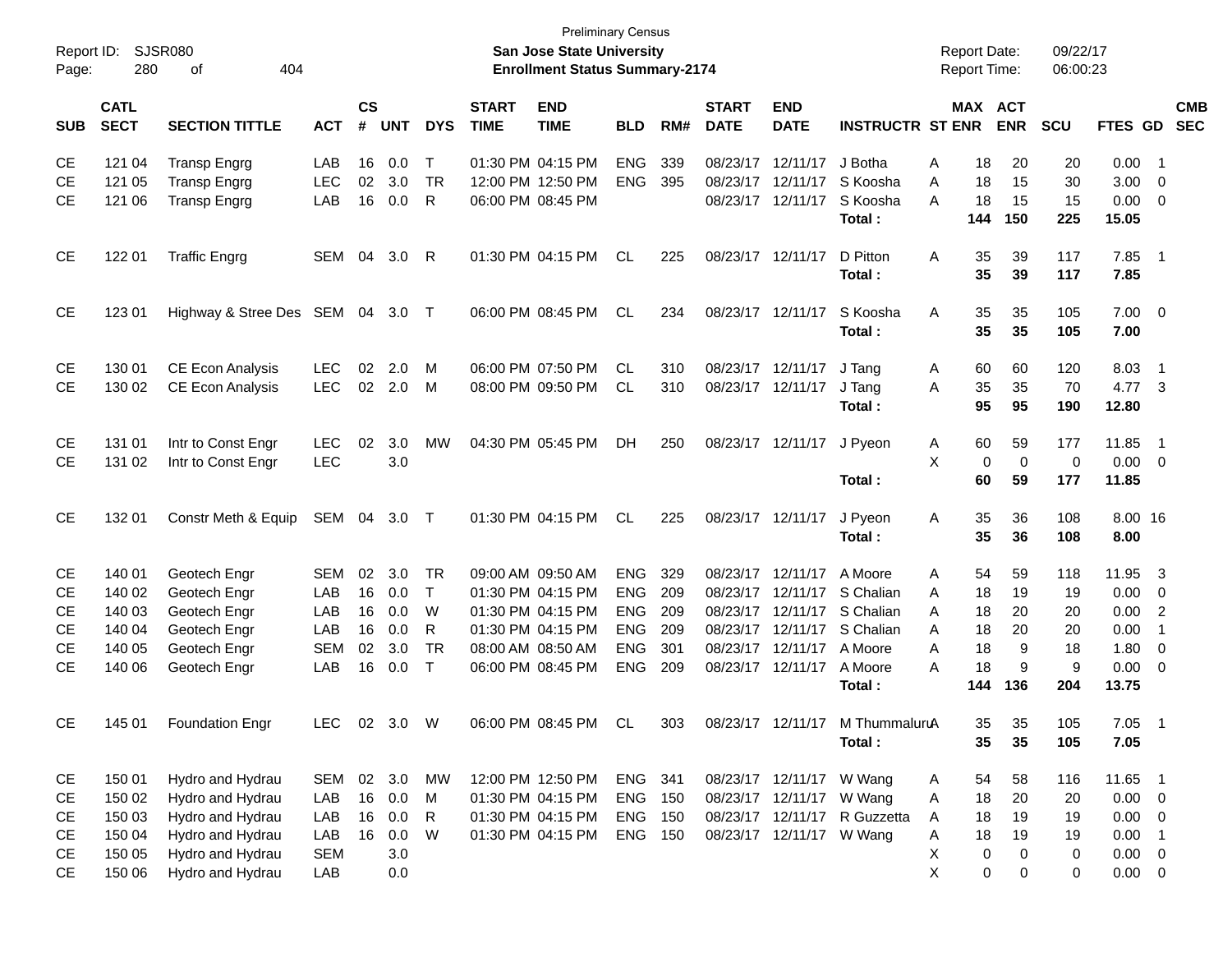| Report ID:<br>Page:                                                        | 280                                                      | <b>SJSR080</b><br>404<br>оf                                                                                          |                                                      |                                  |                                           |                                                       |                             | <b>Preliminary Census</b><br><b>San Jose State University</b><br><b>Enrollment Status Summary-2174</b>                     |                                                                                  |                                        |                                                          |                                                                                                |                                                                                |                            | <b>Report Date:</b><br><b>Report Time:</b> |                                       | 09/22/17<br>06:00:23                    |                                                        |                                                                                                             |                          |
|----------------------------------------------------------------------------|----------------------------------------------------------|----------------------------------------------------------------------------------------------------------------------|------------------------------------------------------|----------------------------------|-------------------------------------------|-------------------------------------------------------|-----------------------------|----------------------------------------------------------------------------------------------------------------------------|----------------------------------------------------------------------------------|----------------------------------------|----------------------------------------------------------|------------------------------------------------------------------------------------------------|--------------------------------------------------------------------------------|----------------------------|--------------------------------------------|---------------------------------------|-----------------------------------------|--------------------------------------------------------|-------------------------------------------------------------------------------------------------------------|--------------------------|
| <b>SUB</b>                                                                 | <b>CATL</b><br><b>SECT</b>                               | <b>SECTION TITTLE</b>                                                                                                | <b>ACT</b>                                           | $\mathsf{cs}$<br>#               | <b>UNT</b>                                | <b>DYS</b>                                            | <b>START</b><br><b>TIME</b> | <b>END</b><br><b>TIME</b>                                                                                                  | <b>BLD</b>                                                                       | RM#                                    | <b>START</b><br><b>DATE</b>                              | <b>END</b><br><b>DATE</b>                                                                      | <b>INSTRUCTR ST ENR</b>                                                        |                            | MAX ACT                                    | <b>ENR</b>                            | <b>SCU</b>                              | <b>FTES GD</b>                                         |                                                                                                             | <b>CMB</b><br><b>SEC</b> |
| <b>CE</b><br><b>CE</b><br><b>CE</b>                                        | 121 04<br>121 05<br>121 06                               | <b>Transp Engrg</b><br><b>Transp Engrg</b><br><b>Transp Engrg</b>                                                    | LAB<br><b>LEC</b><br>LAB                             | 16<br>02<br>16                   | 0.0<br>3.0<br>0.0                         | Т<br><b>TR</b><br>R                                   |                             | 01:30 PM 04:15 PM<br>12:00 PM 12:50 PM<br>06:00 PM 08:45 PM                                                                | <b>ENG</b><br><b>ENG</b>                                                         | 339<br>395                             | 08/23/17<br>08/23/17                                     | 12/11/17<br>12/11/17<br>08/23/17 12/11/17                                                      | J Botha<br>S Koosha<br>S Koosha<br>Total:                                      | A<br>A<br>A                | 18<br>18<br>18<br>144                      | 20<br>15<br>15<br>150                 | 20<br>30<br>15<br>225                   | 0.00<br>3.00<br>0.00<br>15.05                          | $\overline{\phantom{0}}$ 1<br>$\overline{0}$<br>$\overline{0}$                                              |                          |
| <b>CE</b>                                                                  | 122 01                                                   | <b>Traffic Engrg</b>                                                                                                 | SEM                                                  | 04                               | 3.0                                       | -R                                                    |                             | 01:30 PM 04:15 PM                                                                                                          | <b>CL</b>                                                                        | 225                                    |                                                          | 08/23/17 12/11/17                                                                              | D Pitton<br>Total:                                                             | A                          | 35<br>35                                   | 39<br>39                              | 117<br>117                              | 7.85<br>7.85                                           | $\overline{\phantom{0}}$ 1                                                                                  |                          |
| <b>CE</b>                                                                  | 123 01                                                   | Highway & Stree Des SEM 04 3.0                                                                                       |                                                      |                                  |                                           | $\top$                                                |                             | 06:00 PM 08:45 PM                                                                                                          | CL                                                                               | 234                                    |                                                          | 08/23/17 12/11/17                                                                              | S Koosha<br>Total:                                                             | A                          | 35<br>35                                   | 35<br>35                              | 105<br>105                              | 7.00<br>7.00                                           | $\overline{0}$                                                                                              |                          |
| <b>CE</b><br><b>CE</b>                                                     | 130 01<br>130 02                                         | <b>CE Econ Analysis</b><br><b>CE Econ Analysis</b>                                                                   | <b>LEC</b><br><b>LEC</b>                             | 02<br>02                         | 2.0<br>2.0                                | м<br>M                                                |                             | 06:00 PM 07:50 PM<br>08:00 PM 09:50 PM                                                                                     | CL<br>CL                                                                         | 310<br>310                             | 08/23/17 12/11/17                                        | 08/23/17 12/11/17                                                                              | J Tang<br>J Tang<br>Total:                                                     | A<br>Α                     | 60<br>35<br>95                             | 60<br>35<br>95                        | 120<br>70<br>190                        | 8.03<br>4.77<br>12.80                                  | $\overline{\phantom{0}}$ 1<br>$\overline{\mathbf{3}}$                                                       |                          |
| <b>CE</b><br><b>CE</b>                                                     | 131 01<br>131 02                                         | Intr to Const Engr<br>Intr to Const Engr                                                                             | <b>LEC</b><br><b>LEC</b>                             | 02                               | 3.0<br>3.0                                | <b>MW</b>                                             |                             | 04:30 PM 05:45 PM                                                                                                          | DH                                                                               | 250                                    |                                                          | 08/23/17 12/11/17                                                                              | J Pveon<br>Total:                                                              | Α<br>X                     | 60<br>$\mathbf 0$<br>60                    | 59<br>$\overline{0}$<br>59            | 177<br>0<br>177                         | 11.85<br>0.00<br>11.85                                 | $\overline{\phantom{0}}$ 1<br>$\overline{\mathbf{0}}$                                                       |                          |
| <b>CE</b>                                                                  | 132 01                                                   | Constr Meth & Equip                                                                                                  | SEM 04 3.0                                           |                                  |                                           | $\top$                                                |                             | 01:30 PM 04:15 PM                                                                                                          | <b>CL</b>                                                                        | 225                                    |                                                          | 08/23/17 12/11/17                                                                              | J Pyeon<br>Total:                                                              | A                          | 35<br>35                                   | 36<br>36                              | 108<br>108                              | 8.00 16<br>8.00                                        |                                                                                                             |                          |
| <b>CE</b><br><b>CE</b><br><b>CE</b><br><b>CE</b><br><b>CE</b><br><b>CE</b> | 140 01<br>140 02<br>140 03<br>140 04<br>140 05<br>140 06 | Geotech Engr<br>Geotech Engr<br>Geotech Engr<br>Geotech Engr<br>Geotech Engr<br>Geotech Engr                         | <b>SEM</b><br>LAB<br>LAB<br>LAB<br><b>SEM</b><br>LAB | 02<br>16<br>16<br>16<br>02<br>16 | 3.0<br>0.0<br>0.0<br>0.0<br>3.0<br>0.0    | <b>TR</b><br>T<br>W<br>R<br><b>TR</b><br>$\mathsf{T}$ |                             | 09:00 AM 09:50 AM<br>01:30 PM 04:15 PM<br>01:30 PM 04:15 PM<br>01:30 PM 04:15 PM<br>08:00 AM 08:50 AM<br>06:00 PM 08:45 PM | <b>ENG</b><br><b>ENG</b><br><b>ENG</b><br><b>ENG</b><br><b>ENG</b><br><b>ENG</b> | 329<br>209<br>209<br>209<br>301<br>209 | 08/23/17<br>08/23/17<br>08/23/17<br>08/23/17<br>08/23/17 | 12/11/17<br>12/11/17<br>12/11/17<br>12/11/17<br>12/11/17<br>08/23/17 12/11/17                  | A Moore<br>S Chalian<br>S Chalian<br>S Chalian<br>A Moore<br>A Moore<br>Total: | Α<br>A<br>A<br>A<br>A<br>A | 54<br>18<br>18<br>18<br>18<br>18<br>144    | 59<br>19<br>20<br>20<br>9<br>9<br>136 | 118<br>19<br>20<br>20<br>18<br>9<br>204 | 11.95<br>0.00<br>0.00<br>0.00<br>1.80<br>0.00<br>13.75 | $\overline{\mathbf{3}}$<br>0<br>$\overline{2}$<br>$\overline{1}$<br>$\overline{0}$<br>$\overline{0}$        |                          |
| CE                                                                         | 145 01                                                   | <b>Foundation Engr</b>                                                                                               | LEC                                                  |                                  | 02 3.0 W                                  |                                                       |                             | 06:00 PM 08:45 PM                                                                                                          | CL                                                                               | 303                                    |                                                          |                                                                                                | 08/23/17 12/11/17 M ThummaluruA<br>Total:                                      |                            | 35<br>35                                   | 35<br>35                              | 105<br>105                              | $7.05$ 1<br>7.05                                       |                                                                                                             |                          |
| CE<br>CE<br>CE<br>CE<br><b>CE</b><br><b>CE</b>                             | 150 01<br>150 02<br>150 03<br>150 04<br>150 05<br>150 06 | Hydro and Hydrau<br>Hydro and Hydrau<br>Hydro and Hydrau<br>Hydro and Hydrau<br>Hydro and Hydrau<br>Hydro and Hydrau | SEM<br>LAB<br>LAB<br>LAB<br><b>SEM</b><br>LAB        | 16<br>16<br>16                   | 02 3.0<br>0.0<br>0.0<br>0.0<br>3.0<br>0.0 | MW<br>M<br>R<br>W                                     |                             | 12:00 PM 12:50 PM<br>01:30 PM 04:15 PM<br>01:30 PM 04:15 PM<br>01:30 PM 04:15 PM                                           | ENG 341<br>ENG<br>ENG<br>ENG 150                                                 | 150<br>150                             |                                                          | 08/23/17 12/11/17 W Wang<br>08/23/17 12/11/17<br>08/23/17 12/11/17<br>08/23/17 12/11/17 W Wang | W Wang<br>R Guzzetta                                                           | A<br>Α<br>A<br>A<br>Χ<br>X | 54<br>18<br>18<br>18<br>$\pmb{0}$<br>0     | 58<br>20<br>19<br>19<br>0<br>0        | 116<br>20<br>19<br>19<br>0<br>0         | 11.65 1<br>0.00<br>0.00<br>0.00<br>0.00<br>$0.00 \t 0$ | $\overline{\mathbf{0}}$<br>$\overline{\mathbf{0}}$<br>$\overline{\phantom{0}}$ 1<br>$\overline{\mathbf{0}}$ |                          |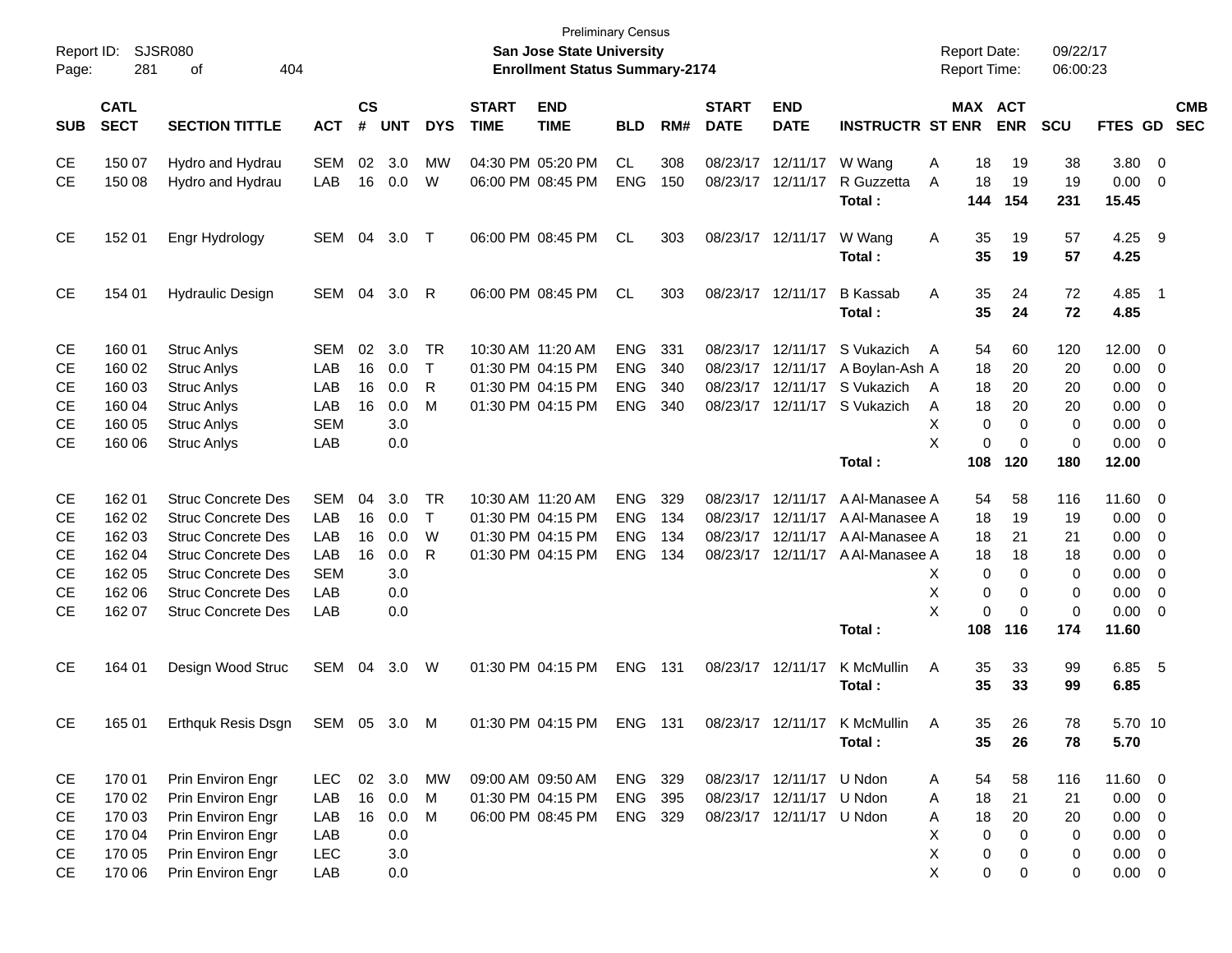| Report ID:<br>Page: | 281                        | <b>SJSR080</b><br>404<br>οf |            |                    |            |            |                             | <b>Preliminary Census</b><br>San Jose State University<br><b>Enrollment Status Summary-2174</b> |                |     |                             |                           |                           | <b>Report Date:</b><br>Report Time: |                       | 09/22/17<br>06:00:23 |                 |                         |                          |
|---------------------|----------------------------|-----------------------------|------------|--------------------|------------|------------|-----------------------------|-------------------------------------------------------------------------------------------------|----------------|-----|-----------------------------|---------------------------|---------------------------|-------------------------------------|-----------------------|----------------------|-----------------|-------------------------|--------------------------|
| <b>SUB</b>          | <b>CATL</b><br><b>SECT</b> | <b>SECTION TITTLE</b>       | <b>ACT</b> | $\mathsf{cs}$<br># | <b>UNT</b> | <b>DYS</b> | <b>START</b><br><b>TIME</b> | <b>END</b><br><b>TIME</b>                                                                       | <b>BLD</b>     | RM# | <b>START</b><br><b>DATE</b> | <b>END</b><br><b>DATE</b> | <b>INSTRUCTR ST ENR</b>   |                                     | MAX ACT<br><b>ENR</b> | SCU                  | <b>FTES GD</b>  |                         | <b>CMB</b><br><b>SEC</b> |
| CЕ                  | 150 07                     | Hydro and Hydrau            | SEM        | 02                 | 3.0        | МW         |                             | 04:30 PM 05:20 PM                                                                               | <b>CL</b>      | 308 | 08/23/17                    | 12/11/17                  | W Wang                    | 18<br>Α                             | 19                    | 38                   | 3.80            | $\overline{0}$          |                          |
| CE                  | 150 08                     | Hydro and Hydrau            | LAB        | 16                 | 0.0        | W          |                             | 06:00 PM 08:45 PM                                                                               | <b>ENG</b>     | 150 | 08/23/17                    | 12/11/17                  | R Guzzetta<br>Total:      | A<br>18<br>144                      | 19<br>154             | 19<br>231            | 0.00<br>15.45   | 0                       |                          |
| СE                  | 152 01                     | Engr Hydrology              | SEM        | 04                 | 3.0        | $\top$     |                             | 06:00 PM 08:45 PM                                                                               | <b>CL</b>      | 303 |                             | 08/23/17 12/11/17         | W Wang<br>Total:          | Α<br>35<br>35                       | 19<br>19              | 57<br>57             | 4.25 9<br>4.25  |                         |                          |
| СE                  | 154 01                     | <b>Hydraulic Design</b>     | SEM        | 04                 | 3.0        | R          |                             | 06:00 PM 08:45 PM                                                                               | <b>CL</b>      | 303 |                             | 08/23/17 12/11/17         | <b>B</b> Kassab<br>Total: | Α<br>35<br>35                       | 24<br>24              | 72<br>72             | 4.85<br>4.85    | - 1                     |                          |
| CЕ                  | 160 01                     | <b>Struc Anlys</b>          | <b>SEM</b> | 02                 | 3.0        | TR         |                             | 10:30 AM 11:20 AM                                                                               | <b>ENG</b>     | 331 | 08/23/17                    | 12/11/17                  | S Vukazich                | 54<br>A                             | 60                    | 120                  | 12.00           | 0                       |                          |
| СE                  | 160 02                     | <b>Struc Anlys</b>          | LAB        | 16                 | 0.0        | $\top$     |                             | 01:30 PM 04:15 PM                                                                               | <b>ENG</b>     | 340 | 08/23/17                    | 12/11/17                  | A Boylan-Ash A            | 18                                  | 20                    | 20                   | 0.00            | $\mathbf 0$             |                          |
| СE                  | 160 03                     | <b>Struc Anlys</b>          | LAB        | 16                 | 0.0        | R          |                             | 01:30 PM 04:15 PM                                                                               | <b>ENG</b>     | 340 | 08/23/17                    | 12/11/17                  | S Vukazich                | 18<br>A                             | 20                    | 20                   | 0.00            | 0                       |                          |
| <b>CE</b>           | 160 04                     | <b>Struc Anlys</b>          | LAB        | 16                 | 0.0        | м          |                             | 01:30 PM 04:15 PM                                                                               | <b>ENG</b>     | 340 | 08/23/17                    | 12/11/17                  | S Vukazich                | 18<br>A                             | 20                    | 20                   | 0.00            | 0                       |                          |
| СE                  | 160 05                     | <b>Struc Anlys</b>          | <b>SEM</b> |                    | 3.0        |            |                             |                                                                                                 |                |     |                             |                           |                           | х<br>0                              | 0                     | 0                    | 0.00            | 0                       |                          |
| СE                  | 160 06                     | <b>Struc Anlys</b>          | LAB        |                    | 0.0        |            |                             |                                                                                                 |                |     |                             |                           |                           | X                                   | 0<br>0                | 0                    | 0.00            | 0                       |                          |
|                     |                            |                             |            |                    |            |            |                             |                                                                                                 |                |     |                             |                           | Total:                    | 108                                 | 120                   | 180                  | 12.00           |                         |                          |
| CЕ                  | 162 01                     | <b>Struc Concrete Des</b>   | <b>SEM</b> | 04                 | 3.0        | TR         |                             | 10:30 AM 11:20 AM                                                                               | <b>ENG</b>     | 329 | 08/23/17                    | 12/11/17                  | A Al-Manasee A            | 54                                  | 58                    | 116                  | 11.60           | 0                       |                          |
| СE                  | 162 02                     | <b>Struc Concrete Des</b>   | LAB        | 16                 | 0.0        | $\top$     |                             | 01:30 PM 04:15 PM                                                                               | <b>ENG</b>     | 134 | 08/23/17                    | 12/11/17                  | A Al-Manasee A            | 18                                  | 19                    | 19                   | 0.00            | $\mathbf 0$             |                          |
| СE                  | 162 03                     | <b>Struc Concrete Des</b>   | LAB        | 16                 | 0.0        | W          |                             | 01:30 PM 04:15 PM                                                                               | <b>ENG</b>     | 134 | 08/23/17                    | 12/11/17                  | A Al-Manasee A            | 18                                  | 21                    | 21                   | 0.00            | 0                       |                          |
| СE                  | 162 04                     | <b>Struc Concrete Des</b>   | LAB        | 16                 | 0.0        | R          |                             | 01:30 PM 04:15 PM                                                                               | <b>ENG</b>     | 134 | 08/23/17                    | 12/11/17                  | A Al-Manasee A            | 18                                  | 18                    | 18                   | 0.00            | 0                       |                          |
| СE                  | 162 05                     | <b>Struc Concrete Des</b>   | <b>SEM</b> |                    | 3.0        |            |                             |                                                                                                 |                |     |                             |                           |                           | 0<br>X.                             | 0                     | 0                    | 0.00            | 0                       |                          |
| СE                  | 162 06                     | <b>Struc Concrete Des</b>   | LAB        |                    | 0.0        |            |                             |                                                                                                 |                |     |                             |                           |                           | Χ<br>0                              | 0                     | 0                    | 0.00            | 0                       |                          |
| CE                  | 162 07                     | <b>Struc Concrete Des</b>   | LAB        |                    | 0.0        |            |                             |                                                                                                 |                |     |                             |                           |                           | X                                   | 0<br>0                | 0                    | 0.00            | 0                       |                          |
|                     |                            |                             |            |                    |            |            |                             |                                                                                                 |                |     |                             |                           | Total:                    | 108                                 | 116                   | 174                  | 11.60           |                         |                          |
| <b>CE</b>           | 164 01                     | Design Wood Struc           | SEM        | 04                 | 3.0        | W          |                             | 01:30 PM 04:15 PM                                                                               | <b>ENG</b>     | 131 |                             | 08/23/17 12/11/17         | K McMullin<br>Total:      | Α<br>35<br>35                       | 33<br>33              | 99<br>99             | 6.85 5<br>6.85  |                         |                          |
|                     |                            |                             |            |                    |            |            |                             |                                                                                                 |                |     |                             |                           |                           |                                     |                       |                      |                 |                         |                          |
| CE                  | 165 01                     | Erthquk Resis Dsgn          | SEM 05 3.0 |                    |            | M          |                             | 01:30 PM 04:15 PM                                                                               | <b>ENG 131</b> |     |                             | 08/23/17 12/11/17         | K McMullin<br>Total:      | 35.<br>A<br>35                      | 26<br>26              | 78<br>78             | 5.70 10<br>5.70 |                         |                          |
| CE                  | 170 01                     | Prin Environ Engr           | <b>LEC</b> |                    | 02 3.0     | МW         |                             | 09:00 AM 09:50 AM                                                                               | ENG            | 329 |                             | 08/23/17 12/11/17 U Ndon  |                           | 54<br>A                             | 58                    | 116                  | $11.60 \t 0$    |                         |                          |
| CE                  | 170 02                     | Prin Environ Engr           | LAB        | 16                 | 0.0        | M          |                             | 01:30 PM 04:15 PM                                                                               | ENG            | 395 |                             | 08/23/17 12/11/17         | U Ndon                    | 18<br>A                             | 21                    | 21                   | 0.00            | $\overline{\mathbf{0}}$ |                          |
| CE                  | 170 03                     | Prin Environ Engr           | LAB        | 16                 | 0.0        | M          |                             | 06:00 PM 08:45 PM                                                                               | ENG 329        |     |                             | 08/23/17 12/11/17 U Ndon  |                           | 18<br>Α                             | 20                    | 20                   | $0.00 \t 0$     |                         |                          |
| CE                  | 170 04                     | Prin Environ Engr           | LAB        |                    | 0.0        |            |                             |                                                                                                 |                |     |                             |                           |                           | х<br>0                              | 0                     | 0                    | 0.00            | $\overline{0}$          |                          |
| CE                  | 170 05                     | Prin Environ Engr           | LEC        |                    | 3.0        |            |                             |                                                                                                 |                |     |                             |                           |                           | х<br>0                              | 0                     | 0                    | $0.00 \t 0$     |                         |                          |
| <b>CE</b>           | 170 06                     | Prin Environ Engr           | LAB        |                    | 0.0        |            |                             |                                                                                                 |                |     |                             |                           |                           | X.                                  | 0<br>$\mathbf 0$      | 0                    | $0.00 \t 0$     |                         |                          |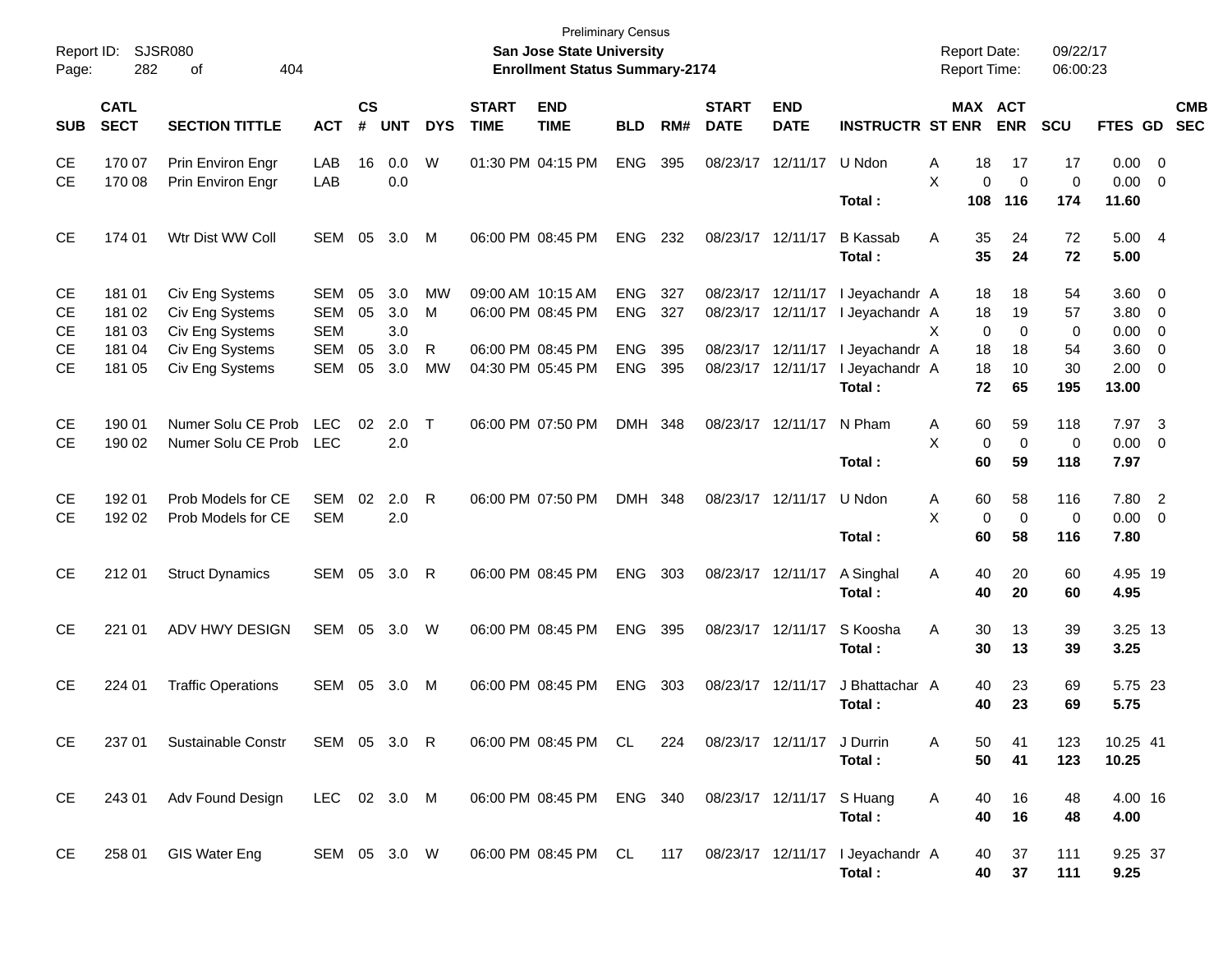| Report ID:<br>Page:    | 282                        | <b>SJSR080</b><br>404<br>οf                           |                                 |                |                   |                |                             | <b>Preliminary Census</b><br>San Jose State University<br><b>Enrollment Status Summary-2174</b> |                          |            |                             |                                        |                                                | <b>Report Date:</b><br>Report Time: |                         |                         | 09/22/17<br>06:00:23    |                               |                          |                          |
|------------------------|----------------------------|-------------------------------------------------------|---------------------------------|----------------|-------------------|----------------|-----------------------------|-------------------------------------------------------------------------------------------------|--------------------------|------------|-----------------------------|----------------------------------------|------------------------------------------------|-------------------------------------|-------------------------|-------------------------|-------------------------|-------------------------------|--------------------------|--------------------------|
| <b>SUB</b>             | <b>CATL</b><br><b>SECT</b> | <b>SECTION TITTLE</b>                                 | <b>ACT</b>                      | <b>CS</b><br># | <b>UNT</b>        | <b>DYS</b>     | <b>START</b><br><b>TIME</b> | <b>END</b><br><b>TIME</b>                                                                       | <b>BLD</b>               | RM#        | <b>START</b><br><b>DATE</b> | <b>END</b><br><b>DATE</b>              | <b>INSTRUCTR ST ENR</b>                        |                                     | MAX ACT                 | <b>ENR</b>              | SCU                     | FTES GD                       |                          | <b>CMB</b><br><b>SEC</b> |
| <b>CE</b><br><b>CE</b> | 170 07<br>170 08           | Prin Environ Engr<br>Prin Environ Engr                | LAB<br>LAB                      | 16             | 0.0<br>0.0        | W              |                             | 01:30 PM 04:15 PM                                                                               | <b>ENG</b>               | 395        | 08/23/17                    | 12/11/17                               | U Ndon                                         | Α<br>X                              | 18<br>0                 | 17<br>$\mathbf 0$       | 17<br>$\mathbf 0$       | $0.00 \t 0$<br>0.00           | $\overline{\mathbf{0}}$  |                          |
| <b>CE</b>              | 174 01                     | Wtr Dist WW Coll                                      | SEM                             | 05             | 3.0               | M              |                             | 06:00 PM 08:45 PM                                                                               | <b>ENG</b>               | 232        | 08/23/17 12/11/17           |                                        | Total:<br><b>B</b> Kassab<br>Total:            | A                                   | 108<br>35<br>35         | 116<br>24<br>24         | 174<br>72<br>72         | 11.60<br>5.00 4<br>5.00       |                          |                          |
| <b>CE</b><br>СE<br>СE  | 181 01<br>181 02<br>181 03 | Civ Eng Systems<br>Civ Eng Systems<br>Civ Eng Systems | SEM<br><b>SEM</b><br><b>SEM</b> | 05<br>05       | 3.0<br>3.0<br>3.0 | MW<br>M        |                             | 09:00 AM 10:15 AM<br>06:00 PM 08:45 PM                                                          | <b>ENG</b><br><b>ENG</b> | 327<br>327 | 08/23/17                    | 08/23/17 12/11/17<br>12/11/17          | I Jeyachandr A<br>I Jeyachandr A               | X                                   | 18<br>18<br>0           | 18<br>19<br>0           | 54<br>57<br>$\mathbf 0$ | 3.60 0<br>3.80 0<br>0.00      | $\overline{\phantom{0}}$ |                          |
| CЕ<br>CЕ               | 181 04<br>181 05           | Civ Eng Systems<br>Civ Eng Systems                    | <b>SEM</b><br>SEM               | 05<br>05       | 3.0<br>3.0        | R<br><b>MW</b> |                             | 06:00 PM 08:45 PM<br>04:30 PM 05:45 PM                                                          | <b>ENG</b><br><b>ENG</b> | 395<br>395 |                             | 08/23/17 12/11/17<br>08/23/17 12/11/17 | I Jeyachandr A<br>I Jeyachandr A<br>Total:     |                                     | 18<br>18<br>72          | 18<br>10<br>65          | 54<br>30<br>195         | 3.60<br>$2.00 \t 0$<br>13.00  | $\overline{\phantom{0}}$ |                          |
| СE<br><b>CE</b>        | 190 01<br>190 02           | Numer Solu CE Prob<br>Numer Solu CE Prob              | <b>LEC</b><br><b>LEC</b>        | 02             | 2.0<br>2.0        | $\top$         |                             | 06:00 PM 07:50 PM                                                                               | <b>DMH</b>               | 348        |                             | 08/23/17 12/11/17                      | N Pham<br>Total:                               | Α<br>X                              | 60<br>$\mathbf 0$<br>60 | 59<br>$\mathbf 0$<br>59 | 118<br>0<br>118         | 7.97 3<br>$0.00 \t 0$<br>7.97 |                          |                          |
| СE<br><b>CE</b>        | 192 01<br>192 02           | Prob Models for CE<br>Prob Models for CE              | <b>SEM</b><br><b>SEM</b>        | 02             | 2.0<br>2.0        | R              |                             | 06:00 PM 07:50 PM                                                                               | <b>DMH</b>               | 348        |                             | 08/23/17 12/11/17                      | U Ndon<br>Total:                               | Α<br>X                              | 60<br>$\mathbf 0$<br>60 | 58<br>$\mathbf 0$<br>58 | 116<br>0<br>116         | 7.80 2<br>$0.00 \t 0$<br>7.80 |                          |                          |
| <b>CE</b>              | 212 01                     | <b>Struct Dynamics</b>                                | SEM                             | 05             | 3.0               | R              |                             | 06:00 PM 08:45 PM                                                                               | <b>ENG</b>               | 303        |                             | 08/23/17 12/11/17                      | A Singhal<br>Total:                            | Α                                   | 40<br>40                | 20<br>20                | 60<br>60                | 4.95 19<br>4.95               |                          |                          |
| <b>CE</b>              | 221 01                     | ADV HWY DESIGN                                        | SEM                             | 05             | 3.0               | W              |                             | 06:00 PM 08:45 PM                                                                               | <b>ENG</b>               | 395        |                             | 08/23/17 12/11/17                      | S Koosha<br>Total :                            | A                                   | 30<br>30                | 13<br>13                | 39<br>39                | 3.25 13<br>3.25               |                          |                          |
| СE                     | 224 01                     | <b>Traffic Operations</b>                             | SEM                             | 05             | 3.0               | M              |                             | 06:00 PM 08:45 PM                                                                               | <b>ENG</b>               | 303        | 08/23/17 12/11/17           |                                        | J Bhattachar A<br>Total :                      |                                     | 40<br>40                | 23<br>23                | 69<br>69                | 5.75 23<br>5.75               |                          |                          |
| <b>CE</b>              | 237 01                     | <b>Sustainable Constr</b>                             | SEM 05 3.0 R                    |                |                   |                |                             | 06:00 PM 08:45 PM CL                                                                            |                          | 224        |                             | 08/23/17 12/11/17 J Durrin             | Total:                                         | A                                   | 50<br>50                | 41<br>41                | 123<br>123              | 10.25 41<br>10.25             |                          |                          |
| CE                     | 243 01                     | Adv Found Design                                      | LEC 02 3.0 M                    |                |                   |                |                             | 06:00 PM 08:45 PM ENG 340 08/23/17 12/11/17 S Huang                                             |                          |            |                             |                                        | Total:                                         | A                                   | 40<br>40                | 16<br>16                | 48<br>48                | 4.00 16<br>4.00               |                          |                          |
| CE                     | 258 01                     | GIS Water Eng                                         | SEM 05 3.0 W                    |                |                   |                |                             | 06:00 PM 08:45 PM CL                                                                            |                          |            |                             |                                        | 117 08/23/17 12/11/17 I Jeyachandr A<br>Total: |                                     | 40<br>40                | 37<br>37                | 111<br>111              | 9.25 37<br>9.25               |                          |                          |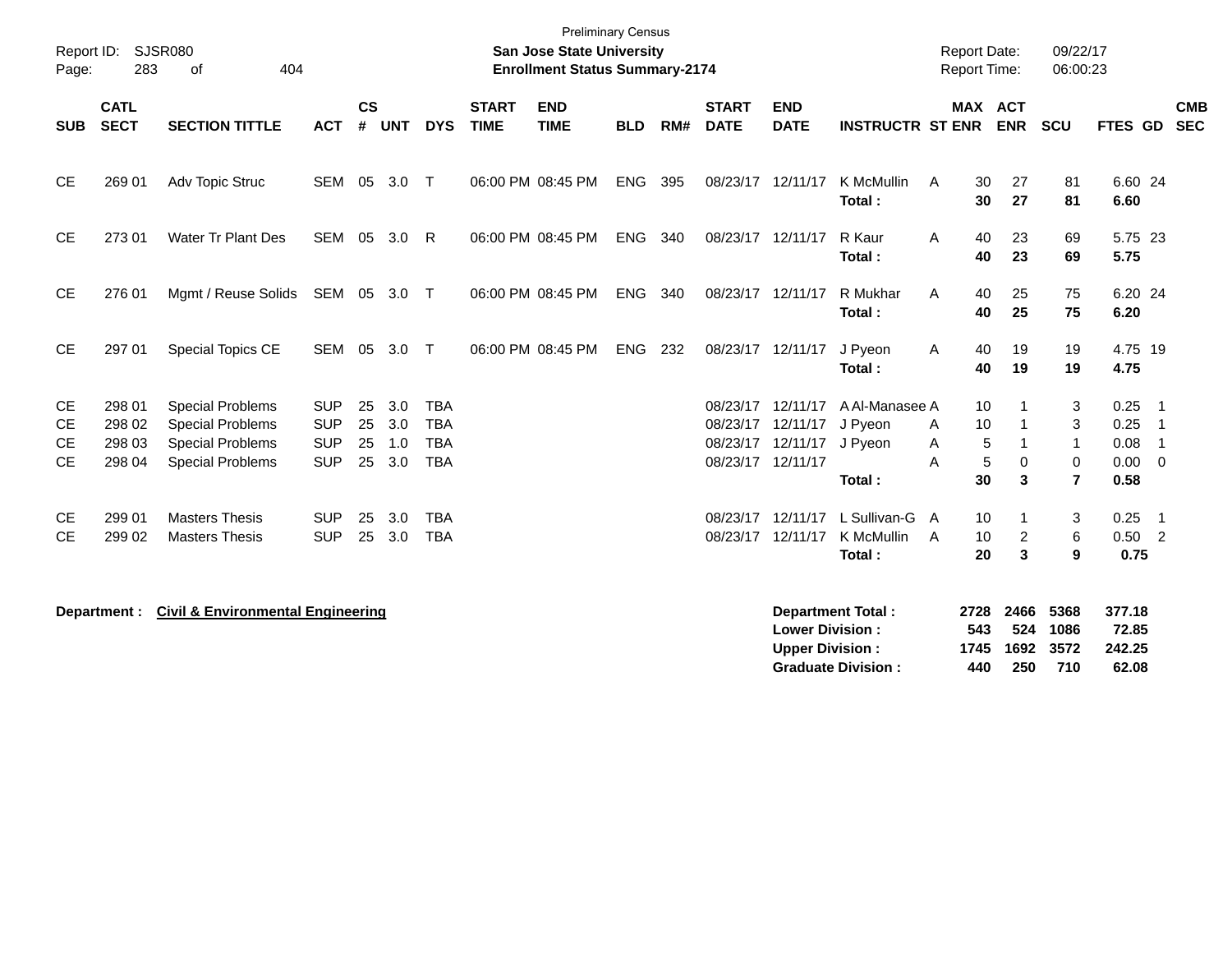| Report ID:<br>Page:                       | 283                                  | <b>SJSR080</b><br>404<br>of                                                                              |                                                      |                      |                          |                                                      |                             | <b>Preliminary Census</b><br><b>San Jose State University</b><br><b>Enrollment Status Summary-2174</b> |            |     |                             |                                                                                 |                                                       |                            | <b>Report Date:</b><br><b>Report Time:</b>        | 09/22/17<br>06:00:23                                   |                                             |                                                                          |                          |
|-------------------------------------------|--------------------------------------|----------------------------------------------------------------------------------------------------------|------------------------------------------------------|----------------------|--------------------------|------------------------------------------------------|-----------------------------|--------------------------------------------------------------------------------------------------------|------------|-----|-----------------------------|---------------------------------------------------------------------------------|-------------------------------------------------------|----------------------------|---------------------------------------------------|--------------------------------------------------------|---------------------------------------------|--------------------------------------------------------------------------|--------------------------|
| <b>SUB</b>                                | <b>CATL</b><br><b>SECT</b>           | <b>SECTION TITTLE</b>                                                                                    | <b>ACT</b>                                           | <b>CS</b><br>#       | <b>UNT</b>               | <b>DYS</b>                                           | <b>START</b><br><b>TIME</b> | <b>END</b><br><b>TIME</b>                                                                              | <b>BLD</b> | RM# | <b>START</b><br><b>DATE</b> | <b>END</b><br><b>DATE</b>                                                       | <b>INSTRUCTR ST ENR</b>                               |                            | MAX ACT<br><b>ENR</b>                             | SCU                                                    | FTES GD                                     |                                                                          | <b>CMB</b><br><b>SEC</b> |
| <b>CE</b>                                 | 269 01                               | Adv Topic Struc                                                                                          | SEM 05                                               |                      | 3.0                      | $\top$                                               |                             | 06:00 PM 08:45 PM                                                                                      | <b>ENG</b> | 395 | 08/23/17 12/11/17           |                                                                                 | K McMullin<br>Total:                                  | A                          | 30<br>27<br>30<br>27                              | 81<br>81                                               | 6.60 24<br>6.60                             |                                                                          |                          |
| <b>CE</b>                                 | 273 01                               | <b>Water Tr Plant Des</b>                                                                                | SEM 05                                               |                      | 3.0                      | R                                                    |                             | 06:00 PM 08:45 PM                                                                                      | ENG        | 340 | 08/23/17 12/11/17           |                                                                                 | R Kaur<br>Total:                                      | A                          | 40<br>23<br>40<br>23                              | 69<br>69                                               | 5.75 23<br>5.75                             |                                                                          |                          |
| <b>CE</b>                                 | 276 01                               | Mgmt / Reuse Solids                                                                                      | SEM 05 3.0 T                                         |                      |                          |                                                      |                             | 06:00 PM 08:45 PM                                                                                      | <b>ENG</b> | 340 | 08/23/17 12/11/17           |                                                                                 | R Mukhar<br>Total:                                    | A                          | 40<br>25<br>25<br>40                              | 75<br>75                                               | 6.20 24<br>6.20                             |                                                                          |                          |
| CE                                        | 297 01                               | Special Topics CE                                                                                        |                                                      |                      | SEM 05 3.0 T             |                                                      |                             | 06:00 PM 08:45 PM                                                                                      | ENG 232    |     |                             | 08/23/17 12/11/17                                                               | J Pyeon<br>Total:                                     | A                          | 40<br>19<br>40<br>19                              | 19<br>19                                               | 4.75 19<br>4.75                             |                                                                          |                          |
| <b>CE</b><br><b>CE</b><br><b>CE</b><br>CE | 298 01<br>298 02<br>298 03<br>298 04 | <b>Special Problems</b><br><b>Special Problems</b><br><b>Special Problems</b><br><b>Special Problems</b> | <b>SUP</b><br><b>SUP</b><br><b>SUP</b><br><b>SUP</b> | 25<br>25<br>25<br>25 | 3.0<br>3.0<br>1.0<br>3.0 | <b>TBA</b><br><b>TBA</b><br><b>TBA</b><br><b>TBA</b> |                             |                                                                                                        |            |     | 08/23/17                    | 08/23/17 12/11/17<br>08/23/17 12/11/17<br>12/11/17 J Pyeon<br>08/23/17 12/11/17 | A Al-Manasee A<br>J Pyeon<br>Total:                   | A<br>Α<br>Α                | 10<br>10<br>5<br>1<br>5<br>$\mathbf 0$<br>30<br>3 | 3<br>3<br>$\mathbf 1$<br>$\mathbf 0$<br>$\overline{7}$ | 0.25<br>0.25<br>0.08<br>$0.00 \t 0$<br>0.58 | $\overline{\phantom{0}}$ 1<br>$\overline{\phantom{1}}$<br>$\overline{1}$ |                          |
| <b>CE</b><br><b>CE</b>                    | 299 01<br>299 02                     | <b>Masters Thesis</b><br><b>Masters Thesis</b>                                                           | <b>SUP</b><br><b>SUP</b>                             | 25<br>25             | 3.0<br>3.0               | <b>TBA</b><br><b>TBA</b>                             |                             |                                                                                                        |            |     | 08/23/17                    | 12/11/17<br>08/23/17 12/11/17                                                   | L Sullivan-G<br>K McMullin<br>Total:                  | A<br>A                     | 10<br>1<br>10<br>2<br>3<br>20                     | 3<br>6<br>9                                            | 0.25<br>$0.50 \quad 2$<br>0.75              | $\overline{\phantom{0}}$ 1                                               |                          |
|                                           | Department :                         | <b>Civil &amp; Environmental Engineering</b>                                                             |                                                      |                      |                          |                                                      |                             |                                                                                                        |            |     |                             | <b>Lower Division:</b><br><b>Upper Division:</b>                                | <b>Department Total:</b><br><b>Graduate Division:</b> | 2728<br>543<br>1745<br>440 | 2466<br>524<br>1692<br>250                        | 5368<br>1086<br>3572<br>710                            | 377.18<br>72.85<br>242.25<br>62.08          |                                                                          |                          |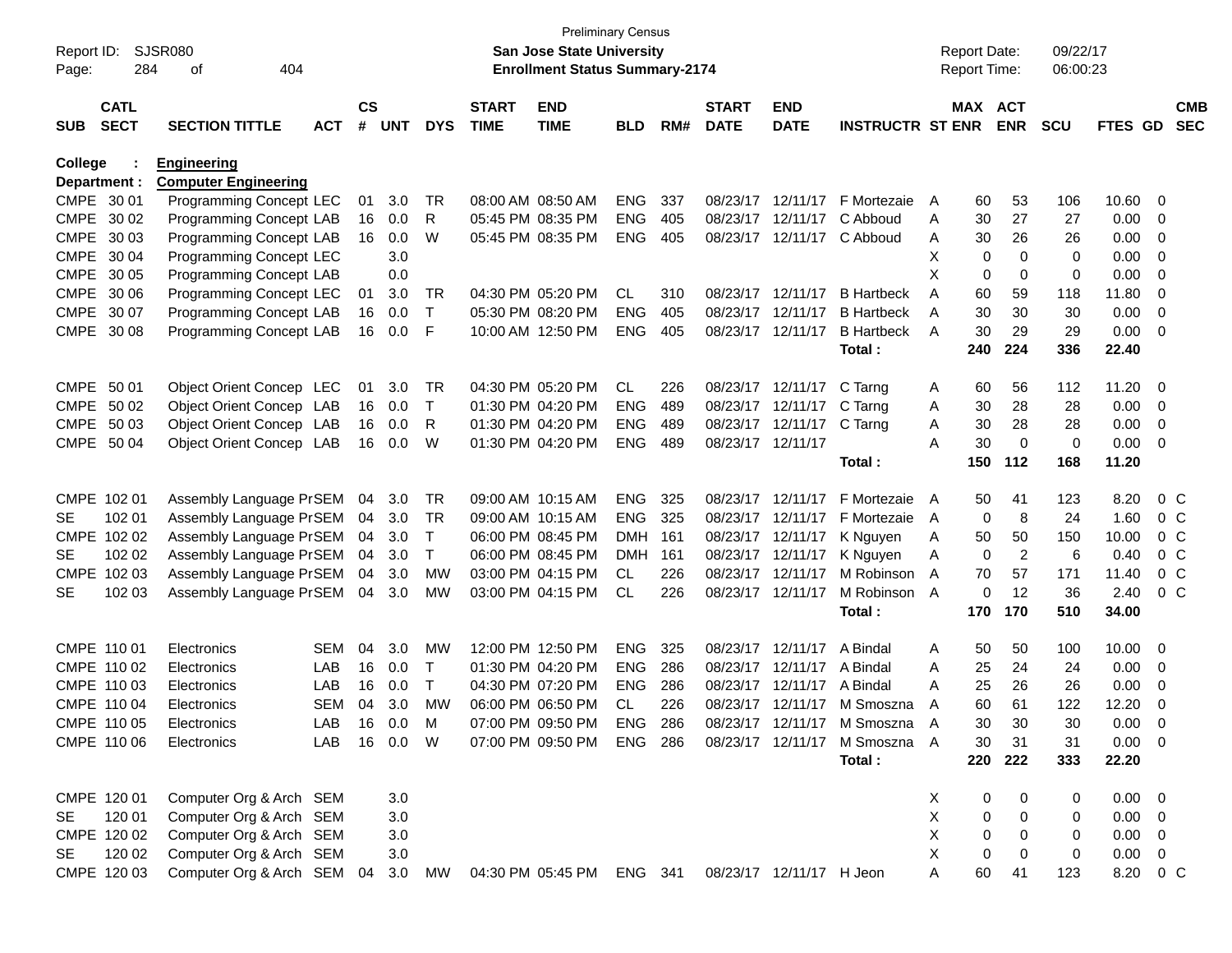| Report ID:<br>Page: | 284                        | SJSR080<br>404<br>of           |            |                    |            |              |                             | <b>Preliminary Census</b><br>San Jose State University<br><b>Enrollment Status Summary-2174</b> |            |     |                             |                           |                               |    | <b>Report Date:</b><br>Report Time: |                | 09/22/17<br>06:00:23 |                |                |                          |
|---------------------|----------------------------|--------------------------------|------------|--------------------|------------|--------------|-----------------------------|-------------------------------------------------------------------------------------------------|------------|-----|-----------------------------|---------------------------|-------------------------------|----|-------------------------------------|----------------|----------------------|----------------|----------------|--------------------------|
|                     |                            |                                |            |                    |            |              |                             |                                                                                                 |            |     |                             |                           |                               |    |                                     |                |                      |                |                |                          |
| <b>SUB</b>          | <b>CATL</b><br><b>SECT</b> | <b>SECTION TITTLE</b>          | <b>ACT</b> | $\mathsf{cs}$<br># | <b>UNT</b> | <b>DYS</b>   | <b>START</b><br><b>TIME</b> | <b>END</b><br><b>TIME</b>                                                                       | <b>BLD</b> | RM# | <b>START</b><br><b>DATE</b> | <b>END</b><br><b>DATE</b> | <b>INSTRUCTR ST ENR</b>       |    | MAX ACT                             | <b>ENR</b>     | <b>SCU</b>           | <b>FTES GD</b> |                | <b>CMB</b><br><b>SEC</b> |
| College             |                            | <b>Engineering</b>             |            |                    |            |              |                             |                                                                                                 |            |     |                             |                           |                               |    |                                     |                |                      |                |                |                          |
|                     | Department :               | <b>Computer Engineering</b>    |            |                    |            |              |                             |                                                                                                 |            |     |                             |                           |                               |    |                                     |                |                      |                |                |                          |
| CMPE 30 01          |                            | Programming Concept LEC        |            | 01                 | 3.0        | TR           |                             | 08:00 AM 08:50 AM                                                                               | <b>ENG</b> | 337 |                             | 08/23/17 12/11/17         | F Mortezaie                   | A  | 60                                  | 53             | 106                  | 10.60          | 0              |                          |
|                     | CMPE 30 02                 | Programming Concept LAB        |            | 16                 | 0.0        | R            |                             | 05:45 PM 08:35 PM                                                                               | <b>ENG</b> | 405 |                             | 08/23/17 12/11/17         | C Abboud                      | Α  | 30                                  | 27             | 27                   | 0.00           | 0              |                          |
| CMPE 30 03          |                            | Programming Concept LAB        |            | 16                 | 0.0        | W            |                             | 05:45 PM 08:35 PM                                                                               | <b>ENG</b> | 405 |                             | 08/23/17 12/11/17         | C Abboud                      | Α  | 30                                  | 26             | 26                   | 0.00           | 0              |                          |
| CMPE 30 04          |                            | Programming Concept LEC        |            |                    | 3.0        |              |                             |                                                                                                 |            |     |                             |                           |                               | X  | 0                                   | $\Omega$       | 0                    | 0.00           | 0              |                          |
| CMPE 30 05          |                            | Programming Concept LAB        |            |                    | 0.0        |              |                             |                                                                                                 |            |     |                             |                           |                               | X  | 0                                   | 0              | 0                    | 0.00           | 0              |                          |
|                     | CMPE 30 06                 | Programming Concept LEC        |            | 01                 | 3.0        | TR           |                             | 04:30 PM 05:20 PM                                                                               | <b>CL</b>  | 310 |                             | 08/23/17 12/11/17         | <b>B</b> Hartbeck             | Α  | 60                                  | 59             | 118                  | 11.80          | 0              |                          |
|                     | CMPE 30 07                 | Programming Concept LAB        |            | 16                 | 0.0        | $\top$       |                             | 05:30 PM 08:20 PM                                                                               | <b>ENG</b> | 405 |                             | 08/23/17 12/11/17         | <b>B</b> Hartbeck             | A  | 30                                  | 30             | 30                   | 0.00           | 0              |                          |
| CMPE                | 30 08                      | Programming Concept LAB        |            | 16                 | 0.0        | F            |                             | 10:00 AM 12:50 PM                                                                               | <b>ENG</b> | 405 |                             | 08/23/17 12/11/17         | <b>B</b> Hartbeck             | A  | 30                                  | 29             | 29                   | 0.00           | 0              |                          |
|                     |                            |                                |            |                    |            |              |                             |                                                                                                 |            |     |                             |                           | Total:                        |    | 240                                 | 224            | 336                  | 22.40          |                |                          |
| CMPE 50 01          |                            | Object Orient Concep LEC       |            | 01                 | 3.0        | TR           |                             | 04:30 PM 05:20 PM                                                                               | CL         | 226 |                             | 08/23/17 12/11/17         | C Tarng                       | A  | 60                                  | 56             | 112                  | 11.20          | - 0            |                          |
|                     | CMPE 50 02                 | Object Orient Concep LAB       |            | 16                 | 0.0        | Τ            |                             | 01:30 PM 04:20 PM                                                                               | <b>ENG</b> | 489 |                             | 08/23/17 12/11/17         | C Tarng                       | Α  | 30                                  | 28             | 28                   | 0.00           | 0              |                          |
| CMPE 50 03          |                            | Object Orient Concep LAB       |            | 16                 | 0.0        | R            |                             | 01:30 PM 04:20 PM                                                                               | <b>ENG</b> | 489 |                             | 08/23/17 12/11/17         | C Tarng                       | Α  | 30                                  | 28             | 28                   | 0.00           | 0              |                          |
|                     | CMPE 50 04                 | Object Orient Concep LAB       |            | 16                 | 0.0        | W            |                             | 01:30 PM 04:20 PM                                                                               | <b>ENG</b> | 489 |                             | 08/23/17 12/11/17         |                               | A  | 30                                  | 0              | 0                    | 0.00           | 0              |                          |
|                     |                            |                                |            |                    |            |              |                             |                                                                                                 |            |     |                             |                           | Total:                        |    | 150                                 | 112            | 168                  | 11.20          |                |                          |
|                     | CMPE 102 01                | Assembly Language PrSEM        |            | 04                 | 3.0        | TR           |                             | 09:00 AM 10:15 AM                                                                               | <b>ENG</b> | 325 |                             | 08/23/17 12/11/17         | F Mortezaie                   | A  | 50                                  | 41             | 123                  | 8.20           | $0\,$ C        |                          |
| SE.                 | 102 01                     | Assembly Language PrSEM        |            | 04                 | 3.0        | TR           |                             | 09:00 AM 10:15 AM                                                                               | <b>ENG</b> | 325 |                             | 08/23/17 12/11/17         | F Mortezaie                   | A  | 0                                   | 8              | 24                   | 1.60           | $0\,$ C        |                          |
|                     | CMPE 102 02                | Assembly Language PrSEM        |            | 04                 | 3.0        | $\mathsf{T}$ |                             | 06:00 PM 08:45 PM                                                                               | <b>DMH</b> | 161 |                             | 08/23/17 12/11/17         | K Nguyen                      | Α  | 50                                  | 50             | 150                  | 10.00          | 0 <sup>o</sup> |                          |
| SE                  | 102 02                     | Assembly Language PrSEM        |            | 04                 | 3.0        | T            |                             | 06:00 PM 08:45 PM                                                                               | DMH        | 161 |                             | 08/23/17 12/11/17         | K Nguyen                      | Α  | 0                                   | $\overline{c}$ | 6                    | 0.40           | 0 <sup>o</sup> |                          |
|                     | CMPE 102 03                | Assembly Language PrSEM        |            | 04                 | 3.0        | МW           |                             | 03:00 PM 04:15 PM                                                                               | <b>CL</b>  | 226 |                             | 08/23/17 12/11/17         | M Robinson                    | A  | 70                                  | 57             | 171                  | 11.40          | 0 <sup>C</sup> |                          |
| SE                  | 102 03                     | Assembly Language PrSEM        |            | 04                 | 3.0        | MW           |                             | 03:00 PM 04:15 PM                                                                               | <b>CL</b>  | 226 |                             | 08/23/17 12/11/17         | M Robinson                    | A  | 0                                   | 12             | 36                   | 2.40           | $0\,C$         |                          |
|                     |                            |                                |            |                    |            |              |                             |                                                                                                 |            |     |                             |                           | Total:                        |    | 170                                 | 170            | 510                  | 34.00          |                |                          |
| CMPE 110 01         |                            | Electronics                    | <b>SEM</b> | 04                 | 3.0        | MW           |                             | 12:00 PM 12:50 PM                                                                               | <b>ENG</b> | 325 |                             | 08/23/17 12/11/17         | A Bindal                      | A  | 50                                  | 50             | 100                  | 10.00          | $\overline{0}$ |                          |
|                     | CMPE 110 02                | Electronics                    | LAB        | 16                 | 0.0        | Τ            |                             | 01:30 PM 04:20 PM                                                                               | <b>ENG</b> | 286 |                             | 08/23/17 12/11/17         | A Bindal                      | Α  | 25                                  | 24             | 24                   | 0.00           | 0              |                          |
|                     | CMPE 110 03                | Electronics                    | LAB        | 16                 | 0.0        | T            |                             | 04:30 PM 07:20 PM                                                                               | <b>ENG</b> | 286 |                             | 08/23/17 12/11/17         | A Bindal                      | Α  | 25                                  | 26             | 26                   | 0.00           | 0              |                          |
|                     | CMPE 110 04                | Electronics                    | <b>SEM</b> | 04                 | 3.0        | МW           |                             | 06:00 PM 06:50 PM                                                                               | <b>CL</b>  | 226 |                             | 08/23/17 12/11/17         | M Smoszna                     | Α  | 60                                  | 61             | 122                  | 12.20          | 0              |                          |
|                     | CMPE 110 05                | Electronics                    | LAB.       |                    | 16 0.0     | M            |                             | 07:00 PM 09:50 PM                                                                               | ENG.       | 286 |                             |                           | 08/23/17 12/11/17 M Smoszna   | A  | 30                                  | 30             | 30                   | 0.00           | $\Omega$       |                          |
|                     | CMPE 110 06                | Electronics                    | LAB        |                    | 16  0.0  W |              |                             | 07:00 PM 09:50 PM                                                                               | ENG 286    |     |                             |                           | 08/23/17 12/11/17 M Smoszna A |    | 30                                  | 31             | 31                   | $0.00 \t 0$    |                |                          |
|                     |                            |                                |            |                    |            |              |                             |                                                                                                 |            |     |                             |                           | Total:                        |    | 220                                 | 222            | 333                  | 22.20          |                |                          |
|                     | CMPE 120 01                | Computer Org & Arch SEM        |            |                    | 3.0        |              |                             |                                                                                                 |            |     |                             |                           |                               | X. | 0                                   | 0              | 0                    | $0.00 \t 0$    |                |                          |
| <b>SE</b>           | 120 01                     | Computer Org & Arch SEM        |            |                    | 3.0        |              |                             |                                                                                                 |            |     |                             |                           |                               | Χ  | 0                                   | 0              | 0                    | $0.00 \t 0$    |                |                          |
|                     | CMPE 120 02                | Computer Org & Arch SEM        |            |                    | 3.0        |              |                             |                                                                                                 |            |     |                             |                           |                               | X  | 0                                   | 0              | 0                    | $0.00 \quad 0$ |                |                          |
| SE                  | 120 02                     | Computer Org & Arch SEM        |            |                    | 3.0        |              |                             |                                                                                                 |            |     |                             |                           |                               | X  | 0                                   | 0              | 0                    | 0.00           | $\overline{0}$ |                          |
|                     | CMPE 120 03                | Computer Org & Arch SEM 04 3.0 |            |                    |            | MW           |                             | 04:30 PM 05:45 PM ENG 341                                                                       |            |     |                             | 08/23/17 12/11/17 H Jeon  |                               | Α  | 60                                  | 41             | 123                  | 8.20 0 C       |                |                          |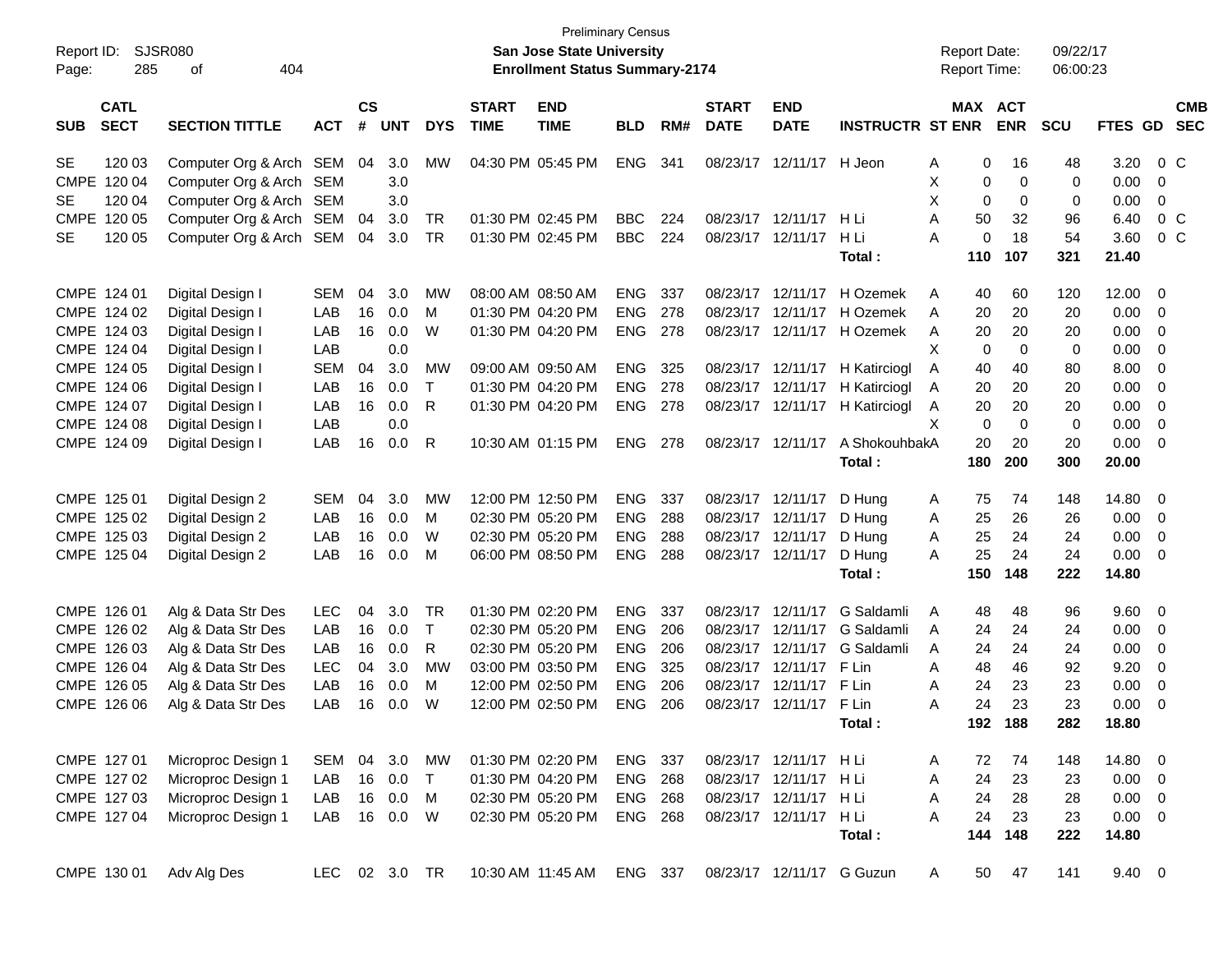| Report ID: |             | SJSR080                 |               |               |            |            |                   | <b>Preliminary Census</b><br><b>San Jose State University</b> |                |     |                   |                           |                            |   | <b>Report Date:</b> |             | 09/22/17   |                |                |            |
|------------|-------------|-------------------------|---------------|---------------|------------|------------|-------------------|---------------------------------------------------------------|----------------|-----|-------------------|---------------------------|----------------------------|---|---------------------|-------------|------------|----------------|----------------|------------|
| Page:      | 285         | 404<br>οf               |               |               |            |            |                   | <b>Enrollment Status Summary-2174</b>                         |                |     |                   |                           |                            |   | Report Time:        |             | 06:00:23   |                |                |            |
|            | <b>CATL</b> |                         |               | $\mathsf{cs}$ |            |            | <b>START</b>      | <b>END</b>                                                    |                |     | <b>START</b>      | <b>END</b>                |                            |   | MAX                 | <b>ACT</b>  |            |                |                | <b>CMB</b> |
| <b>SUB</b> | <b>SECT</b> | <b>SECTION TITTLE</b>   | <b>ACT</b>    | #             | <b>UNT</b> | <b>DYS</b> | <b>TIME</b>       | <b>TIME</b>                                                   | <b>BLD</b>     | RM# | <b>DATE</b>       | <b>DATE</b>               | <b>INSTRUCTR ST ENR</b>    |   |                     | <b>ENR</b>  | <b>SCU</b> | <b>FTES GD</b> |                | <b>SEC</b> |
| <b>SE</b>  | 120 03      | Computer Org & Arch SEM |               | 04            | 3.0        | <b>MW</b>  |                   | 04:30 PM 05:45 PM                                             | <b>ENG</b>     | 341 | 08/23/17          | 12/11/17                  | H Jeon                     | A | 0                   | 16          | 48         | 3.20           | $0\,C$         |            |
|            | CMPE 120 04 | Computer Org & Arch     | SEM           |               | 3.0        |            |                   |                                                               |                |     |                   |                           |                            | X | 0                   | 0           | 0          | 0.00           | 0              |            |
| SE         | 120 04      | Computer Org & Arch SEM |               |               | 3.0        |            |                   |                                                               |                |     |                   |                           |                            | X | 0                   | 0           | 0          | 0.00           | 0              |            |
|            | CMPE 120 05 | Computer Org & Arch     | SEM           | 04            | 3.0        | TR         |                   | 01:30 PM 02:45 PM                                             | <b>BBC</b>     | 224 |                   | 08/23/17 12/11/17         | H Li                       | A | 50                  | 32          | 96         | 6.40           | 0 <sup>C</sup> |            |
| <b>SE</b>  | 120 05      | Computer Org & Arch SEM |               | 04            | 3.0        | <b>TR</b>  |                   | 01:30 PM 02:45 PM                                             | <b>BBC</b>     | 224 |                   | 08/23/17 12/11/17         | H Li                       | A | 0                   | 18          | 54         | 3.60           | 0 <sup>C</sup> |            |
|            |             |                         |               |               |            |            |                   |                                                               |                |     |                   |                           | Total:                     |   | 110                 | 107         | 321        | 21.40          |                |            |
|            | CMPE 124 01 | Digital Design I        | <b>SEM</b>    | 04            | 3.0        | MW         |                   | 08:00 AM 08:50 AM                                             | <b>ENG</b>     | 337 | 08/23/17          | 12/11/17                  | H Ozemek                   | A | 40                  | 60          | 120        | 12.00          | - 0            |            |
|            | CMPE 124 02 | Digital Design I        | LAB           | 16            | 0.0        | M          |                   | 01:30 PM 04:20 PM                                             | ENG            | 278 | 08/23/17          | 12/11/17                  | H Ozemek                   | A | 20                  | 20          | 20         | 0.00           | 0              |            |
|            | CMPE 124 03 | Digital Design I        | LAB           | 16            | 0.0        | W          |                   | 01:30 PM 04:20 PM                                             | <b>ENG</b>     | 278 |                   |                           | 08/23/17 12/11/17 H Ozemek | Α | 20                  | 20          | 20         | 0.00           | 0              |            |
|            | CMPE 124 04 | Digital Design I        | LAB           |               | 0.0        |            |                   |                                                               |                |     |                   |                           |                            | X | 0                   | $\mathbf 0$ | 0          | 0.00           | 0              |            |
|            | CMPE 124 05 | Digital Design I        | <b>SEM</b>    | 04            | 3.0        | МW         |                   | 09:00 AM 09:50 AM                                             | <b>ENG</b>     | 325 |                   | 08/23/17 12/11/17         | H Katirciogl               | A | 40                  | 40          | 80         | 8.00           | 0              |            |
|            | CMPE 124 06 | Digital Design I        | LAB           | 16            | 0.0        | Τ          |                   | 01:30 PM 04:20 PM                                             | <b>ENG</b>     | 278 | 08/23/17 12/11/17 |                           | H Katirciogl               | A | 20                  | 20          | 20         | 0.00           | 0              |            |
|            | CMPE 124 07 | Digital Design I        | LAB           | 16            | 0.0        | R          |                   | 01:30 PM 04:20 PM                                             | <b>ENG</b>     | 278 | 08/23/17          | 12/11/17                  | H Katirciogl               | Α | 20                  | 20          | 20         | 0.00           | 0              |            |
|            | CMPE 124 08 | Digital Design I        | LAB           |               | 0.0        |            |                   |                                                               |                |     |                   |                           |                            | X | $\mathbf 0$         | $\mathbf 0$ | 0          | 0.00           | 0              |            |
|            | CMPE 124 09 | Digital Design I        | LAB           | 16            | 0.0        | R          |                   | 10:30 AM 01:15 PM                                             | <b>ENG</b>     | 278 | 08/23/17 12/11/17 |                           | A ShokouhbakA              |   | 20                  | 20          | 20         | 0.00           | 0              |            |
|            |             |                         |               |               |            |            |                   |                                                               |                |     |                   |                           | Total:                     |   | 180                 | 200         | 300        | 20.00          |                |            |
|            | CMPE 125 01 | Digital Design 2        | <b>SEM</b>    | 04            | 3.0        | МW         |                   | 12:00 PM 12:50 PM                                             | <b>ENG</b>     | 337 | 08/23/17 12/11/17 |                           | D Hung                     | A | 75                  | 74          | 148        | 14.80          | 0              |            |
|            | CMPE 125 02 | Digital Design 2        | LAB           | 16            | 0.0        | M          |                   | 02:30 PM 05:20 PM                                             | <b>ENG</b>     | 288 | 08/23/17 12/11/17 |                           | D Hung                     | A | 25                  | 26          | 26         | 0.00           | $\overline{0}$ |            |
|            | CMPE 125 03 | Digital Design 2        | LAB           | 16            | 0.0        | W          |                   | 02:30 PM 05:20 PM                                             | <b>ENG</b>     | 288 | 08/23/17 12/11/17 |                           | D Hung                     | Α | 25                  | 24          | 24         | 0.00           | 0              |            |
|            | CMPE 125 04 | Digital Design 2        | LAB           | 16            | 0.0        | M          |                   | 06:00 PM 08:50 PM                                             | <b>ENG</b>     | 288 |                   | 08/23/17 12/11/17         | D Hung                     | A | 25                  | 24          | 24         | 0.00           | - 0            |            |
|            |             |                         |               |               |            |            |                   |                                                               |                |     |                   |                           | Total:                     |   | 150                 | 148         | 222        | 14.80          |                |            |
|            | CMPE 126 01 | Alg & Data Str Des      | <b>LEC</b>    | 04            | 3.0        | TR.        | 01:30 PM 02:20 PM |                                                               | <b>ENG</b>     | 337 | 08/23/17          | 12/11/17                  | G Saldamli                 | A | 48                  | 48          | 96         | 9.60           | - 0            |            |
|            | CMPE 126 02 | Alg & Data Str Des      | LAB           | 16            | 0.0        | Τ          |                   | 02:30 PM 05:20 PM                                             | <b>ENG</b>     | 206 | 08/23/17          | 12/11/17                  | G Saldamli                 | A | 24                  | 24          | 24         | 0.00           | 0              |            |
|            | CMPE 126 03 | Alg & Data Str Des      | LAB           | 16            | 0.0        | R          |                   | 02:30 PM 05:20 PM                                             | <b>ENG</b>     | 206 | 08/23/17          | 12/11/17                  | G Saldamli                 | Α | 24                  | 24          | 24         | 0.00           | 0              |            |
|            | CMPE 126 04 | Alg & Data Str Des      | LEC           | 04            | 3.0        | MW         |                   | 03:00 PM 03:50 PM                                             | <b>ENG</b>     | 325 | 08/23/17          | 12/11/17                  | F Lin                      | A | 48                  | 46          | 92         | 9.20           | 0              |            |
|            | CMPE 126 05 | Alg & Data Str Des      | LAB           | 16            | 0.0        | м          |                   | 12:00 PM 02:50 PM                                             | <b>ENG</b>     | 206 | 08/23/17          | 12/11/17                  | F Lin                      | Α | 24                  | 23          | 23         | 0.00           | 0              |            |
|            | CMPE 126 06 | Alg & Data Str Des      | LAB           | 16            | 0.0        | W          |                   | 12:00 PM 02:50 PM                                             | <b>ENG</b>     | 206 | 08/23/17          | 12/11/17 F Lin            |                            | Α | 24                  | 23          | 23         | 0.00           | 0              |            |
|            |             |                         |               |               |            |            |                   |                                                               |                |     |                   |                           | Total:                     |   |                     | 192 188     | 282        | 18.80          |                |            |
|            | CMPE 127 01 | Microproc Design 1      | SEM           | 04            | 3.0        | MW         |                   | 01:30 PM 02:20 PM                                             | ENG 337        |     |                   | 08/23/17 12/11/17 H Li    |                            | A | 72                  | 74          | 148        | 14.80 0        |                |            |
|            | CMPE 127 02 | Microproc Design 1      | LAB           |               | 16 0.0     | $\top$     |                   | 01:30 PM 04:20 PM                                             | ENG 268        |     |                   | 08/23/17 12/11/17 H Li    |                            | A | 24                  | 23          | 23         | $0.00 \t 0$    |                |            |
|            | CMPE 127 03 | Microproc Design 1      | LAB           |               | 16 0.0     | M          |                   | 02:30 PM 05:20 PM                                             | <b>ENG 268</b> |     |                   | 08/23/17 12/11/17 H Li    |                            | Α | 24                  | 28          | 28         | $0.00 \t 0$    |                |            |
|            | CMPE 127 04 | Microproc Design 1      | LAB           |               | 16 0.0     | W          |                   | 02:30 PM 05:20 PM                                             | <b>ENG 268</b> |     |                   | 08/23/17 12/11/17 H Li    |                            | Α | 24                  | 23          | 23         | $0.00 \t 0$    |                |            |
|            |             |                         |               |               |            |            |                   |                                                               |                |     |                   |                           | Total:                     |   | 144                 | 148         | 222        | 14.80          |                |            |
|            | CMPE 130 01 | Adv Alg Des             | LEC 02 3.0 TR |               |            |            |                   | 10:30 AM 11:45 AM                                             | ENG 337        |     |                   | 08/23/17 12/11/17 G Guzun |                            | A | 50                  | 47          | 141        | $9.40 \ 0$     |                |            |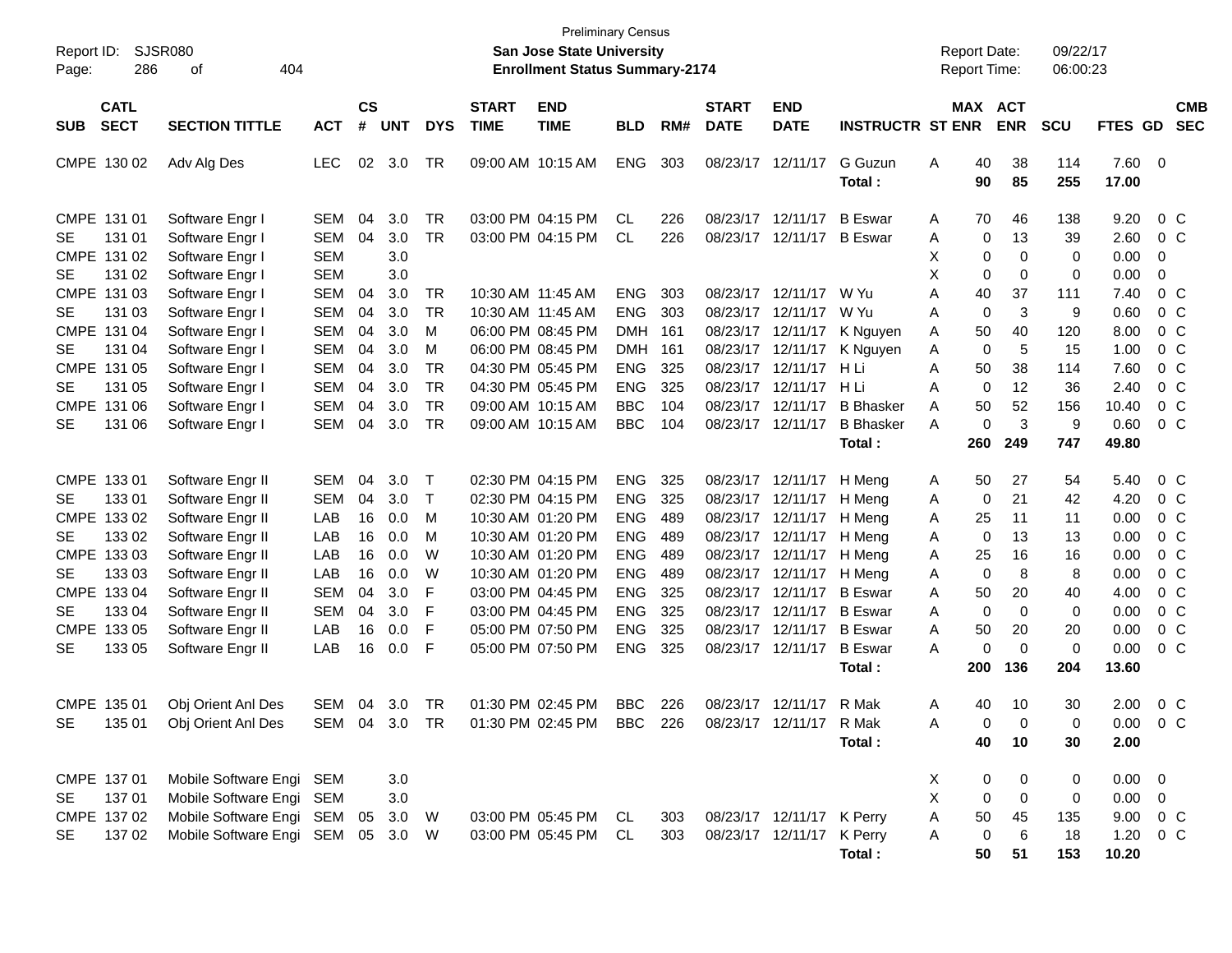| Report ID:<br>286<br>Page:                                               | SJSR080<br>404<br>οf                                                                                               |                                                      |                      |                          |                                                  |                             | <b>Preliminary Census</b><br>San Jose State University<br><b>Enrollment Status Summary-2174</b> |                                                      |                          |                                              |                                                        |                                                      | <b>Report Date:</b><br><b>Report Time:</b> |                                                 | 09/22/17<br>06:00:23                 |                                                 |                                  |                                                                      |
|--------------------------------------------------------------------------|--------------------------------------------------------------------------------------------------------------------|------------------------------------------------------|----------------------|--------------------------|--------------------------------------------------|-----------------------------|-------------------------------------------------------------------------------------------------|------------------------------------------------------|--------------------------|----------------------------------------------|--------------------------------------------------------|------------------------------------------------------|--------------------------------------------|-------------------------------------------------|--------------------------------------|-------------------------------------------------|----------------------------------|----------------------------------------------------------------------|
| <b>CATL</b><br><b>SECT</b><br><b>SUB</b>                                 | <b>SECTION TITTLE</b>                                                                                              | <b>ACT</b>                                           | <b>CS</b><br>#       | <b>UNT</b>               | <b>DYS</b>                                       | <b>START</b><br><b>TIME</b> | <b>END</b><br><b>TIME</b>                                                                       | <b>BLD</b>                                           | RM#                      | <b>START</b><br><b>DATE</b>                  | <b>END</b><br><b>DATE</b>                              | <b>INSTRUCTR ST ENR</b>                              |                                            | MAX ACT<br><b>ENR</b>                           | <b>SCU</b>                           | FTES GD                                         |                                  | <b>CMB</b><br><b>SEC</b>                                             |
| CMPE 130 02                                                              | Adv Alg Des                                                                                                        | <b>LEC</b>                                           | 02                   | 3.0                      | <b>TR</b>                                        |                             | 09:00 AM 10:15 AM                                                                               | <b>ENG</b>                                           | 303                      | 08/23/17                                     | 12/11/17                                               | G Guzun<br>Total:                                    | Α<br>40<br>90                              | 38<br>85                                        | 114<br>255                           | 7.60<br>17.00                                   | $\overline{\mathbf{0}}$          |                                                                      |
| CMPE 131 01<br><b>SE</b><br>131 01<br>CMPE 131 02<br><b>SE</b><br>131 02 | Software Engr I<br>Software Engr I<br>Software Engr I<br>Software Engr I                                           | SEM<br>SEM<br><b>SEM</b><br><b>SEM</b>               | 04<br>04             | 3.0<br>3.0<br>3.0<br>3.0 | <b>TR</b><br><b>TR</b>                           |                             | 03:00 PM 04:15 PM<br>03:00 PM 04:15 PM                                                          | <b>CL</b><br><b>CL</b>                               | 226<br>226               | 08/23/17<br>08/23/17                         | 12/11/17<br>12/11/17                                   | <b>B</b> Eswar<br><b>B</b> Eswar                     | 70<br>A<br>Α<br>X<br>X                     | 46<br>13<br>0<br>$\Omega$<br>0<br>0<br>$\Omega$ | 138<br>39<br>$\Omega$<br>$\mathbf 0$ | 9.20<br>2.60<br>0.00<br>0.00                    | 0<br>0                           | $0\,C$<br>0 <sup>o</sup>                                             |
| CMPE 131 03<br><b>SE</b><br>131 03<br>CMPE 131 04<br><b>SE</b><br>131 04 | Software Engr I<br>Software Engr I<br>Software Engr I<br>Software Engr I                                           | <b>SEM</b><br><b>SEM</b><br><b>SEM</b><br><b>SEM</b> | 04<br>04<br>04<br>04 | 3.0<br>3.0<br>3.0<br>3.0 | <b>TR</b><br><b>TR</b><br>M<br>M                 |                             | 10:30 AM 11:45 AM<br>10:30 AM 11:45 AM<br>06:00 PM 08:45 PM<br>06:00 PM 08:45 PM                | <b>ENG</b><br><b>ENG</b><br><b>DMH</b><br><b>DMH</b> | 303<br>303<br>161<br>161 | 08/23/17<br>08/23/17<br>08/23/17<br>08/23/17 | 12/11/17<br>12/11/17<br>12/11/17<br>12/11/17           | W Yu<br>W Yu<br>K Nguyen<br>K Nguyen                 | A<br>40<br>Α<br>50<br>A<br>A               | 37<br>3<br>0<br>40<br>0<br>5                    | 111<br>9<br>120<br>15                | 7.40<br>0.60<br>8.00<br>1.00                    |                                  | $0\,C$<br>0 <sup>o</sup><br>0 <sup>o</sup><br>0 <sup>o</sup>         |
| CMPE 131 05<br><b>SE</b><br>131 05<br>CMPE 131 06<br>131 06<br><b>SE</b> | Software Engr I<br>Software Engr I<br>Software Engr I<br>Software Engr I                                           | <b>SEM</b><br><b>SEM</b><br><b>SEM</b><br>SEM        | 04<br>04<br>04<br>04 | 3.0<br>3.0<br>3.0<br>3.0 | <b>TR</b><br><b>TR</b><br><b>TR</b><br><b>TR</b> |                             | 04:30 PM 05:45 PM<br>04:30 PM 05:45 PM<br>09:00 AM 10:15 AM<br>09:00 AM 10:15 AM                | <b>ENG</b><br><b>ENG</b><br><b>BBC</b><br><b>BBC</b> | 325<br>325<br>104<br>104 | 08/23/17<br>08/23/17<br>08/23/17<br>08/23/17 | 12/11/17<br>12/11/17<br>12/11/17<br>12/11/17           | H Li<br>H Li<br><b>B</b> Bhasker<br><b>B</b> Bhasker | A<br>50<br>Α<br>50<br>A<br>Α               | 38<br>$\mathbf 0$<br>12<br>52<br>3<br>0         | 114<br>36<br>156<br>9                | 7.60<br>2.40<br>10.40<br>0.60                   |                                  | 0 <sup>o</sup><br>0 <sup>o</sup><br>0 <sup>o</sup><br>0 <sup>o</sup> |
| CMPE 133 01<br><b>SE</b><br>133 01                                       | Software Engr II<br>Software Engr II                                                                               | <b>SEM</b><br><b>SEM</b>                             | 04<br>04             | 3.0<br>3.0               | $\top$<br>$\top$                                 |                             | 02:30 PM 04:15 PM<br>02:30 PM 04:15 PM                                                          | <b>ENG</b><br><b>ENG</b>                             | 325<br>325               | 08/23/17                                     | 08/23/17 12/11/17<br>12/11/17                          | Total:<br>H Meng<br>H Meng                           | 260<br>50<br>A                             | 249<br>27<br>21                                 | 747<br>54<br>42                      | 49.80<br>5.40<br>4.20                           |                                  | $0\,$ C<br>0 <sup>o</sup>                                            |
| CMPE 133 02<br><b>SE</b><br>133 02<br>CMPE 133 03                        | Software Engr II<br>Software Engr II<br>Software Engr II                                                           | LAB<br>LAB<br>LAB                                    | 16<br>16<br>16       | 0.0<br>0.0<br>0.0        | M<br>M<br>W                                      |                             | 10:30 AM 01:20 PM<br>10:30 AM 01:20 PM<br>10:30 AM 01:20 PM                                     | <b>ENG</b><br><b>ENG</b><br><b>ENG</b>               | 489<br>489<br>489        | 08/23/17<br>08/23/17<br>08/23/17             | 12/11/17<br>12/11/17<br>12/11/17                       | H Meng<br>H Meng<br>H Meng                           | Α<br>25<br>Α<br>Α<br>25<br>Α               | 0<br>11<br>13<br>0<br>16                        | 11<br>13<br>16                       | 0.00<br>0.00<br>0.00                            |                                  | 0 <sup>o</sup><br>0 <sup>o</sup><br>0 <sup>o</sup>                   |
| <b>SE</b><br>133 03<br>CMPE 133 04<br><b>SE</b><br>133 04                | Software Engr II<br>Software Engr II<br>Software Engr II                                                           | LAB<br><b>SEM</b><br><b>SEM</b>                      | 16<br>04<br>04       | 0.0<br>3.0<br>3.0        | W<br>F<br>F                                      |                             | 10:30 AM 01:20 PM<br>03:00 PM 04:45 PM<br>03:00 PM 04:45 PM                                     | <b>ENG</b><br><b>ENG</b><br><b>ENG</b>               | 489<br>325<br>325        | 08/23/17<br>08/23/17<br>08/23/17             | 12/11/17<br>12/11/17<br>12/11/17                       | H Meng<br><b>B</b> Eswar<br><b>B</b> Eswar           | Α<br>50<br>Α<br>Α                          | 0<br>8<br>20<br>0<br>$\Omega$                   | 8<br>40<br>$\mathbf 0$               | 0.00<br>4.00<br>0.00                            |                                  | 0 <sup>o</sup><br>0 <sup>o</sup><br>0 <sup>o</sup>                   |
| CMPE 133 05<br><b>SE</b><br>133 05                                       | Software Engr II<br>Software Engr II                                                                               | LAB<br>LAB                                           | 16<br>16             | 0.0<br>0.0               | F<br>F                                           |                             | 05:00 PM 07:50 PM<br>05:00 PM 07:50 PM                                                          | <b>ENG</b><br><b>ENG</b>                             | 325<br>325               | 08/23/17                                     | 12/11/17<br>08/23/17 12/11/17                          | <b>B</b> Eswar<br><b>B</b> Eswar<br>Total:           | 50<br>A<br>Α<br>200                        | 20<br>0<br>$\Omega$<br>136                      | 20<br>$\mathbf 0$<br>204             | 0.00<br>0.00<br>13.60                           |                                  | 0 <sup>o</sup><br>0 <sup>o</sup>                                     |
| CMPE 135 01<br><b>SE</b><br>135 01                                       | Obj Orient Anl Des<br>Obj Orient Anl Des                                                                           | SEM<br>SEM 04 3.0 TR                                 | 04                   | 3.0                      | <b>TR</b>                                        |                             | 01:30 PM 02:45 PM<br>01:30 PM 02:45 PM                                                          | <b>BBC</b><br><b>BBC</b>                             | 226<br>226               | 08/23/17                                     | 12/11/17<br>08/23/17 12/11/17                          | R Mak<br>R Mak<br>Total:                             | 40<br>Α<br>A<br>40                         | 10<br>$\Omega$<br>$\Omega$<br>10                | 30<br>$\Omega$<br>30                 | 2.00<br>0.00<br>2.00                            | $0\,C$                           | 0 <sup>o</sup>                                                       |
| CMPE 137 01<br>137 01<br><b>SE</b><br>CMPE 137 02<br>13702<br>SE         | Mobile Software Engi SEM<br>Mobile Software Engi<br>Mobile Software Engi SEM 05<br>Mobile Software Engi SEM 05 3.0 | SEM                                                  |                      | 3.0<br>3.0<br>3.0        | W<br>- W                                         |                             | 03:00 PM 05:45 PM<br>03:00 PM 05:45 PM                                                          | CL.<br>CL                                            | 303<br>303               |                                              | 08/23/17 12/11/17 K Perry<br>08/23/17 12/11/17 K Perry | Total:                                               | X<br>X<br>Α<br>50<br>Α<br>50               | 0<br>0<br>0<br>0<br>45<br>0<br>6<br>51          | 0<br>0<br>135<br>18<br>153           | $0.00 \quad 0$<br>0.00<br>9.00<br>1.20<br>10.20 | $\mathbf 0$<br>$0\,$ C<br>$0\,C$ |                                                                      |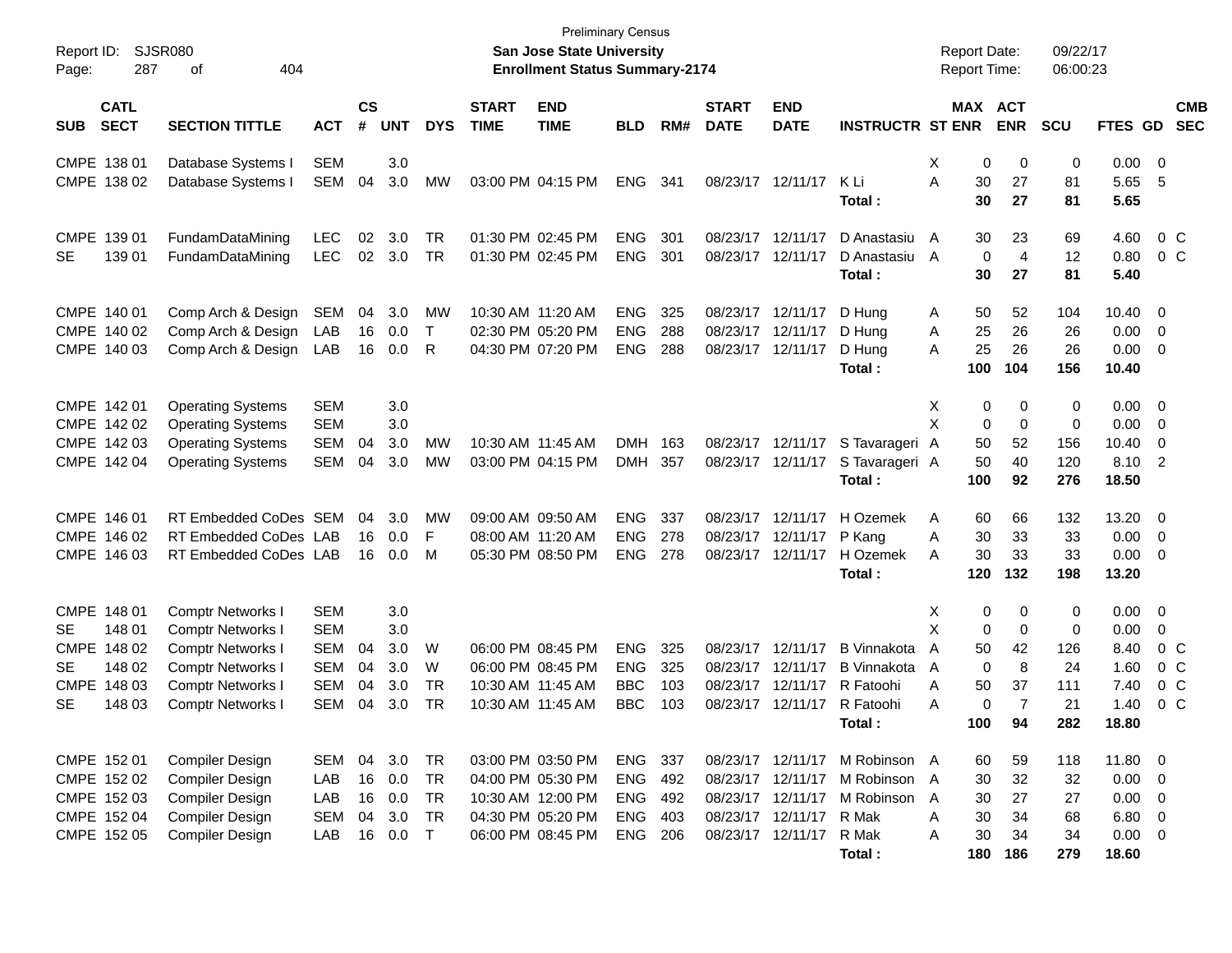| Report ID:<br>287<br>Page:                                                                   | <b>SJSR080</b><br>404<br>οf                                                                                                                                          |                                                                    |                            |                                        |                                    |                             | San Jose State University<br><b>Enrollment Status Summary-2174</b>                                    | <b>Preliminary Census</b>                            |                          |                                        |                                              |                                                                                                                   | <b>Report Date:</b><br><b>Report Time:</b> |                                                                                           | 09/22/17<br>06:00:23                    |                                                                           |                                                                       |
|----------------------------------------------------------------------------------------------|----------------------------------------------------------------------------------------------------------------------------------------------------------------------|--------------------------------------------------------------------|----------------------------|----------------------------------------|------------------------------------|-----------------------------|-------------------------------------------------------------------------------------------------------|------------------------------------------------------|--------------------------|----------------------------------------|----------------------------------------------|-------------------------------------------------------------------------------------------------------------------|--------------------------------------------|-------------------------------------------------------------------------------------------|-----------------------------------------|---------------------------------------------------------------------------|-----------------------------------------------------------------------|
| <b>CATL</b><br><b>SECT</b><br><b>SUB</b>                                                     | <b>SECTION TITTLE</b>                                                                                                                                                | <b>ACT</b>                                                         | $\mathsf{cs}$<br>#         | <b>UNT</b>                             | <b>DYS</b>                         | <b>START</b><br><b>TIME</b> | <b>END</b><br><b>TIME</b>                                                                             | <b>BLD</b>                                           | RM#                      | <b>START</b><br><b>DATE</b>            | <b>END</b><br><b>DATE</b>                    | <b>INSTRUCTR ST ENR</b>                                                                                           |                                            | MAX ACT<br><b>ENR</b>                                                                     | <b>SCU</b>                              | FTES GD                                                                   | <b>CMB</b><br><b>SEC</b>                                              |
| CMPE 138 01<br>CMPE 138 02                                                                   | Database Systems I<br>Database Systems I                                                                                                                             | <b>SEM</b><br>SEM                                                  | 04                         | 3.0<br>3.0                             | <b>MW</b>                          |                             | 03:00 PM 04:15 PM                                                                                     | <b>ENG</b>                                           | 341                      |                                        | 08/23/17 12/11/17                            | K Li<br>Total :                                                                                                   | Χ<br>A                                     | 0<br>0<br>30<br>27<br>30<br>27                                                            | 0<br>81<br>81                           | $0.00 \t 0$<br>5.65<br>5.65                                               | - 5                                                                   |
| CMPE 139 01<br>139 01<br><b>SE</b>                                                           | FundamDataMining<br>FundamDataMining                                                                                                                                 | LEC<br><b>LEC</b>                                                  | 02<br>02 <sub>2</sub>      | 3.0<br>3.0                             | TR<br><b>TR</b>                    |                             | 01:30 PM 02:45 PM<br>01:30 PM 02:45 PM                                                                | <b>ENG</b><br><b>ENG</b>                             | 301<br>301               | 08/23/17 12/11/17<br>08/23/17 12/11/17 |                                              | D Anastasiu<br>D Anastasiu<br>Total :                                                                             | A<br>A                                     | 23<br>30<br>$\mathbf 0$<br>$\overline{4}$<br>30<br>27                                     | 69<br>12<br>81                          | 4.60<br>0.80<br>5.40                                                      | 0 <sup>o</sup><br>0 <sup>o</sup>                                      |
| CMPE 140 01<br>CMPE 140 02<br>CMPE 140 03                                                    | Comp Arch & Design<br>Comp Arch & Design<br>Comp Arch & Design                                                                                                       | <b>SEM</b><br>LAB<br>LAB                                           | 04<br>16<br>16             | 3.0<br>0.0<br>0.0                      | MW<br>$\top$<br>R                  |                             | 10:30 AM 11:20 AM<br>02:30 PM 05:20 PM<br>04:30 PM 07:20 PM                                           | <b>ENG</b><br><b>ENG</b><br><b>ENG</b>               | 325<br>288<br>288        | 08/23/17 12/11/17                      | 08/23/17 12/11/17<br>08/23/17 12/11/17       | D Hung<br>D Hung<br>D Hung<br>Total:                                                                              | A<br>Α<br>A<br>100                         | 50<br>52<br>25<br>26<br>25<br>26<br>104                                                   | 104<br>26<br>26<br>156                  | $10.40 \quad 0$<br>0.00<br>0.00<br>10.40                                  | $\overline{\phantom{0}}$<br>$\overline{\mathbf{0}}$                   |
| CMPE 142 01<br>CMPE 142 02<br>CMPE 142 03<br>CMPE 142 04                                     | <b>Operating Systems</b><br><b>Operating Systems</b><br><b>Operating Systems</b><br><b>Operating Systems</b>                                                         | <b>SEM</b><br><b>SEM</b><br><b>SEM</b><br>SEM                      | 04<br>04                   | 3.0<br>3.0<br>3.0<br>3.0               | MW<br>MW                           |                             | 10:30 AM 11:45 AM<br>03:00 PM 04:15 PM                                                                | <b>DMH</b><br><b>DMH</b>                             | 163<br>357               |                                        | 08/23/17 12/11/17<br>08/23/17 12/11/17       | S Tavarageri A<br>S Tavarageri A<br>Total:                                                                        | X<br>X<br>100                              | 0<br>0<br>$\mathbf 0$<br>$\mathbf 0$<br>52<br>50<br>50<br>40<br>92                        | 0<br>$\mathbf 0$<br>156<br>120<br>276   | $0.00 \t 0$<br>0.00<br>10.40<br>8.10<br>18.50                             | $\overline{\phantom{0}}$<br>$\overline{\mathbf{0}}$<br>$\overline{2}$ |
| CMPE 146 01<br>CMPE 146 02<br>CMPE 146 03                                                    | RT Embedded CoDes SEM<br>RT Embedded CoDes LAB<br>RT Embedded CoDes LAB                                                                                              |                                                                    | 04<br>16<br>16             | 3.0<br>0.0<br>0.0                      | MW<br>F<br>M                       |                             | 09:00 AM 09:50 AM<br>08:00 AM 11:20 AM<br>05:30 PM 08:50 PM                                           | <b>ENG</b><br><b>ENG</b><br><b>ENG</b>               | 337<br>278<br>278        | 08/23/17 12/11/17                      | 08/23/17 12/11/17<br>08/23/17 12/11/17       | H Ozemek<br>P Kang<br>H Ozemek<br>Total:                                                                          | Α<br>Α<br>A<br>120                         | 60<br>66<br>30<br>33<br>30<br>33<br>132                                                   | 132<br>33<br>33<br>198                  | 13.20 0<br>$0.00 \t 0$<br>$0.00 \t 0$<br>13.20                            |                                                                       |
| CMPE 148 01<br>148 01<br>SE.<br>CMPE 148 02<br>148 02<br>SE.<br>CMPE 148 03<br>SE.<br>148 03 | <b>Comptr Networks I</b><br><b>Comptr Networks I</b><br><b>Comptr Networks I</b><br><b>Comptr Networks I</b><br><b>Comptr Networks I</b><br><b>Comptr Networks I</b> | <b>SEM</b><br><b>SEM</b><br>SEM<br><b>SEM</b><br><b>SEM</b><br>SEM | 04<br>04<br>04<br>04       | 3.0<br>3.0<br>3.0<br>3.0<br>3.0<br>3.0 | W<br>W<br>TR<br><b>TR</b>          |                             | 06:00 PM 08:45 PM<br>06:00 PM 08:45 PM<br>10:30 AM 11:45 AM<br>10:30 AM 11:45 AM                      | <b>ENG</b><br><b>ENG</b><br><b>BBC</b><br><b>BBC</b> | 325<br>325<br>103<br>103 | 08/23/17 12/11/17<br>08/23/17 12/11/17 | 08/23/17 12/11/17<br>08/23/17 12/11/17       | <b>B</b> Vinnakota<br><b>B</b> Vinnakota<br>R Fatoohi<br>R Fatoohi<br>Total:                                      | Х<br>X<br>A<br>A<br>A<br>A<br>100          | 0<br>0<br>0<br>$\mathbf 0$<br>42<br>50<br>0<br>8<br>37<br>50<br>$\overline{7}$<br>0<br>94 | 0<br>0<br>126<br>24<br>111<br>21<br>282 | $0.00 \t 0$<br>0.00<br>8.40<br>1.60<br>7.40<br>1.40<br>18.80              | 0<br>0 <sup>o</sup><br>0 <sup>o</sup><br>0 <sup>o</sup><br>$0\,C$     |
| CMPE 152 01<br>CMPE 152 02<br>CMPE 152 03<br>CMPE 152 04<br>CMPE 152 05                      | <b>Compiler Design</b><br><b>Compiler Design</b><br>Compiler Design<br><b>Compiler Design</b><br><b>Compiler Design</b>                                              | SEM<br>LAB<br>LAB<br><b>SEM</b><br>LAB                             | 04<br>16<br>16<br>04<br>16 | 3.0<br>0.0<br>0.0<br>3.0<br>$0.0$ T    | TR<br><b>TR</b><br>TR<br><b>TR</b> |                             | 03:00 PM 03:50 PM<br>04:00 PM 05:30 PM<br>10:30 AM 12:00 PM<br>04:30 PM 05:20 PM<br>06:00 PM 08:45 PM | ENG 337<br>ENG<br>ENG<br>ENG 403<br>ENG 206          | 492<br>492               |                                        | 08/23/17 12/11/17 R Mak<br>08/23/17 12/11/17 | 08/23/17 12/11/17 M Robinson A<br>08/23/17 12/11/17 M Robinson<br>08/23/17 12/11/17 M Robinson<br>R Mak<br>Total: | A<br>A<br>A<br>Α                           | 60<br>59<br>30<br>32<br>27<br>30<br>30<br>34<br>30<br>34<br>180<br>186                    | 118<br>32<br>27<br>68<br>34<br>279      | 11.80 0<br>$0.00 \t 0$<br>$0.00 \t 0$<br>$6.80$ 0<br>$0.00 \t 0$<br>18.60 |                                                                       |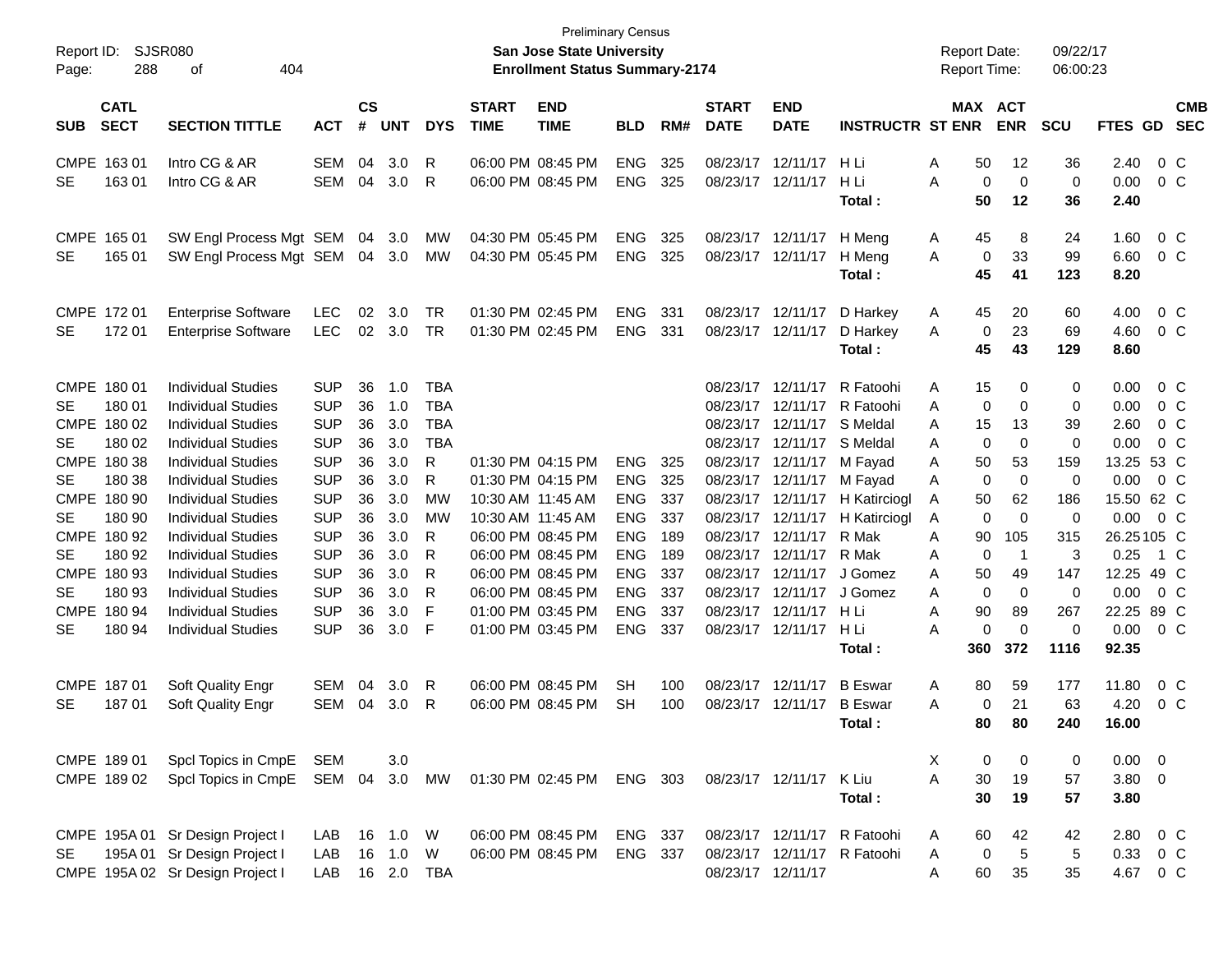| Report ID:<br>Page: | 288                        | <b>SJSR080</b><br>404<br>οf      |            |                |            |              |                             | <b>Preliminary Census</b><br><b>San Jose State University</b><br><b>Enrollment Status Summary-2174</b> |            |     |                             |                            |                                | <b>Report Date:</b><br><b>Report Time:</b> |                            | 09/22/17<br>06:00:23 |               |                |                          |
|---------------------|----------------------------|----------------------------------|------------|----------------|------------|--------------|-----------------------------|--------------------------------------------------------------------------------------------------------|------------|-----|-----------------------------|----------------------------|--------------------------------|--------------------------------------------|----------------------------|----------------------|---------------|----------------|--------------------------|
| <b>SUB</b>          | <b>CATL</b><br><b>SECT</b> | <b>SECTION TITTLE</b>            | <b>ACT</b> | <b>CS</b><br># | <b>UNT</b> | <b>DYS</b>   | <b>START</b><br><b>TIME</b> | <b>END</b><br><b>TIME</b>                                                                              | <b>BLD</b> | RM# | <b>START</b><br><b>DATE</b> | <b>END</b><br><b>DATE</b>  | <b>INSTRUCTR ST ENR</b>        |                                            | MAX ACT<br><b>ENR</b>      | <b>SCU</b>           | FTES GD       |                | <b>CMB</b><br><b>SEC</b> |
|                     | CMPE 163 01                | Intro CG & AR                    | SEM        | 04             | 3.0        | R            |                             | 06:00 PM 08:45 PM                                                                                      | <b>ENG</b> | 325 | 08/23/17                    | 12/11/17                   | -H Li                          | 50<br>Α                                    | 12                         | 36                   | 2.40          | $0\,$ C        |                          |
| <b>SE</b>           | 16301                      | Intro CG & AR                    | SEM        | 04             | 3.0        | R            |                             | 06:00 PM 08:45 PM                                                                                      | <b>ENG</b> | 325 |                             | 08/23/17 12/11/17          | H Li                           | A                                          | $\mathbf 0$<br>$\mathbf 0$ | $\mathbf 0$          | 0.00          | $0\,$ C        |                          |
|                     |                            |                                  |            |                |            |              |                             |                                                                                                        |            |     |                             |                            | Total:                         | 50                                         | 12                         | 36                   | 2.40          |                |                          |
|                     | CMPE 165 01                | SW Engl Process Mgt SEM          |            | 04             | 3.0        | MW           |                             | 04:30 PM 05:45 PM                                                                                      | <b>ENG</b> | 325 |                             | 08/23/17 12/11/17          | H Meng                         | 45<br>A                                    | 8                          | 24                   | 1.60          | $0\,$ C        |                          |
| <b>SE</b>           | 165 01                     | SW Engl Process Mgt SEM          |            | 04             | 3.0        | MW           |                             | 04:30 PM 05:45 PM                                                                                      | <b>ENG</b> | 325 |                             | 08/23/17 12/11/17          | H Meng                         | A                                          | 33<br>0                    | 99                   | 6.60          | $0\,$ C        |                          |
|                     |                            |                                  |            |                |            |              |                             |                                                                                                        |            |     |                             |                            | Total:                         | 45                                         | 41                         | 123                  | 8.20          |                |                          |
|                     | CMPE 172 01                | <b>Enterprise Software</b>       | <b>LEC</b> | 02             | 3.0        | TR           |                             | 01:30 PM 02:45 PM                                                                                      | <b>ENG</b> | 331 |                             | 08/23/17 12/11/17          | D Harkey                       | 45<br>A                                    | 20                         | 60                   | 4.00          | $0\,$ C        |                          |
| <b>SE</b>           | 172 01                     | <b>Enterprise Software</b>       | <b>LEC</b> | 02             | 3.0        | <b>TR</b>    |                             | 01:30 PM 02:45 PM                                                                                      | <b>ENG</b> | 331 |                             | 08/23/17 12/11/17          | D Harkey                       | A                                          | 23<br>0                    | 69                   | 4.60          | $0\,$ C        |                          |
|                     |                            |                                  |            |                |            |              |                             |                                                                                                        |            |     |                             |                            | Total:                         | 45                                         | 43                         | 129                  | 8.60          |                |                          |
|                     | CMPE 180 01                | <b>Individual Studies</b>        | <b>SUP</b> | 36             | 1.0        | <b>TBA</b>   |                             |                                                                                                        |            |     |                             | 08/23/17 12/11/17          | R Fatoohi                      | 15<br>A                                    | 0                          | 0                    | 0.00          | $0\,$ C        |                          |
| <b>SE</b>           | 180 01                     | <b>Individual Studies</b>        | <b>SUP</b> | 36             | 1.0        | <b>TBA</b>   |                             |                                                                                                        |            |     | 08/23/17                    | 12/11/17                   | R Fatoohi                      | A                                          | 0<br>0                     | $\mathbf 0$          | 0.00          | 0 <sup>o</sup> |                          |
|                     | CMPE 180 02                | <b>Individual Studies</b>        | <b>SUP</b> | 36             | 3.0        | <b>TBA</b>   |                             |                                                                                                        |            |     |                             | 08/23/17 12/11/17 S Meldal |                                | A<br>15                                    | 13                         | 39                   | 2.60          | $0\,$ C        |                          |
| <b>SE</b>           | 180 02                     | <b>Individual Studies</b>        | <b>SUP</b> | 36             | 3.0        | <b>TBA</b>   |                             |                                                                                                        |            |     |                             | 08/23/17 12/11/17 S Meldal |                                | A                                          | $\mathbf 0$<br>$\Omega$    | $\mathbf 0$          | 0.00          | $0\,$ C        |                          |
|                     | CMPE 180 38                | <b>Individual Studies</b>        | <b>SUP</b> | 36             | 3.0        | R            |                             | 01:30 PM 04:15 PM                                                                                      | <b>ENG</b> | 325 |                             | 08/23/17 12/11/17          | M Fayad                        | Α<br>50                                    | 53                         | 159                  | 13.25 53 C    |                |                          |
| <b>SE</b>           | 180 38                     | <b>Individual Studies</b>        | <b>SUP</b> | 36             | 3.0        | R            |                             | 01:30 PM 04:15 PM                                                                                      | <b>ENG</b> | 325 |                             | 08/23/17 12/11/17          | M Fayad                        | Α                                          | $\mathbf 0$<br>0           | $\mathbf 0$          | 0.00          | $0\,$ C        |                          |
|                     | CMPE 180 90                | <b>Individual Studies</b>        | <b>SUP</b> | 36             | 3.0        | <b>MW</b>    |                             | 10:30 AM 11:45 AM                                                                                      | <b>ENG</b> | 337 |                             |                            | 08/23/17 12/11/17 H Katirciogl | Α<br>50                                    | 62                         | 186                  | 15.50 62 C    |                |                          |
| <b>SE</b>           | 180 90                     | <b>Individual Studies</b>        | <b>SUP</b> | 36             | 3.0        | МW           | 10:30 AM 11:45 AM           |                                                                                                        | <b>ENG</b> | 337 |                             | 08/23/17 12/11/17          | H Katirciogl                   | Α                                          | 0<br>$\Omega$              | $\mathbf 0$          | $0.00 \t 0 C$ |                |                          |
|                     | CMPE 180 92                | <b>Individual Studies</b>        | <b>SUP</b> | 36             | 3.0        | R            |                             | 06:00 PM 08:45 PM                                                                                      | <b>ENG</b> | 189 |                             | 08/23/17 12/11/17 R Mak    |                                | Α<br>90                                    | 105                        | 315                  | 26.25105 C    |                |                          |
| <b>SE</b>           | 180 92                     | <b>Individual Studies</b>        | <b>SUP</b> | 36             | 3.0        | R            |                             | 06:00 PM 08:45 PM                                                                                      | <b>ENG</b> | 189 |                             | 08/23/17 12/11/17 R Mak    |                                | Α                                          | 0<br>$\mathbf 1$           | 3                    | 0.25          | 1 C            |                          |
|                     | CMPE 180 93                | <b>Individual Studies</b>        | <b>SUP</b> | 36             | 3.0        | R            |                             | 06:00 PM 08:45 PM                                                                                      | <b>ENG</b> | 337 | 08/23/17                    | 12/11/17                   | J Gomez                        | Α<br>50                                    | 49                         | 147                  | 12.25 49 C    |                |                          |
| <b>SE</b>           | 180 93                     | <b>Individual Studies</b>        | <b>SUP</b> | 36             | 3.0        | R            |                             | 06:00 PM 08:45 PM                                                                                      | <b>ENG</b> | 337 |                             | 08/23/17 12/11/17          | J Gomez                        | Α                                          | 0<br>0                     | 0                    | 0.00          | $0\,$ C        |                          |
|                     | CMPE 180 94                | <b>Individual Studies</b>        | <b>SUP</b> | 36             | 3.0        | F            | 01:00 PM 03:45 PM           |                                                                                                        | <b>ENG</b> | 337 |                             | 08/23/17 12/11/17 H Li     |                                | A<br>90                                    | 89                         | 267                  | 22.25 89 C    |                |                          |
| <b>SE</b>           | 180 94                     | <b>Individual Studies</b>        | <b>SUP</b> | 36             | 3.0        | F            |                             | 01:00 PM 03:45 PM                                                                                      | <b>ENG</b> | 337 |                             | 08/23/17 12/11/17          | H Li                           | A                                          | 0<br>$\Omega$              | $\mathbf 0$          | 0.00          | $0\,$ C        |                          |
|                     |                            |                                  |            |                |            |              |                             |                                                                                                        |            |     |                             |                            | Total:                         | 360                                        | 372                        | 1116                 | 92.35         |                |                          |
|                     | CMPE 187 01                | Soft Quality Engr                | SEM        | 04             | 3.0        | R            | 06:00 PM 08:45 PM           |                                                                                                        | SН         | 100 | 08/23/17                    | 12/11/17                   | <b>B</b> Eswar                 | 80<br>A                                    | 59                         | 177                  | 11.80         | $0\,$ C        |                          |
| <b>SE</b>           | 18701                      | Soft Quality Engr                | SEM        | 04             | 3.0        | R            |                             | 06:00 PM 08:45 PM                                                                                      | <b>SH</b>  | 100 |                             | 08/23/17 12/11/17 B Eswar  |                                | A                                          | 0<br>21                    | 63                   | 4.20          | 0 <sup>o</sup> |                          |
|                     |                            |                                  |            |                |            |              |                             |                                                                                                        |            |     |                             |                            | Total:                         | 80                                         | 80                         | 240                  | 16.00         |                |                          |
|                     | CMPE 189 01                | Spcl Topics in CmpE              | SEM        |                | 3.0        |              |                             |                                                                                                        |            |     |                             |                            |                                | X                                          | 0<br>0                     | 0                    | $0.00 \t 0$   |                |                          |
|                     | CMPE 189 02                | Spcl Topics in CmpE              | SEM 04 3.0 |                |            | MW           |                             | 01:30 PM 02:45 PM                                                                                      | ENG 303    |     |                             | 08/23/17 12/11/17          | K Liu                          | A<br>30                                    | 19                         | 57                   | $3.80\ 0$     |                |                          |
|                     |                            |                                  |            |                |            |              |                             |                                                                                                        |            |     |                             |                            | Total:                         | 30                                         | 19                         | 57                   | 3.80          |                |                          |
|                     |                            | CMPE 195A 01 Sr Design Project I | LAB        |                | 16 1.0     | <b>W</b>     |                             | 06:00 PM 08:45 PM                                                                                      | ENG 337    |     |                             |                            | 08/23/17 12/11/17 R Fatoohi    | 60<br>A                                    | 42                         | 42                   | 2.80 0 C      |                |                          |
| SE                  |                            | 195A 01 Sr Design Project I      | LAB        |                | 16  1.0  W |              |                             | 06:00 PM 08:45 PM                                                                                      | ENG 337    |     |                             |                            | 08/23/17 12/11/17 R Fatoohi    | Α                                          | $\sqrt{5}$<br>0            | 5                    | 0.33 0 C      |                |                          |
|                     |                            | CMPE 195A 02 Sr Design Project I | LAB        |                |            | 16  2.0  TBA |                             |                                                                                                        |            |     |                             | 08/23/17 12/11/17          |                                | 60<br>Α                                    | 35                         | 35                   | 4.67 0 C      |                |                          |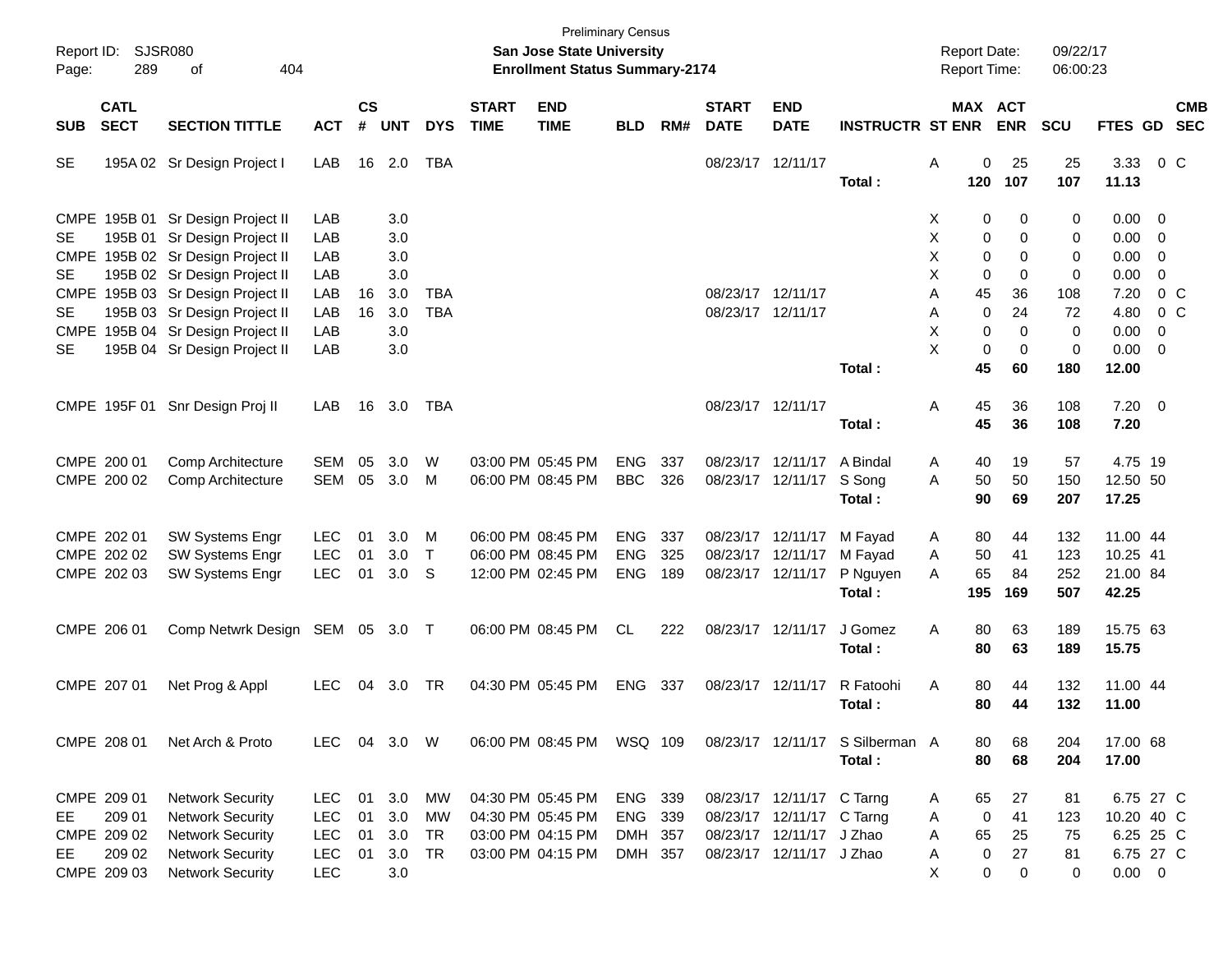| Report ID:<br>Page:    | <b>SJSR080</b><br>289                                         | 404<br>of                                                                                                                              |                                                                    |                      |                                 |                             |                             | <b>Preliminary Census</b><br><b>San Jose State University</b><br><b>Enrollment Status Summary-2174</b> |                                          |                   |                                        |                                                                                                                |                                           | <b>Report Date:</b><br>Report Time:                                |                                    | 09/22/17<br>06:00:23       |                                              |                                         |
|------------------------|---------------------------------------------------------------|----------------------------------------------------------------------------------------------------------------------------------------|--------------------------------------------------------------------|----------------------|---------------------------------|-----------------------------|-----------------------------|--------------------------------------------------------------------------------------------------------|------------------------------------------|-------------------|----------------------------------------|----------------------------------------------------------------------------------------------------------------|-------------------------------------------|--------------------------------------------------------------------|------------------------------------|----------------------------|----------------------------------------------|-----------------------------------------|
| <b>SUB</b>             | <b>CATL</b><br><b>SECT</b>                                    | <b>SECTION TITTLE</b>                                                                                                                  | <b>ACT</b>                                                         | $\mathsf{cs}$<br>#   | <b>UNT</b>                      | <b>DYS</b>                  | <b>START</b><br><b>TIME</b> | <b>END</b><br><b>TIME</b>                                                                              | <b>BLD</b>                               | RM#               | <b>START</b><br><b>DATE</b>            | <b>END</b><br><b>DATE</b>                                                                                      | <b>INSTRUCTR ST ENR</b>                   | <b>MAX ACT</b>                                                     | <b>ENR</b>                         | SCU                        |                                              | <b>CMB</b><br>FTES GD SEC               |
| <b>SE</b>              |                                                               | 195A 02 Sr Design Project I                                                                                                            | LAB                                                                | 16                   | 2.0                             | TBA                         |                             |                                                                                                        |                                          |                   | 08/23/17 12/11/17                      |                                                                                                                | Total:                                    | A<br>0<br>120                                                      | 25<br>107                          | 25<br>107                  | 3.33<br>11.13                                | $0\,$ C                                 |
| <b>SE</b><br><b>SE</b> |                                                               | CMPE 195B 01 Sr Design Project II<br>195B 01 Sr Design Project II<br>CMPE 195B 02 Sr Design Project II<br>195B 02 Sr Design Project II | LAB<br>LAB<br>LAB<br>LAB                                           |                      | 3.0<br>3.0<br>3.0<br>3.0        |                             |                             |                                                                                                        |                                          |                   |                                        |                                                                                                                |                                           | 0<br>X<br>X<br>0<br>X<br>0<br>X<br>0                               | 0<br>0<br>0<br>$\mathbf 0$         | 0<br>0<br>0<br>0           | $0.00 \t 0$<br>$0.00 \t 0$<br>0.00<br>0.00   | $\overline{0}$<br>$\mathbf 0$           |
| <b>SE</b><br>SE        |                                                               | CMPE 195B 03 Sr Design Project II<br>195B 03 Sr Design Project II<br>CMPE 195B 04 Sr Design Project II<br>195B 04 Sr Design Project II | LAB<br>LAB<br>LAB<br>LAB                                           | 16<br>16             | 3.0<br>3.0<br>3.0<br>3.0        | <b>TBA</b><br><b>TBA</b>    |                             |                                                                                                        |                                          |                   | 08/23/17 12/11/17<br>08/23/17 12/11/17 |                                                                                                                | Total:                                    | 45<br>A<br>$\mathbf 0$<br>A<br>X<br>0<br>X<br>0<br>45              | 36<br>24<br>0<br>$\mathbf 0$<br>60 | 108<br>72<br>0<br>0<br>180 | 7.20<br>4.80<br>0.00<br>$0.00 \t 0$<br>12.00 | 0 <sup>o</sup><br>0 <sup>o</sup><br>- 0 |
|                        |                                                               | CMPE 195F 01 Snr Design Proj II                                                                                                        | LAB                                                                | 16                   | 3.0                             | TBA                         |                             |                                                                                                        |                                          |                   | 08/23/17 12/11/17                      |                                                                                                                | Total:                                    | 45<br>A<br>45                                                      | 36<br>36                           | 108<br>108                 | $7.20 \ 0$<br>7.20                           |                                         |
|                        | CMPE 200 01<br>CMPE 200 02                                    | Comp Architecture<br>Comp Architecture                                                                                                 | <b>SEM</b><br><b>SEM</b>                                           | 05<br>05             | 3.0<br>3.0                      | W<br>M                      |                             | 03:00 PM 05:45 PM<br>06:00 PM 08:45 PM                                                                 | <b>ENG</b><br><b>BBC</b>                 | 337<br>326        |                                        | 08/23/17 12/11/17<br>08/23/17 12/11/17                                                                         | A Bindal<br>S Song<br>Total:              | 40<br>Α<br>50<br>A<br>90                                           | 19<br>50<br>69                     | 57<br>150<br>207           | 4.75 19<br>12.50 50<br>17.25                 |                                         |
|                        | CMPE 202 01<br>CMPE 202 02<br>CMPE 202 03                     | SW Systems Engr<br><b>SW Systems Engr</b><br>SW Systems Engr                                                                           | <b>LEC</b><br><b>LEC</b><br><b>LEC</b>                             | 01<br>01<br>01       | 3.0<br>3.0<br>3.0               | M<br>$\top$<br>S            |                             | 06:00 PM 08:45 PM<br>06:00 PM 08:45 PM<br>12:00 PM 02:45 PM                                            | <b>ENG</b><br><b>ENG</b><br><b>ENG</b>   | 337<br>325<br>189 | 08/23/17 12/11/17<br>08/23/17 12/11/17 | 08/23/17 12/11/17                                                                                              | M Fayad<br>M Fayad<br>P Nguyen<br>Total:  | A<br>80<br>50<br>Α<br>65<br>A<br>195                               | 44<br>41<br>84<br>169              | 132<br>123<br>252<br>507   | 11.00 44<br>10.25 41<br>21.00 84<br>42.25    |                                         |
|                        | CMPE 206 01                                                   | Comp Netwrk Design SEM 05 3.0 T                                                                                                        |                                                                    |                      |                                 |                             |                             | 06:00 PM 08:45 PM                                                                                      | CL                                       | 222               | 08/23/17 12/11/17                      |                                                                                                                | J Gomez<br>Total:                         | A<br>80<br>80                                                      | 63<br>63                           | 189<br>189                 | 15.75 63<br>15.75                            |                                         |
|                        | CMPE 207 01                                                   | Net Prog & Appl                                                                                                                        | <b>LEC</b>                                                         | 04                   | 3.0                             | TR                          |                             | 04:30 PM 05:45 PM                                                                                      | <b>ENG</b>                               | 337               | 08/23/17 12/11/17                      |                                                                                                                | R Fatoohi<br>Total:                       | 80<br>A<br>80                                                      | 44<br>44                           | 132<br>132                 | 11.00 44<br>11.00                            |                                         |
|                        | CMPE 208 01                                                   | Net Arch & Proto                                                                                                                       | LEC 04 3.0 W                                                       |                      |                                 |                             |                             | 06:00 PM 08:45 PM                                                                                      | WSQ 109                                  |                   |                                        |                                                                                                                | 08/23/17 12/11/17 S Silberman A<br>Total: | 80<br>80                                                           | 68<br>68                           | 204<br>204                 | 17.00 68<br>17.00                            |                                         |
| EE<br>EE               | CMPE 209 01<br>209 01<br>CMPE 209 02<br>209 02<br>CMPE 209 03 | <b>Network Security</b><br><b>Network Security</b><br><b>Network Security</b><br><b>Network Security</b><br><b>Network Security</b>    | <b>LEC</b><br><b>LEC</b><br><b>LEC</b><br><b>LEC</b><br><b>LEC</b> | 01<br>01<br>01<br>01 | 3.0<br>3.0<br>3.0<br>3.0<br>3.0 | МW<br><b>MW</b><br>TR<br>TR |                             | 04:30 PM 05:45 PM<br>04:30 PM 05:45 PM<br>03:00 PM 04:15 PM<br>03:00 PM 04:15 PM                       | ENG 339<br>ENG 339<br>DMH 357<br>DMH 357 |                   |                                        | 08/23/17 12/11/17 C Tarng<br>08/23/17 12/11/17 C Tarng<br>08/23/17 12/11/17 J Zhao<br>08/23/17 12/11/17 J Zhao |                                           | 65<br>A<br>$\mathbf 0$<br>Α<br>65<br>Α<br>$\pmb{0}$<br>Α<br>X<br>0 | 27<br>41<br>25<br>27<br>0          | 81<br>123<br>75<br>81<br>0 | 10.20 40 C<br>$0.00 \t 0$                    | 6.75 27 C<br>6.25 25 C<br>6.75 27 C     |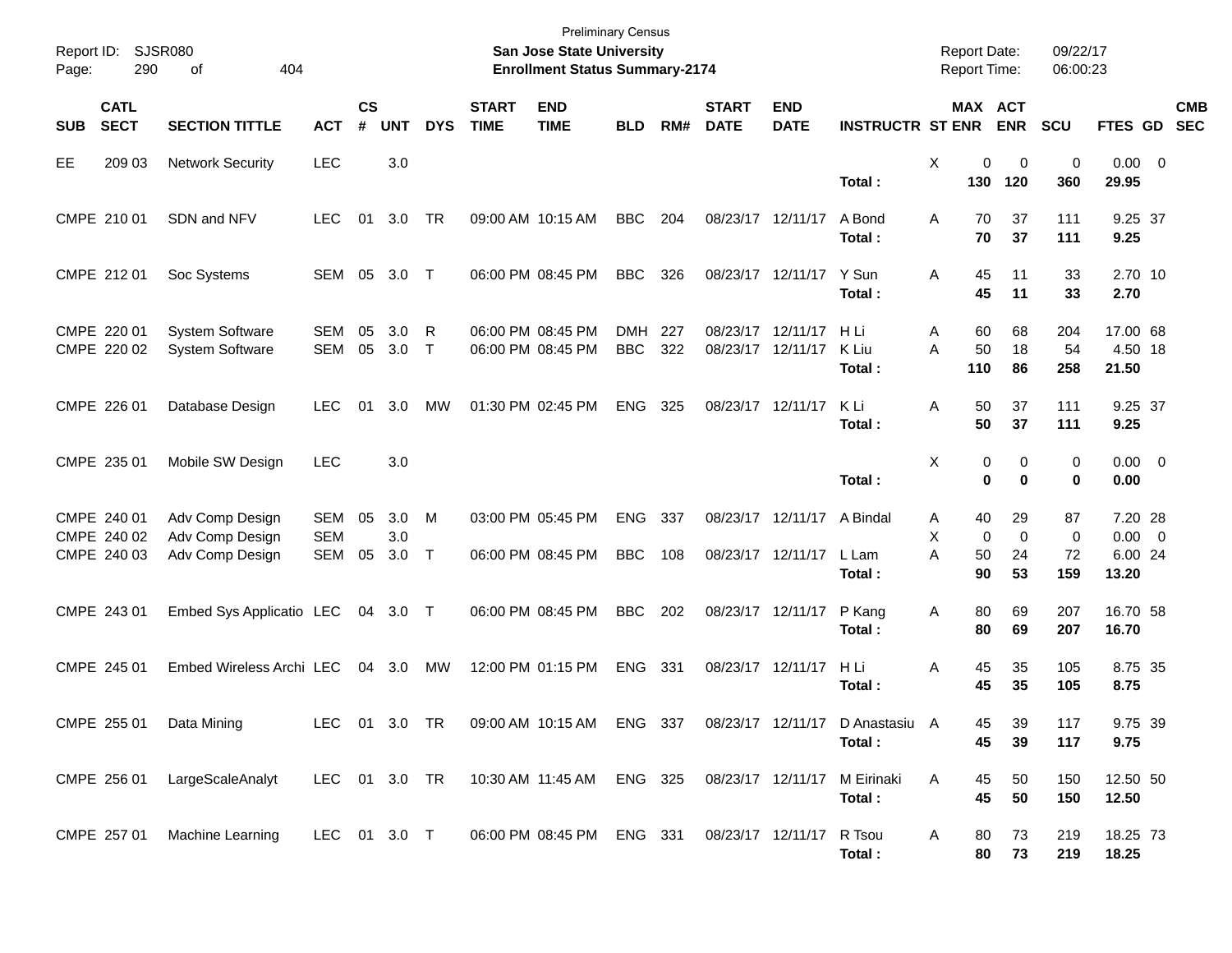| Report ID:<br>Page: | 290                                       | <b>SJSR080</b><br>404<br>οf                           |                          |                |                   |             |                             | <b>Preliminary Census</b><br>San Jose State University<br><b>Enrollment Status Summary-2174</b> |                          |            |                             |                                                 |                                                                                            | Report Date:<br>Report Time: |                               |                            | 09/22/17<br>06:00:23           |                                            |            |
|---------------------|-------------------------------------------|-------------------------------------------------------|--------------------------|----------------|-------------------|-------------|-----------------------------|-------------------------------------------------------------------------------------------------|--------------------------|------------|-----------------------------|-------------------------------------------------|--------------------------------------------------------------------------------------------|------------------------------|-------------------------------|----------------------------|--------------------------------|--------------------------------------------|------------|
| <b>SUB</b>          | <b>CATL</b><br><b>SECT</b>                | <b>SECTION TITTLE</b>                                 | <b>ACT</b>               | <b>CS</b><br># | <b>UNT</b>        | <b>DYS</b>  | <b>START</b><br><b>TIME</b> | <b>END</b><br><b>TIME</b>                                                                       | <b>BLD</b>               | RM#        | <b>START</b><br><b>DATE</b> | <b>END</b><br><b>DATE</b>                       | <b>INSTRUCTR ST ENR</b>                                                                    |                              | MAX ACT                       | <b>ENR</b>                 | SCU                            | FTES GD SEC                                | <b>CMB</b> |
| <b>EE</b>           | 209 03                                    | <b>Network Security</b>                               | <b>LEC</b>               |                | 3.0               |             |                             |                                                                                                 |                          |            |                             |                                                 | Total:                                                                                     | X                            | 0<br>130                      | $\mathbf 0$<br>120         | 0<br>360                       | $0.00 \t 0$<br>29.95                       |            |
|                     | CMPE 210 01                               | SDN and NFV                                           | <b>LEC</b>               | 01             | 3.0               | TR          |                             | 09:00 AM 10:15 AM                                                                               | <b>BBC</b>               | 204        |                             | 08/23/17 12/11/17                               | A Bond<br>Total:                                                                           | A                            | 70<br>70                      | 37<br>37                   | 111<br>111                     | 9.25 37<br>9.25                            |            |
|                     | CMPE 212 01                               | Soc Systems                                           | SEM 05 3.0 T             |                |                   |             |                             | 06:00 PM 08:45 PM                                                                               | <b>BBC</b>               | 326        |                             | 08/23/17 12/11/17                               | Y Sun<br>Total:                                                                            | A                            | 45<br>45                      | 11<br>11                   | 33<br>33                       | 2.70 10<br>2.70                            |            |
|                     | CMPE 220 01<br>CMPE 220 02                | <b>System Software</b><br>System Software             | SEM<br>SEM               | 05<br>05       | 3.0<br>3.0        | R<br>$\top$ |                             | 06:00 PM 08:45 PM<br>06:00 PM 08:45 PM                                                          | <b>DMH</b><br><b>BBC</b> | 227<br>322 | 08/23/17 12/11/17           | 08/23/17 12/11/17                               | H Li<br>K Liu<br>Total:                                                                    | Α<br>A                       | 60<br>50<br>110               | 68<br>18<br>86             | 204<br>54<br>258               | 17.00 68<br>4.50 18<br>21.50               |            |
|                     | CMPE 226 01                               | Database Design                                       | <b>LEC</b>               | 01             | 3.0               | <b>MW</b>   |                             | 01:30 PM 02:45 PM                                                                               | <b>ENG</b>               | 325        | 08/23/17 12/11/17           |                                                 | K Li<br>Total:                                                                             | A                            | 50<br>50                      | 37<br>37                   | 111<br>111                     | 9.25 37<br>9.25                            |            |
|                     | CMPE 235 01                               | Mobile SW Design                                      | <b>LEC</b>               |                | 3.0               |             |                             |                                                                                                 |                          |            |                             |                                                 | Total:                                                                                     | X                            | 0<br>$\bf{0}$                 | 0<br>$\bf{0}$              | 0<br>0                         | $0.00 \t 0$<br>0.00                        |            |
|                     | CMPE 240 01<br>CMPE 240 02<br>CMPE 240 03 | Adv Comp Design<br>Adv Comp Design<br>Adv Comp Design | SEM<br><b>SEM</b><br>SEM | 05<br>05       | 3.0<br>3.0<br>3.0 | M<br>$\top$ |                             | 03:00 PM 05:45 PM<br>06:00 PM 08:45 PM                                                          | ENG<br><b>BBC</b>        | 337<br>108 |                             | 08/23/17 12/11/17 A Bindal<br>08/23/17 12/11/17 | L Lam<br>Total:                                                                            | A<br>X<br>A                  | 40<br>$\mathbf 0$<br>50<br>90 | 29<br>$\Omega$<br>24<br>53 | 87<br>$\mathbf 0$<br>72<br>159 | 7.20 28<br>$0.00 \t 0$<br>6.00 24<br>13.20 |            |
|                     | CMPE 243 01                               | Embed Sys Applicatio LEC                              |                          |                | 04 3.0 T          |             |                             | 06:00 PM 08:45 PM                                                                               | <b>BBC</b>               | 202        |                             | 08/23/17 12/11/17                               | P Kang<br>Total:                                                                           | Α                            | 80<br>80                      | 69<br>69                   | 207<br>207                     | 16.70 58<br>16.70                          |            |
|                     | CMPE 245 01                               | Embed Wireless Archi LEC                              |                          |                | 04 3.0            | MW          |                             | 12:00 PM 01:15 PM                                                                               | ENG                      | 331        |                             | 08/23/17 12/11/17                               | H Li<br>Total:                                                                             | A                            | 45<br>45                      | 35<br>35                   | 105<br>105                     | 8.75 35<br>8.75                            |            |
|                     |                                           | CMPE 255 01 Data Mining                               |                          |                |                   |             |                             |                                                                                                 |                          |            |                             |                                                 | LEC 01 3.0 TR  09:00 AM  10:15 AM  ENG  337  08/23/17  12/11/17  D  Anastasiu  A<br>Total: |                              | 45<br>45                      | 39<br>39                   | 117<br>117                     | 9.75 39<br>9.75                            |            |
|                     |                                           | CMPE 256 01 LargeScaleAnalyt                          | LEC 01 3.0 TR            |                |                   |             |                             | 10:30 AM 11:45 AM ENG 325                                                                       |                          |            | 08/23/17 12/11/17           |                                                 | M Eirinaki<br>Total:                                                                       | A                            | 45<br>45                      | 50<br>50                   | 150<br>150                     | 12.50 50<br>12.50                          |            |
|                     |                                           | CMPE 257 01 Machine Learning                          | LEC 01 3.0 T             |                |                   |             |                             | 06:00 PM 08:45 PM ENG 331                                                                       |                          |            | 08/23/17 12/11/17 R Tsou    |                                                 | Total:                                                                                     | A                            | 80<br>80                      | 73<br>73                   | 219<br>219                     | 18.25 73<br>18.25                          |            |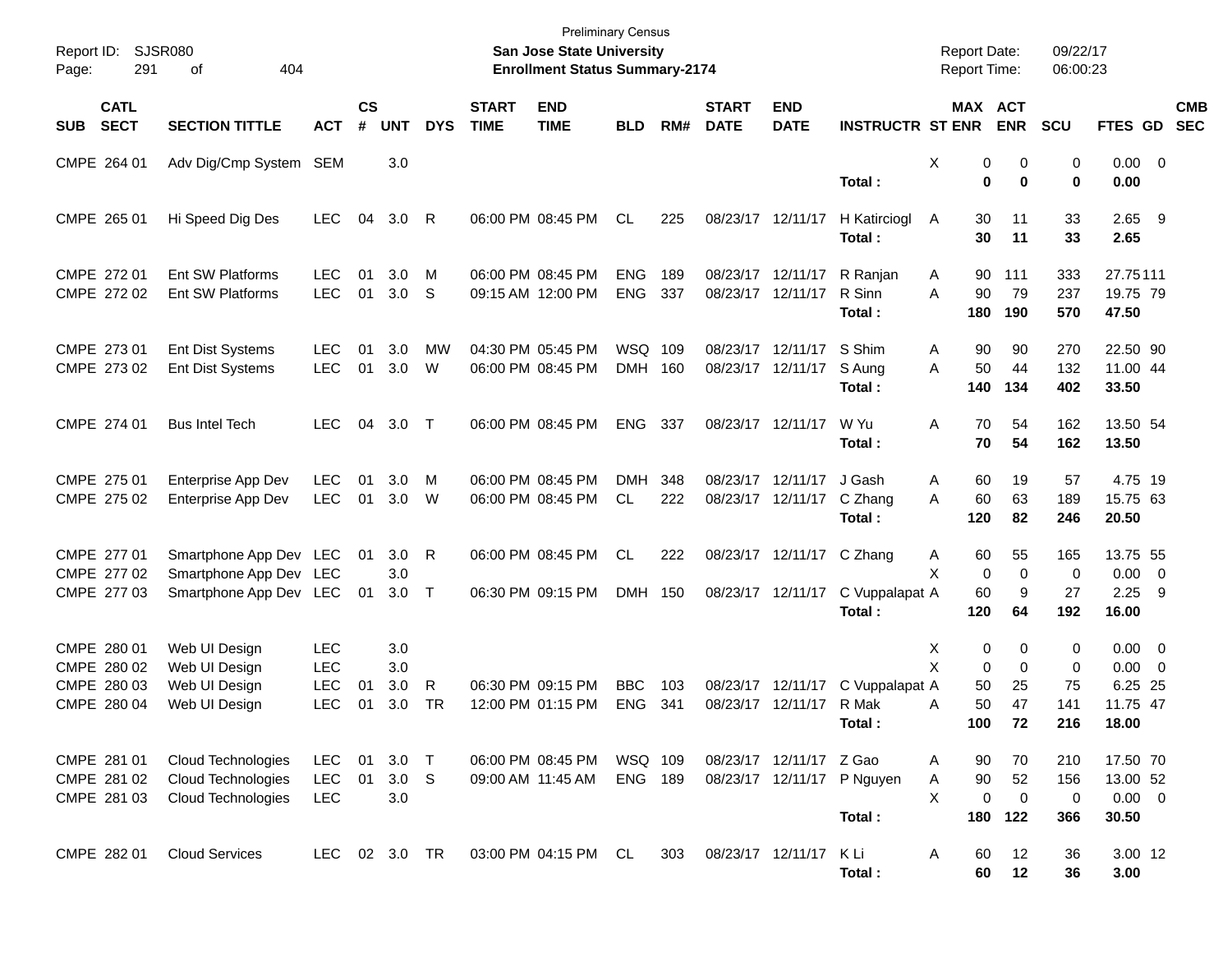| Report ID:<br>Page:                                      | <b>SJSR080</b><br>291      | 404<br>of                                                                  |                                                      |                    |                                |                        |                             | <b>Preliminary Census</b><br>San Jose State University<br><b>Enrollment Status Summary-2174</b> |                          |            |                             |                                                |                                                 | <b>Report Date:</b><br>Report Time:                    |                                      | 09/22/17<br>06:00:23          |                                                            |                          |
|----------------------------------------------------------|----------------------------|----------------------------------------------------------------------------|------------------------------------------------------|--------------------|--------------------------------|------------------------|-----------------------------|-------------------------------------------------------------------------------------------------|--------------------------|------------|-----------------------------|------------------------------------------------|-------------------------------------------------|--------------------------------------------------------|--------------------------------------|-------------------------------|------------------------------------------------------------|--------------------------|
| <b>SUB</b>                                               | <b>CATL</b><br><b>SECT</b> | <b>SECTION TITTLE</b>                                                      | <b>ACT</b>                                           | $\mathsf{cs}$<br># | <b>UNT</b>                     | <b>DYS</b>             | <b>START</b><br><b>TIME</b> | <b>END</b><br><b>TIME</b>                                                                       | <b>BLD</b>               | RM#        | <b>START</b><br><b>DATE</b> | <b>END</b><br><b>DATE</b>                      | <b>INSTRUCTR ST ENR</b>                         | MAX ACT                                                | <b>ENR</b>                           | SCU                           | FTES GD                                                    | <b>CMB</b><br><b>SEC</b> |
| CMPE 264 01                                              |                            | Adv Dig/Cmp System SEM                                                     |                                                      |                    | 3.0                            |                        |                             |                                                                                                 |                          |            |                             |                                                | Total:                                          | Χ<br>0<br>0                                            | 0<br>0                               | 0<br>0                        | $0.00 \t 0$<br>0.00                                        |                          |
| CMPE 265 01                                              |                            | Hi Speed Dig Des                                                           | <b>LEC</b>                                           | 04                 | 3.0                            | $\mathsf{R}$           |                             | 06:00 PM 08:45 PM                                                                               | CL                       | 225        | 08/23/17 12/11/17           |                                                | H Katirciogl<br>Total:                          | 30<br>A<br>30                                          | 11<br>11                             | 33<br>33                      | $2.65$ 9<br>2.65                                           |                          |
| CMPE 272 01                                              | CMPE 272 02                | Ent SW Platforms<br>Ent SW Platforms                                       | <b>LEC</b><br><b>LEC</b>                             | 01<br>01           | 3.0<br>3.0                     | M<br>-S                |                             | 06:00 PM 08:45 PM<br>09:15 AM 12:00 PM                                                          | <b>ENG</b><br><b>ENG</b> | 189<br>337 | 08/23/17 12/11/17           | 08/23/17 12/11/17                              | R Ranjan<br>R Sinn<br>Total:                    | 90<br>A<br>A<br>90<br>180                              | 111<br>79<br>190                     | 333<br>237<br>570             | 27.75111<br>19.75 79<br>47.50                              |                          |
| CMPE 273 01                                              | CMPE 273 02                | Ent Dist Systems<br><b>Ent Dist Systems</b>                                | <b>LEC</b><br><b>LEC</b>                             | 01<br>01           | 3.0<br>3.0                     | <b>MW</b><br>W         |                             | 04:30 PM 05:45 PM<br>06:00 PM 08:45 PM                                                          | WSQ<br>DMH 160           | 109        |                             | 08/23/17 12/11/17<br>08/23/17 12/11/17         | S Shim<br>S Aung<br>Total:                      | 90<br>A<br>50<br>A<br>140                              | 90<br>44<br>134                      | 270<br>132<br>402             | 22.50 90<br>11.00 44<br>33.50                              |                          |
| CMPE 274 01                                              |                            | <b>Bus Intel Tech</b>                                                      | LEC.                                                 | 04                 | 3.0                            | $\top$                 |                             | 06:00 PM 08:45 PM                                                                               | <b>ENG</b>               | 337        |                             | 08/23/17 12/11/17                              | W Yu<br>Total:                                  | A<br>70<br>70                                          | 54<br>54                             | 162<br>162                    | 13.50 54<br>13.50                                          |                          |
| CMPE 275 01<br>CMPE 275 02                               |                            | Enterprise App Dev<br>Enterprise App Dev                                   | <b>LEC</b><br><b>LEC</b>                             | 01<br>01           | 3.0<br>3.0                     | M<br>W                 |                             | 06:00 PM 08:45 PM<br>06:00 PM 08:45 PM                                                          | <b>DMH</b><br><b>CL</b>  | 348<br>222 | 08/23/17 12/11/17           | 08/23/17 12/11/17                              | J Gash<br>C Zhang<br>Total:                     | 60<br>A<br>60<br>A<br>120                              | 19<br>63<br>82                       | 57<br>189<br>246              | 4.75 19<br>15.75 63<br>20.50                               |                          |
| CMPE 277 01<br>CMPE 277 02<br>CMPE 277 03                |                            | Smartphone App Dev LEC<br>Smartphone App Dev LEC<br>Smartphone App Dev LEC |                                                      | 01<br>01           | 3.0<br>3.0<br>3.0              | $\mathsf{R}$<br>$\top$ |                             | 06:00 PM 08:45 PM<br>06:30 PM 09:15 PM                                                          | <b>CL</b><br>DMH 150     | 222        |                             | 08/23/17 12/11/17 C Zhang<br>08/23/17 12/11/17 | C Vuppalapat A                                  | 60<br>A<br>X<br>0<br>60                                | 55<br>$\mathbf 0$<br>9               | 165<br>$\mathbf 0$<br>27      | 13.75 55<br>$0.00 \t 0$<br>$2.25$ 9                        |                          |
| CMPE 280 01<br>CMPE 280 02<br>CMPE 280 03<br>CMPE 280 04 |                            | Web UI Design<br>Web UI Design<br>Web UI Design<br>Web UI Design           | <b>LEC</b><br><b>LEC</b><br><b>LEC</b><br><b>LEC</b> | 01<br>01           | 3.0<br>3.0<br>3.0<br>3.0       | R<br><b>TR</b>         |                             | 06:30 PM 09:15 PM<br>12:00 PM 01:15 PM                                                          | <b>BBC</b><br><b>ENG</b> | 103<br>341 |                             | 08/23/17 12/11/17<br>08/23/17 12/11/17 R Mak   | Total:<br>C Vuppalapat A                        | 120<br>Χ<br>0<br>X<br>0<br>50<br>50<br>A               | 64<br>0<br>$\mathbf 0$<br>25<br>47   | 192<br>0<br>0<br>75<br>141    | 16.00<br>$0.00 \t 0$<br>$0.00 \t 0$<br>6.25 25<br>11.75 47 |                          |
| CMPE 281 01                                              | CMPE 281 02<br>CMPE 281 03 | Cloud Technologies<br><b>Cloud Technologies</b><br>Cloud Technologies      | <b>LEC</b><br><b>LEC</b><br><b>LEC</b>               | 01<br>01           | 3.0<br>3.0 <sub>S</sub><br>3.0 | $\top$                 |                             | 06:00 PM 08:45 PM<br>09:00 AM 11:45 AM                                                          | WSQ 109<br>ENG 189       |            |                             | 08/23/17 12/11/17 Z Gao                        | Total :<br>08/23/17 12/11/17 P Nguyen<br>Total: | 100<br>90<br>A<br>$90\,$<br>Α<br>X<br>$\pmb{0}$<br>180 | 72<br>70<br>52<br>$\mathbf 0$<br>122 | 216<br>210<br>156<br>0<br>366 | 18.00<br>17.50 70<br>13.00 52<br>$0.00 \t 0$<br>30.50      |                          |
| CMPE 282 01                                              |                            | <b>Cloud Services</b>                                                      | LEC 02 3.0 TR                                        |                    |                                |                        |                             | 03:00 PM 04:15 PM CL                                                                            |                          | 303        |                             | 08/23/17 12/11/17                              | K Li<br>Total:                                  | 60<br>A<br>60                                          | 12<br>12                             | 36<br>36                      | 3.00 12<br>3.00                                            |                          |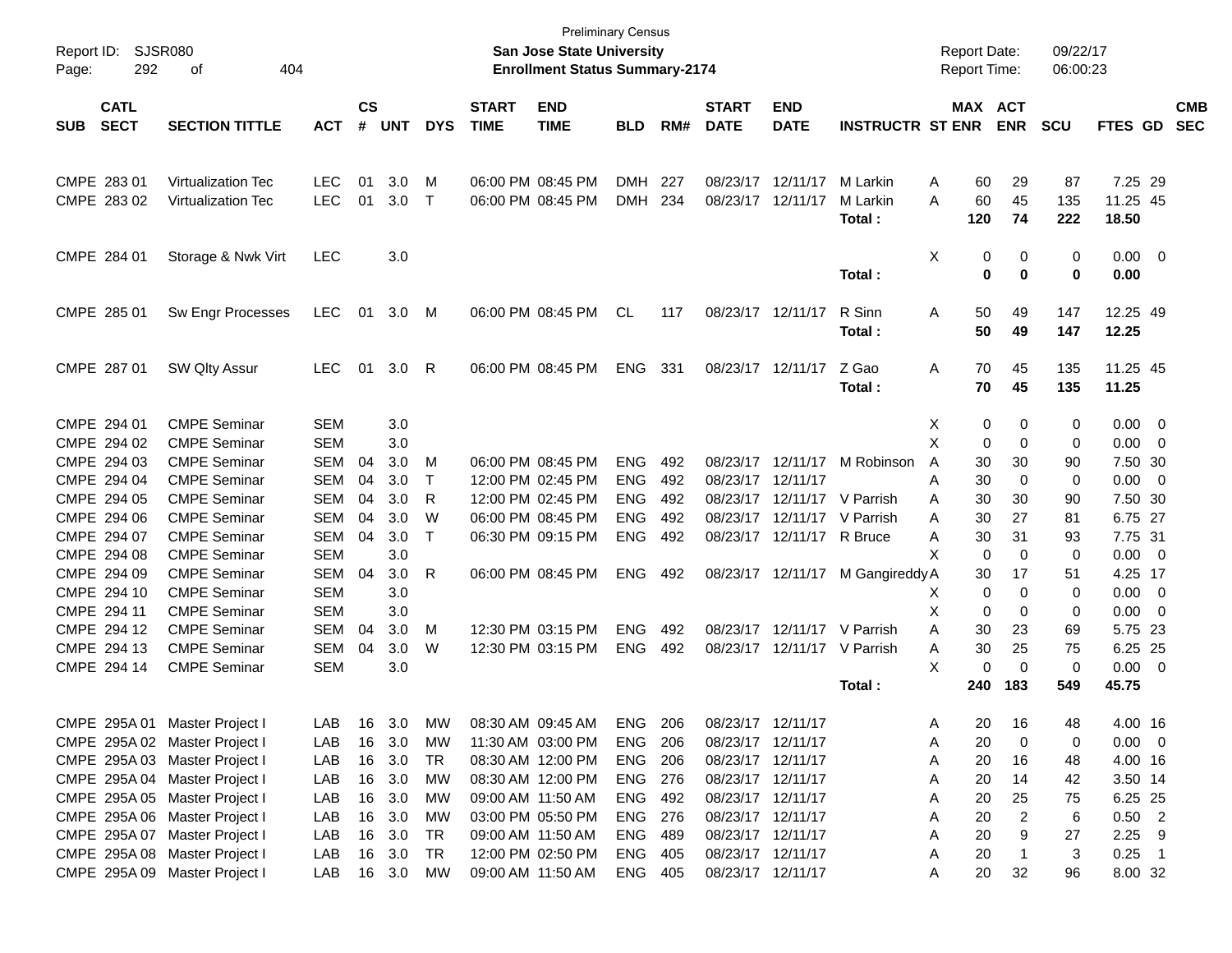| Report ID: SJSR080<br>292<br>Page:       | 404<br>of                     |            |                |            |            |                             | <b>Preliminary Census</b><br>San Jose State University<br><b>Enrollment Status Summary-2174</b> |                |     |                             |                             |                         | <b>Report Date:</b><br><b>Report Time:</b> |            | 09/22/17<br>06:00:23 |                   |                          |                          |
|------------------------------------------|-------------------------------|------------|----------------|------------|------------|-----------------------------|-------------------------------------------------------------------------------------------------|----------------|-----|-----------------------------|-----------------------------|-------------------------|--------------------------------------------|------------|----------------------|-------------------|--------------------------|--------------------------|
| <b>CATL</b><br><b>SECT</b><br><b>SUB</b> | <b>SECTION TITTLE</b>         | <b>ACT</b> | <b>CS</b><br># | <b>UNT</b> | <b>DYS</b> | <b>START</b><br><b>TIME</b> | <b>END</b><br><b>TIME</b>                                                                       | <b>BLD</b>     | RM# | <b>START</b><br><b>DATE</b> | <b>END</b><br><b>DATE</b>   | <b>INSTRUCTR ST ENR</b> | MAX ACT                                    | <b>ENR</b> | <b>SCU</b>           | <b>FTES GD</b>    |                          | <b>CMB</b><br><b>SEC</b> |
|                                          |                               |            |                |            |            |                             |                                                                                                 |                |     |                             |                             |                         |                                            |            |                      |                   |                          |                          |
| CMPE 283 01                              | <b>Virtualization Tec</b>     | <b>LEC</b> | 01             | 3.0        | M          | 06:00 PM 08:45 PM           |                                                                                                 | <b>DMH</b>     | 227 |                             | 08/23/17 12/11/17           | M Larkin                | 60<br>Α                                    | 29         | 87                   | 7.25 29           |                          |                          |
| CMPE 283 02                              | <b>Virtualization Tec</b>     | <b>LEC</b> | 01             | 3.0        | $\top$     | 06:00 PM 08:45 PM           |                                                                                                 | <b>DMH</b>     | 234 |                             | 08/23/17 12/11/17           | M Larkin<br>Total:      | 60<br>Α<br>120                             | 45<br>74   | 135<br>222           | 11.25 45<br>18.50 |                          |                          |
|                                          |                               |            |                |            |            |                             |                                                                                                 |                |     |                             |                             |                         |                                            |            |                      |                   |                          |                          |
| CMPE 284 01                              | Storage & Nwk Virt            | <b>LEC</b> |                | 3.0        |            |                             |                                                                                                 |                |     |                             |                             |                         | Χ<br>0                                     | 0          | 0                    | $0.00 \t 0$       |                          |                          |
|                                          |                               |            |                |            |            |                             |                                                                                                 |                |     |                             |                             | Total:                  | 0                                          | 0          | 0                    | 0.00              |                          |                          |
| CMPE 285 01                              | Sw Engr Processes             | <b>LEC</b> | 01             | 3.0        | M          | 06:00 PM 08:45 PM           |                                                                                                 | <b>CL</b>      | 117 |                             | 08/23/17 12/11/17           | R Sinn                  | 50<br>A                                    | 49         | 147                  | 12.25 49          |                          |                          |
|                                          |                               |            |                |            |            |                             |                                                                                                 |                |     |                             |                             | Total:                  | 50                                         | 49         | 147                  | 12.25             |                          |                          |
| CMPE 287 01                              | SW Qlty Assur                 | <b>LEC</b> | 01             | 3.0        | -R         | 06:00 PM 08:45 PM           |                                                                                                 | ENG            | 331 |                             | 08/23/17 12/11/17           | Z Gao                   | 70<br>A                                    | 45         | 135                  | 11.25 45          |                          |                          |
|                                          |                               |            |                |            |            |                             |                                                                                                 |                |     |                             |                             | Total:                  | 70                                         | 45         | 135                  | 11.25             |                          |                          |
| CMPE 294 01                              | <b>CMPE Seminar</b>           | <b>SEM</b> |                | 3.0        |            |                             |                                                                                                 |                |     |                             |                             |                         | X<br>0                                     | 0          | 0                    | $0.00 \t 0$       |                          |                          |
| CMPE 294 02                              | <b>CMPE Seminar</b>           | <b>SEM</b> |                | 3.0        |            |                             |                                                                                                 |                |     |                             |                             |                         | Х<br>0                                     | 0          | 0                    | 0.00              | $\overline{\mathbf{0}}$  |                          |
| CMPE 294 03                              | <b>CMPE Seminar</b>           | <b>SEM</b> | 04             | 3.0        | M          | 06:00 PM 08:45 PM           |                                                                                                 | <b>ENG</b>     | 492 |                             | 08/23/17 12/11/17           | M Robinson              | A<br>30                                    | 30         | 90                   | 7.50 30           |                          |                          |
| CMPE 294 04                              | <b>CMPE Seminar</b>           | <b>SEM</b> | 04             | 3.0        | Τ          | 12:00 PM 02:45 PM           |                                                                                                 | <b>ENG</b>     | 492 |                             | 08/23/17 12/11/17           |                         | 30<br>A                                    | 0          | 0                    | 0.00              | $\overline{\phantom{0}}$ |                          |
| CMPE 294 05                              | <b>CMPE Seminar</b>           | <b>SEM</b> | 04             | 3.0        | R          | 12:00 PM 02:45 PM           |                                                                                                 | <b>ENG</b>     | 492 |                             | 08/23/17 12/11/17           | V Parrish               | 30<br>Α                                    | 30         | 90                   | 7.50 30           |                          |                          |
| CMPE 294 06                              | <b>CMPE Seminar</b>           | <b>SEM</b> | 04             | 3.0        | W          | 06:00 PM 08:45 PM           |                                                                                                 | <b>ENG</b>     | 492 |                             | 08/23/17 12/11/17 V Parrish |                         | 30<br>A                                    | 27         | 81                   | 6.75 27           |                          |                          |
| CMPE 294 07                              | <b>CMPE Seminar</b>           | <b>SEM</b> | 04             | 3.0        | Τ          | 06:30 PM 09:15 PM           |                                                                                                 | <b>ENG</b>     | 492 |                             | 08/23/17 12/11/17 R Bruce   |                         | 30<br>A                                    | 31         | 93                   | 7.75 31           |                          |                          |
| CMPE 294 08                              | <b>CMPE Seminar</b>           | <b>SEM</b> |                | 3.0        |            |                             |                                                                                                 |                |     |                             |                             |                         | 0<br>X                                     | 0          | 0                    | 0.00              | $\overline{\phantom{0}}$ |                          |
| CMPE 294 09                              | <b>CMPE Seminar</b>           | <b>SEM</b> | 04             | 3.0        | R          | 06:00 PM 08:45 PM           |                                                                                                 | <b>ENG</b>     | 492 |                             | 08/23/17 12/11/17           | M Gangireddy A          | 30                                         | 17         | 51                   | 4.25 17           |                          |                          |
| CMPE 294 10                              | <b>CMPE Seminar</b>           | <b>SEM</b> |                | 3.0        |            |                             |                                                                                                 |                |     |                             |                             |                         | 0<br>X                                     | 0          | 0                    | 0.00              | $\overline{\phantom{0}}$ |                          |
| CMPE 294 11                              | <b>CMPE Seminar</b>           | <b>SEM</b> |                | 3.0        |            |                             |                                                                                                 |                |     |                             |                             |                         | Х<br>0                                     | 0          | 0                    | 0.00              | $\overline{\phantom{0}}$ |                          |
| CMPE 294 12                              | <b>CMPE Seminar</b>           | <b>SEM</b> | 04             | 3.0        | M          | 12:30 PM 03:15 PM           |                                                                                                 | <b>ENG</b>     | 492 |                             | 08/23/17 12/11/17           | V Parrish               | 30<br>Α                                    | 23         | 69                   | 5.75 23           |                          |                          |
| CMPE 294 13                              | <b>CMPE Seminar</b>           | <b>SEM</b> | 04             | 3.0        | W          | 12:30 PM 03:15 PM           |                                                                                                 | <b>ENG</b>     | 492 |                             | 08/23/17 12/11/17           | V Parrish               | 30<br>A                                    | 25         | 75                   | 6.25 25           |                          |                          |
| CMPE 294 14                              | <b>CMPE Seminar</b>           | <b>SEM</b> |                | 3.0        |            |                             |                                                                                                 |                |     |                             |                             |                         | X<br>0                                     | 0          | 0                    | 0.00              | $\overline{\phantom{0}}$ |                          |
|                                          |                               |            |                |            |            |                             |                                                                                                 |                |     |                             |                             | Total:                  | 240                                        | 183        | 549                  | 45.75             |                          |                          |
| CMPE 295A 01                             | Master Project I              | LAB.       |                | 16 3.0     | MW         | 08:30 AM 09:45 AM           |                                                                                                 | ENG            | 206 | 08/23/17 12/11/17           |                             |                         | 20<br>A                                    | -16        | 48                   | 4.00 16           |                          |                          |
| CMPE 295A 02 Master Project I            |                               | LAB        |                | 16 3.0     | МW         | 11:30 AM 03:00 PM           |                                                                                                 | <b>ENG 206</b> |     |                             | 08/23/17 12/11/17           |                         | 20<br>A                                    | 0          | 0                    | $0.00 \t 0$       |                          |                          |
|                                          | CMPE 295A 03 Master Project I | LAB        | 16             | 3.0        | TR         |                             | 08:30 AM 12:00 PM                                                                               | <b>ENG 206</b> |     | 08/23/17 12/11/17           |                             |                         | 20<br>A                                    | 16         | 48                   | 4.00 16           |                          |                          |
|                                          | CMPE 295A 04 Master Project I | LAB        |                | 16 3.0     | МW         |                             | 08:30 AM 12:00 PM                                                                               | ENG 276        |     |                             | 08/23/17 12/11/17           |                         | 20<br>A                                    | 14         | 42                   | 3.50 14           |                          |                          |
|                                          | CMPE 295A 05 Master Project I | LAB        | 16             | 3.0        | МW         | 09:00 AM 11:50 AM           |                                                                                                 | ENG 492        |     |                             | 08/23/17 12/11/17           |                         | 20<br>A                                    | 25         | 75                   | 6.25 25           |                          |                          |
|                                          | CMPE 295A 06 Master Project I | LAB        | 16             | 3.0        | МW         |                             | 03:00 PM 05:50 PM                                                                               | ENG 276        |     |                             | 08/23/17 12/11/17           |                         | 20<br>A                                    | 2          | 6                    | $0.50$ 2          |                          |                          |
|                                          | CMPE 295A 07 Master Project I | LAB        | 16             | 3.0        | TR         | 09:00 AM 11:50 AM           |                                                                                                 | ENG 489        |     |                             | 08/23/17 12/11/17           |                         | 20<br>Α                                    | 9          | 27                   | $2.25$ 9          |                          |                          |
|                                          | CMPE 295A 08 Master Project I | LAB        |                | 16 3.0     | TR         |                             | 12:00 PM 02:50 PM                                                                               | ENG 405        |     |                             | 08/23/17 12/11/17           |                         | 20<br>A                                    |            | 3                    | $0.25$ 1          |                          |                          |
|                                          | CMPE 295A 09 Master Project I | LAB        |                | 16 3.0 MW  |            | 09:00 AM 11:50 AM           |                                                                                                 | ENG 405        |     | 08/23/17 12/11/17           |                             |                         | 20<br>A                                    | 32         | 96                   | 8.00 32           |                          |                          |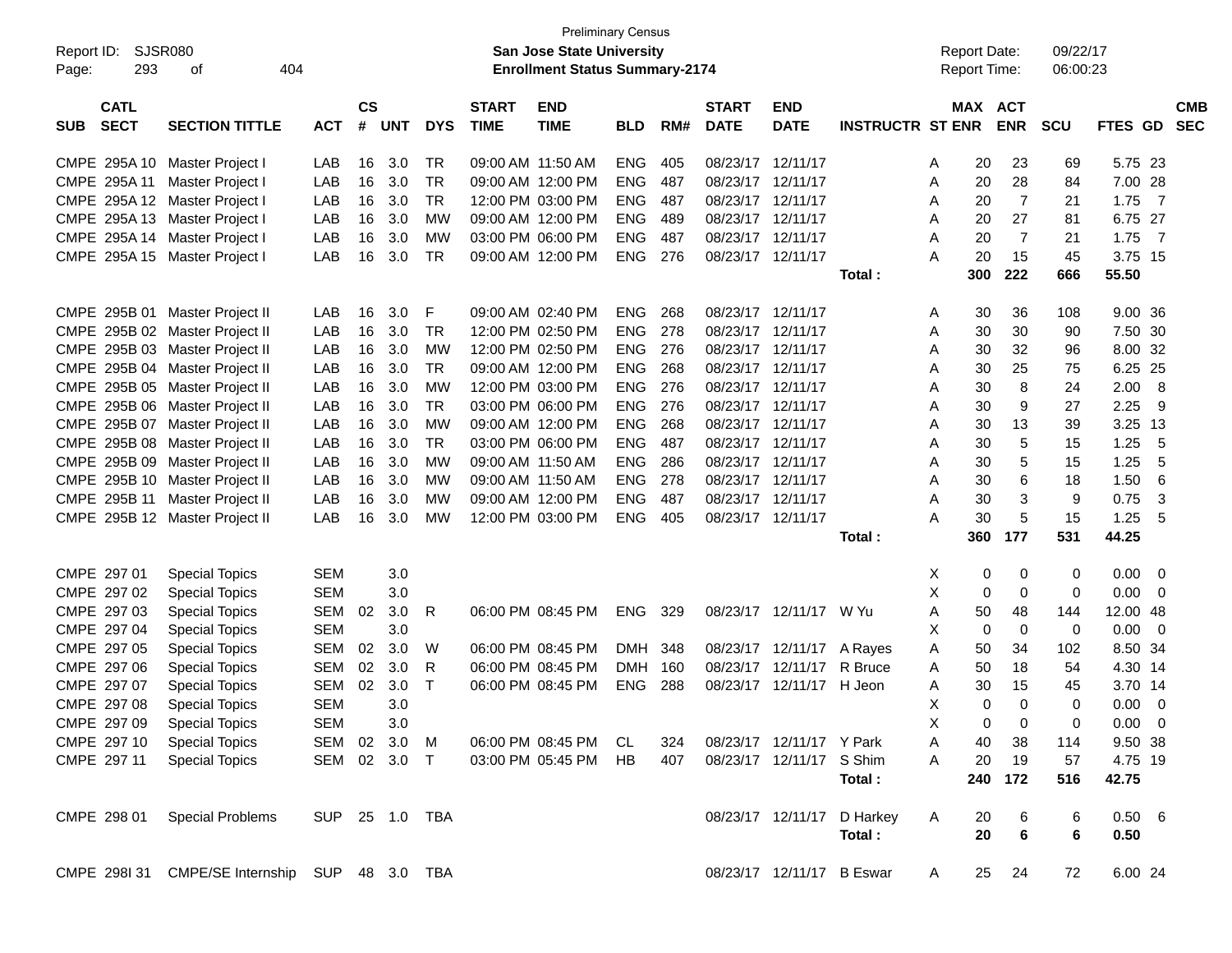| Report ID:<br>293<br>Page:               | SJSR080<br>404<br>оf                           |                |                    |            |            |                             | <b>Preliminary Census</b><br><b>San Jose State University</b><br><b>Enrollment Status Summary-2174</b> |            |     |                             |                           |                         |   | <b>Report Date:</b><br>Report Time: |             | 09/22/17<br>06:00:23 |                |                          |
|------------------------------------------|------------------------------------------------|----------------|--------------------|------------|------------|-----------------------------|--------------------------------------------------------------------------------------------------------|------------|-----|-----------------------------|---------------------------|-------------------------|---|-------------------------------------|-------------|----------------------|----------------|--------------------------|
|                                          |                                                |                |                    |            |            |                             |                                                                                                        |            |     |                             |                           |                         |   |                                     |             |                      |                |                          |
| <b>CATL</b><br><b>SECT</b><br><b>SUB</b> | <b>SECTION TITTLE</b>                          | <b>ACT</b>     | $\mathsf{cs}$<br># | <b>UNT</b> | <b>DYS</b> | <b>START</b><br><b>TIME</b> | <b>END</b><br><b>TIME</b>                                                                              | <b>BLD</b> | RM# | <b>START</b><br><b>DATE</b> | <b>END</b><br><b>DATE</b> | <b>INSTRUCTR ST ENR</b> |   | <b>MAX ACT</b>                      | <b>ENR</b>  | SCU                  | <b>FTES GD</b> | <b>CMB</b><br><b>SEC</b> |
| CMPE 295A 10                             | Master Project I                               | LAB            | 16                 | 3.0        | <b>TR</b>  | 09:00 AM 11:50 AM           |                                                                                                        | <b>ENG</b> | 405 | 08/23/17                    | 12/11/17                  |                         | A | 20                                  | 23          | 69                   | 5.75 23        |                          |
| CMPE 295A 11                             | Master Project I                               | LAB            | 16                 | 3.0        | <b>TR</b>  |                             | 09:00 AM 12:00 PM                                                                                      | <b>ENG</b> | 487 | 08/23/17                    | 12/11/17                  |                         | A | 20                                  | 28          | 84                   | 7.00 28        |                          |
| CMPE 295A 12                             | Master Project I                               | LAB            | 16                 | 3.0        | <b>TR</b>  |                             | 12:00 PM 03:00 PM                                                                                      | <b>ENG</b> | 487 | 08/23/17                    | 12/11/17                  |                         | A | 20                                  | 7           | 21                   | 1.75           | $\overline{7}$           |
| CMPE 295A 13 Master Project I            |                                                | LAB            | 16                 | 3.0        | <b>MW</b>  |                             | 09:00 AM 12:00 PM                                                                                      | <b>ENG</b> | 489 | 08/23/17                    | 12/11/17                  |                         | A | 20                                  | 27          | 81                   | 6.75 27        |                          |
| CMPE 295A 14                             | Master Project I                               | LAB            | 16                 | 3.0        | <b>MW</b>  |                             | 03:00 PM 06:00 PM                                                                                      | <b>ENG</b> | 487 | 08/23/17                    | 12/11/17                  |                         | A | 20                                  | 7           | 21                   | 1.75           | - 7                      |
| CMPE 295A 15                             | Master Project I                               | LAB            | 16                 | 3.0        | <b>TR</b>  |                             | 09:00 AM 12:00 PM                                                                                      | <b>ENG</b> | 276 | 08/23/17 12/11/17           |                           |                         | Α | 20                                  | 15          | 45                   | 3.75 15        |                          |
|                                          |                                                |                |                    |            |            |                             |                                                                                                        |            |     |                             |                           | Total:                  |   | 300                                 | 222         | 666                  | 55.50          |                          |
| CMPE 295B 01                             | Master Project II                              | LAB            | 16                 | 3.0        | F          |                             | 09:00 AM 02:40 PM                                                                                      | <b>ENG</b> | 268 | 08/23/17                    | 12/11/17                  |                         | A | 30                                  | 36          | 108                  | 9.00 36        |                          |
|                                          | CMPE 295B 02 Master Project II                 | LAB            | 16                 | 3.0        | <b>TR</b>  |                             | 12:00 PM 02:50 PM                                                                                      | <b>ENG</b> | 278 | 08/23/17                    | 12/11/17                  |                         | A | 30                                  | 30          | 90                   | 7.50 30        |                          |
|                                          | CMPE 295B 03 Master Project II                 | LAB            | 16                 | 3.0        | <b>MW</b>  |                             | 12:00 PM 02:50 PM                                                                                      | <b>ENG</b> | 276 | 08/23/17                    | 12/11/17                  |                         | A | 30                                  | 32          | 96                   | 8.00 32        |                          |
|                                          | CMPE 295B 04 Master Project II                 | LAB            | 16                 | 3.0        | <b>TR</b>  |                             | 09:00 AM 12:00 PM                                                                                      | <b>ENG</b> | 268 | 08/23/17                    | 12/11/17                  |                         | A | 30                                  | 25          | 75                   | 6.25           | 25                       |
|                                          | CMPE 295B 05 Master Project II                 | LAB            | 16                 | 3.0        | <b>MW</b>  |                             | 12:00 PM 03:00 PM                                                                                      | <b>ENG</b> | 276 | 08/23/17                    | 12/11/17                  |                         | Α | 30                                  | 8           | 24                   | 2.00           | 8                        |
|                                          | CMPE 295B 06 Master Project II                 | LAB            | 16                 | 3.0        | <b>TR</b>  |                             | 03:00 PM 06:00 PM                                                                                      | <b>ENG</b> | 276 | 08/23/17                    | 12/11/17                  |                         | Α | 30                                  | 9           | 27                   | 2.25           | 9                        |
| CMPE 295B 07                             | Master Project II                              | LAB            | 16                 | 3.0        | <b>MW</b>  |                             | 09:00 AM 12:00 PM                                                                                      | <b>ENG</b> | 268 | 08/23/17                    | 12/11/17                  |                         | A | 30                                  | 13          | 39                   | 3.25           | 13                       |
|                                          | CMPE 295B 08 Master Project II                 | LAB            | 16                 | 3.0        | <b>TR</b>  |                             | 03:00 PM 06:00 PM                                                                                      | <b>ENG</b> | 487 | 08/23/17                    | 12/11/17                  |                         | A | 30                                  | 5           | 15                   | 1.25           | 5                        |
|                                          | CMPE 295B 09 Master Project II                 | LAB            | 16                 | 3.0        | <b>MW</b>  |                             | 09:00 AM 11:50 AM                                                                                      | <b>ENG</b> | 286 | 08/23/17                    | 12/11/17                  |                         | A | 30                                  | 5           | 15                   | 1.25           | 5                        |
|                                          | CMPE 295B 10 Master Project II                 | LAB            | 16                 | 3.0        | <b>MW</b>  |                             | 09:00 AM 11:50 AM                                                                                      | <b>ENG</b> | 278 | 08/23/17                    | 12/11/17                  |                         | A | 30                                  | 6           | 18                   | 1.50           | 6                        |
| CMPE 295B 11                             | Master Project II                              | LAB            | 16                 | 3.0        | <b>MW</b>  |                             | 09:00 AM 12:00 PM                                                                                      | <b>ENG</b> | 487 | 08/23/17                    | 12/11/17                  |                         | A | 30                                  | 3           | 9                    | 0.75           | 3                        |
|                                          | CMPE 295B 12 Master Project II                 | LAB            | 16                 | 3.0        | <b>MW</b>  |                             | 12:00 PM 03:00 PM                                                                                      | <b>ENG</b> | 405 | 08/23/17 12/11/17           |                           |                         | A | 30                                  | 5           | 15                   | 1.25           | 5                        |
|                                          |                                                |                |                    |            |            |                             |                                                                                                        |            |     |                             |                           | Total:                  |   | 360                                 | 177         | 531                  | 44.25          |                          |
| CMPE 297 01                              | <b>Special Topics</b>                          | <b>SEM</b>     |                    | 3.0        |            |                             |                                                                                                        |            |     |                             |                           |                         | Χ | 0                                   | 0           | 0                    | 0.00           | $\overline{0}$           |
| CMPE 297 02                              | <b>Special Topics</b>                          | <b>SEM</b>     |                    | 3.0        |            |                             |                                                                                                        |            |     |                             |                           |                         | X | 0                                   | 0           | 0                    | 0.00           | 0                        |
| CMPE 297 03                              | <b>Special Topics</b>                          | <b>SEM</b>     | 02                 | 3.0        | R          |                             | 06:00 PM 08:45 PM                                                                                      | <b>ENG</b> | 329 |                             | 08/23/17 12/11/17 W Yu    |                         | A | 50                                  | 48          | 144                  | 12.00          | -48                      |
| CMPE 297 04                              | <b>Special Topics</b>                          | <b>SEM</b>     |                    | 3.0        |            |                             |                                                                                                        |            |     |                             |                           |                         | X | 0                                   | $\mathbf 0$ | 0                    | 0.00           | 0                        |
| CMPE 297 05                              | <b>Special Topics</b>                          | <b>SEM</b>     | 02                 | 3.0        | W          |                             | 06:00 PM 08:45 PM                                                                                      | DMH        | 348 |                             | 08/23/17 12/11/17 A Rayes |                         | A | 50                                  | 34          | 102                  | 8.50 34        |                          |
| CMPE 297 06                              | <b>Special Topics</b>                          | <b>SEM</b>     | 02                 | 3.0        | R          |                             | 06:00 PM 08:45 PM                                                                                      | <b>DMH</b> | 160 | 08/23/17                    | 12/11/17                  | R Bruce                 | A | 50                                  | 18          | 54                   | 4.30 14        |                          |
| CMPE 297 07                              | <b>Special Topics</b>                          | <b>SEM</b>     | 02                 | 3.0        | Т          |                             | 06:00 PM 08:45 PM                                                                                      | <b>ENG</b> | 288 | 08/23/17                    | 12/11/17 H Jeon           |                         | A | 30                                  | 15          | 45                   | 3.70 14        |                          |
| CMPE 297 08                              | <b>Special Topics</b>                          | <b>SEM</b>     |                    | 3.0        |            |                             |                                                                                                        |            |     |                             |                           |                         | X | 0                                   | $\Omega$    | 0                    | 0.00           | 0                        |
| CMPE 297 09                              | <b>Special Topics</b>                          | SEM            |                    | 3.0        |            |                             |                                                                                                        |            |     |                             |                           |                         | Χ | 0                                   | 0           | 0                    | $0.00 \quad 0$ |                          |
| CMPE 297 10                              | <b>Special Topics</b>                          | SEM 02 3.0     |                    |            | M          |                             | 06:00 PM 08:45 PM CL                                                                                   |            | 324 |                             | 08/23/17 12/11/17 Y Park  |                         | A | 40                                  | 38          | 114                  | 9.50 38        |                          |
| CMPE 297 11                              | <b>Special Topics</b>                          | SEM 02 3.0 T   |                    |            |            |                             | 03:00 PM 05:45 PM HB                                                                                   |            | 407 |                             | 08/23/17 12/11/17 S Shim  |                         | Α | 20                                  | 19          | 57                   | 4.75 19        |                          |
|                                          |                                                |                |                    |            |            |                             |                                                                                                        |            |     |                             |                           | Total:                  |   | 240                                 | 172         | 516                  | 42.75          |                          |
| CMPE 298 01                              | <b>Special Problems</b>                        | SUP 25 1.0 TBA |                    |            |            |                             |                                                                                                        |            |     |                             | 08/23/17 12/11/17         | D Harkey                | A | 20                                  | 6           | 6                    | 0.50 6         |                          |
|                                          |                                                |                |                    |            |            |                             |                                                                                                        |            |     |                             |                           | Total:                  |   | 20                                  | $\bf 6$     | 6                    | 0.50           |                          |
|                                          | CMPE 298I 31 CMPE/SE Internship SUP 48 3.0 TBA |                |                    |            |            |                             |                                                                                                        |            |     |                             | 08/23/17 12/11/17 B Eswar |                         | A | 25                                  | 24          | 72                   | 6.00 24        |                          |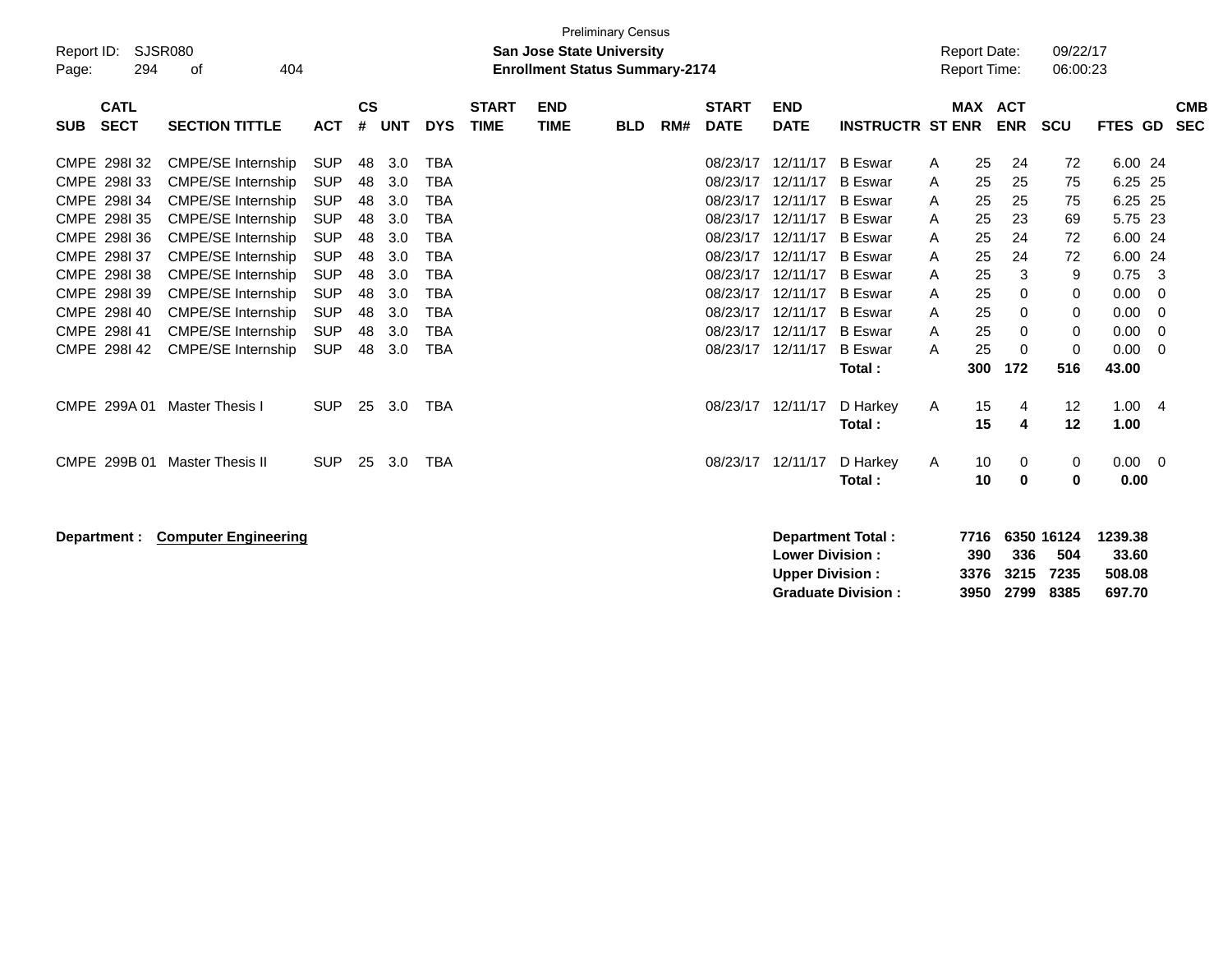| Report ID:<br>294<br>Page:                                                                                                                            | <b>SJSR080</b><br>404<br>οf                                                                                                                                                                                                                                               |                                                                                                                                          |                                                          |                                                                    |                                                                                                                                          |                             | <b>San Jose State University</b><br><b>Enrollment Status Summary-2174</b> | <b>Preliminary Census</b> |     |                                                                                                                      |                                                                                                                      |                                                                                                                                                                                  |                                                | <b>Report Date:</b><br>Report Time:                      |                                                                | 09/22/17<br>06:00:23                                 |                                                                                       |                                                        |                          |
|-------------------------------------------------------------------------------------------------------------------------------------------------------|---------------------------------------------------------------------------------------------------------------------------------------------------------------------------------------------------------------------------------------------------------------------------|------------------------------------------------------------------------------------------------------------------------------------------|----------------------------------------------------------|--------------------------------------------------------------------|------------------------------------------------------------------------------------------------------------------------------------------|-----------------------------|---------------------------------------------------------------------------|---------------------------|-----|----------------------------------------------------------------------------------------------------------------------|----------------------------------------------------------------------------------------------------------------------|----------------------------------------------------------------------------------------------------------------------------------------------------------------------------------|------------------------------------------------|----------------------------------------------------------|----------------------------------------------------------------|------------------------------------------------------|---------------------------------------------------------------------------------------|--------------------------------------------------------|--------------------------|
| <b>CATL</b><br><b>SECT</b><br><b>SUB</b>                                                                                                              | <b>SECTION TITTLE</b>                                                                                                                                                                                                                                                     | <b>ACT</b>                                                                                                                               | $\mathsf{cs}$<br>#                                       | <b>UNT</b>                                                         | <b>DYS</b>                                                                                                                               | <b>START</b><br><b>TIME</b> | <b>END</b><br><b>TIME</b>                                                 | <b>BLD</b>                | RM# | <b>START</b><br><b>DATE</b>                                                                                          | <b>END</b><br><b>DATE</b>                                                                                            | <b>INSTRUCTR ST ENR</b>                                                                                                                                                          |                                                |                                                          | MAX ACT<br><b>ENR</b>                                          | <b>SCU</b>                                           | FTES GD                                                                               |                                                        | <b>CMB</b><br><b>SEC</b> |
| CMPE 298I 32<br>CMPE 298133<br>CMPE 298134<br>CMPE 2981 35<br>CMPE 2981 36<br>CMPE 298137<br>CMPE 298138<br>CMPE 298139<br>CMPE 298140<br>CMPE 298141 | <b>CMPE/SE Internship</b><br><b>CMPE/SE Internship</b><br><b>CMPE/SE Internship</b><br><b>CMPE/SE Internship</b><br>CMPE/SE Internship<br><b>CMPE/SE Internship</b><br><b>CMPE/SE Internship</b><br>CMPE/SE Internship<br>CMPE/SE Internship<br><b>CMPE/SE Internship</b> | <b>SUP</b><br><b>SUP</b><br><b>SUP</b><br><b>SUP</b><br><b>SUP</b><br><b>SUP</b><br><b>SUP</b><br><b>SUP</b><br><b>SUP</b><br><b>SUP</b> | 48<br>48<br>48<br>48<br>48<br>48<br>48<br>48<br>48<br>48 | 3.0<br>3.0<br>3.0<br>3.0<br>3.0<br>3.0<br>3.0<br>3.0<br>3.0<br>3.0 | <b>TBA</b><br><b>TBA</b><br><b>TBA</b><br><b>TBA</b><br><b>TBA</b><br><b>TBA</b><br><b>TBA</b><br><b>TBA</b><br><b>TBA</b><br><b>TBA</b> |                             |                                                                           |                           |     | 08/23/17<br>08/23/17<br>08/23/17<br>08/23/17<br>08/23/17<br>08/23/17<br>08/23/17<br>08/23/17<br>08/23/17<br>08/23/17 | 12/11/17<br>12/11/17<br>12/11/17<br>12/11/17<br>12/11/17<br>12/11/17<br>12/11/17<br>12/11/17<br>12/11/17<br>12/11/17 | <b>B</b> Eswar<br><b>B</b> Eswar<br><b>B</b> Eswar<br><b>B</b> Eswar<br><b>B</b> Eswar<br><b>B</b> Eswar<br><b>B</b> Eswar<br><b>B</b> Eswar<br><b>B</b> Eswar<br><b>B</b> Eswar | Α<br>A<br>A<br>A<br>A<br>A<br>A<br>A<br>A<br>A | 25<br>25<br>25<br>25<br>25<br>25<br>25<br>25<br>25<br>25 | 24<br>25<br>25<br>23<br>24<br>24<br>3<br>0<br>0<br>$\mathbf 0$ | 72<br>75<br>75<br>69<br>72<br>72<br>9<br>0<br>0<br>0 | 6.00 24<br>6.25 25<br>6.25<br>5.75<br>6.00 24<br>6.00<br>0.75<br>0.00<br>0.00<br>0.00 | -25<br>23<br>-24<br>-3<br>0<br>$\mathbf 0$<br>$\Omega$ |                          |
| CMPE 2981 42                                                                                                                                          | <b>CMPE/SE Internship</b>                                                                                                                                                                                                                                                 | <b>SUP</b>                                                                                                                               | 48                                                       | 3.0                                                                | <b>TBA</b>                                                                                                                               |                             |                                                                           |                           |     | 08/23/17                                                                                                             | 12/11/17                                                                                                             | <b>B</b> Eswar<br>Total:                                                                                                                                                         | A                                              | 25<br>300                                                | $\mathbf 0$<br>172                                             | $\mathbf 0$<br>516                                   | 0.00<br>43.00                                                                         | $\Omega$                                               |                          |
| CMPE 299A 01<br>CMPE 299B 01                                                                                                                          | <b>Master Thesis I</b><br><b>Master Thesis II</b>                                                                                                                                                                                                                         | <b>SUP</b><br><b>SUP</b>                                                                                                                 | 25<br>25                                                 | 3.0<br>3.0                                                         | <b>TBA</b><br><b>TBA</b>                                                                                                                 |                             |                                                                           |                           |     | 08/23/17 12/11/17<br>08/23/17                                                                                        | 12/11/17                                                                                                             | D Harkey<br>Total:<br>D Harkey                                                                                                                                                   | A<br>Α                                         | 15<br>15<br>10                                           | 4<br>$\overline{\mathbf{4}}$<br>0                              | 12<br>12<br>0                                        | 1.00<br>1.00<br>0.00                                                                  | -4<br>$\overline{0}$                                   |                          |
| Department :                                                                                                                                          | <b>Computer Engineering</b>                                                                                                                                                                                                                                               |                                                                                                                                          |                                                          |                                                                    |                                                                                                                                          |                             |                                                                           |                           |     |                                                                                                                      | <b>Lower Division:</b><br><b>Upper Division:</b>                                                                     | Total:<br>Department Total:<br><b>Graduate Division:</b>                                                                                                                         |                                                | 10<br>7716<br>390<br>3376<br>3950                        | 0<br>336<br>3215<br>2799                                       | 0<br>6350 16124<br>504<br>7235<br>8385               | 0.00<br>1239.38<br>33.60<br>508.08<br>697.70                                          |                                                        |                          |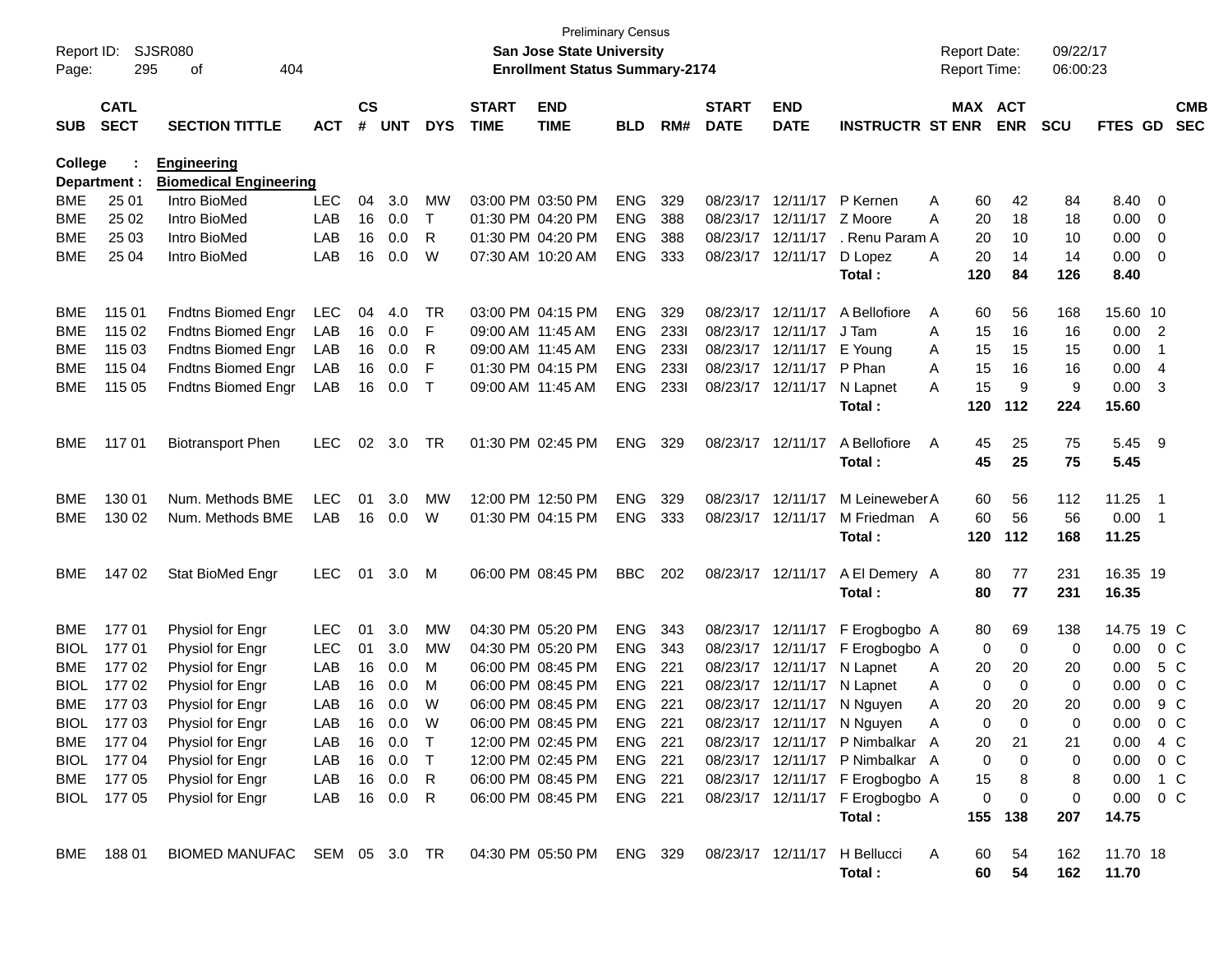| Report ID:<br>Page: | 295                        | SJSR080<br>404<br>οf          |            |                    |            |              |                             | <b>San Jose State University</b><br><b>Enrollment Status Summary-2174</b> | <b>Preliminary Census</b> |      |                             |                            |                                 |   | <b>Report Date:</b><br><b>Report Time:</b> |            | 09/22/17<br>06:00:23 |                |                          |                          |
|---------------------|----------------------------|-------------------------------|------------|--------------------|------------|--------------|-----------------------------|---------------------------------------------------------------------------|---------------------------|------|-----------------------------|----------------------------|---------------------------------|---|--------------------------------------------|------------|----------------------|----------------|--------------------------|--------------------------|
| <b>SUB</b>          | <b>CATL</b><br><b>SECT</b> | <b>SECTION TITTLE</b>         | <b>ACT</b> | $\mathsf{cs}$<br># | <b>UNT</b> | <b>DYS</b>   | <b>START</b><br><b>TIME</b> | <b>END</b><br><b>TIME</b>                                                 | <b>BLD</b>                | RM#  | <b>START</b><br><b>DATE</b> | <b>END</b><br><b>DATE</b>  | <b>INSTRUCTR ST ENR</b>         |   | MAX ACT                                    | <b>ENR</b> | <b>SCU</b>           | <b>FTES GD</b> |                          | <b>CMB</b><br><b>SEC</b> |
| College             |                            | <b>Engineering</b>            |            |                    |            |              |                             |                                                                           |                           |      |                             |                            |                                 |   |                                            |            |                      |                |                          |                          |
|                     | Department :               | <b>Biomedical Engineering</b> |            |                    |            |              |                             |                                                                           |                           |      |                             |                            |                                 |   |                                            |            |                      |                |                          |                          |
| <b>BME</b>          | 25 01                      | Intro BioMed                  | <b>LEC</b> | 04                 | 3.0        | MW           |                             | 03:00 PM 03:50 PM                                                         | <b>ENG</b>                | 329  |                             | 08/23/17 12/11/17 P Kernen |                                 | A | 60                                         | 42         | 84                   | 8.40           | - 0                      |                          |
| BME                 | 25 02                      | Intro BioMed                  | LAB        | 16                 | 0.0        | $\mathsf{T}$ |                             | 01:30 PM 04:20 PM                                                         | <b>ENG</b>                | 388  |                             | 08/23/17 12/11/17          | Z Moore                         | A | 20                                         | 18         | 18                   | 0.00           | $\overline{0}$           |                          |
| BME                 | 25 03                      | Intro BioMed                  | LAB        | 16                 | 0.0        | R            |                             | 01:30 PM 04:20 PM                                                         | <b>ENG</b>                | 388  |                             | 08/23/17 12/11/17          | . Renu Param A                  |   | 20                                         | 10         | 10                   | 0.00           | $\overline{0}$           |                          |
| <b>BME</b>          | 25 04                      | Intro BioMed                  | LAB        | 16                 | 0.0        | W            |                             | 07:30 AM 10:20 AM                                                         | <b>ENG</b>                | 333  |                             | 08/23/17 12/11/17          | D Lopez                         | A | 20                                         | 14         | 14                   | 0.00           | 0                        |                          |
|                     |                            |                               |            |                    |            |              |                             |                                                                           |                           |      |                             |                            | Total:                          |   | 120                                        | 84         | 126                  | 8.40           |                          |                          |
| <b>BME</b>          | 115 01                     | <b>Fndtns Biomed Engr</b>     | <b>LEC</b> | 04                 | 4.0        | TR           |                             | 03:00 PM 04:15 PM                                                         | <b>ENG</b>                | 329  |                             | 08/23/17 12/11/17          | A Bellofiore                    | A | 60                                         | 56         | 168                  | 15.60 10       |                          |                          |
| <b>BME</b>          | 115 02                     | Fndtns Biomed Engr            | LAB        | 16                 | 0.0        | F            |                             | 09:00 AM 11:45 AM                                                         | <b>ENG</b>                | 2331 |                             | 08/23/17 12/11/17          | J Tam                           | A | 15                                         | 16         | 16                   | 0.00           | $\overline{\phantom{a}}$ |                          |
| <b>BME</b>          | 115 03                     | Fndtns Biomed Engr            | LAB        | 16                 | 0.0        | R            | 09:00 AM 11:45 AM           |                                                                           | <b>ENG</b>                | 2331 |                             | 08/23/17 12/11/17          | E Young                         | A | 15                                         | 15         | 15                   | 0.00           | $\overline{1}$           |                          |
| <b>BME</b>          | 115 04                     | Fndtns Biomed Engr            | LAB        | 16                 | 0.0        | F            |                             | 01:30 PM 04:15 PM                                                         | <b>ENG</b>                | 2331 |                             | 08/23/17 12/11/17          | P Phan                          | A | 15                                         | 16         | 16                   | 0.00           | $\overline{4}$           |                          |
| BME                 | 115 05                     | Fndtns Biomed Engr            | LAB        | 16                 | 0.0        | $\top$       | 09:00 AM 11:45 AM           |                                                                           | <b>ENG</b>                | 2331 |                             | 08/23/17 12/11/17          | N Lapnet                        | A | 15                                         | 9          | 9                    | 0.00           | -3                       |                          |
|                     |                            |                               |            |                    |            |              |                             |                                                                           |                           |      |                             |                            | Total:                          |   | 120                                        | 112        | 224                  | 15.60          |                          |                          |
| BME                 | 11701                      | <b>Biotransport Phen</b>      | <b>LEC</b> | 02                 | 3.0        | TR           |                             | 01:30 PM 02:45 PM                                                         | <b>ENG</b>                | 329  |                             | 08/23/17 12/11/17          | A Bellofiore                    | A | 45                                         | 25         | 75                   | 5.45 9         |                          |                          |
|                     |                            |                               |            |                    |            |              |                             |                                                                           |                           |      |                             |                            | Total:                          |   | 45                                         | 25         | 75                   | 5.45           |                          |                          |
| BME                 | 130 01                     | Num. Methods BME              | <b>LEC</b> | 01                 | 3.0        | MW           |                             | 12:00 PM 12:50 PM                                                         | <b>ENG</b>                | 329  |                             | 08/23/17 12/11/17          | M Leineweber A                  |   | 60                                         | 56         | 112                  | 11.25          | - 1                      |                          |
| BME                 | 130 02                     | Num. Methods BME              | LAB        |                    | 16 0.0     | W            |                             | 01:30 PM 04:15 PM                                                         | <b>ENG</b>                | 333  |                             | 08/23/17 12/11/17          | M Friedman A                    |   | 60                                         | 56         | 56                   | 0.00           | $\overline{1}$           |                          |
|                     |                            |                               |            |                    |            |              |                             |                                                                           |                           |      |                             |                            | Total:                          |   | 120                                        | 112        | 168                  | 11.25          |                          |                          |
| BME                 | 14702                      | Stat BioMed Engr              | <b>LEC</b> | 01                 | 3.0        | M            |                             | 06:00 PM 08:45 PM                                                         | <b>BBC</b>                | 202  |                             | 08/23/17 12/11/17          | A El Demery A                   |   | 80                                         | 77         | 231                  | 16.35 19       |                          |                          |
|                     |                            |                               |            |                    |            |              |                             |                                                                           |                           |      |                             |                            | Total:                          |   | 80                                         | 77         | 231                  | 16.35          |                          |                          |
| <b>BME</b>          | 17701                      | Physiol for Engr              | <b>LEC</b> | 01                 | 3.0        | MW           |                             | 04:30 PM 05:20 PM                                                         | <b>ENG</b>                | 343  |                             | 08/23/17 12/11/17          | F Erogbogbo A                   |   | 80                                         | 69         | 138                  | 14.75 19 C     |                          |                          |
| BIOL                | 17701                      | Physiol for Engr              | <b>LEC</b> | 01                 | 3.0        | MW           |                             | 04:30 PM 05:20 PM                                                         | <b>ENG</b>                | 343  |                             | 08/23/17 12/11/17          | F Erogbogbo A                   |   | 0                                          | 0          | 0                    | 0.00           | $0\,C$                   |                          |
| BME                 | 17702                      | Physiol for Engr              | LAB        | 16                 | 0.0        | м            |                             | 06:00 PM 08:45 PM                                                         | <b>ENG</b>                | 221  |                             | 08/23/17 12/11/17          | N Lapnet                        | A | 20                                         | 20         | 20                   | 0.00           |                          | 5 C                      |
| BIOL                | 17702                      | Physiol for Engr              | LAB        | 16                 | 0.0        | м            |                             | 06:00 PM 08:45 PM                                                         | <b>ENG</b>                | 221  |                             | 08/23/17 12/11/17          | N Lapnet                        | A | 0                                          | 0          | 0                    | 0.00           |                          | 0 <sup>C</sup>           |
| <b>BME</b>          | 17703                      | Physiol for Engr              | LAB        | 16                 | 0.0        | W            |                             | 06:00 PM 08:45 PM                                                         | <b>ENG</b>                | 221  |                             |                            | 08/23/17 12/11/17 N Nguyen      | A | 20                                         | 20         | 20                   | 0.00           |                          | 9 C                      |
| <b>BIOL</b>         | 17703                      | Physiol for Engr              | LAB        |                    | 16 0.0     | W            |                             | 06:00 PM 08:45 PM                                                         | ENG                       | 221  |                             |                            | 08/23/17 12/11/17 N Nguyen      | A | 0                                          | 0          | 0                    | 0.00           |                          | $0\,C$                   |
|                     | BME 177 04                 | Physiol for Engr              | LAB        |                    | 16  0.0  T |              |                             | 12:00 PM 02:45 PM                                                         | ENG 221                   |      |                             |                            | 08/23/17 12/11/17 P Nimbalkar A |   | 20                                         | 21         | 21                   | $0.00 \t 4 C$  |                          |                          |
|                     | BIOL 177 04                | Physiol for Engr              | LAB        |                    | 16 0.0     | $\top$       |                             | 12:00 PM 02:45 PM                                                         | <b>ENG 221</b>            |      |                             |                            | 08/23/17 12/11/17 P Nimbalkar A |   | 0                                          | 0          | 0                    | $0.00 \t 0 C$  |                          |                          |
|                     | BME 177 05                 | Physiol for Engr              | LAB        |                    | 16  0.0    | R            |                             | 06:00 PM 08:45 PM                                                         | <b>ENG 221</b>            |      |                             |                            | 08/23/17 12/11/17 F Erogbogbo A |   | 15                                         | 8          | 8                    | $0.00$ 1 C     |                          |                          |
|                     | BIOL 177 05                | Physiol for Engr              | LAB        |                    | 16 0.0     | -R           |                             | 06:00 PM 08:45 PM                                                         | ENG 221                   |      |                             |                            | 08/23/17 12/11/17 F Erogbogbo A |   | 0                                          | 0          | 0                    | $0.00 \t 0 C$  |                          |                          |
|                     |                            |                               |            |                    |            |              |                             |                                                                           |                           |      |                             |                            | Total:                          |   | 155                                        | 138        | 207                  | 14.75          |                          |                          |
| BME                 | 18801                      | BIOMED MANUFAC SEM 05 3.0 TR  |            |                    |            |              |                             | 04:30 PM 05:50 PM ENG 329                                                 |                           |      |                             |                            | 08/23/17 12/11/17 H Bellucci    | A | 60                                         | 54         | 162                  | 11.70 18       |                          |                          |
|                     |                            |                               |            |                    |            |              |                             |                                                                           |                           |      |                             |                            | Total:                          |   | 60                                         | 54         | 162                  | 11.70          |                          |                          |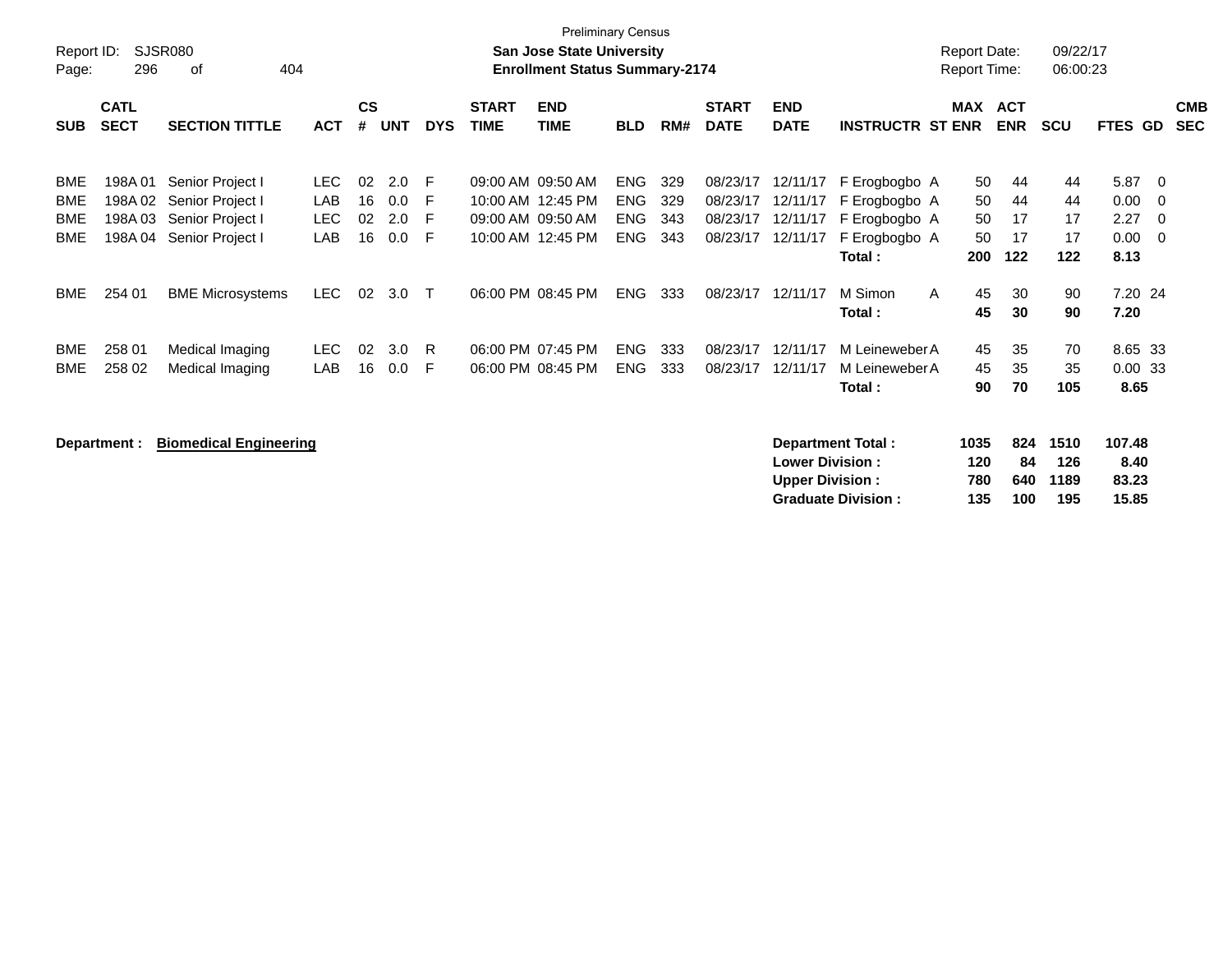| Report ID:<br>Page:             | 296                         | SJSR080<br>404<br>оf                                                                 |                                  |                             |                              |                     |                                        | <b>Preliminary Census</b><br><b>San Jose State University</b><br><b>Enrollment Status Summary-2174</b> |                                                      |                          |                                              |                                              |                                                                            | <b>Report Date:</b><br><b>Report Time:</b> |                             | 09/22/17<br>06:00:23        |                                      |                                                |                          |
|---------------------------------|-----------------------------|--------------------------------------------------------------------------------------|----------------------------------|-----------------------------|------------------------------|---------------------|----------------------------------------|--------------------------------------------------------------------------------------------------------|------------------------------------------------------|--------------------------|----------------------------------------------|----------------------------------------------|----------------------------------------------------------------------------|--------------------------------------------|-----------------------------|-----------------------------|--------------------------------------|------------------------------------------------|--------------------------|
| <b>SUB</b>                      | <b>CATL</b><br><b>SECT</b>  | <b>SECTION TITTLE</b>                                                                | <b>ACT</b>                       | $\mathbf{c}\mathbf{s}$<br># | <b>UNT</b>                   | <b>DYS</b>          | <b>START</b><br><b>TIME</b>            | <b>END</b><br>TIME                                                                                     | <b>BLD</b>                                           | RM#                      | <b>START</b><br><b>DATE</b>                  | <b>END</b><br><b>DATE</b>                    | <b>INSTRUCTR ST ENR</b>                                                    | MAX ACT                                    | <b>ENR</b>                  | <b>SCU</b>                  | <b>FTES GD</b>                       |                                                | <b>CMB</b><br><b>SEC</b> |
| BME<br>BME<br><b>BME</b><br>BME | 198A01<br>198A 02<br>198A03 | Senior Project I<br>Senior Project I<br>Senior Project I<br>198A 04 Senior Project I | LEC.<br>LAB<br><b>LEC</b><br>LAB | 02<br>16<br>02<br>16        | 2.0<br>0.0<br>2.0<br>$0.0\,$ | F<br>-F<br>-F<br>-F | 09:00 AM 09:50 AM<br>09:00 AM 09:50 AM | 10:00 AM 12:45 PM<br>10:00 AM 12:45 PM                                                                 | <b>ENG</b><br><b>ENG</b><br><b>ENG</b><br><b>ENG</b> | 329<br>329<br>343<br>343 | 08/23/17<br>08/23/17<br>08/23/17<br>08/23/17 | 12/11/17<br>12/11/17<br>12/11/17<br>12/11/17 | F Erogbogbo A<br>F Erogbogbo A<br>F Erogbogbo A<br>F Erogbogbo A<br>Total: | 50<br>50<br>50<br>50<br>200                | 44<br>44<br>17<br>17<br>122 | 44<br>44<br>17<br>17<br>122 | 5.87<br>0.00<br>2.27<br>0.00<br>8.13 | $\overline{0}$<br>$\overline{0}$<br>- 0<br>- 0 |                          |
| BME                             | 254 01                      | <b>BME Microsystems</b>                                                              | LEC                              | 02                          | 3.0                          | $\mathsf{T}$        | 06:00 PM 08:45 PM                      |                                                                                                        | <b>ENG</b>                                           | 333                      | 08/23/17                                     | 12/11/17                                     | M Simon<br>Total:                                                          | 45<br>$\mathsf{A}$<br>45                   | 30<br>30                    | 90<br>90                    | 7.20 24<br>7.20                      |                                                |                          |
| <b>BME</b><br>BME               | 258 01<br>258 02            | Medical Imaging<br>Medical Imaging                                                   | LEC.<br>LAB                      | 02<br>16                    | 3.0<br>$0.0\,$               | -R<br>F             | 06:00 PM 07:45 PM<br>06:00 PM 08:45 PM |                                                                                                        | <b>ENG</b><br><b>ENG</b>                             | 333<br>333               | 08/23/17<br>08/23/17                         | 12/11/17<br>12/11/17                         | M Leineweber A<br>M Leineweber A<br>Total :                                | 45<br>45<br>90                             | 35<br>35<br>70              | 70<br>35<br>105             | 8.65 33<br>0.0033<br>8.65            |                                                |                          |

**Department : Biomedical Engineering Department Total : 1035 824 1510 107.48 Lower Division : 120 84 126 8.40<br>
Upper Division : 780 640 1189 83.23 Upper Division : 780 640 1189 83.23 Graduate Division : 135 100 195 15.85**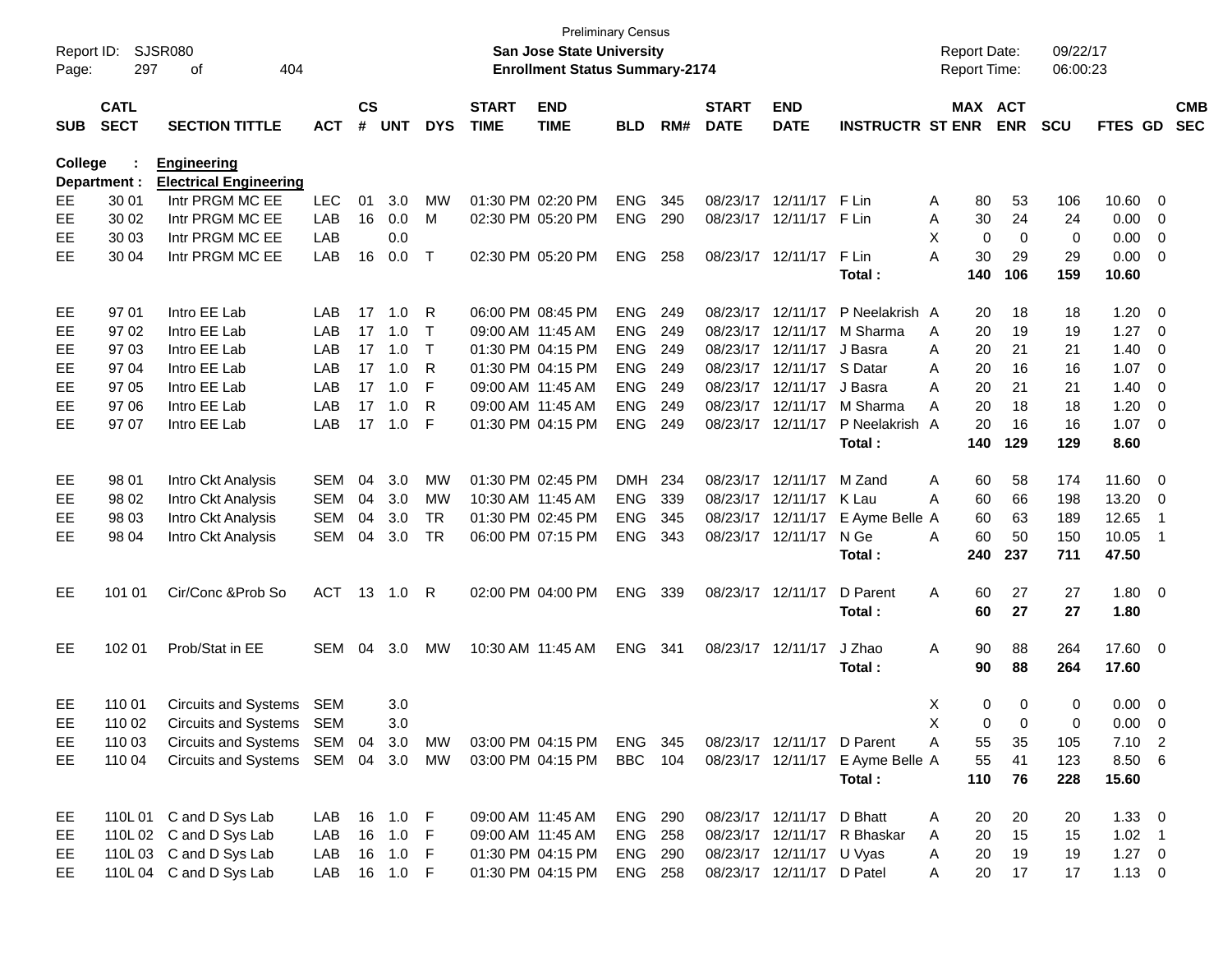| $\mathsf{cs}$<br><b>CATL</b><br><b>START</b><br><b>END</b><br><b>START</b><br><b>END</b><br><b>SECT</b><br>#<br><b>DATE</b><br><b>SECTION TITTLE</b><br><b>ACT</b><br><b>UNT</b><br><b>DYS</b><br><b>TIME</b><br><b>TIME</b><br><b>BLD</b><br>RM#<br><b>DATE</b><br><b>INSTRUCTR ST ENR</b><br><b>SUB</b> | MAX ACT<br>80 | <b>ENR</b>  | <b>SCU</b> | <b>FTES GD</b> | <b>CMB</b><br><b>SEC</b>   |  |
|-----------------------------------------------------------------------------------------------------------------------------------------------------------------------------------------------------------------------------------------------------------------------------------------------------------|---------------|-------------|------------|----------------|----------------------------|--|
|                                                                                                                                                                                                                                                                                                           |               |             |            |                |                            |  |
| <b>College</b><br><b>Engineering</b>                                                                                                                                                                                                                                                                      |               |             |            |                |                            |  |
| <b>Electrical Engineering</b><br>Department :                                                                                                                                                                                                                                                             |               |             |            |                |                            |  |
| Intr PRGM MC EE<br><b>LEC</b><br>01<br>3.0<br>01:30 PM 02:20 PM<br><b>ENG</b><br>08/23/17 12/11/17 F Lin<br>30 01<br>MW<br>345<br>EЕ<br>A                                                                                                                                                                 |               | 53          | 106        | 10.60          | $\overline{0}$             |  |
| <b>ENG</b><br>Intr PRGM MC EE<br>LAB<br>16<br>0.0<br>02:30 PM 05:20 PM<br>290<br>08/23/17 12/11/17 F Lin<br>EЕ<br>30 02<br>M<br>Α                                                                                                                                                                         | 30            | 24          | 24         | 0.00           | $\overline{0}$             |  |
| Intr PRGM MC EE<br>LAB<br>0.0<br>X<br>EЕ<br>30 03                                                                                                                                                                                                                                                         | 0             | $\mathbf 0$ | 0          | 0.00           | $\overline{0}$             |  |
| Intr PRGM MC EE<br>LAB<br>16<br>0.0<br>$\top$<br>02:30 PM 05:20 PM<br>ENG<br>258<br>08/23/17 12/11/17<br>F Lin<br>А<br>EЕ<br>30 04                                                                                                                                                                        | 30            | 29          | 29         | 0.00           | $\overline{0}$             |  |
| Total:                                                                                                                                                                                                                                                                                                    | 140           | 106         | 159        | 10.60          |                            |  |
| Intro EE Lab<br>17<br>1.0<br>06:00 PM 08:45 PM<br><b>ENG</b><br>08/23/17 12/11/17<br>P Neelakrish A<br>EE<br>97 01<br>LAB<br>R<br>249                                                                                                                                                                     | 20            | 18          | 18         | 1.20           | $\overline{\mathbf{0}}$    |  |
| Intro EE Lab<br><b>ENG</b><br>97 02<br><b>LAB</b><br>17<br>1.0<br>09:00 AM 11:45 AM<br>249<br>08/23/17 12/11/17<br>M Sharma<br>EЕ<br>$\top$<br>A                                                                                                                                                          | 20            | 19          | 19         | 1.27           | $\overline{0}$             |  |
| Intro EE Lab<br>97 03<br>LAB<br>17 1.0<br>$\top$<br>01:30 PM 04:15 PM<br>ENG<br>249<br>08/23/17 12/11/17<br>EЕ<br>J Basra<br>A                                                                                                                                                                            | 20            | 21          | 21         | 1.40           | $\overline{0}$             |  |
| Intro EE Lab<br><b>ENG</b><br>97 04<br>LAB<br>17<br>1.0<br>01:30 PM 04:15 PM<br>249<br>08/23/17 12/11/17<br>S Datar<br>EЕ<br>R<br>A                                                                                                                                                                       | 20            | 16          | 16         | 1.07           | $\overline{0}$             |  |
| <b>ENG</b><br>Intro EE Lab<br>LAB<br>17<br>1.0<br>F<br>09:00 AM 11:45 AM<br>249<br>08/23/17 12/11/17<br>EЕ<br>97 05<br>J Basra<br>A                                                                                                                                                                       | 20            | 21          | 21         | 1.40           | $\overline{0}$             |  |
| Intro EE Lab<br>97 06<br>LAB<br>17<br>1.0<br>R<br>09:00 AM 11:45 AM<br><b>ENG</b><br>249<br>08/23/17 12/11/17<br>M Sharma<br>EЕ<br>A                                                                                                                                                                      | 20            | 18          | 18         | 1.20           | $\overline{0}$             |  |
| 97 07<br>Intro EE Lab<br>LAB<br>17<br>1.0<br>F<br>ENG<br>08/23/17 12/11/17<br>P Neelakrish A<br>EЕ<br>01:30 PM 04:15 PM<br>- 249                                                                                                                                                                          | 20            | 16          | 16         | 1.07           | $\overline{\mathbf{0}}$    |  |
| Total:                                                                                                                                                                                                                                                                                                    | 140           | 129         | 129        | 8.60           |                            |  |
| 04<br>3.0<br><b>MW</b><br>01:30 PM 02:45 PM<br>DMH 234<br>08/23/17 12/11/17<br>M Zand<br>98 01<br>Intro Ckt Analysis<br><b>SEM</b><br>Α<br>EE                                                                                                                                                             | 60            | 58          | 174        | 11.60          | $\overline{\mathbf{0}}$    |  |
| <b>ENG</b><br>04<br>3.0<br>10:30 AM 11:45 AM<br>339<br>08/23/17 12/11/17<br>K Lau<br>EE<br>98 02<br>Intro Ckt Analysis<br><b>SEM</b><br>MW<br>A                                                                                                                                                           | 60            | 66          | 198        | 13.20          | $\overline{\mathbf{0}}$    |  |
| Intro Ckt Analysis<br><b>SEM</b><br>04<br>3.0<br><b>TR</b><br>01:30 PM 02:45 PM<br><b>ENG</b><br>08/23/17 12/11/17<br>E Ayme Belle A<br>98 03<br>345<br>EЕ                                                                                                                                                | 60            | 63          | 189        | 12.65          | - 1                        |  |
| <b>TR</b><br>06:00 PM 07:15 PM<br>ENG<br>08/23/17 12/11/17<br>N Ge<br>EЕ<br>98 04<br>Intro Ckt Analysis<br><b>SEM</b><br>04<br>3.0<br>343<br>A                                                                                                                                                            | 60            | 50          | 150        | 10.05          | $\overline{\phantom{0}}$ 1 |  |
| Total:                                                                                                                                                                                                                                                                                                    | 240           | 237         | 711        | 47.50          |                            |  |
| Cir/Conc & Prob So<br><b>ACT</b><br>13 1.0 R<br>02:00 PM 04:00 PM<br>ENG<br>339<br>08/23/17 12/11/17<br>D Parent<br>A<br>EE<br>101 01                                                                                                                                                                     | 60            | 27          | 27         | $1.80 \ 0$     |                            |  |
| Total:                                                                                                                                                                                                                                                                                                    | 60            | 27          | 27         | 1.80           |                            |  |
| Prob/Stat in EE<br>102 01<br>SEM 04<br>3.0<br><b>MW</b><br>10:30 AM 11:45 AM<br>ENG<br>J Zhao<br>EE<br>-341<br>08/23/17 12/11/17<br>Α                                                                                                                                                                     | 90            | 88          | 264        | 17.60 0        |                            |  |
| Total :                                                                                                                                                                                                                                                                                                   | 90            | 88          | 264        | 17.60          |                            |  |
| 110 01<br><b>Circuits and Systems</b><br>X<br>EE<br>SEM<br>3.0                                                                                                                                                                                                                                            | 0             | 0           | 0          | 0.00           | $\overline{\mathbf{0}}$    |  |
| X.<br>EE<br>110 02<br>Circuits and Systems SEM<br>3.0                                                                                                                                                                                                                                                     | $\Omega$      | $\Omega$    | $\Omega$   | $0.00 \t 0$    |                            |  |
| Circuits and Systems SEM 04 3.0<br>110 03<br>МW<br>03:00 PM 04:15 PM<br>ENG 345<br>08/23/17 12/11/17 D Parent<br>EE<br>Α                                                                                                                                                                                  | 55            | 35          | 105        | $7.10$ 2       |                            |  |
| Circuits and Systems SEM 04 3.0<br><b>BBC</b> 104<br>08/23/17 12/11/17 E Ayme Belle A<br>MW<br>03:00 PM 04:15 PM<br>EE.<br>110 04                                                                                                                                                                         | 55            | 41          | 123        | 8.50 6         |                            |  |
| Total:                                                                                                                                                                                                                                                                                                    | 110           | 76          | 228        | 15.60          |                            |  |
| 110L 01 C and D Sys Lab<br>LAB 16 1.0 F<br>09:00 AM 11:45 AM<br><b>ENG 290</b><br>08/23/17 12/11/17 D Bhatt<br>EE<br>A                                                                                                                                                                                    | 20            | 20          | 20         | $1.33 \ 0$     |                            |  |
| 110L 02 C and D Sys Lab<br>16 1.0 F<br>LAB<br><b>ENG 258</b><br>08/23/17 12/11/17 R Bhaskar<br>09:00 AM 11:45 AM<br>A<br>EE.                                                                                                                                                                              | 20            | 15          | 15         | $1.02$ 1       |                            |  |
| 110L 03 C and D Sys Lab<br>LAB<br>16 1.0 F<br><b>ENG 290</b><br>08/23/17 12/11/17 U Vyas<br>01:30 PM 04:15 PM<br>EE.<br>A                                                                                                                                                                                 | 20            | 19          | 19         | $1.27 \t 0$    |                            |  |
| 110L04 C and D Sys Lab<br>LAB 16 1.0 F<br>08/23/17 12/11/17 D Patel<br>01:30 PM 04:15 PM<br><b>ENG 258</b><br>EE.<br>A                                                                                                                                                                                    | 20            | 17          | 17         | $1.13 \ 0$     |                            |  |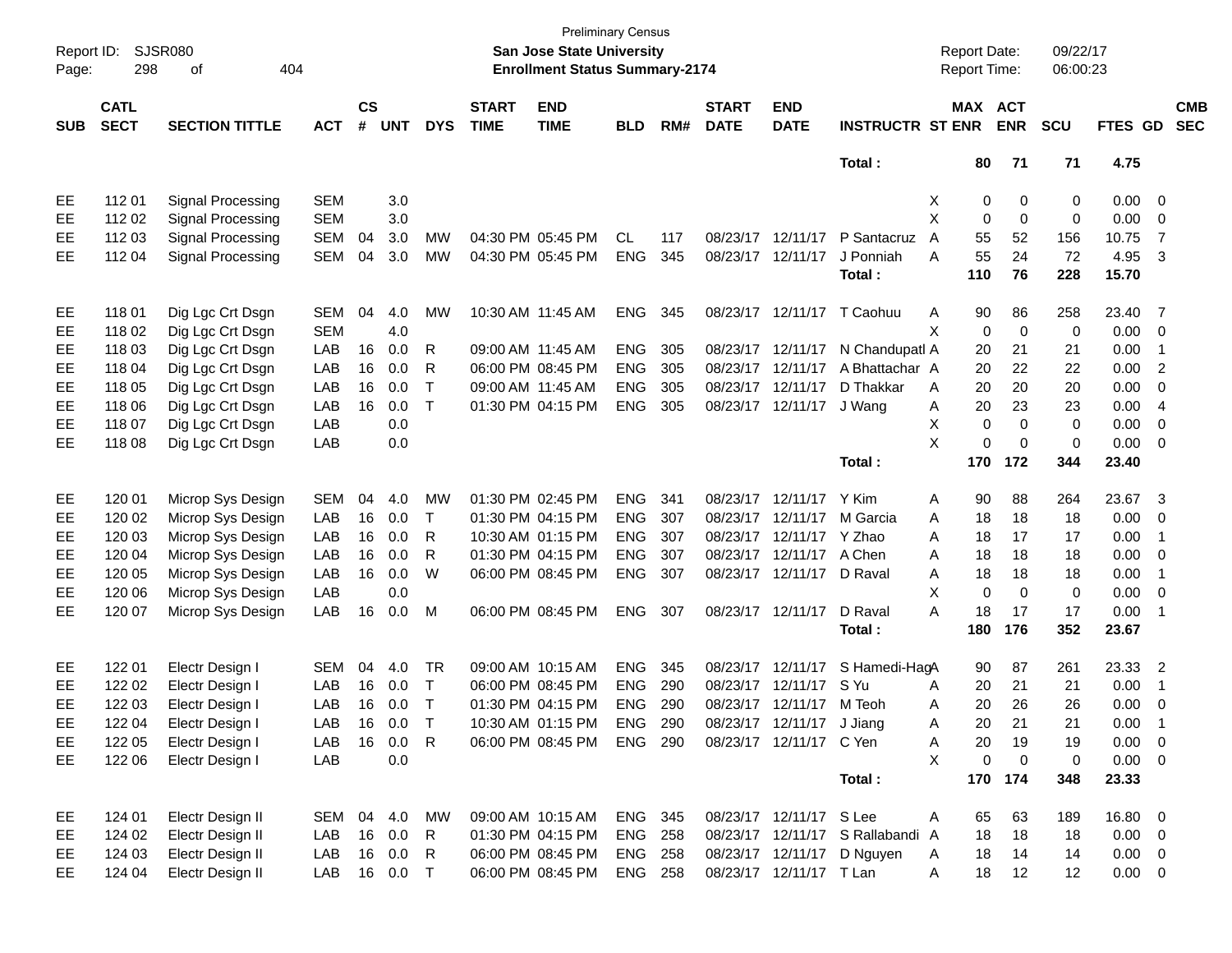| Report ID:<br>Page: | 298                        | <b>SJSR080</b><br>404<br>оf |               |                    |            |              |                             | San Jose State University<br><b>Enrollment Status Summary-2174</b> | <b>Preliminary Census</b> |     |                             |                           |                                  | <b>Report Date:</b><br>Report Time: |                              | 09/22/17<br>06:00:23 |                |                          |                          |
|---------------------|----------------------------|-----------------------------|---------------|--------------------|------------|--------------|-----------------------------|--------------------------------------------------------------------|---------------------------|-----|-----------------------------|---------------------------|----------------------------------|-------------------------------------|------------------------------|----------------------|----------------|--------------------------|--------------------------|
| <b>SUB</b>          | <b>CATL</b><br><b>SECT</b> | <b>SECTION TITTLE</b>       | <b>ACT</b>    | $\mathsf{cs}$<br># | <b>UNT</b> | <b>DYS</b>   | <b>START</b><br><b>TIME</b> | <b>END</b><br><b>TIME</b>                                          | <b>BLD</b>                | RM# | <b>START</b><br><b>DATE</b> | <b>END</b><br><b>DATE</b> | <b>INSTRUCTR ST ENR</b>          |                                     | <b>MAX ACT</b><br><b>ENR</b> | <b>SCU</b>           | <b>FTES GD</b> |                          | <b>CMB</b><br><b>SEC</b> |
|                     |                            |                             |               |                    |            |              |                             |                                                                    |                           |     |                             |                           | Total:                           | 80                                  | 71                           | 71                   | 4.75           |                          |                          |
| EE                  | 11201                      | Signal Processing           | <b>SEM</b>    |                    | 3.0        |              |                             |                                                                    |                           |     |                             |                           |                                  | Х                                   | 0<br>0                       | 0                    | 0.00           | $\overline{\phantom{0}}$ |                          |
| EE                  | 112 02                     | Signal Processing           | <b>SEM</b>    |                    | 3.0        |              |                             |                                                                    |                           |     |                             |                           |                                  | X                                   | 0<br>0                       | 0                    | 0.00           | $\overline{\mathbf{0}}$  |                          |
| EE                  | 112 03                     | Signal Processing           | <b>SEM</b>    | 04                 | 3.0        | MW           |                             | 04:30 PM 05:45 PM                                                  | CL.                       | 117 |                             | 08/23/17 12/11/17         | P Santacruz                      | 55<br>A                             | 52                           | 156                  | 10.75          | 7                        |                          |
| EE                  | 112 04                     | Signal Processing           | <b>SEM</b>    | 04                 | $3.0\,$    | MW           |                             | 04:30 PM 05:45 PM                                                  | <b>ENG</b>                | 345 |                             | 08/23/17 12/11/17         | J Ponniah                        | 55<br>A                             | 24                           | 72                   | 4.95           | 3                        |                          |
|                     |                            |                             |               |                    |            |              |                             |                                                                    |                           |     |                             |                           | Total:                           | 110                                 | 76                           | 228                  | 15.70          |                          |                          |
| EE                  | 11801                      | Dig Lgc Crt Dsgn            | <b>SEM</b>    | 04                 | 4.0        | MW           |                             | 10:30 AM 11:45 AM                                                  | <b>ENG</b>                | 345 |                             | 08/23/17 12/11/17         | T Caohuu                         | 90<br>Α                             | 86                           | 258                  | 23.40          | 7                        |                          |
| EE                  | 118 02                     | Dig Lgc Crt Dsgn            | <b>SEM</b>    |                    | 4.0        |              |                             |                                                                    |                           |     |                             |                           |                                  | X                                   | 0<br>$\mathbf 0$             | 0                    | 0.00           | $\overline{\mathbf{0}}$  |                          |
| EE                  | 118 03                     | Dig Lgc Crt Dsgn            | LAB           | 16                 | 0.0        | R            |                             | 09:00 AM 11:45 AM                                                  | <b>ENG</b>                | 305 |                             | 08/23/17 12/11/17         | N Chandupatl A                   | 20                                  | 21                           | 21                   | 0.00           | -1                       |                          |
| EE                  | 118 04                     | Dig Lgc Crt Dsgn            | LAB           | 16                 | 0.0        | R            |                             | 06:00 PM 08:45 PM                                                  | <b>ENG</b>                | 305 |                             | 08/23/17 12/11/17         | A Bhattachar A                   | 20                                  | 22                           | 22                   | 0.00           | $\overline{2}$           |                          |
| EE                  | 118 05                     | Dig Lgc Crt Dsgn            | LAB           | 16                 | 0.0        | $\mathsf{T}$ |                             | 09:00 AM 11:45 AM                                                  | <b>ENG</b>                | 305 |                             | 08/23/17 12/11/17         | D Thakkar                        | 20<br>A                             | 20                           | 20                   | 0.00           | 0                        |                          |
| EE                  | 118 06                     | Dig Lgc Crt Dsgn            | LAB           | 16                 | 0.0        | $\mathsf{T}$ |                             | 01:30 PM 04:15 PM                                                  | <b>ENG</b>                | 305 |                             | 08/23/17 12/11/17         | J Wand                           | 20<br>Α                             | 23                           | 23                   | 0.00           | $\overline{4}$           |                          |
| EE                  | 118 07                     | Dig Lgc Crt Dsgn            | LAB           |                    | 0.0        |              |                             |                                                                    |                           |     |                             |                           |                                  | X                                   | $\mathbf 0$<br>0             | 0                    | 0.00           | $\mathbf 0$              |                          |
| EE                  | 118 08                     | Dig Lgc Crt Dsgn            | LAB           |                    | 0.0        |              |                             |                                                                    |                           |     |                             |                           |                                  | X                                   | $\mathbf 0$<br>$\mathbf 0$   | $\mathbf 0$          | 0.00           | $\mathbf 0$              |                          |
|                     |                            |                             |               |                    |            |              |                             |                                                                    |                           |     |                             |                           | Total:                           | 170                                 | 172                          | 344                  | 23.40          |                          |                          |
| EE                  | 120 01                     | Microp Sys Design           | <b>SEM</b>    | 04                 | 4.0        | <b>MW</b>    |                             | 01:30 PM 02:45 PM                                                  | <b>ENG</b>                | 341 |                             | 08/23/17 12/11/17         | Y Kim                            | 90<br>A                             | 88                           | 264                  | 23.67          | 3                        |                          |
| EE                  | 120 02                     | Microp Sys Design           | LAB           | 16                 | 0.0        | T            |                             | 01:30 PM 04:15 PM                                                  | <b>ENG</b>                | 307 |                             | 08/23/17 12/11/17         | M Garcia                         | 18<br>A                             | 18                           | 18                   | 0.00           | 0                        |                          |
| EE                  | 120 03                     | Microp Sys Design           | LAB           | 16                 | 0.0        | R            |                             | 10:30 AM 01:15 PM                                                  | <b>ENG</b>                | 307 |                             | 08/23/17 12/11/17 Y Zhao  |                                  | 18<br>A                             | 17                           | 17                   | 0.00           | -1                       |                          |
| EE                  | 120 04                     | Microp Sys Design           | LAB           | 16                 | 0.0        | R            |                             | 01:30 PM 04:15 PM                                                  | <b>ENG</b>                | 307 |                             | 08/23/17 12/11/17         | A Chen                           | 18<br>A                             | 18                           | 18                   | 0.00           | 0                        |                          |
| EE                  | 120 05                     | Microp Sys Design           | LAB           | 16                 | 0.0        | W            |                             | 06:00 PM 08:45 PM                                                  | <b>ENG</b>                | 307 |                             | 08/23/17 12/11/17         | D Raval                          | Α<br>18                             | 18                           | 18                   | 0.00           | -1                       |                          |
| EE                  | 120 06                     | Microp Sys Design           | LAB           |                    | 0.0        |              |                             |                                                                    |                           |     |                             |                           |                                  | X                                   | $\mathbf 0$<br>$\Omega$      | 0                    | 0.00           | 0                        |                          |
| EE                  | 120 07                     | Microp Sys Design           | LAB           | 16                 | 0.0        | М            |                             | 06:00 PM 08:45 PM                                                  | <b>ENG</b>                | 307 |                             | 08/23/17 12/11/17         | D Raval                          | A<br>18                             | 17                           | 17                   | 0.00           | -1                       |                          |
|                     |                            |                             |               |                    |            |              |                             |                                                                    |                           |     |                             |                           | Total :                          | 180                                 | 176                          | 352                  | 23.67          |                          |                          |
| EE                  | 122 01                     | Electr Design I             | <b>SEM</b>    | 04                 | 4.0        | TR           |                             | 09:00 AM 10:15 AM                                                  | <b>ENG</b>                | 345 |                             | 08/23/17 12/11/17         | S Hamedi-HagA                    | 90                                  | 87                           | 261                  | 23.33          | $\overline{\phantom{a}}$ |                          |
| EE                  | 122 02                     | Electr Design I             | LAB           | 16                 | 0.0        | $\top$       |                             | 06:00 PM 08:45 PM                                                  | <b>ENG</b>                | 290 |                             | 08/23/17 12/11/17         | S Yu                             | 20<br>A                             | 21                           | 21                   | 0.00           | -1                       |                          |
| EE                  | 122 03                     | Electr Design I             | LAB           | 16                 | 0.0        | $\mathsf{T}$ |                             | 01:30 PM 04:15 PM                                                  | <b>ENG</b>                | 290 |                             | 08/23/17 12/11/17         | M Teoh                           | 20<br>Α                             | 26                           | 26                   | 0.00           | 0                        |                          |
| <b>EE</b>           | 122 04                     | Electr Design I             | LAB           | 16                 | 0.0        | $\top$       |                             | 10:30 AM 01:15 PM                                                  | ENG-                      | 290 |                             | 08/23/17 12/11/17 J Jiang |                                  | 20<br>A                             | 21                           | 21                   | 0.00           | -1                       |                          |
| EE                  | 122 05                     | Electr Design I             | LAB 16 0.0 R  |                    |            |              |                             | 06:00 PM 08:45 PM ENG 290                                          |                           |     |                             | 08/23/17 12/11/17 C Yen   |                                  | 20<br>A                             | 19                           | 19                   | $0.00 \t 0$    |                          |                          |
| EE                  | 122 06                     | Electr Design I             | LAB           |                    | 0.0        |              |                             |                                                                    |                           |     |                             |                           |                                  | X                                   | $\pmb{0}$<br>$\overline{0}$  | 0                    | $0.00 \t 0$    |                          |                          |
|                     |                            |                             |               |                    |            |              |                             |                                                                    |                           |     |                             |                           | Total:                           |                                     | 170 174                      | 348                  | 23.33          |                          |                          |
| EE                  | 124 01                     | Electr Design II            | SEM 04 4.0 MW |                    |            |              |                             | 09:00 AM 10:15 AM                                                  | ENG 345                   |     |                             | 08/23/17 12/11/17 S Lee   |                                  | A<br>65                             | 63                           | 189                  | 16.80 0        |                          |                          |
| EE                  | 124 02                     | Electr Design II            | LAB           |                    | 16  0.0    | R            |                             | 01:30 PM 04:15 PM                                                  | <b>ENG 258</b>            |     |                             |                           | 08/23/17 12/11/17 S Rallabandi A | 18                                  | 18                           | 18                   | $0.00 \t 0$    |                          |                          |
| EE.                 | 124 03                     | Electr Design II            | LAB           |                    | 16 0.0     | R            |                             | 06:00 PM 08:45 PM                                                  | <b>ENG 258</b>            |     |                             |                           | 08/23/17 12/11/17 D Nguyen       | 18<br>A                             | 14                           | 14                   | $0.00 \t 0$    |                          |                          |
| EE                  | 124 04                     | Electr Design II            | LAB 16 0.0 T  |                    |            |              |                             | 06:00 PM 08:45 PM                                                  | ENG 258                   |     |                             | 08/23/17 12/11/17 T Lan   |                                  | A<br>18                             | 12                           | 12                   | $0.00 \t 0$    |                          |                          |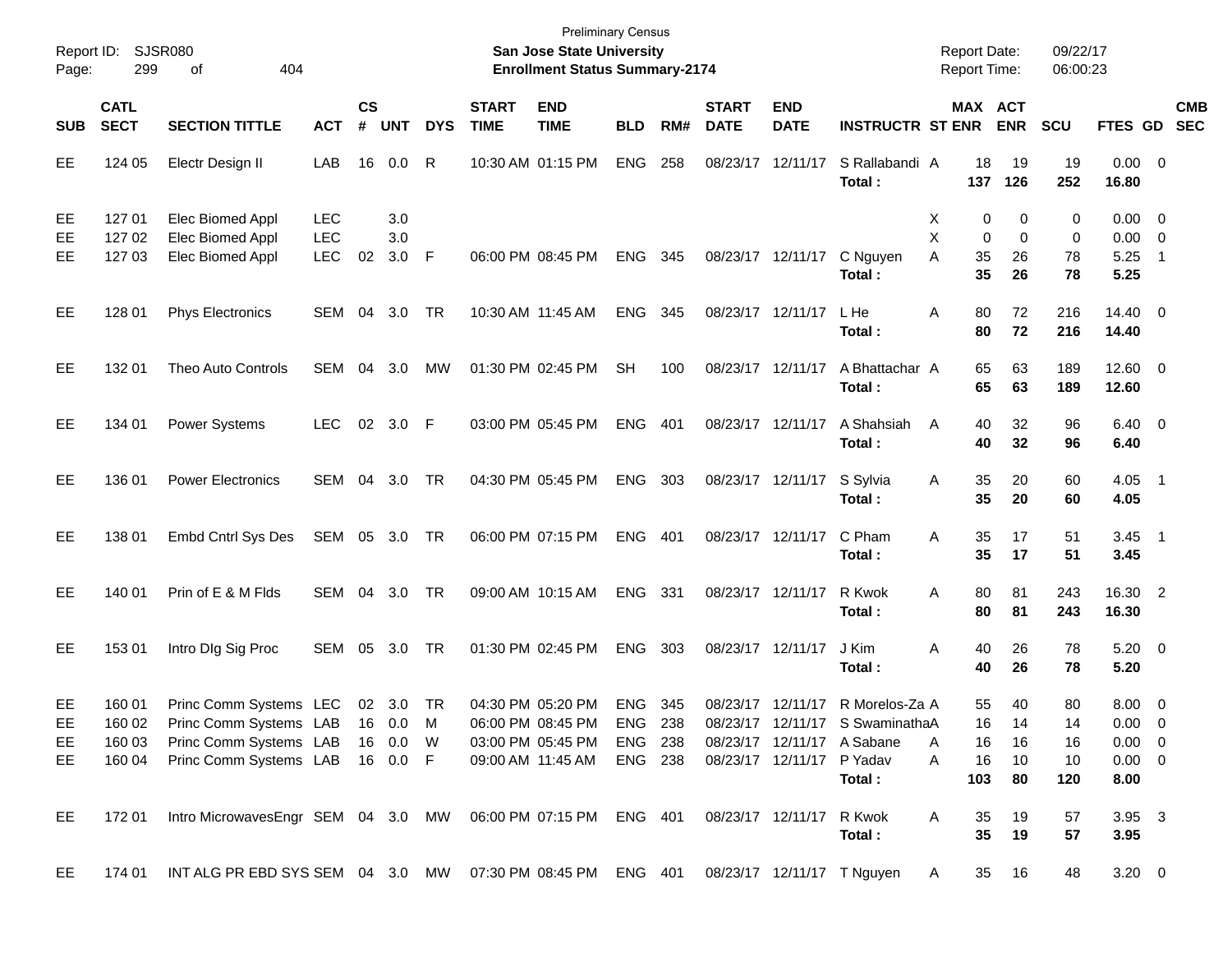| Report ID:<br>Page:   | 299                                  | SJSR080<br>404<br>οf                                                                                                            |                                        |                    |                   |            |                             | <b>Preliminary Census</b><br>San Jose State University<br><b>Enrollment Status Summary-2174</b> |                                             |       |                             |                                                |                                                                                           | <b>Report Date:</b><br><b>Report Time:</b> |                                                    | 09/22/17<br>06:00:23        |                                                                  |                          |                          |
|-----------------------|--------------------------------------|---------------------------------------------------------------------------------------------------------------------------------|----------------------------------------|--------------------|-------------------|------------|-----------------------------|-------------------------------------------------------------------------------------------------|---------------------------------------------|-------|-----------------------------|------------------------------------------------|-------------------------------------------------------------------------------------------|--------------------------------------------|----------------------------------------------------|-----------------------------|------------------------------------------------------------------|--------------------------|--------------------------|
| <b>SUB</b>            | <b>CATL</b><br><b>SECT</b>           | <b>SECTION TITTLE</b>                                                                                                           | <b>ACT</b>                             | $\mathsf{cs}$<br># | <b>UNT</b>        | <b>DYS</b> | <b>START</b><br><b>TIME</b> | <b>END</b><br><b>TIME</b>                                                                       | <b>BLD</b>                                  | RM#   | <b>START</b><br><b>DATE</b> | <b>END</b><br><b>DATE</b>                      | <b>INSTRUCTR ST ENR</b>                                                                   |                                            | MAX ACT<br><b>ENR</b>                              | <b>SCU</b>                  | FTES GD                                                          |                          | <b>CMB</b><br><b>SEC</b> |
| EE                    | 124 05                               | Electr Design II                                                                                                                | LAB                                    | 16                 | 0.0               | R          |                             | 10:30 AM 01:15 PM                                                                               | <b>ENG</b>                                  | 258   |                             | 08/23/17 12/11/17                              | S Rallabandi A<br>Total:                                                                  | 137                                        | 18<br>19<br>126                                    | 19<br>252                   | $0.00 \t 0$<br>16.80                                             |                          |                          |
| EE<br>EE<br>EЕ        | 127 01<br>127 02<br>127 03           | Elec Biomed Appl<br>Elec Biomed Appl<br>Elec Biomed Appl                                                                        | <b>LEC</b><br><b>LEC</b><br><b>LEC</b> | 02                 | 3.0<br>3.0<br>3.0 | F          |                             | 06:00 PM 08:45 PM                                                                               | <b>ENG</b>                                  | 345   |                             | 08/23/17 12/11/17                              | C Nguyen                                                                                  | Х<br>X<br>A                                | 0<br>0<br>0<br>0<br>35<br>26<br>35<br>26           | 0<br>0<br>78<br>78          | $0.00 \t 0$<br>$0.00 \t 0$<br>5.25                               | $\overline{\phantom{1}}$ |                          |
| EE                    | 128 01                               | <b>Phys Electronics</b>                                                                                                         | SEM                                    | 04                 | 3.0               | TR         |                             | 10:30 AM 11:45 AM                                                                               | <b>ENG</b>                                  | 345   |                             | 08/23/17 12/11/17                              | Total:<br>L He<br>Total :                                                                 | Α                                          | 80<br>72<br>80<br>72                               | 216<br>216                  | 5.25<br>14.40 0<br>14.40                                         |                          |                          |
| EE                    | 132 01                               | Theo Auto Controls                                                                                                              | SEM                                    | 04                 | 3.0               | MW         |                             | 01:30 PM 02:45 PM                                                                               | <b>SH</b>                                   | 100   |                             | 08/23/17 12/11/17                              | A Bhattachar A<br>Total:                                                                  |                                            | 65<br>63<br>65<br>63                               | 189<br>189                  | $12.60 \t 0$<br>12.60                                            |                          |                          |
| EE                    | 134 01                               | Power Systems                                                                                                                   | <b>LEC</b>                             |                    | 02 3.0            | - F        |                             | 03:00 PM 05:45 PM                                                                               | <b>ENG</b>                                  | 401   |                             | 08/23/17 12/11/17                              | A Shahsiah<br>Total:                                                                      | A                                          | 40<br>32<br>40<br>32                               | 96<br>96                    | $6.40 \quad 0$<br>6.40                                           |                          |                          |
| EE                    | 136 01                               | <b>Power Electronics</b>                                                                                                        | SEM                                    | 04                 | 3.0               | TR         |                             | 04:30 PM 05:45 PM                                                                               | <b>ENG</b>                                  | 303   |                             | 08/23/17 12/11/17                              | S Sylvia<br>Total:                                                                        | Α                                          | 35<br>20<br>35<br>20                               | 60<br>60                    | $4.05$ 1<br>4.05                                                 |                          |                          |
| EE                    | 138 01                               | Embd Cntrl Sys Des                                                                                                              | SEM 05 3.0 TR                          |                    |                   |            |                             | 06:00 PM 07:15 PM                                                                               | <b>ENG</b>                                  | 401   |                             | 08/23/17 12/11/17                              | C Pham<br>Total:                                                                          | Α                                          | 35<br>17<br>35<br>17                               | 51<br>51                    | $3.45$ 1<br>3.45                                                 |                          |                          |
| EE                    | 140 01                               | Prin of E & M Flds                                                                                                              | SEM                                    | 04                 | 3.0               | TR         |                             | 09:00 AM 10:15 AM                                                                               | <b>ENG</b>                                  | - 331 |                             | 08/23/17 12/11/17                              | R Kwok<br>Total :                                                                         | A                                          | 80<br>81<br>80<br>81                               | 243<br>243                  | 16.30 2<br>16.30                                                 |                          |                          |
| EE                    | 153 01                               | Intro DIg Sig Proc                                                                                                              | SEM                                    | 05                 | 3.0               | TR         |                             | 01:30 PM 02:45 PM                                                                               | <b>ENG</b>                                  | 303   |                             | 08/23/17 12/11/17                              | J Kim<br>Total :                                                                          | Α                                          | 40<br>26<br>40<br>26                               | 78<br>78                    | $5.20 \ 0$<br>5.20                                               |                          |                          |
| EE<br>EE<br>EE,<br>EE | 160 01<br>160 02<br>160 03<br>160 04 | Princ Comm Systems LEC<br>Princ Comm Systems LAB 16 0.0 M<br>Princ Comm Systems LAB 16 0.0 W<br>Princ Comm Systems LAB 16 0.0 F |                                        |                    | 02 3.0            | TR         |                             | 04:30 PM 05:20 PM<br>06:00 PM 08:45 PM<br>03:00 PM 05:45 PM<br>09:00 AM 11:45 AM                | <b>ENG</b><br>ENG 238<br>ENG 238<br>ENG 238 | 345   |                             | 08/23/17 12/11/17<br>08/23/17 12/11/17 P Yadav | R Morelos-Za A<br>08/23/17 12/11/17 S SwaminathaA<br>08/23/17 12/11/17 A Sabane<br>Total: | A<br>A<br>103                              | 55<br>40<br>16<br>14<br>16<br>16<br>16<br>10<br>80 | 80<br>14<br>16<br>10<br>120 | $8.00 \t 0$<br>$0.00 \t 0$<br>$0.00 \t 0$<br>$0.00 \t 0$<br>8.00 |                          |                          |
| EE                    | 172 01                               | Intro MicrowavesEngr SEM 04 3.0 MW 06:00 PM 07:15 PM ENG 401                                                                    |                                        |                    |                   |            |                             |                                                                                                 |                                             |       |                             | 08/23/17 12/11/17 R Kwok                       | Total:                                                                                    | A                                          | 19<br>35<br>35<br>19                               | 57<br>57                    | 3.95 3<br>3.95                                                   |                          |                          |
| EE                    | 174 01                               | INT ALG PR EBD SYS SEM 04 3.0 MW 07:30 PM 08:45 PM ENG 401 08/23/17 12/11/17 T Nguyen                                           |                                        |                    |                   |            |                             |                                                                                                 |                                             |       |                             |                                                |                                                                                           | $\mathsf{A}$                               | 16<br>35                                           | 48                          | $3.20 \ 0$                                                       |                          |                          |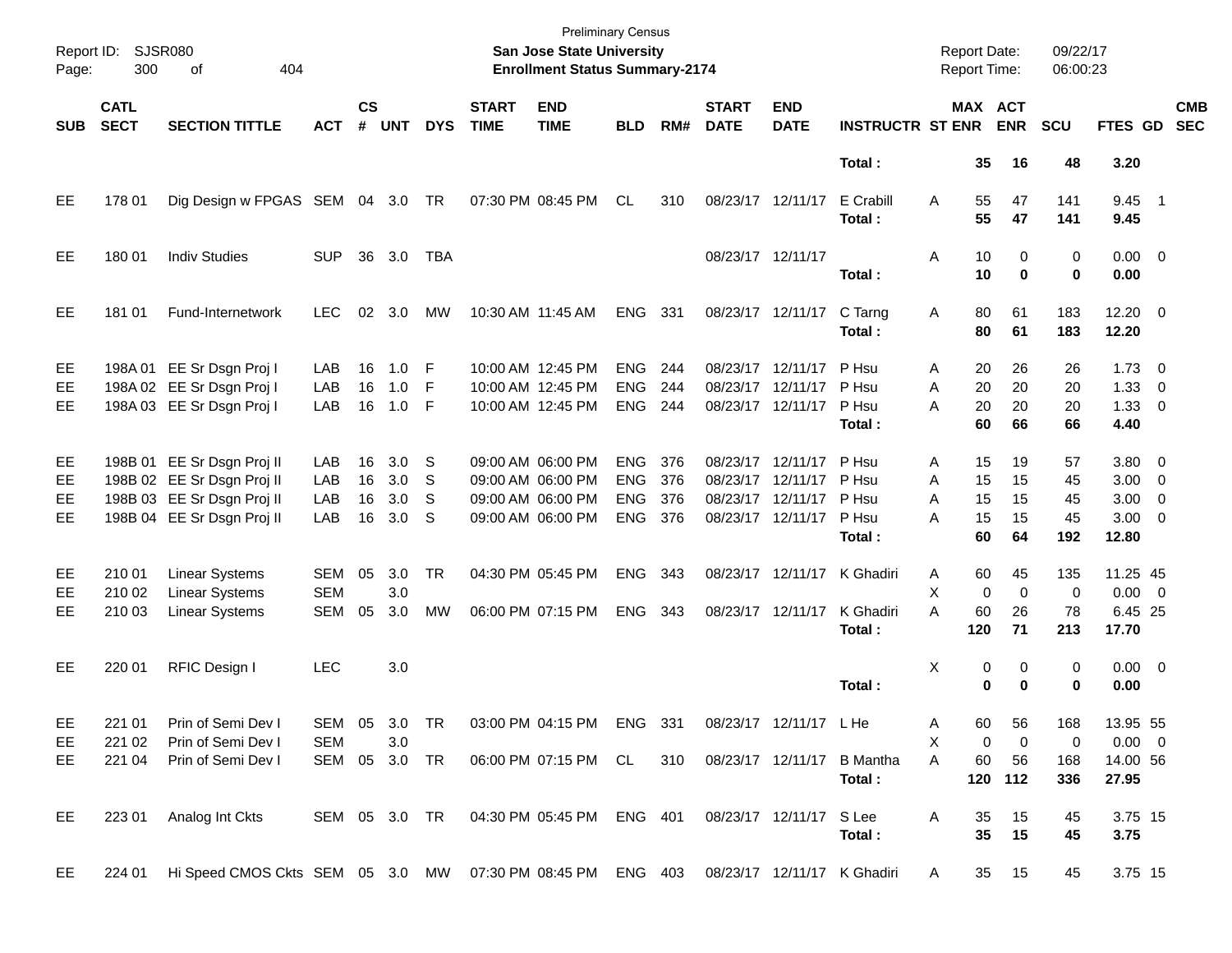| Page:                        | Report ID: SJSR080<br>300  | 404<br>οf                                                                                                            |                                        |                      |                               |                        |                             | <b>Preliminary Census</b><br>San Jose State University<br><b>Enrollment Status Summary-2174</b> |                                                      |                          |                             |                                                                                  |                                            | <b>Report Date:</b><br><b>Report Time:</b>     |                              | 09/22/17<br>06:00:23        |                                                              |                          |                          |
|------------------------------|----------------------------|----------------------------------------------------------------------------------------------------------------------|----------------------------------------|----------------------|-------------------------------|------------------------|-----------------------------|-------------------------------------------------------------------------------------------------|------------------------------------------------------|--------------------------|-----------------------------|----------------------------------------------------------------------------------|--------------------------------------------|------------------------------------------------|------------------------------|-----------------------------|--------------------------------------------------------------|--------------------------|--------------------------|
| <b>SUB</b>                   | <b>CATL</b><br><b>SECT</b> | <b>SECTION TITTLE</b>                                                                                                | <b>ACT</b>                             | $\mathsf{cs}$<br>#   | <b>UNT</b>                    | <b>DYS</b>             | <b>START</b><br><b>TIME</b> | <b>END</b><br><b>TIME</b>                                                                       | <b>BLD</b>                                           | RM#                      | <b>START</b><br><b>DATE</b> | <b>END</b><br><b>DATE</b>                                                        | <b>INSTRUCTR ST ENR</b>                    |                                                | MAX ACT<br><b>ENR</b>        | <b>SCU</b>                  | <b>FTES GD</b>                                               |                          | <b>CMB</b><br><b>SEC</b> |
|                              |                            |                                                                                                                      |                                        |                      |                               |                        |                             |                                                                                                 |                                                      |                          |                             |                                                                                  | Total:                                     | 35                                             | 16                           | 48                          | 3.20                                                         |                          |                          |
| EE                           | 178 01                     | Dig Design w FPGAS SEM 04 3.0 TR                                                                                     |                                        |                      |                               |                        |                             | 07:30 PM 08:45 PM                                                                               | CL                                                   | 310                      |                             | 08/23/17 12/11/17                                                                | E Crabill<br>Total:                        | 55<br>A<br>55                                  | 47<br>47                     | 141<br>141                  | $9.45$ 1<br>9.45                                             |                          |                          |
| EE                           | 180 01                     | <b>Indiv Studies</b>                                                                                                 | <b>SUP</b>                             | 36                   | 3.0                           | TBA                    |                             |                                                                                                 |                                                      |                          |                             | 08/23/17 12/11/17                                                                | Total:                                     | 10<br>Α<br>10                                  | 0<br>$\bf{0}$                | 0<br>0                      | $0.00 \t 0$<br>0.00                                          |                          |                          |
| EE.                          | 181 01                     | Fund-Internetwork                                                                                                    | <b>LEC</b>                             | 02                   | 3.0                           | МW                     |                             | 10:30 AM 11:45 AM                                                                               | <b>ENG</b>                                           | 331                      |                             | 08/23/17 12/11/17                                                                | C Tarng<br>Total:                          | 80<br>Α<br>80                                  | 61<br>61                     | 183<br>183                  | $12.20 \t 0$<br>12.20                                        |                          |                          |
| EE<br>EE.<br><b>EE</b>       |                            | 198A 01 EE Sr Dsgn Proj I<br>198A 02 EE Sr Dsgn Proj I<br>198A 03 EE Sr Dsgn Proj I                                  | LAB<br>LAB<br>LAB                      | 16<br>16<br>16       | 1.0<br>1.0<br>1.0             | -F<br>F<br>- F         |                             | 10:00 AM 12:45 PM<br>10:00 AM 12:45 PM<br>10:00 AM 12:45 PM                                     | <b>ENG</b><br><b>ENG</b><br><b>ENG</b>               | 244<br>244<br>244        |                             | 08/23/17 12/11/17<br>08/23/17 12/11/17<br>08/23/17 12/11/17                      | P Hsu<br>P Hsu<br>P Hsu<br>Total:          | 20<br>A<br>A<br>20<br>20<br>А<br>60            | 26<br>20<br>20<br>66         | 26<br>20<br>20<br>66        | $1.73 \t 0$<br>1.33<br>$1.33 \ 0$<br>4.40                    | $\overline{\phantom{0}}$ |                          |
| EE<br>EE<br>EE.<br><b>EE</b> |                            | 198B 01 EE Sr Dsgn Proj II<br>198B 02 EE Sr Dsgn Proj II<br>198B 03 EE Sr Dsgn Proj II<br>198B 04 EE Sr Dsgn Proj II | LAB<br>LAB<br>LAB<br>LAB               | 16<br>16<br>16<br>16 | 3.0<br>3.0<br>3.0<br>3.0      | S<br>S<br>S<br>S       |                             | 09:00 AM 06:00 PM<br>09:00 AM 06:00 PM<br>09:00 AM 06:00 PM<br>09:00 AM 06:00 PM                | <b>ENG</b><br><b>ENG</b><br><b>ENG</b><br><b>ENG</b> | 376<br>376<br>376<br>376 |                             | 08/23/17 12/11/17<br>08/23/17 12/11/17<br>08/23/17 12/11/17<br>08/23/17 12/11/17 | P Hsu<br>P Hsu<br>P Hsu<br>P Hsu<br>Total: | 15<br>A<br>A<br>15<br>15<br>A<br>А<br>15<br>60 | 19<br>15<br>15<br>15<br>64   | 57<br>45<br>45<br>45<br>192 | $3.80\ 0$<br>$3.00 \ 0$<br>$3.00 \ 0$<br>$3.00 \ 0$<br>12.80 |                          |                          |
| EE<br>EE.<br>EE              | 210 01<br>210 02<br>210 03 | <b>Linear Systems</b><br><b>Linear Systems</b><br><b>Linear Systems</b>                                              | <b>SEM</b><br><b>SEM</b><br><b>SEM</b> | 05<br>05             | 3.0<br>3.0<br>3.0             | <b>TR</b><br><b>MW</b> |                             | 04:30 PM 05:45 PM<br>06:00 PM 07:15 PM                                                          | <b>ENG</b><br><b>ENG</b>                             | 343<br>343               |                             | 08/23/17 12/11/17<br>08/23/17 12/11/17                                           | K Ghadiri<br>K Ghadiri<br>Total:           | 60<br>Α<br>X<br>0<br>A<br>60<br>120            | 45<br>$\Omega$<br>26<br>$71$ | 135<br>0<br>78<br>213       | 11.25 45<br>$0.00 \t 0$<br>6.45 25<br>17.70                  |                          |                          |
| EE.                          | 220 01                     | RFIC Design I                                                                                                        | <b>LEC</b>                             |                      | 3.0                           |                        |                             |                                                                                                 |                                                      |                          |                             |                                                                                  | Total:                                     | Χ                                              | 0<br>0<br>0<br>$\bf{0}$      | 0<br>0                      | $0.00 \t 0$<br>0.00                                          |                          |                          |
| EE<br>EE<br>EE.              | 221 01<br>221 02<br>221 04 | Prin of Semi Dev I<br>Prin of Semi Dev I<br>Prin of Semi Dev I                                                       | SEM<br><b>SEM</b><br>SEM               |                      | 05 3.0 TR<br>3.0<br>05 3.0 TR |                        |                             | 03:00 PM 04:15 PM ENG 331<br>06:00 PM 07:15 PM CL                                               |                                                      | 310                      |                             | 08/23/17 12/11/17 LHe<br>08/23/17 12/11/17                                       | <b>B</b> Mantha<br>Total:                  | 60<br>Α<br>х<br>0<br>A<br>60                   | 56<br>0<br>56<br>120 112     | 168<br>0<br>168<br>336      | 13.95 55<br>$0.00 \t 0$<br>14.00 56<br>27.95                 |                          |                          |
| EE                           | 223 01                     | Analog Int Ckts                                                                                                      | SEM 05 3.0 TR                          |                      |                               |                        |                             | 04:30 PM 05:45 PM                                                                               | ENG 401                                              |                          |                             | 08/23/17 12/11/17                                                                | S Lee<br>Total:                            | Α<br>35<br>35                                  | 15<br>15                     | 45<br>45                    | 3.75 15<br>3.75                                              |                          |                          |
| EE                           | 224 01                     | Hi Speed CMOS Ckts SEM 05 3.0 MW 07:30 PM 08:45 PM ENG 403                                                           |                                        |                      |                               |                        |                             |                                                                                                 |                                                      |                          |                             |                                                                                  | 08/23/17 12/11/17 K Ghadiri                | 35<br>A                                        | 15                           | 45                          | 3.75 15                                                      |                          |                          |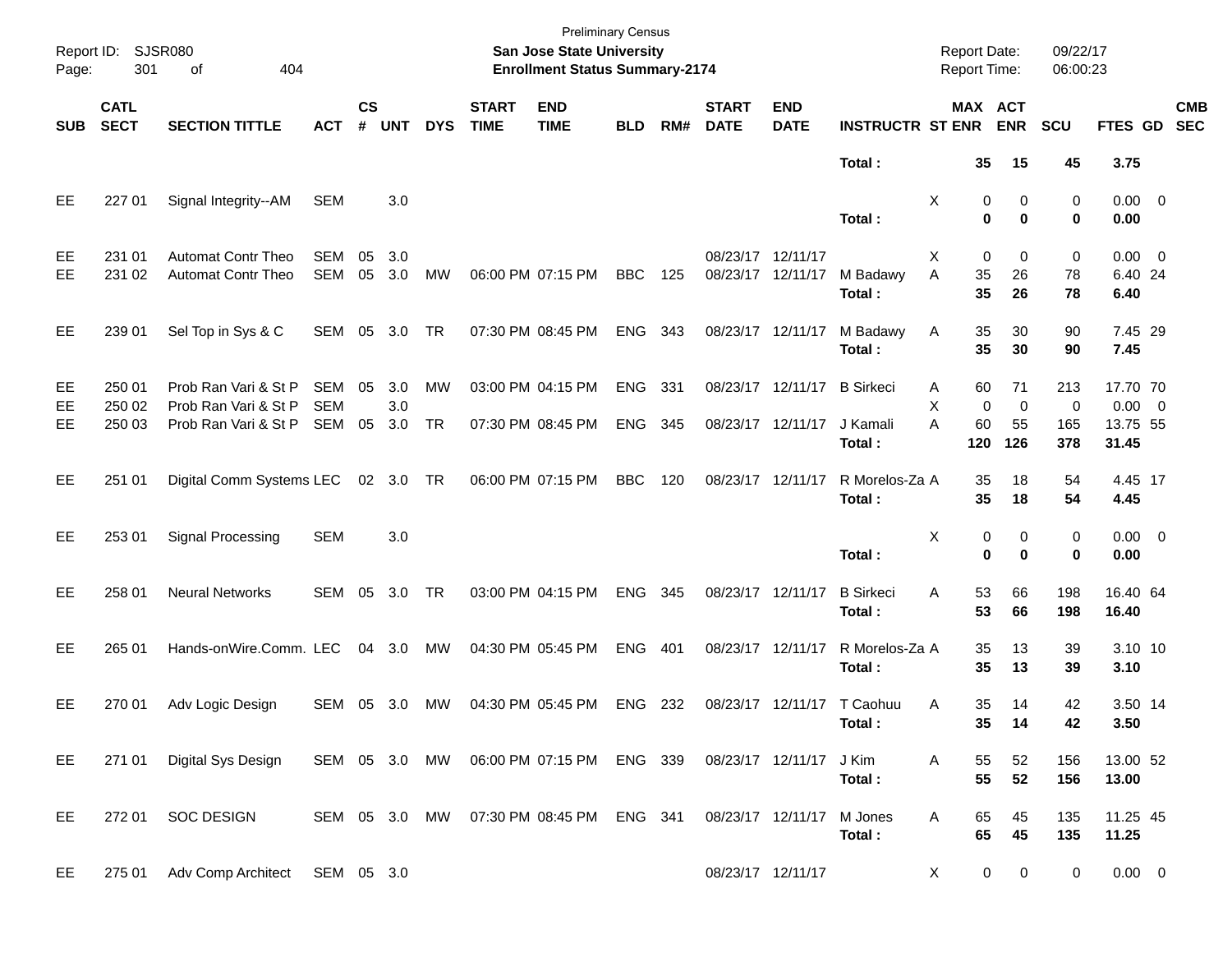| Report ID:<br>Page:          | 301                        | <b>SJSR080</b><br>404<br>οf                                          |                             |                |                   |                        |                             | <b>Preliminary Census</b><br>San Jose State University<br><b>Enrollment Status Summary-2174</b> |                       |     |                                        |                                        |                                        | <b>Report Date:</b><br>Report Time: |                                                 | 09/22/17<br>06:00:23   |                                              |            |
|------------------------------|----------------------------|----------------------------------------------------------------------|-----------------------------|----------------|-------------------|------------------------|-----------------------------|-------------------------------------------------------------------------------------------------|-----------------------|-----|----------------------------------------|----------------------------------------|----------------------------------------|-------------------------------------|-------------------------------------------------|------------------------|----------------------------------------------|------------|
| <b>SUB</b>                   | <b>CATL</b><br><b>SECT</b> | <b>SECTION TITTLE</b>                                                | <b>ACT</b>                  | <b>CS</b><br># | <b>UNT</b>        | <b>DYS</b>             | <b>START</b><br><b>TIME</b> | <b>END</b><br><b>TIME</b>                                                                       | <b>BLD</b>            | RM# | <b>START</b><br><b>DATE</b>            | <b>END</b><br><b>DATE</b>              | <b>INSTRUCTR ST ENR</b>                |                                     | MAX ACT<br><b>ENR</b>                           | SCU                    | FTES GD SEC                                  | <b>CMB</b> |
|                              |                            |                                                                      |                             |                |                   |                        |                             |                                                                                                 |                       |     |                                        |                                        | Total:                                 |                                     | 35<br>15                                        | 45                     | 3.75                                         |            |
| EE                           | 227 01                     | Signal Integrity--AM                                                 | SEM                         |                | 3.0               |                        |                             |                                                                                                 |                       |     |                                        |                                        | Total:                                 | X                                   | 0<br>0<br>$\mathbf 0$<br>0                      | 0<br>0                 | $0.00 \ 0$<br>0.00                           |            |
| EE<br>EE                     | 231 01<br>231 02           | <b>Automat Contr Theo</b><br><b>Automat Contr Theo</b>               | SEM<br>SEM                  | 05             | 3.0<br>05 3.0     | MW                     |                             | 06:00 PM 07:15 PM                                                                               | BBC                   | 125 | 08/23/17 12/11/17<br>08/23/17 12/11/17 |                                        | M Badawy<br>Total:                     | X<br>A                              | 0<br>0<br>35<br>26<br>35<br>26                  | 0<br>78<br>78          | $0.00 \t 0$<br>6.40 24<br>6.40               |            |
| EE                           | 239 01                     | Sel Top in Sys & C                                                   | SEM 05 3.0                  |                |                   | TR                     |                             | 07:30 PM 08:45 PM                                                                               | ENG 343               |     | 08/23/17 12/11/17                      |                                        | M Badawy<br>Total:                     | Α                                   | 35<br>30<br>35<br>30                            | 90<br>90               | 7.45 29<br>7.45                              |            |
| EE<br><b>EE</b><br><b>EE</b> | 250 01<br>250 02<br>250 03 | Prob Ran Vari & St P<br>Prob Ran Vari & St P<br>Prob Ran Vari & St P | SEM<br><b>SEM</b><br>SEM 05 | 05             | 3.0<br>3.0<br>3.0 | <b>MW</b><br><b>TR</b> |                             | 03:00 PM 04:15 PM<br>07:30 PM 08:45 PM                                                          | <b>ENG</b><br>ENG 345 | 331 |                                        | 08/23/17 12/11/17<br>08/23/17 12/11/17 | <b>B</b> Sirkeci<br>J Kamali<br>Total: | A<br>X<br>A<br>120                  | 71<br>60<br>0<br>$\mathbf 0$<br>60<br>55<br>126 | 213<br>0<br>165<br>378 | 17.70 70<br>$0.00 \t 0$<br>13.75 55<br>31.45 |            |
| EE                           | 251 01                     | Digital Comm Systems LEC 02 3.0 TR                                   |                             |                |                   |                        |                             | 06:00 PM 07:15 PM                                                                               | <b>BBC</b>            | 120 | 08/23/17 12/11/17                      |                                        | R Morelos-Za A<br>Total:               |                                     | 35<br>18<br>35<br>18                            | 54<br>54               | 4.45 17<br>4.45                              |            |
| EE                           | 253 01                     | Signal Processing                                                    | <b>SEM</b>                  |                | 3.0               |                        |                             |                                                                                                 |                       |     |                                        |                                        | Total:                                 | X                                   | 0<br>0<br>$\mathbf 0$<br>$\bf{0}$               | 0<br>0                 | $0.00 \t 0$<br>0.00                          |            |
| EE                           | 258 01                     | <b>Neural Networks</b>                                               | SEM 05 3.0                  |                |                   | TR                     |                             | 03:00 PM 04:15 PM                                                                               | ENG                   | 345 | 08/23/17 12/11/17                      |                                        | <b>B</b> Sirkeci<br>Total:             | A                                   | 53<br>66<br>53<br>66                            | 198<br>198             | 16.40 64<br>16.40                            |            |
| <b>EE</b>                    | 265 01                     | Hands-onWire.Comm. LEC                                               |                             | 04 3.0         |                   | MW                     |                             | 04:30 PM 05:45 PM                                                                               | ENG                   | 401 | 08/23/17 12/11/17                      |                                        | R Morelos-Za A<br>Total:               |                                     | 35<br>13<br>35<br>13                            | 39<br>39               | 3.10 10<br>3.10                              |            |
| EE                           | 270 01                     | Adv Logic Design                                                     | SEM 05 3.0                  |                |                   | МW                     |                             | 04:30 PM 05:45 PM                                                                               | ENG 232               |     |                                        |                                        | 08/23/17 12/11/17 T Caohuu<br>Total :  | Α                                   | 35<br>14<br>35<br>$\overline{14}$               | 42<br>42               | 3.50 14<br>3.50                              |            |
| EE                           | 271 01                     | Digital Sys Design                                                   | SEM 05 3.0 MW               |                |                   |                        |                             | 06:00 PM 07:15 PM ENG 339                                                                       |                       |     | 08/23/17 12/11/17                      |                                        | J Kim<br>Total:                        | Α                                   | 52<br>55<br>55<br>52                            | 156<br>156             | 13.00 52<br>13.00                            |            |
| EE                           | 272 01                     | <b>SOC DESIGN</b>                                                    | SEM 05 3.0 MW               |                |                   |                        |                             | 07:30 PM 08:45 PM ENG 341                                                                       |                       |     | 08/23/17 12/11/17                      |                                        | M Jones<br>Total:                      | Α                                   | 65<br>45<br>65<br>45                            | 135<br>135             | 11.25 45<br>11.25                            |            |
| EE                           | 275 01                     | Adv Comp Architect                                                   | SEM 05 3.0                  |                |                   |                        |                             |                                                                                                 |                       |     |                                        | 08/23/17 12/11/17                      |                                        | X                                   | 0<br>0                                          | 0                      | $0.00 \t 0$                                  |            |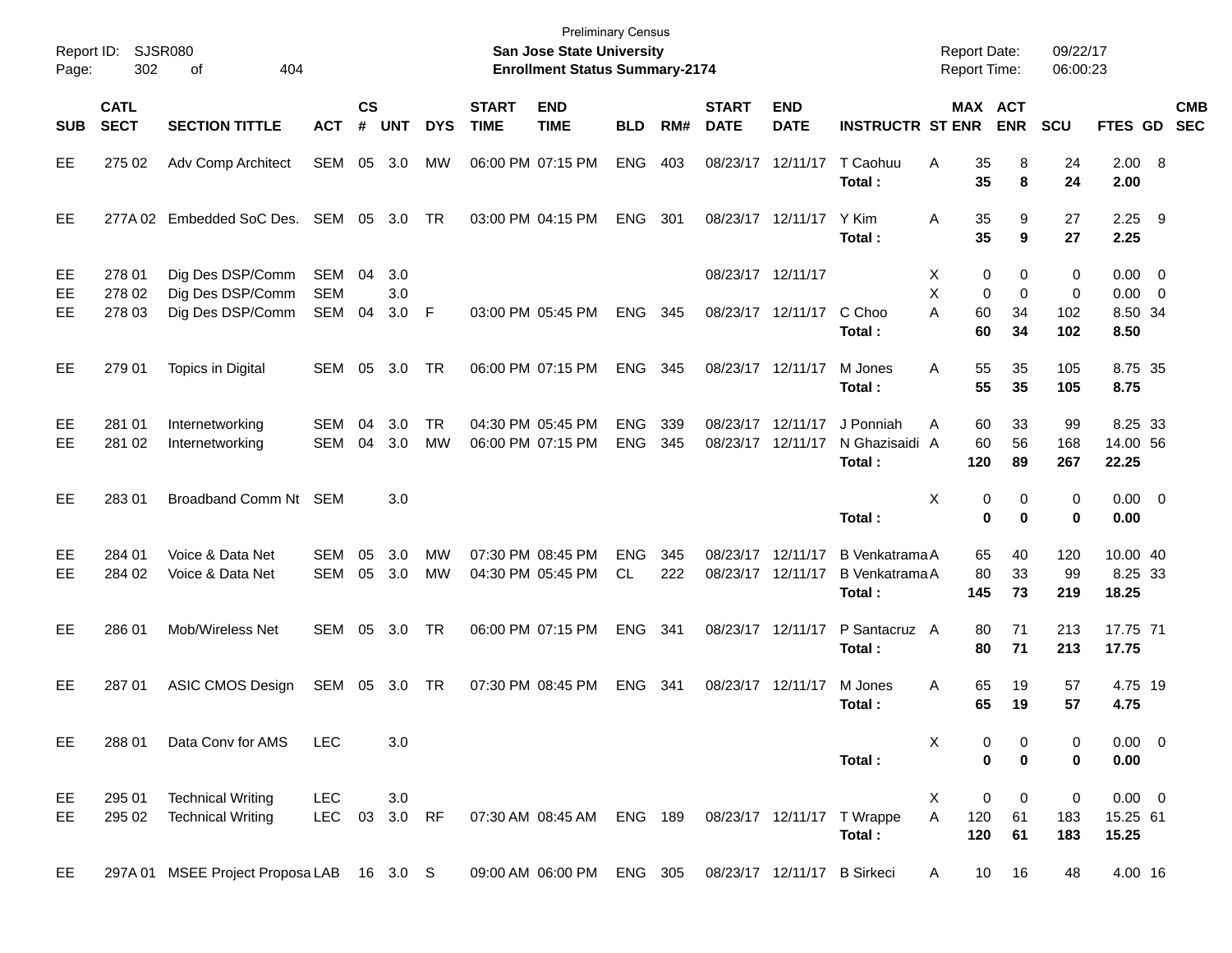| Page:          | Report ID: SJSR080<br>302  | 404<br>οf                                                |                                 |                    |                   |                        |                             | <b>Preliminary Census</b><br>San Jose State University<br><b>Enrollment Status Summary-2174</b> |                          |            |                             |                                        |                                                   | <b>Report Date:</b><br><b>Report Time:</b> |                    |                           | 09/22/17<br>06:00:23 |                                               |     |            |
|----------------|----------------------------|----------------------------------------------------------|---------------------------------|--------------------|-------------------|------------------------|-----------------------------|-------------------------------------------------------------------------------------------------|--------------------------|------------|-----------------------------|----------------------------------------|---------------------------------------------------|--------------------------------------------|--------------------|---------------------------|----------------------|-----------------------------------------------|-----|------------|
| <b>SUB</b>     | <b>CATL</b><br><b>SECT</b> | <b>SECTION TITTLE</b>                                    | <b>ACT</b>                      | $\mathsf{cs}$<br># | <b>UNT</b>        | <b>DYS</b>             | <b>START</b><br><b>TIME</b> | <b>END</b><br><b>TIME</b>                                                                       | <b>BLD</b>               | RM#        | <b>START</b><br><b>DATE</b> | <b>END</b><br><b>DATE</b>              | <b>INSTRUCTR ST ENR</b>                           |                                            | MAX ACT            | <b>ENR</b>                | <b>SCU</b>           | FTES GD SEC                                   |     | <b>CMB</b> |
| EE             | 275 02                     | Adv Comp Architect                                       | SEM 05 3.0                      |                    |                   | МW                     |                             | 06:00 PM 07:15 PM                                                                               | <b>ENG</b>               | 403        |                             | 08/23/17 12/11/17                      | T Caohuu<br>Total:                                | A                                          | 35<br>35           | 8<br>8                    | 24<br>24             | 2.00 8<br>2.00                                |     |            |
| EE             |                            | 277A 02 Embedded SoC Des. SEM 05 3.0                     |                                 |                    |                   | TR                     |                             | 03:00 PM 04:15 PM                                                                               | <b>ENG</b>               | 301        |                             | 08/23/17 12/11/17                      | Y Kim<br>Total:                                   | Α                                          | 35<br>35           | 9<br>9                    | 27<br>27             | 2.25<br>2.25                                  | - 9 |            |
| EE<br>EE<br>EE | 278 01<br>278 02<br>278 03 | Dig Des DSP/Comm<br>Dig Des DSP/Comm<br>Dig Des DSP/Comm | SEM<br><b>SEM</b><br><b>SEM</b> | 04<br>04           | 3.0<br>3.0<br>3.0 | -F                     |                             | 03:00 PM 05:45 PM                                                                               | <b>ENG</b>               | 345        |                             | 08/23/17 12/11/17<br>08/23/17 12/11/17 | C Choo<br>Total:                                  | Х<br>X<br>A                                | 0<br>0<br>60<br>60 | 0<br>$\Omega$<br>34<br>34 | 0<br>0<br>102<br>102 | $0.00 \t 0$<br>$0.00 \t 0$<br>8.50 34<br>8.50 |     |            |
| EE             | 279 01                     | Topics in Digital                                        | SEM 05                          |                    | 3.0               | TR                     |                             | 06:00 PM 07:15 PM                                                                               | <b>ENG</b>               | 345        |                             | 08/23/17 12/11/17                      | M Jones<br>Total:                                 | A                                          | 55<br>55           | 35<br>35                  | 105<br>105           | 8.75 35<br>8.75                               |     |            |
| EE<br>EE       | 281 01<br>281 02           | Internetworking<br>Internetworking                       | SEM<br><b>SEM</b>               | 04<br>04           | 3.0<br>3.0        | <b>TR</b><br><b>MW</b> |                             | 04:30 PM 05:45 PM<br>06:00 PM 07:15 PM                                                          | <b>ENG</b><br><b>ENG</b> | 339<br>345 |                             | 08/23/17 12/11/17<br>08/23/17 12/11/17 | J Ponniah<br>N Ghazisaidi A<br>Total:             | A                                          | 60<br>60<br>120    | 33<br>56<br>89            | 99<br>168<br>267     | 8.25 33<br>14.00 56<br>22.25                  |     |            |
| EE             | 28301                      | Broadband Comm Nt SEM                                    |                                 |                    | 3.0               |                        |                             |                                                                                                 |                          |            |                             |                                        | Total:                                            | X                                          | 0<br>$\bf{0}$      | 0<br>$\bf{0}$             | 0<br>0               | $0.00 \t 0$<br>0.00                           |     |            |
| EE<br>EE       | 284 01<br>284 02           | Voice & Data Net<br>Voice & Data Net                     | SEM<br><b>SEM</b>               | 05<br>05           | 3.0<br>3.0        | MW<br><b>MW</b>        |                             | 07:30 PM 08:45 PM<br>04:30 PM 05:45 PM                                                          | <b>ENG</b><br>CL         | 345<br>222 |                             | 08/23/17 12/11/17<br>08/23/17 12/11/17 | B Venkatrama A<br><b>B</b> Venkatrama A<br>Total: |                                            | 65<br>80<br>145    | 40<br>33<br>73            | 120<br>99<br>219     | 10.00 40<br>8.25 33<br>18.25                  |     |            |
| EE             | 286 01                     | Mob/Wireless Net                                         | <b>SEM</b>                      | 05                 | 3.0               | TR                     |                             | 06:00 PM 07:15 PM                                                                               | <b>ENG</b>               | 341        |                             | 08/23/17 12/11/17                      | P Santacruz A<br>Total:                           |                                            | 80<br>80           | 71<br>71                  | 213<br>213           | 17.75 71<br>17.75                             |     |            |
| EE             | 287 01                     | ASIC CMOS Design                                         | SEM 05 3.0 TR                   |                    |                   |                        |                             | 07:30 PM 08:45 PM                                                                               | <b>ENG</b>               | 341        |                             | 08/23/17 12/11/17                      | M Jones<br>Total:                                 | A                                          | 65<br>65           | 19<br>19                  | 57<br>57             | 4.75 19<br>4.75                               |     |            |
| EE.            | 288 01                     | Data Conv for AMS                                        | <b>LEC</b>                      |                    | 3.0               |                        |                             |                                                                                                 |                          |            |                             |                                        | Total:                                            | Χ                                          | 0<br>$\mathbf 0$   | 0<br>$\mathbf 0$          | 0<br>0               | $0.00 \t 0$<br>0.00                           |     |            |
| EE<br>EE.      | 295 01<br>295 02           | <b>Technical Writing</b><br><b>Technical Writing</b>     | LEC<br><b>LEC</b>               | 03                 | 3.0<br>3.0 RF     |                        |                             | 07:30 AM 08:45 AM                                                                               | ENG 189                  |            |                             |                                        | 08/23/17 12/11/17 T Wrappe<br>Total:              | X<br>A                                     | 0<br>120<br>120    | 0<br>61<br>61             | 0<br>183<br>183      | $0.00 \t 0$<br>15.25 61<br>15.25              |     |            |
| EE.            |                            | 297A 01 MSEE Project Proposa LAB 16 3.0 S                |                                 |                    |                   |                        |                             | 09:00 AM 06:00 PM                                                                               | ENG 305                  |            |                             | 08/23/17 12/11/17 B Sirkeci            |                                                   | A                                          | 10                 | 16                        | 48                   | 4.00 16                                       |     |            |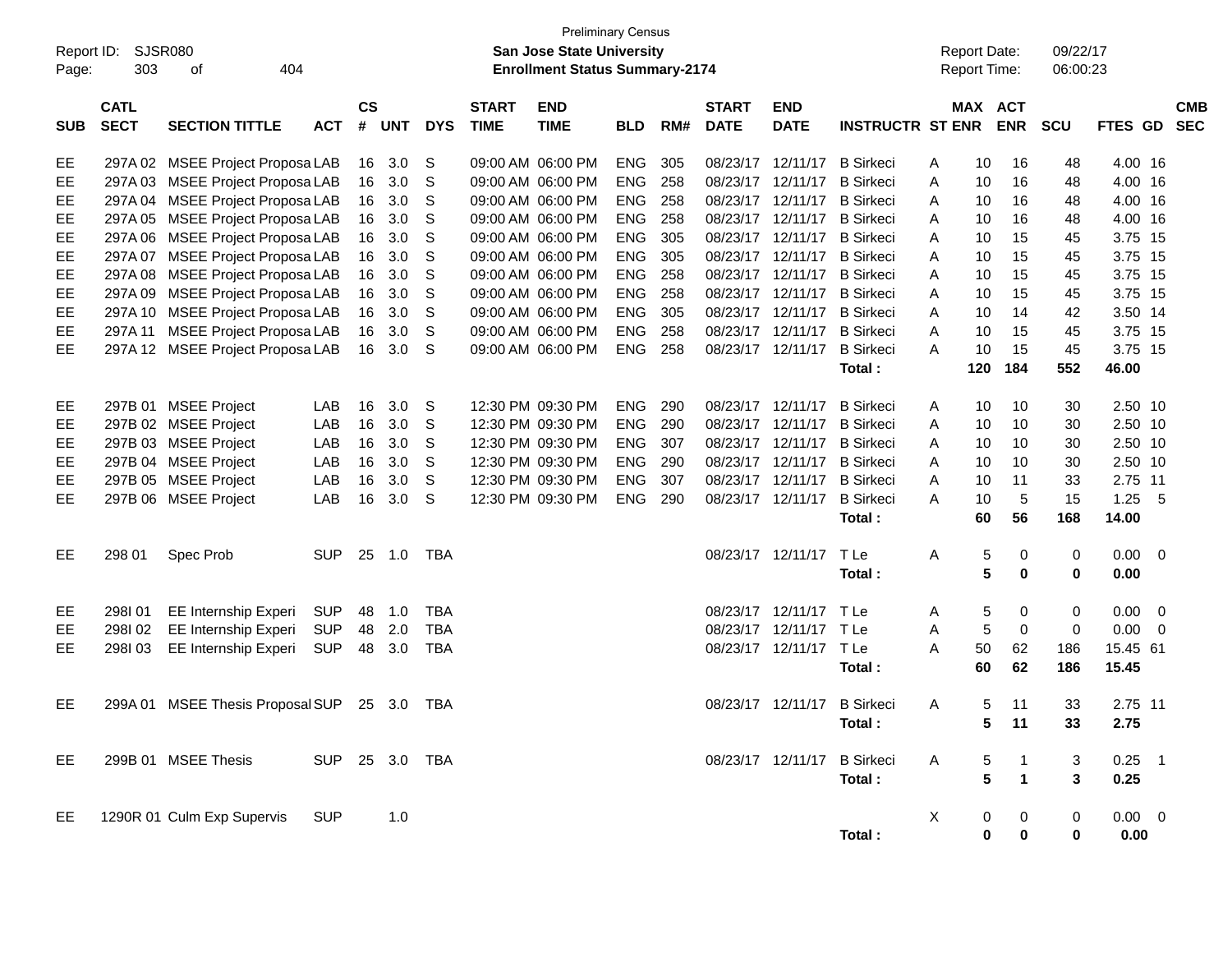| Report ID:<br>Page: | 303                        | <b>SJSR080</b><br>404<br>οf                                          |                |                             |            |              |                             | <b>Preliminary Census</b><br>San Jose State University<br><b>Enrollment Status Summary-2174</b> |                          |            |                             |                                        |                         |        | <b>Report Date:</b><br><b>Report Time:</b> |                         | 09/22/17<br>06:00:23 |                    |     |                          |
|---------------------|----------------------------|----------------------------------------------------------------------|----------------|-----------------------------|------------|--------------|-----------------------------|-------------------------------------------------------------------------------------------------|--------------------------|------------|-----------------------------|----------------------------------------|-------------------------|--------|--------------------------------------------|-------------------------|----------------------|--------------------|-----|--------------------------|
| <b>SUB</b>          | <b>CATL</b><br><b>SECT</b> | <b>SECTION TITTLE</b>                                                | <b>ACT</b>     | $\mathsf{cs}$<br>$\pmb{\#}$ | <b>UNT</b> | <b>DYS</b>   | <b>START</b><br><b>TIME</b> | <b>END</b><br><b>TIME</b>                                                                       | <b>BLD</b>               | RM#        | <b>START</b><br><b>DATE</b> | <b>END</b><br><b>DATE</b>              | <b>INSTRUCTR ST ENR</b> |        | MAX ACT                                    | <b>ENR</b>              | <b>SCU</b>           | FTES GD            |     | <b>CMB</b><br><b>SEC</b> |
| EE                  |                            | 297A 02 MSEE Project Proposa LAB                                     |                |                             | 16 3.0     | S            |                             | 09:00 AM 06:00 PM                                                                               | <b>ENG</b>               | 305        |                             | 08/23/17 12/11/17<br>08/23/17 12/11/17 | <b>B</b> Sirkeci        | A      | 10                                         | 16                      | 48                   | 4.00 16            |     |                          |
| EE<br>EE            |                            | 297A 03 MSEE Project Proposa LAB<br>297A 04 MSEE Project Proposa LAB |                | 16<br>16                    | 3.0<br>3.0 | S<br>S       |                             | 09:00 AM 06:00 PM<br>09:00 AM 06:00 PM                                                          | <b>ENG</b><br><b>ENG</b> | 258<br>258 |                             | 08/23/17 12/11/17 B Sirkeci            | <b>B</b> Sirkeci        | A<br>A | 10<br>10                                   | 16<br>16                | 48<br>48             | 4.00 16<br>4.00 16 |     |                          |
| EE                  |                            | 297A 05 MSEE Project Proposa LAB                                     |                | 16                          | 3.0        | S            |                             | 09:00 AM 06:00 PM                                                                               | <b>ENG</b>               | 258        |                             | 08/23/17 12/11/17                      | <b>B</b> Sirkeci        | A      | 10                                         | 16                      | 48                   | 4.00 16            |     |                          |
| EE                  |                            | 297A 06 MSEE Project Proposa LAB                                     |                | 16                          | 3.0        | S            |                             | 09:00 AM 06:00 PM                                                                               | <b>ENG</b>               | 305        |                             | 08/23/17 12/11/17 B Sirkeci            |                         | A      | 10                                         | 15                      | 45                   | 3.75 15            |     |                          |
| EE                  |                            | 297A 07 MSEE Project Proposa LAB                                     |                | 16                          | 3.0        | S            |                             | 09:00 AM 06:00 PM                                                                               | <b>ENG</b>               | 305        |                             | 08/23/17 12/11/17 B Sirkeci            |                         | A      | 10                                         | 15                      | 45                   | 3.75 15            |     |                          |
| EE                  |                            | 297A 08 MSEE Project Proposa LAB                                     |                | 16                          | 3.0        | S            |                             | 09:00 AM 06:00 PM                                                                               | <b>ENG</b>               | 258        |                             | 08/23/17 12/11/17 B Sirkeci            |                         | A      | 10                                         | 15                      | 45                   | 3.75 15            |     |                          |
| EE                  |                            | 297A 09 MSEE Project Proposa LAB                                     |                | 16                          | 3.0        | S            |                             | 09:00 AM 06:00 PM                                                                               | <b>ENG</b>               | 258        |                             | 08/23/17 12/11/17 B Sirkeci            |                         | A      | 10                                         | 15                      | 45                   | 3.75 15            |     |                          |
| EE                  |                            | 297A 10 MSEE Project Proposa LAB                                     |                | 16                          | 3.0        | S            |                             | 09:00 AM 06:00 PM                                                                               | <b>ENG</b>               | 305        |                             | 08/23/17 12/11/17 B Sirkeci            |                         | A      | 10                                         | 14                      | 42                   | 3.50 14            |     |                          |
| EE                  |                            | 297A 11 MSEE Project Proposa LAB                                     |                | 16                          | 3.0        | S            |                             | 09:00 AM 06:00 PM                                                                               | <b>ENG</b>               | 258        |                             | 08/23/17 12/11/17 B Sirkeci            |                         | A      | 10                                         | 15                      | 45                   | 3.75 15            |     |                          |
| EE                  |                            | 297A 12 MSEE Project Proposa LAB                                     |                | 16                          | 3.0        | S            |                             | 09:00 AM 06:00 PM                                                                               | <b>ENG</b>               | 258        |                             | 08/23/17 12/11/17                      | <b>B</b> Sirkeci        | A      | 10                                         | 15                      | 45                   | 3.75 15            |     |                          |
|                     |                            |                                                                      |                |                             |            |              |                             |                                                                                                 |                          |            |                             |                                        | Total :                 |        | 120                                        | 184                     | 552                  | 46.00              |     |                          |
|                     |                            |                                                                      |                |                             |            |              |                             |                                                                                                 |                          |            |                             |                                        |                         |        |                                            |                         |                      |                    |     |                          |
| EE                  |                            | 297B 01 MSEE Project                                                 | LAB            | 16                          | 3.0        | <sub>S</sub> |                             | 12:30 PM 09:30 PM                                                                               | <b>ENG</b>               | 290        |                             | 08/23/17 12/11/17                      | <b>B</b> Sirkeci        | A      | 10                                         | 10                      | 30                   | 2.50 10            |     |                          |
| EE                  |                            | 297B 02 MSEE Project                                                 | LAB            | 16                          | 3.0        | S            |                             | 12:30 PM 09:30 PM                                                                               | <b>ENG</b>               | 290        |                             | 08/23/17 12/11/17                      | <b>B</b> Sirkeci        | A      | 10                                         | 10                      | 30                   | 2.50 10            |     |                          |
| EE                  |                            | 297B 03 MSEE Project                                                 | LAB            | 16                          | 3.0        | S            |                             | 12:30 PM 09:30 PM                                                                               | <b>ENG</b>               | 307        |                             | 08/23/17 12/11/17                      | <b>B</b> Sirkeci        | A      | 10                                         | 10                      | 30                   | 2.50 10            |     |                          |
| EE                  |                            | 297B 04 MSEE Project                                                 | LAB            | 16                          | 3.0        | S            |                             | 12:30 PM 09:30 PM                                                                               | <b>ENG</b>               | 290        |                             | 08/23/17 12/11/17 B Sirkeci            |                         | A      | 10                                         | 10                      | 30                   | 2.50 10            |     |                          |
| EE                  |                            | 297B 05 MSEE Project                                                 | LAB            | 16                          | 3.0        | S            |                             | 12:30 PM 09:30 PM                                                                               | <b>ENG</b>               | 307        |                             | 08/23/17 12/11/17 B Sirkeci            |                         | A      | 10                                         | 11                      | 33                   | 2.75 11            |     |                          |
| EE                  |                            | 297B 06 MSEE Project                                                 | LAB            | 16                          | 3.0        | S            |                             | 12:30 PM 09:30 PM                                                                               | <b>ENG</b>               | 290        |                             | 08/23/17 12/11/17                      | <b>B</b> Sirkeci        | A      | 10                                         | 5                       | 15                   | 1.25               | - 5 |                          |
|                     |                            |                                                                      |                |                             |            |              |                             |                                                                                                 |                          |            |                             |                                        | Total :                 |        | 60                                         | 56                      | 168                  | 14.00              |     |                          |
| EE                  | 298 01                     | Spec Prob                                                            | <b>SUP</b>     |                             | 25 1.0     | TBA          |                             |                                                                                                 |                          |            |                             | 08/23/17 12/11/17                      | TLe                     | Α      | 5                                          | 0                       | 0                    | $0.00 \ 0$         |     |                          |
|                     |                            |                                                                      |                |                             |            |              |                             |                                                                                                 |                          |            |                             |                                        | Total :                 |        | 5                                          | 0                       | 0                    | 0.00               |     |                          |
| EE                  | 298101                     | EE Internship Experi                                                 | SUP            | 48                          | 1.0        | TBA          |                             |                                                                                                 |                          |            |                             | 08/23/17 12/11/17 TLe                  |                         | A      | 5                                          | 0                       | 0                    | $0.00 \ 0$         |     |                          |
| EE                  | 298I02                     | <b>EE Internship Experi</b>                                          | <b>SUP</b>     | 48                          | 2.0        | <b>TBA</b>   |                             |                                                                                                 |                          |            |                             | 08/23/17 12/11/17 TLe                  |                         | A      | 5                                          | 0                       | 0                    | 0.00               | - 0 |                          |
| EE                  | 298I03                     | <b>EE Internship Experi</b>                                          | <b>SUP</b>     | 48                          | 3.0        | TBA          |                             |                                                                                                 |                          |            |                             | 08/23/17 12/11/17 TLe                  |                         | A      | 50                                         | 62                      | 186                  | 15.45 61           |     |                          |
|                     |                            |                                                                      |                |                             |            |              |                             |                                                                                                 |                          |            |                             |                                        | Total :                 |        | 60                                         | 62                      | 186                  | 15.45              |     |                          |
|                     |                            |                                                                      |                |                             |            |              |                             |                                                                                                 |                          |            |                             |                                        |                         |        |                                            |                         |                      |                    |     |                          |
| EE                  |                            | 299A 01 MSEE Thesis Proposal SUP 25 3.0                              |                |                             |            | TBA          |                             |                                                                                                 |                          |            |                             | 08/23/17 12/11/17 B Sirkeci            |                         | A      | 5                                          | 11                      | 33                   | 2.75 11            |     |                          |
|                     |                            |                                                                      |                |                             |            |              |                             |                                                                                                 |                          |            |                             |                                        | Total:                  |        | 5                                          | $-11$                   | 33                   | 2.75               |     |                          |
|                     |                            |                                                                      |                |                             |            |              |                             |                                                                                                 |                          |            |                             |                                        |                         |        |                                            |                         |                      |                    |     |                          |
| EE                  |                            | 299B 01 MSEE Thesis                                                  | SUP 25 3.0 TBA |                             |            |              |                             |                                                                                                 |                          |            |                             | 08/23/17 12/11/17                      | <b>B</b> Sirkeci        | A      | 5                                          | $\overline{1}$          | 3                    | $0.25$ 1           |     |                          |
|                     |                            |                                                                      |                |                             |            |              |                             |                                                                                                 |                          |            |                             |                                        | Total:                  |        | 5                                          | $\overline{\mathbf{1}}$ | 3                    | 0.25               |     |                          |
|                     |                            |                                                                      |                |                             |            |              |                             |                                                                                                 |                          |            |                             |                                        |                         |        |                                            |                         |                      |                    |     |                          |
| EE                  |                            | 1290R 01 Culm Exp Supervis                                           | <b>SUP</b>     |                             | 1.0        |              |                             |                                                                                                 |                          |            |                             |                                        |                         | X      | 0                                          | 0                       | 0                    | $0.00 \t 0$        |     |                          |
|                     |                            |                                                                      |                |                             |            |              |                             |                                                                                                 |                          |            |                             |                                        | Total:                  |        | 0                                          | 0                       | 0                    | 0.00               |     |                          |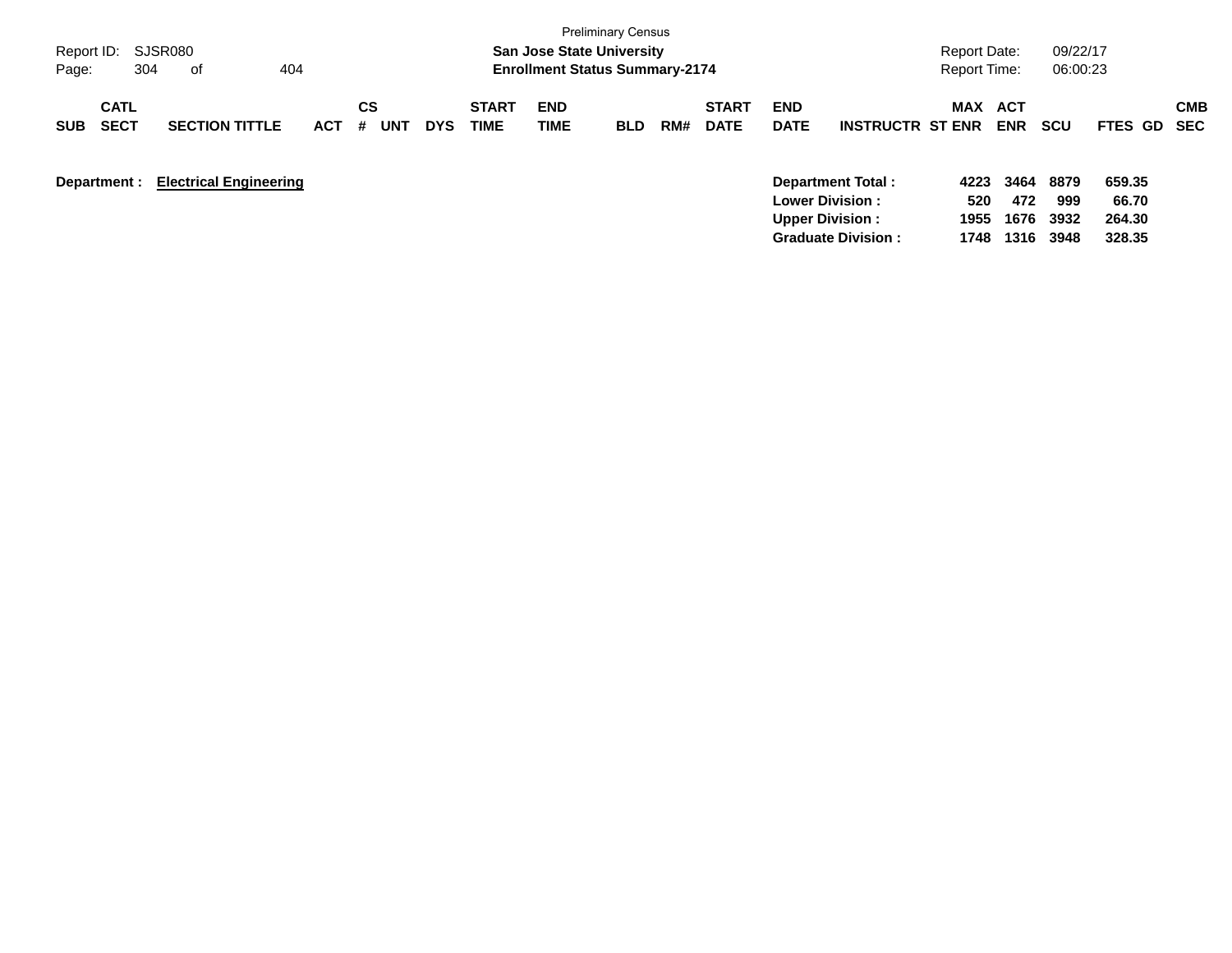| Report ID:<br>304<br>Page:               | SJSR080<br>404<br>of          |            |                |            |                             | <b>San Jose State University</b><br><b>Enrollment Status Summary-2174</b> | <b>Preliminary Census</b> |     |                             |                           |                                                                        | <b>Report Date:</b><br><b>Report Time:</b> |                     | 09/22/17<br>06:00:23 |                           |            |
|------------------------------------------|-------------------------------|------------|----------------|------------|-----------------------------|---------------------------------------------------------------------------|---------------------------|-----|-----------------------------|---------------------------|------------------------------------------------------------------------|--------------------------------------------|---------------------|----------------------|---------------------------|------------|
| <b>CATL</b><br><b>SECT</b><br><b>SUB</b> | <b>SECTION TITTLE</b>         | <b>ACT</b> | CS<br>#<br>UNT | <b>DYS</b> | <b>START</b><br><b>TIME</b> | <b>END</b><br>TIME                                                        | <b>BLD</b>                | RM# | <b>START</b><br><b>DATE</b> | <b>END</b><br><b>DATE</b> | <b>INSTRUCTR ST ENR</b>                                                | MAX                                        | ACT<br><b>ENR</b>   | <b>SCU</b>           | FTES GD SEC               | <b>CMB</b> |
| Department :                             | <b>Electrical Engineering</b> |            |                |            |                             |                                                                           |                           |     |                             |                           | Department Total:<br><b>Lower Division :</b><br><b>Upper Division:</b> | 4223<br>520<br>1955                        | 3464<br>472<br>1676 | 8879<br>999<br>3932  | 659.35<br>66.70<br>264.30 |            |

**Graduate Division : 1748 1316 3948 328.35**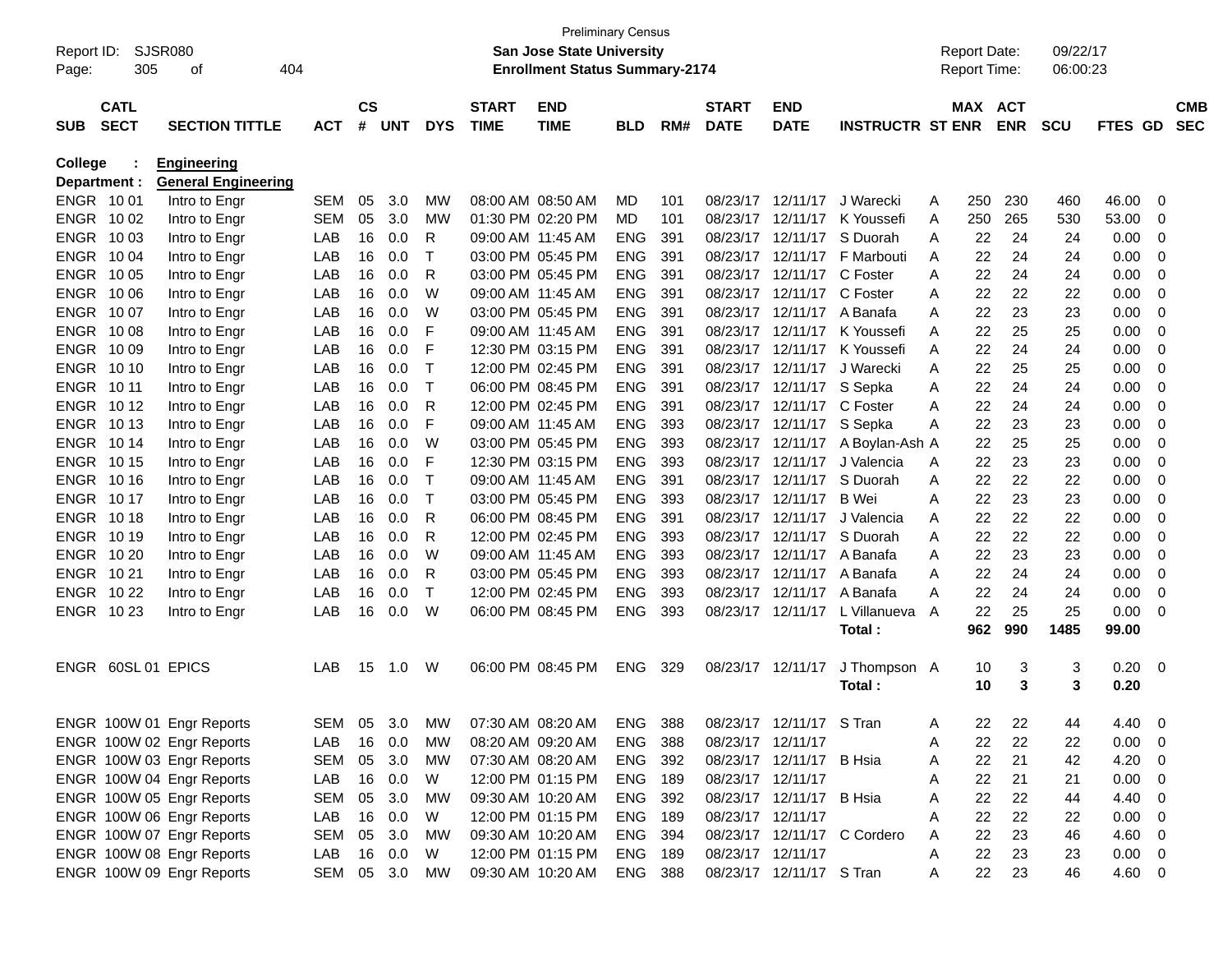|            |                    |                            |            |               |                 |            |                   | <b>Preliminary Census</b>             |            |     |                   |                          |                             |   |                     |            |            |                |                          |            |
|------------|--------------------|----------------------------|------------|---------------|-----------------|------------|-------------------|---------------------------------------|------------|-----|-------------------|--------------------------|-----------------------------|---|---------------------|------------|------------|----------------|--------------------------|------------|
| Report ID: |                    | SJSR080                    |            |               |                 |            |                   | <b>San Jose State University</b>      |            |     |                   |                          |                             |   | <b>Report Date:</b> |            | 09/22/17   |                |                          |            |
| Page:      | 305                | 404<br>οf                  |            |               |                 |            |                   | <b>Enrollment Status Summary-2174</b> |            |     |                   |                          |                             |   | <b>Report Time:</b> |            | 06:00:23   |                |                          |            |
|            |                    |                            |            |               |                 |            |                   |                                       |            |     |                   |                          |                             |   |                     |            |            |                |                          |            |
|            | <b>CATL</b>        |                            |            | $\mathsf{cs}$ |                 |            | <b>START</b>      | <b>END</b>                            |            |     | <b>START</b>      | <b>END</b>               |                             |   | MAX ACT             |            |            |                |                          | <b>CMB</b> |
| <b>SUB</b> | <b>SECT</b>        | <b>SECTION TITTLE</b>      | <b>ACT</b> | #             | <b>UNT</b>      | <b>DYS</b> | <b>TIME</b>       | <b>TIME</b>                           | <b>BLD</b> | RM# | <b>DATE</b>       | <b>DATE</b>              | <b>INSTRUCTR ST ENR</b>     |   |                     | <b>ENR</b> | <b>SCU</b> | <b>FTES GD</b> |                          | <b>SEC</b> |
| College    |                    | <b>Engineering</b>         |            |               |                 |            |                   |                                       |            |     |                   |                          |                             |   |                     |            |            |                |                          |            |
|            | Department :       | <b>General Engineering</b> |            |               |                 |            |                   |                                       |            |     |                   |                          |                             |   |                     |            |            |                |                          |            |
|            | ENGR 1001          | Intro to Engr              | <b>SEM</b> | 05            | 3.0             | MW         |                   | 08:00 AM 08:50 AM                     | MD.        | 101 | 08/23/17          | 12/11/17                 | J Warecki                   | A | 250                 | 230        | 460        | 46.00          | 0                        |            |
|            | ENGR 1002          | Intro to Engr              | <b>SEM</b> | 05            | 3.0             | MW         |                   | 01:30 PM 02:20 PM                     | MD         | 101 | 08/23/17          | 12/11/17                 | K Youssefi                  | A | 250                 | 265        | 530        | 53.00          | 0                        |            |
|            | ENGR 1003          | Intro to Engr              | LAB        | 16            | 0.0             | R          | 09:00 AM 11:45 AM |                                       | <b>ENG</b> | 391 | 08/23/17          | 12/11/17                 | S Duorah                    | A | 22                  | 24         | 24         | 0.00           | 0                        |            |
|            | ENGR 1004          | Intro to Engr              | LAB        | 16            | 0.0             | Т          |                   | 03:00 PM 05:45 PM                     | <b>ENG</b> | 391 | 08/23/17          |                          | 12/11/17 F Marbouti         | A | 22                  | 24         | 24         | 0.00           | 0                        |            |
|            | ENGR 1005          | Intro to Engr              | LAB        | 16            | 0.0             | R          |                   | 03:00 PM 05:45 PM                     | <b>ENG</b> | 391 | 08/23/17          | 12/11/17                 | C Foster                    | A | 22                  | 24         | 24         | 0.00           | 0                        |            |
|            | ENGR 10 06         | Intro to Engr              | LAB        | 16            | 0.0             | W          | 09:00 AM 11:45 AM |                                       | <b>ENG</b> | 391 | 08/23/17          | 12/11/17 C Foster        |                             | A | 22                  | 22         | 22         | 0.00           | 0                        |            |
|            | ENGR 1007          | Intro to Engr              | LAB        | 16            | 0.0             | W          |                   | 03:00 PM 05:45 PM                     | <b>ENG</b> | 391 | 08/23/17          |                          | 12/11/17 A Banafa           | A | 22                  | 23         | 23         | 0.00           | 0                        |            |
|            | ENGR 1008          | Intro to Engr              | LAB        | 16            | 0.0             | F          | 09:00 AM 11:45 AM |                                       | <b>ENG</b> | 391 | 08/23/17          |                          | 12/11/17 K Youssefi         | A | 22                  | 25         | 25         | 0.00           | 0                        |            |
|            | ENGR 1009          | Intro to Engr              | LAB        | 16            | 0.0             | F          |                   | 12:30 PM 03:15 PM                     | <b>ENG</b> | 391 | 08/23/17          | 12/11/17                 | K Youssefi                  | A | 22                  | 24         | 24         | 0.00           | 0                        |            |
|            | ENGR 1010          | Intro to Engr              | LAB        | 16            | 0.0             | Т          |                   | 12:00 PM 02:45 PM                     | <b>ENG</b> | 391 | 08/23/17          | 12/11/17                 | J Warecki                   | A | 22                  | 25         | 25         | 0.00           | 0                        |            |
| ENGR 10 11 |                    | Intro to Engr              | LAB        | 16            | 0.0             | т          |                   | 06:00 PM 08:45 PM                     | <b>ENG</b> | 391 | 08/23/17          | 12/11/17 S Sepka         |                             | A | 22                  | 24         | 24         | 0.00           | 0                        |            |
|            | ENGR 1012          | Intro to Engr              | LAB        | 16            | 0.0             | R          |                   | 12:00 PM 02:45 PM                     | <b>ENG</b> | 391 | 08/23/17          | 12/11/17                 | C Foster                    | A | 22                  | 24         | 24         | 0.00           | 0                        |            |
|            | ENGR 1013          | Intro to Engr              | LAB        | 16            | 0.0             | F          | 09:00 AM 11:45 AM |                                       | <b>ENG</b> | 393 | 08/23/17          | 12/11/17 S Sepka         |                             | A | 22                  | 23         | 23         | 0.00           | 0                        |            |
|            | ENGR 1014          | Intro to Engr              | LAB        | 16            | 0.0             | W          |                   | 03:00 PM 05:45 PM                     | <b>ENG</b> | 393 | 08/23/17          | 12/11/17                 | A Boylan-Ash A              |   | 22                  | 25         | 25         | 0.00           | 0                        |            |
|            | ENGR 1015          | Intro to Engr              | LAB        | 16            | 0.0             | F          |                   | 12:30 PM 03:15 PM                     | <b>ENG</b> | 393 | 08/23/17          | 12/11/17                 | J Valencia                  | A | 22                  | 23         | 23         | 0.00           | 0                        |            |
|            | ENGR 1016          | Intro to Engr              | LAB        | 16            | 0.0             | Т          | 09:00 AM 11:45 AM |                                       | <b>ENG</b> | 391 | 08/23/17          | 12/11/17                 | S Duorah                    | A | 22                  | 22         | 22         | 0.00           | 0                        |            |
|            | ENGR 1017          | Intro to Engr              | LAB        | 16            | 0.0             | т          |                   | 03:00 PM 05:45 PM                     | <b>ENG</b> | 393 | 08/23/17          | 12/11/17                 | B Wei                       | A | 22                  | 23         | 23         | 0.00           | 0                        |            |
|            | ENGR 1018          | Intro to Engr              | LAB        | 16            | 0.0             | R          |                   | 06:00 PM 08:45 PM                     | <b>ENG</b> | 391 | 08/23/17          | 12/11/17                 | J Valencia                  | A | 22                  | 22         | 22         | 0.00           | 0                        |            |
|            | ENGR 1019          | Intro to Engr              | LAB        | 16            | 0.0             | R          |                   | 12:00 PM 02:45 PM                     | <b>ENG</b> | 393 | 08/23/17          | 12/11/17                 | S Duorah                    | A | 22                  | 22         | 22         | 0.00           | 0                        |            |
|            | ENGR 10 20         | Intro to Engr              | LAB        | 16            | 0.0             | W          | 09:00 AM 11:45 AM |                                       | <b>ENG</b> | 393 | 08/23/17          | 12/11/17                 | A Banafa                    | A | 22                  | 23         | 23         | 0.00           | 0                        |            |
|            | ENGR 1021          | Intro to Engr              | LAB        | 16            | 0.0             | R          |                   | 03:00 PM 05:45 PM                     | <b>ENG</b> | 393 | 08/23/17          | 12/11/17                 | A Banafa                    | A | 22                  | 24         | 24         | 0.00           | 0                        |            |
|            | ENGR 10 22         | Intro to Engr              | LAB        | 16            | 0.0             | т          |                   | 12:00 PM 02:45 PM                     | <b>ENG</b> | 393 | 08/23/17          | 12/11/17                 | A Banafa                    | A | 22                  | 24         | 24         | 0.00           | 0                        |            |
|            | ENGR 1023          | Intro to Engr              | LAB        | 16            | 0.0             | W          |                   | 06:00 PM 08:45 PM                     | <b>ENG</b> | 393 | 08/23/17          | 12/11/17                 | L Villanueva                | A | 22                  | 25         | 25         | 0.00           | 0                        |            |
|            |                    |                            |            |               |                 |            |                   |                                       |            |     |                   |                          | Total:                      |   | 962                 | 990        | 1485       | 99.00          |                          |            |
|            |                    |                            |            |               |                 |            |                   |                                       |            |     |                   |                          |                             |   |                     |            |            |                |                          |            |
|            | ENGR 60SL 01 EPICS |                            | LAB        | 15            | 1.0             | W          |                   | 06:00 PM 08:45 PM                     | <b>ENG</b> | 329 | 08/23/17 12/11/17 |                          | J Thompson A                |   | 10                  | 3          | 3          | 0.20           | $\overline{\phantom{0}}$ |            |
|            |                    |                            |            |               |                 |            |                   |                                       |            |     |                   |                          | Total:                      |   | 10                  | 3          | 3          | 0.20           |                          |            |
|            |                    | ENGR 100W 01 Engr Reports  | SEM        |               | $0.5 \quad 3.0$ | MW         | 07:30 AM 08:20 AM |                                       | <b>ENG</b> | 388 |                   | 08/23/17 12/11/17 S Tran |                             | A | 22                  | 22         | 44         | 4.40           | - 0                      |            |
|            |                    | ENGR 100W 02 Engr Reports  | LAB        | 16            | 0.0             | МW         |                   | 08:20 AM 09:20 AM                     | ENG        | 388 | 08/23/17 12/11/17 |                          |                             | A | 22                  | 22         | 22         | 0.00           | - 0                      |            |
|            |                    | ENGR 100W 03 Engr Reports  | SEM        | 05            | 3.0             | MW         | 07:30 AM 08:20 AM |                                       | ENG 392    |     |                   | 08/23/17 12/11/17 B Hsia |                             | A | 22                  | 21         | 42         | 4.20           | - 0                      |            |
|            |                    | ENGR 100W 04 Engr Reports  | LAB        |               | 16 0.0          | W          |                   | 12:00 PM 01:15 PM                     | ENG 189    |     | 08/23/17 12/11/17 |                          |                             | A | 22                  | 21         | 21         | 0.00           | - 0                      |            |
|            |                    | ENGR 100W 05 Engr Reports  | <b>SEM</b> | 05            | 3.0             | MW         |                   | 09:30 AM 10:20 AM                     | ENG 392    |     |                   | 08/23/17 12/11/17 B Hsia |                             | A | 22                  | 22         | 44         | 4.40           | - 0                      |            |
|            |                    | ENGR 100W 06 Engr Reports  | LAB        |               | 16 0.0          | W          |                   | 12:00 PM 01:15 PM                     | ENG 189    |     | 08/23/17 12/11/17 |                          |                             | A | 22                  | 22         | 22         | 0.00           | - 0                      |            |
|            |                    | ENGR 100W 07 Engr Reports  | SEM        | 05            | 3.0             | MW         |                   | 09:30 AM 10:20 AM                     | ENG 394    |     |                   |                          | 08/23/17 12/11/17 C Cordero | A | 22                  | 23         | 46         | 4.60           | - 0                      |            |
|            |                    | ENGR 100W 08 Engr Reports  | LAB        |               | 16 0.0          | W          |                   | 12:00 PM 01:15 PM                     | ENG 189    |     | 08/23/17 12/11/17 |                          |                             | A | 22                  | 23         | 23         | 0.00           | $\overline{\mathbf{0}}$  |            |
|            |                    | ENGR 100W 09 Engr Reports  | SEM 05 3.0 |               |                 | МW         |                   | 09:30 AM 10:20 AM                     | ENG 388    |     |                   | 08/23/17 12/11/17 S Tran |                             | A | 22                  | 23         | 46         | 4.60 0         |                          |            |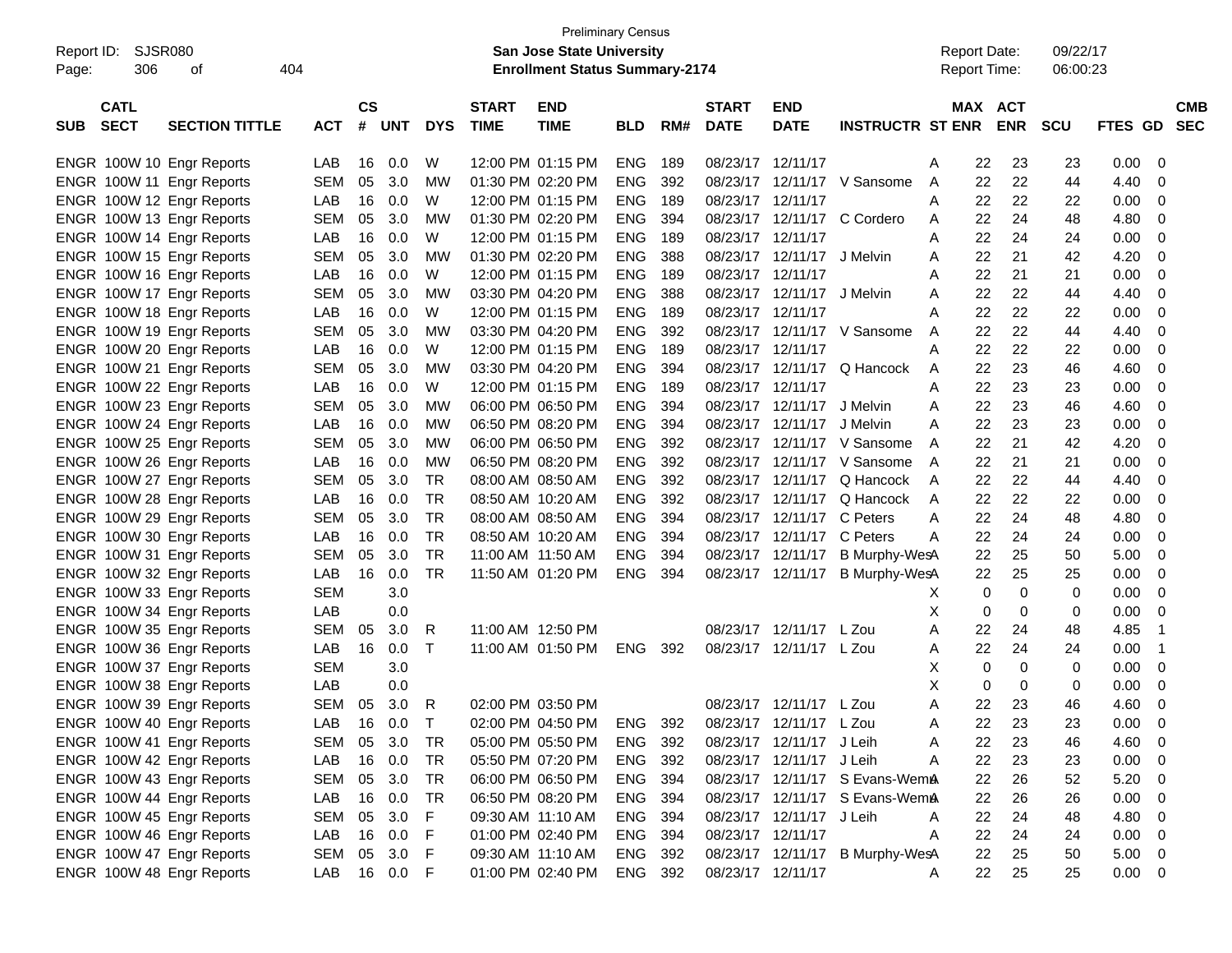|                           |                       |            |               |            |              |                   | <b>Preliminary Census</b>                         |            |     |                   |                          |                                 |   |                     |             |            |             |                |
|---------------------------|-----------------------|------------|---------------|------------|--------------|-------------------|---------------------------------------------------|------------|-----|-------------------|--------------------------|---------------------------------|---|---------------------|-------------|------------|-------------|----------------|
| SJSR080<br>Report ID:     |                       |            |               |            |              |                   | <b>San Jose State University</b>                  |            |     |                   |                          |                                 |   | <b>Report Date:</b> |             | 09/22/17   |             |                |
| 306<br>Page:              | 404<br>οf             |            |               |            |              |                   | <b>Enrollment Status Summary-2174</b>             |            |     |                   |                          |                                 |   | <b>Report Time:</b> |             | 06:00:23   |             |                |
|                           |                       |            |               |            |              |                   |                                                   |            |     |                   |                          |                                 |   |                     |             |            |             |                |
| <b>CATL</b>               |                       |            | $\mathsf{cs}$ |            |              | <b>START</b>      | <b>END</b>                                        |            |     | <b>START</b>      | <b>END</b>               |                                 |   | <b>MAX</b>          | <b>ACT</b>  |            |             | <b>CMB</b>     |
| <b>SECT</b><br><b>SUB</b> | <b>SECTION TITTLE</b> | <b>ACT</b> | #             | <b>UNT</b> | <b>DYS</b>   | <b>TIME</b>       | <b>TIME</b>                                       | <b>BLD</b> | RM# | <b>DATE</b>       | <b>DATE</b>              | <b>INSTRUCTR ST ENR</b>         |   |                     | <b>ENR</b>  | <b>SCU</b> | FTES GD SEC |                |
|                           |                       |            |               |            |              |                   |                                                   |            |     |                   |                          |                                 |   |                     |             |            |             |                |
| ENGR 100W 10 Engr Reports |                       | LAB        | 16            | 0.0        | W            |                   | 12:00 PM 01:15 PM                                 | <b>ENG</b> | 189 | 08/23/17 12/11/17 |                          |                                 | A | 22                  | 23          | 23         | 0.00        | 0              |
| ENGR 100W 11 Engr Reports |                       | <b>SEM</b> | 05            | 3.0        | MW           | 01:30 PM 02:20 PM |                                                   | <b>ENG</b> | 392 |                   |                          | 08/23/17 12/11/17 V Sansome     | A | 22                  | 22          | 44         | 4.40        | 0              |
| ENGR 100W 12 Engr Reports |                       | LAB        | 16            | 0.0        | W            |                   | 12:00 PM 01:15 PM                                 | <b>ENG</b> | 189 | 08/23/17          | 12/11/17                 |                                 | A | 22                  | 22          | 22         | 0.00        | 0              |
| ENGR 100W 13 Engr Reports |                       | <b>SEM</b> | 05            | 3.0        | MW           | 01:30 PM 02:20 PM |                                                   | <b>ENG</b> | 394 | 08/23/17          | 12/11/17                 | C Cordero                       | A | 22                  | 24          | 48         | 4.80        | 0              |
| ENGR 100W 14 Engr Reports |                       | LAB        | 16            | 0.0        | W            |                   | 12:00 PM 01:15 PM                                 | <b>ENG</b> | 189 | 08/23/17          | 12/11/17                 |                                 | A | 22                  | 24          | 24         | 0.00        | 0              |
| ENGR 100W 15 Engr Reports |                       | <b>SEM</b> | 05            | 3.0        | MW           | 01:30 PM 02:20 PM |                                                   | <b>ENG</b> | 388 | 08/23/17          | 12/11/17                 | J Melvin                        | A | 22                  | 21          | 42         | 4.20        | 0              |
| ENGR 100W 16 Engr Reports |                       | LAB        | 16            | 0.0        | W            |                   | 12:00 PM 01:15 PM                                 | <b>ENG</b> | 189 | 08/23/17          | 12/11/17                 |                                 | A | 22                  | 21          | 21         | 0.00        | 0              |
| ENGR 100W 17 Engr Reports |                       | <b>SEM</b> | 05            | 3.0        | MW           |                   | 03:30 PM 04:20 PM                                 | <b>ENG</b> | 388 | 08/23/17          | 12/11/17                 | J Melvin                        | A | 22                  | 22          | 44         | 4.40        | 0              |
| ENGR 100W 18 Engr Reports |                       | LAB        | 16            | 0.0        | W            |                   | 12:00 PM 01:15 PM                                 | <b>ENG</b> | 189 | 08/23/17          | 12/11/17                 |                                 | A | 22                  | 22          | 22         | 0.00        | 0              |
| ENGR 100W 19 Engr Reports |                       | <b>SEM</b> | 05            | 3.0        | MW           |                   | 03:30 PM 04:20 PM                                 | <b>ENG</b> | 392 | 08/23/17          |                          | 12/11/17 V Sansome              | A | 22                  | 22          | 44         | 4.40        | 0              |
| ENGR 100W 20 Engr Reports |                       | LAB        | 16            | 0.0        | W            |                   | 12:00 PM 01:15 PM                                 | <b>ENG</b> | 189 | 08/23/17          | 12/11/17                 |                                 | A | 22                  | 22          | 22         | 0.00        | 0              |
| ENGR 100W 21 Engr Reports |                       | <b>SEM</b> | 05            | 3.0        | MW           |                   | 03:30 PM 04:20 PM                                 | <b>ENG</b> | 394 | 08/23/17          | 12/11/17                 | Q Hancock                       | A | 22                  | 23          | 46         | 4.60        | 0              |
| ENGR 100W 22 Engr Reports |                       | LAB        | 16            | 0.0        | W            |                   | 12:00 PM 01:15 PM                                 | <b>ENG</b> | 189 | 08/23/17          | 12/11/17                 |                                 | Α | 22                  | 23          | 23         | 0.00        | 0              |
| ENGR 100W 23 Engr Reports |                       | <b>SEM</b> | 05            | 3.0        | MW           |                   | 06:00 PM 06:50 PM                                 | <b>ENG</b> | 394 | 08/23/17          | 12/11/17                 | J Melvin                        | A | 22                  | 23          | 46         | 4.60        | 0              |
| ENGR 100W 24 Engr Reports |                       | LAB        | 16            | 0.0        | <b>MW</b>    |                   | 06:50 PM 08:20 PM                                 | <b>ENG</b> | 394 | 08/23/17          | 12/11/17                 | J Melvin                        | A | 22                  | 23          | 23         | 0.00        | 0              |
| ENGR 100W 25 Engr Reports |                       | <b>SEM</b> | 05            | 3.0        | <b>MW</b>    |                   | 06:00 PM 06:50 PM                                 | <b>ENG</b> | 392 | 08/23/17          |                          | 12/11/17 V Sansome              | A | 22                  | 21          | 42         | 4.20        | 0              |
| ENGR 100W 26 Engr Reports |                       | LAB        | 16            | 0.0        | MW           |                   | 06:50 PM 08:20 PM                                 | <b>ENG</b> | 392 | 08/23/17          |                          | 12/11/17 V Sansome              | A | 22                  | 21          | 21         | 0.00        | 0              |
| ENGR 100W 27 Engr Reports |                       | <b>SEM</b> | 05            | 3.0        | <b>TR</b>    | 08:00 AM 08:50 AM |                                                   | <b>ENG</b> | 392 | 08/23/17          | 12/11/17                 | Q Hancock                       | A | 22                  | 22          | 44         | 4.40        | 0              |
| ENGR 100W 28 Engr Reports |                       | LAB        | 16            | 0.0        | <b>TR</b>    | 08:50 AM 10:20 AM |                                                   | <b>ENG</b> | 392 | 08/23/17          | 12/11/17                 | Q Hancock                       | A | 22                  | 22          | 22         | 0.00        | 0              |
| ENGR 100W 29 Engr Reports |                       | <b>SEM</b> | 05            | 3.0        | <b>TR</b>    | 08:00 AM 08:50 AM |                                                   | <b>ENG</b> | 394 | 08/23/17          | 12/11/17                 | C Peters                        | Α | 22                  | 24          | 48         | 4.80        | 0              |
| ENGR 100W 30 Engr Reports |                       | LAB        | 16            | 0.0        | <b>TR</b>    | 08:50 AM 10:20 AM |                                                   | <b>ENG</b> | 394 | 08/23/17          | 12/11/17 C Peters        |                                 | A | 22                  | 24          | 24         | 0.00        | 0              |
| ENGR 100W 31 Engr Reports |                       | <b>SEM</b> | 05            | 3.0        | <b>TR</b>    | 11:00 AM 11:50 AM |                                                   | <b>ENG</b> | 394 | 08/23/17          | 12/11/17                 | B Murphy-WesA                   |   | 22                  | 25          | 50         | 5.00        | 0              |
| ENGR 100W 32 Engr Reports |                       | LAB        | 16            | 0.0        | <b>TR</b>    |                   | 11:50 AM 01:20 PM                                 | <b>ENG</b> | 394 |                   | 08/23/17 12/11/17        | B Murphy-WesA                   |   | 22                  | 25          | 25         | 0.00        | 0              |
| ENGR 100W 33 Engr Reports |                       | <b>SEM</b> |               | 3.0        |              |                   |                                                   |            |     |                   |                          |                                 | X | $\mathbf 0$         | $\mathbf 0$ | 0          | 0.00        | 0              |
| ENGR 100W 34 Engr Reports |                       | LAB        |               | 0.0        |              |                   |                                                   |            |     |                   |                          |                                 | X | 0                   | $\mathbf 0$ | 0          | 0.00        | 0              |
| ENGR 100W 35 Engr Reports |                       | <b>SEM</b> | 05            | 3.0        | R            | 11:00 AM 12:50 PM |                                                   |            |     |                   | 08/23/17 12/11/17 L Zou  |                                 | A | 22                  | 24          | 48         | 4.85        | -1             |
| ENGR 100W 36 Engr Reports |                       | LAB        | 16            | 0.0        | $\top$       |                   | 11:00 AM 01:50 PM                                 | ENG        | 392 |                   | 08/23/17 12/11/17 L Zou  |                                 | A | 22                  | 24          | 24         | 0.00        | -1             |
| ENGR 100W 37 Engr Reports |                       | <b>SEM</b> |               | 3.0        |              |                   |                                                   |            |     |                   |                          |                                 | Х | 0                   | $\mathbf 0$ | 0          | 0.00        | 0              |
| ENGR 100W 38 Engr Reports |                       | LAB        |               | 0.0        |              |                   |                                                   |            |     |                   |                          |                                 | X | $\mathbf 0$         | $\mathbf 0$ | 0          | 0.00        | 0              |
| ENGR 100W 39 Engr Reports |                       | <b>SEM</b> | 05            | 3.0        | R            |                   | 02:00 PM 03:50 PM                                 |            |     |                   | 08/23/17 12/11/17 L Zou  |                                 | A | 22                  | 23          | 46         | 4.60        | 0              |
| ENGR 100W 40 Engr Reports |                       | LAB        |               | 16  0.0    | $\mathsf{T}$ |                   | 02:00 PM 04:50 PM ENG 392 08/23/17 12/11/17 L Zou |            |     |                   |                          |                                 |   | 22                  | 23          | 23         | 0.00        | $\mathbf 0$    |
|                           |                       |            |               |            |              |                   |                                                   |            |     |                   |                          |                                 | Α |                     |             |            |             |                |
| ENGR 100W 41 Engr Reports |                       | <b>SEM</b> | 05            | 3.0        | TR           |                   | 05:00 PM 05:50 PM                                 | ENG 392    |     |                   | 08/23/17 12/11/17 J Leih |                                 | Α | 22                  | 23          | 46         | 4.60        | 0              |
| ENGR 100W 42 Engr Reports |                       | LAB        |               | 16 0.0     | TR           |                   | 05:50 PM 07:20 PM                                 | ENG 392    |     |                   | 08/23/17 12/11/17 J Leih |                                 | Α | 22                  | 23          | 23         | 0.00        | $\mathbf 0$    |
| ENGR 100W 43 Engr Reports |                       | <b>SEM</b> | 05            | 3.0        | TR           |                   | 06:00 PM 06:50 PM                                 | ENG 394    |     |                   |                          | 08/23/17 12/11/17 S Evans-WemA  |   | 22                  | 26          | 52         | 5.20        | 0              |
| ENGR 100W 44 Engr Reports |                       | LAB        | 16            | 0.0        | TR           |                   | 06:50 PM 08:20 PM                                 | ENG 394    |     |                   |                          | 08/23/17 12/11/17 S Evans-WemA  |   | 22                  | 26          | 26         | 0.00        | $\mathbf 0$    |
| ENGR 100W 45 Engr Reports |                       | <b>SEM</b> | 05            | 3.0        | F            |                   | 09:30 AM 11:10 AM                                 | ENG 394    |     |                   | 08/23/17 12/11/17 J Leih |                                 | A | 22                  | 24          | 48         | 4.80        | 0              |
| ENGR 100W 46 Engr Reports |                       | LAB        | 16            | 0.0        | F            |                   | 01:00 PM 02:40 PM                                 | ENG 394    |     | 08/23/17 12/11/17 |                          |                                 | Α | 22                  | 24          | 24         | 0.00        | $\overline{0}$ |
| ENGR 100W 47 Engr Reports |                       | <b>SEM</b> | 05            | 3.0        | F            | 09:30 AM 11:10 AM |                                                   | ENG 392    |     |                   |                          | 08/23/17 12/11/17 B Murphy-WesA |   | 22                  | 25          | 50         | 5.00        | 0              |
| ENGR 100W 48 Engr Reports |                       | LAB        |               | 16  0.0  F |              |                   | 01:00 PM 02:40 PM                                 | ENG 392    |     | 08/23/17 12/11/17 |                          |                                 | A | 22                  | 25          | 25         | $0.00 \t 0$ |                |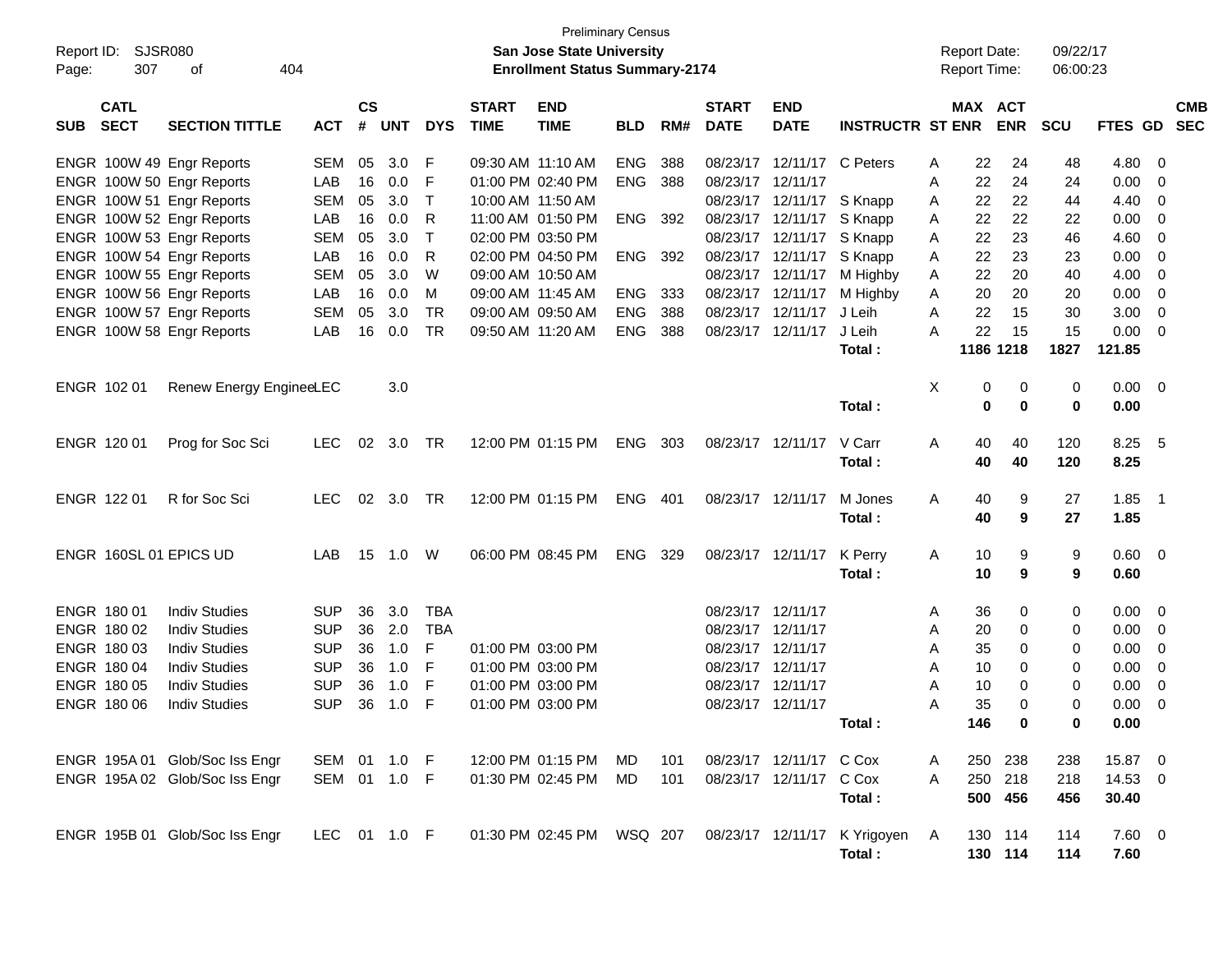| <b>Preliminary Census</b><br>SJSR080<br>Report ID:<br><b>San Jose State University</b><br><b>Enrollment Status Summary-2174</b> |                            |                                |              |                |            |            |                             |                           |            |       |                             |                           | <b>Report Date:</b>          |              | 09/22/17     |             |            |             |                         |            |
|---------------------------------------------------------------------------------------------------------------------------------|----------------------------|--------------------------------|--------------|----------------|------------|------------|-----------------------------|---------------------------|------------|-------|-----------------------------|---------------------------|------------------------------|--------------|--------------|-------------|------------|-------------|-------------------------|------------|
| Page:                                                                                                                           | 307                        | 404<br>оf                      |              |                |            |            |                             |                           |            |       |                             |                           |                              |              | Report Time: |             | 06:00:23   |             |                         |            |
| <b>SUB</b>                                                                                                                      | <b>CATL</b><br><b>SECT</b> | <b>SECTION TITTLE</b>          | <b>ACT</b>   | <b>CS</b><br># | <b>UNT</b> | <b>DYS</b> | <b>START</b><br><b>TIME</b> | <b>END</b><br><b>TIME</b> | <b>BLD</b> | RM#   | <b>START</b><br><b>DATE</b> | <b>END</b><br><b>DATE</b> | <b>INSTRUCTR ST ENR</b>      |              | MAX ACT      | <b>ENR</b>  | <b>SCU</b> | FTES GD SEC |                         | <b>CMB</b> |
|                                                                                                                                 |                            | ENGR 100W 49 Engr Reports      | <b>SEM</b>   | 05             | 3.0        | F          | 09:30 AM 11:10 AM           |                           | ENG        | 388   |                             | 08/23/17 12/11/17         | C Peters                     | A            | 22           | 24          | 48         | 4.80        | $\overline{\mathbf{0}}$ |            |
|                                                                                                                                 |                            | ENGR 100W 50 Engr Reports      | LAB          | 16             | 0.0        | F          |                             | 01:00 PM 02:40 PM         | <b>ENG</b> | 388   | 08/23/17 12/11/17           |                           |                              | Α            | 22           | 24          | 24         | 0.00        | 0                       |            |
|                                                                                                                                 |                            | ENGR 100W 51 Engr Reports      | <b>SEM</b>   | 05             | 3.0        | Т          | 10:00 AM 11:50 AM           |                           |            |       |                             | 08/23/17 12/11/17         | S Knapp                      | A            | 22           | 22          | 44         | 4.40        | 0                       |            |
|                                                                                                                                 |                            | ENGR 100W 52 Engr Reports      | LAB          | 16             | 0.0        | R          |                             | 11:00 AM 01:50 PM         | ENG        | 392   |                             | 08/23/17 12/11/17         | S Knapp                      | A            | 22           | 22          | 22         | 0.00        | 0                       |            |
|                                                                                                                                 |                            | ENGR 100W 53 Engr Reports      | <b>SEM</b>   | 05             | 3.0        | Т          |                             | 02:00 PM 03:50 PM         |            |       |                             | 08/23/17 12/11/17         | S Knapp                      | A            | 22           | 23          | 46         | 4.60        | 0                       |            |
|                                                                                                                                 |                            | ENGR 100W 54 Engr Reports      | LAB          | 16             | 0.0        | R          |                             | 02:00 PM 04:50 PM         | ENG        | 392   |                             | 08/23/17 12/11/17         | S Knapp                      | A            | 22           | 23          | 23         | 0.00        | 0                       |            |
|                                                                                                                                 |                            | ENGR 100W 55 Engr Reports      | <b>SEM</b>   | 05             | 3.0        | W          |                             | 09:00 AM 10:50 AM         |            |       |                             | 08/23/17 12/11/17         | M Highby                     | Α            | 22           | 20          | 40         | 4.00        | 0                       |            |
|                                                                                                                                 |                            | ENGR 100W 56 Engr Reports      | LAB          | 16             | 0.0        | м          | 09:00 AM 11:45 AM           |                           | ENG        | 333   |                             | 08/23/17 12/11/17         | M Highby                     | Α            | 20           | 20          | 20         | 0.00        | 0                       |            |
|                                                                                                                                 |                            | ENGR 100W 57 Engr Reports      | <b>SEM</b>   | 05             | 3.0        | TR         |                             | 09:00 AM 09:50 AM         | <b>ENG</b> | 388   | 08/23/17                    | 12/11/17                  | J Leih                       | Α            | 22           | 15          | 30         | 3.00        | 0                       |            |
|                                                                                                                                 |                            | ENGR 100W 58 Engr Reports      | LAB          | 16             | 0.0        | TR         | 09:50 AM 11:20 AM           |                           | ENG        | 388   |                             | 08/23/17 12/11/17         | J Leih                       | A            | 22           | 15          | 15         | 0.00        | - 0                     |            |
|                                                                                                                                 |                            |                                |              |                |            |            |                             |                           |            |       |                             |                           | Total:                       |              |              | 1186 1218   | 1827       | 121.85      |                         |            |
|                                                                                                                                 |                            |                                |              |                |            |            |                             |                           |            |       |                             |                           |                              |              |              |             |            |             |                         |            |
| ENGR 102 01                                                                                                                     |                            | Renew Energy EngineeLEC        |              |                | 3.0        |            |                             |                           |            |       |                             |                           |                              | Χ            | 0            | 0           | 0          | $0.00 \t 0$ |                         |            |
|                                                                                                                                 |                            |                                |              |                |            |            |                             |                           |            |       |                             |                           | Total:                       |              | 0            | $\mathbf 0$ | 0          | 0.00        |                         |            |
|                                                                                                                                 |                            |                                |              |                |            |            |                             |                           |            |       |                             |                           |                              |              |              |             |            |             |                         |            |
| ENGR 120 01                                                                                                                     |                            | Prog for Soc Sci               | <b>LEC</b>   | 02             | 3.0        | TR         |                             | 12:00 PM 01:15 PM         | ENG        | 303   |                             | 08/23/17 12/11/17         | V Carr                       | A            | 40           | 40          | 120        | 8.25        | - 5                     |            |
|                                                                                                                                 |                            |                                |              |                |            |            |                             |                           |            |       |                             |                           | Total:                       |              | 40           | 40          | 120        | 8.25        |                         |            |
| ENGR 122 01                                                                                                                     |                            | R for Soc Sci                  | <b>LEC</b>   |                | 02 3.0     | TR         |                             | 12:00 PM 01:15 PM         | ENG        | - 401 | 08/23/17 12/11/17           |                           | M Jones                      | Α            | 40           | 9           | 27         | 1.85        | - 1                     |            |
|                                                                                                                                 |                            |                                |              |                |            |            |                             |                           |            |       |                             |                           | Total:                       |              | 40           | 9           | 27         | 1.85        |                         |            |
|                                                                                                                                 |                            |                                |              |                |            |            |                             |                           |            |       |                             |                           |                              |              |              |             |            |             |                         |            |
|                                                                                                                                 |                            | ENGR 160SL 01 EPICS UD         | LAB          | 15             | 1.0        | W          |                             | 06:00 PM 08:45 PM         | ENG        | 329   |                             | 08/23/17 12/11/17         | K Perry                      | A            | 10           | 9           | 9          | 0.60 0      |                         |            |
|                                                                                                                                 |                            |                                |              |                |            |            |                             |                           |            |       |                             |                           | Total:                       |              | 10           | 9           | 9          | 0.60        |                         |            |
|                                                                                                                                 |                            |                                |              |                |            |            |                             |                           |            |       |                             |                           |                              |              |              |             |            |             |                         |            |
| ENGR 180 01                                                                                                                     |                            | <b>Indiv Studies</b>           | <b>SUP</b>   | 36             | 3.0        | <b>TBA</b> |                             |                           |            |       | 08/23/17 12/11/17           |                           |                              | A            | 36           | 0           | 0          | 0.00        | $\overline{\mathbf{0}}$ |            |
|                                                                                                                                 | ENGR 180 02                | <b>Indiv Studies</b>           | <b>SUP</b>   | 36             | 2.0        | TBA        |                             |                           |            |       | 08/23/17 12/11/17           |                           |                              | A            | 20           | 0           | 0          | 0.00        | $\overline{0}$          |            |
|                                                                                                                                 | ENGR 180 03                | <b>Indiv Studies</b>           | <b>SUP</b>   | 36             | 1.0        | F          |                             | 01:00 PM 03:00 PM         |            |       | 08/23/17 12/11/17           |                           |                              | Α            | 35           | 0           | 0          | 0.00        | 0                       |            |
|                                                                                                                                 | ENGR 180 04                | <b>Indiv Studies</b>           | <b>SUP</b>   | 36             | 1.0        | F          |                             | 01:00 PM 03:00 PM         |            |       | 08/23/17 12/11/17           |                           |                              | Α            | 10           | 0           | 0          | 0.00        | $\mathbf 0$             |            |
|                                                                                                                                 | ENGR 180 05                | <b>Indiv Studies</b>           | <b>SUP</b>   | 36             | 1.0        | F          |                             | 01:00 PM 03:00 PM         |            |       | 08/23/17 12/11/17           |                           |                              | Α            | 10           | 0           | 0          | 0.00        | 0                       |            |
|                                                                                                                                 | ENGR 180 06                | <b>Indiv Studies</b>           | <b>SUP</b>   | 36             | 1.0        | F          |                             | 01:00 PM 03:00 PM         |            |       | 08/23/17 12/11/17           |                           |                              | Α            | 35           | 0           | 0          | 0.00        | 0                       |            |
|                                                                                                                                 |                            |                                |              |                |            |            |                             |                           |            |       |                             |                           | Total:                       |              | 146          | $\mathbf 0$ | 0          | 0.00        |                         |            |
|                                                                                                                                 |                            |                                |              |                |            |            |                             |                           |            |       |                             |                           |                              |              |              |             |            |             |                         |            |
|                                                                                                                                 |                            | ENGR 195A 01 Glob/Soc Iss Engr | SEM 01 1.0 F |                |            |            |                             | 12:00 PM 01:15 PM         | MD         | 101   |                             | 08/23/17 12/11/17 C Cox   |                              | A            | 250          | 238         | 238        | 15.87 0     |                         |            |
|                                                                                                                                 |                            | ENGR 195A 02 Glob/Soc Iss Engr | SEM 01 1.0 F |                |            |            |                             | 01:30 PM 02:45 PM         | MD         | 101   |                             | 08/23/17 12/11/17 C Cox   |                              | $\mathsf{A}$ |              | 250 218     | 218        | 14.53 0     |                         |            |
|                                                                                                                                 |                            |                                |              |                |            |            |                             |                           |            |       |                             |                           | Total:                       |              |              | 500 456     | 456        | 30.40       |                         |            |
|                                                                                                                                 |                            |                                |              |                |            |            |                             |                           |            |       |                             |                           |                              |              |              |             |            |             |                         |            |
|                                                                                                                                 |                            | ENGR 195B 01 Glob/Soc Iss Engr | LEC 01 1.0 F |                |            |            |                             | 01:30 PM 02:45 PM WSQ 207 |            |       |                             |                           | 08/23/17 12/11/17 K Yrigoyen | A            |              | 130 114     | 114        | 7.60 0      |                         |            |
|                                                                                                                                 |                            |                                |              |                |            |            |                             |                           |            |       |                             |                           | Total:                       |              |              | 130 114     | 114        | 7.60        |                         |            |
|                                                                                                                                 |                            |                                |              |                |            |            |                             |                           |            |       |                             |                           |                              |              |              |             |            |             |                         |            |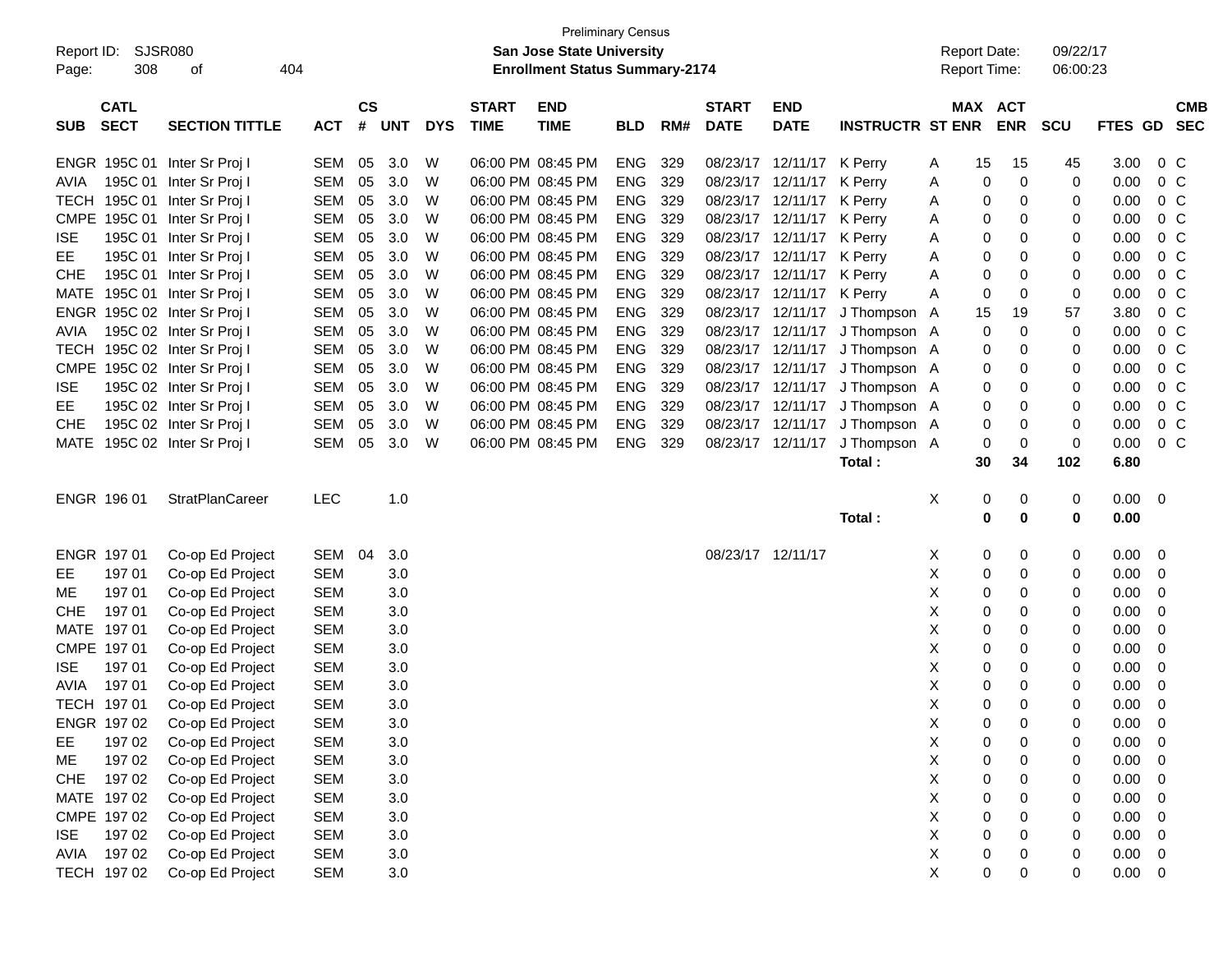|                            |             |                                      |                          |               |            |            |              | <b>Preliminary Census</b>             |            |     |                   |                           |                                |        |                     |             |             |              |                  |
|----------------------------|-------------|--------------------------------------|--------------------------|---------------|------------|------------|--------------|---------------------------------------|------------|-----|-------------------|---------------------------|--------------------------------|--------|---------------------|-------------|-------------|--------------|------------------|
| Report ID:                 | SJSR080     |                                      |                          |               |            |            |              | San Jose State University             |            |     |                   |                           |                                |        | <b>Report Date:</b> |             | 09/22/17    |              |                  |
| Page:                      | 308         | 404<br>оf                            |                          |               |            |            |              | <b>Enrollment Status Summary-2174</b> |            |     |                   |                           |                                |        | <b>Report Time:</b> |             | 06:00:23    |              |                  |
|                            |             |                                      |                          |               |            |            |              |                                       |            |     |                   |                           |                                |        |                     |             |             |              |                  |
|                            | <b>CATL</b> | <b>SECTION TITTLE</b>                |                          | $\mathsf{cs}$ | <b>UNT</b> |            | <b>START</b> | <b>END</b>                            |            |     | <b>START</b>      | <b>END</b>                |                                |        | MAX ACT             |             |             |              | <b>CMB</b>       |
| <b>SUB</b>                 | <b>SECT</b> |                                      | <b>ACT</b>               | #             |            | <b>DYS</b> | <b>TIME</b>  | <b>TIME</b>                           | <b>BLD</b> | RM# | <b>DATE</b>       | <b>DATE</b>               | <b>INSTRUCTR ST ENR</b>        |        |                     | <b>ENR</b>  | <b>SCU</b>  | FTES GD SEC  |                  |
|                            |             | ENGR 195C 01 Inter Sr Proj I         | <b>SEM</b>               | 05            | 3.0        | W          |              | 06:00 PM 08:45 PM                     | ENG        | 329 |                   | 08/23/17 12/11/17 K Perry |                                | A      | 15                  | 15          | 45          | 3.00         | $0\,C$           |
| AVIA                       |             | 195C 01 Inter Sr Proj I              | <b>SEM</b>               | 05            | 3.0        | W          |              | 06:00 PM 08:45 PM                     | <b>ENG</b> | 329 |                   | 08/23/17 12/11/17         | K Perry                        | A      | 0                   | 0           | 0           | 0.00         | 0 <sup>o</sup>   |
|                            |             | TECH 195C 01 Inter Sr Proj I         | <b>SEM</b>               | 05            | 3.0        | W          |              | 06:00 PM 08:45 PM                     | ENG        | 329 |                   | 08/23/17 12/11/17         | K Perry                        | A      | 0                   | 0           | 0           | 0.00         | 0 <sup>C</sup>   |
|                            |             | CMPE 195C 01 Inter Sr Proj I         | <b>SEM</b>               | 05            | 3.0        | W          |              | 06:00 PM 08:45 PM                     | ENG        | 329 |                   | 08/23/17 12/11/17         | K Perry                        | Α      | 0                   | 0           | 0           | 0.00         | 0 <sup>C</sup>   |
| <b>ISE</b>                 |             | 195C 01 Inter Sr Proj I              | <b>SEM</b>               | 05            | 3.0        | W          |              | 06:00 PM 08:45 PM                     | ENG        | 329 |                   | 08/23/17 12/11/17         | K Perry                        | Α      | 0                   | 0           | 0           | 0.00         | 0 <sup>C</sup>   |
| EE                         |             | 195C 01 Inter Sr Proj I              | <b>SEM</b>               | 05            | 3.0        | W          |              | 06:00 PM 08:45 PM                     | <b>ENG</b> | 329 |                   | 08/23/17 12/11/17         | K Perry                        | Α      | 0                   | 0           | 0           | 0.00         | 0 <sup>C</sup>   |
| <b>CHE</b>                 |             | 195C 01 Inter Sr Proj I              | <b>SEM</b>               | 05            | 3.0        | W          |              | 06:00 PM 08:45 PM                     | <b>ENG</b> | 329 |                   | 08/23/17 12/11/17         | K Perry                        | A      | 0                   | 0           | 0           | 0.00         | 0 <sup>C</sup>   |
|                            |             | MATE 195C 01 Inter Sr Proj I         | <b>SEM</b>               | 05            | 3.0        | W          |              | 06:00 PM 08:45 PM                     | <b>ENG</b> | 329 |                   | 08/23/17 12/11/17 K Perry |                                | Α      | 0                   | $\mathbf 0$ | 0           | 0.00         | 0 <sup>C</sup>   |
|                            |             | ENGR 195C 02 Inter Sr Proj I         | <b>SEM</b>               | 05            | 3.0        | W          |              | 06:00 PM 08:45 PM                     | <b>ENG</b> | 329 |                   |                           | 08/23/17 12/11/17 J Thompson A |        | 15                  | 19          | 57          | 3.80         | 0 <sup>C</sup>   |
| <b>AVIA</b>                |             | 195C 02 Inter Sr Proj I              | <b>SEM</b>               | 05            | 3.0        | W          |              | 06:00 PM 08:45 PM                     | <b>ENG</b> | 329 |                   |                           | 08/23/17 12/11/17 J Thompson A |        | 0                   | $\mathbf 0$ | 0           | 0.00         | 0 <sup>C</sup>   |
|                            |             | TECH 195C 02 Inter Sr Proj I         | <b>SEM</b>               | 05            | 3.0        | W          |              | 06:00 PM 08:45 PM                     | <b>ENG</b> | 329 |                   |                           | 08/23/17 12/11/17 J Thompson A |        | 0                   | 0           | 0           | 0.00         | 0 <sup>C</sup>   |
|                            |             | CMPE 195C 02 Inter Sr Proj I         | <b>SEM</b>               | 05            | 3.0        | W          |              | 06:00 PM 08:45 PM                     | <b>ENG</b> | 329 |                   | 08/23/17 12/11/17         | J Thompson A                   |        | 0                   | 0           | 0           | 0.00         | 0 <sup>C</sup>   |
| <b>ISE</b>                 |             | 195C 02 Inter Sr Proj I              | <b>SEM</b>               | 05            | 3.0        | W          |              | 06:00 PM 08:45 PM                     | <b>ENG</b> | 329 |                   | 08/23/17 12/11/17         | J Thompson A                   |        | 0                   | 0           | 0           | 0.00         | 0 <sup>C</sup>   |
| EE                         |             | 195C 02 Inter Sr Proj I              | <b>SEM</b>               | 05            | 3.0        | W          |              | 06:00 PM 08:45 PM                     | ENG        | 329 |                   | 08/23/17 12/11/17         | J Thompson A                   |        | 0                   | 0           | 0           | 0.00         | 0 <sup>C</sup>   |
| <b>CHE</b>                 |             | 195C 02 Inter Sr Proj I              | <b>SEM</b>               | 05            | 3.0        | W          |              | 06:00 PM 08:45 PM                     | <b>ENG</b> | 329 | 08/23/17          | 12/11/17                  | J Thompson A                   |        | 0                   | 0           | 0           | 0.00         | 0 <sup>C</sup>   |
|                            |             | MATE 195C 02 Inter Sr Proj I         | <b>SEM</b>               | 05            | 3.0        | W          |              | 06:00 PM 08:45 PM                     | ENG 329    |     |                   | 08/23/17 12/11/17         | J Thompson A                   |        | 0                   | $\mathbf 0$ | 0           | 0.00         | 0 <sup>C</sup>   |
|                            |             |                                      |                          |               |            |            |              |                                       |            |     |                   |                           | Total:                         |        | 30                  | 34          | 102         | 6.80         |                  |
|                            |             |                                      |                          |               |            |            |              |                                       |            |     |                   |                           |                                |        |                     |             |             |              |                  |
| ENGR 196 01                |             | StratPlanCareer                      | <b>LEC</b>               |               | 1.0        |            |              |                                       |            |     |                   |                           |                                | Х      | 0                   | 0           | 0           | $0.00 \t 0$  |                  |
|                            |             |                                      |                          |               |            |            |              |                                       |            |     |                   |                           | Total:                         |        | $\bf{0}$            | $\bf{0}$    | $\mathbf 0$ | 0.00         |                  |
|                            |             |                                      |                          |               |            |            |              |                                       |            |     |                   |                           |                                |        |                     |             |             |              |                  |
| ENGR 197 01                |             | Co-op Ed Project                     | SEM                      | 04            | 3.0        |            |              |                                       |            |     | 08/23/17 12/11/17 |                           |                                | Х      | 0                   | 0           | 0           | 0.00         | 0                |
| EE.                        | 19701       | Co-op Ed Project                     | <b>SEM</b>               |               | 3.0        |            |              |                                       |            |     |                   |                           |                                | Х      | 0                   | 0           | 0           | 0.00         | 0                |
| ME                         | 19701       | Co-op Ed Project                     | <b>SEM</b>               |               | 3.0        |            |              |                                       |            |     |                   |                           |                                | X      | 0                   | 0           | 0           | 0.00         | 0                |
| <b>CHE</b>                 | 19701       | Co-op Ed Project                     | <b>SEM</b>               |               | 3.0        |            |              |                                       |            |     |                   |                           |                                | Χ      | 0                   | 0           | 0           | 0.00         | 0                |
| MATE 197 01                |             | Co-op Ed Project                     | <b>SEM</b>               |               | 3.0        |            |              |                                       |            |     |                   |                           |                                | X<br>X | 0                   | 0           | 0           | 0.00         | 0                |
| CMPE 197 01                |             | Co-op Ed Project                     | <b>SEM</b>               |               | 3.0        |            |              |                                       |            |     |                   |                           |                                |        | 0                   | 0           | 0           | 0.00         | 0                |
| <b>ISE</b>                 | 19701       | Co-op Ed Project                     | <b>SEM</b>               |               | 3.0        |            |              |                                       |            |     |                   |                           |                                | Χ      | 0                   | 0           | 0           | 0.00         | 0                |
| <b>AVIA</b><br>TECH 197 01 | 19701       | Co-op Ed Project                     | <b>SEM</b><br><b>SEM</b> |               | 3.0<br>3.0 |            |              |                                       |            |     |                   |                           |                                | Х<br>X | 0<br>$\mathbf 0$    | 0<br>0      | 0<br>0      | 0.00<br>0.00 | 0<br>0           |
| ENGR 197 02                |             | Co-op Ed Project<br>Co-op Ed Project | <b>SEM</b>               |               | 3.0        |            |              |                                       |            |     |                   |                           |                                | Χ      | $\pmb{0}$           | 0           | 0           | 0.00         | $\boldsymbol{0}$ |
|                            | 197 02      | Co-op Ed Project                     | <b>SEM</b>               |               | 3.0        |            |              |                                       |            |     |                   |                           |                                | X      |                     |             | 0           | 0.00         | 0                |
| EE<br>ME                   | 197 02      | Co-op Ed Project                     | <b>SEM</b>               |               | 3.0        |            |              |                                       |            |     |                   |                           |                                | X      | 0<br>0              | 0<br>0      | 0           | 0.00         | 0                |
| <b>CHE</b>                 | 19702       | Co-op Ed Project                     | <b>SEM</b>               |               | 3.0        |            |              |                                       |            |     |                   |                           |                                | Χ      | 0                   | 0           | 0           | 0.00         | 0                |
| MATE 197 02                |             | Co-op Ed Project                     | <b>SEM</b>               |               | 3.0        |            |              |                                       |            |     |                   |                           |                                | X      | 0                   | 0           | 0           | 0.00         | 0                |
| CMPE 197 02                |             | Co-op Ed Project                     | <b>SEM</b>               |               | 3.0        |            |              |                                       |            |     |                   |                           |                                | X      | 0                   | 0           | 0           | 0.00         | 0                |
| <b>ISE</b>                 | 197 02      | Co-op Ed Project                     | <b>SEM</b>               |               | 3.0        |            |              |                                       |            |     |                   |                           |                                | X      | 0                   | 0           | 0           | 0.00         | 0                |
| AVIA 197 02                |             | Co-op Ed Project                     | <b>SEM</b>               |               | $3.0\,$    |            |              |                                       |            |     |                   |                           |                                | X      | 0                   | 0           | 0           | 0.00         | 0                |
| TECH 197 02                |             | Co-op Ed Project                     | <b>SEM</b>               |               | $3.0\,$    |            |              |                                       |            |     |                   |                           |                                | X      | $\mathbf 0$         | 0           | 0           | $0.00 \t 0$  |                  |
|                            |             |                                      |                          |               |            |            |              |                                       |            |     |                   |                           |                                |        |                     |             |             |              |                  |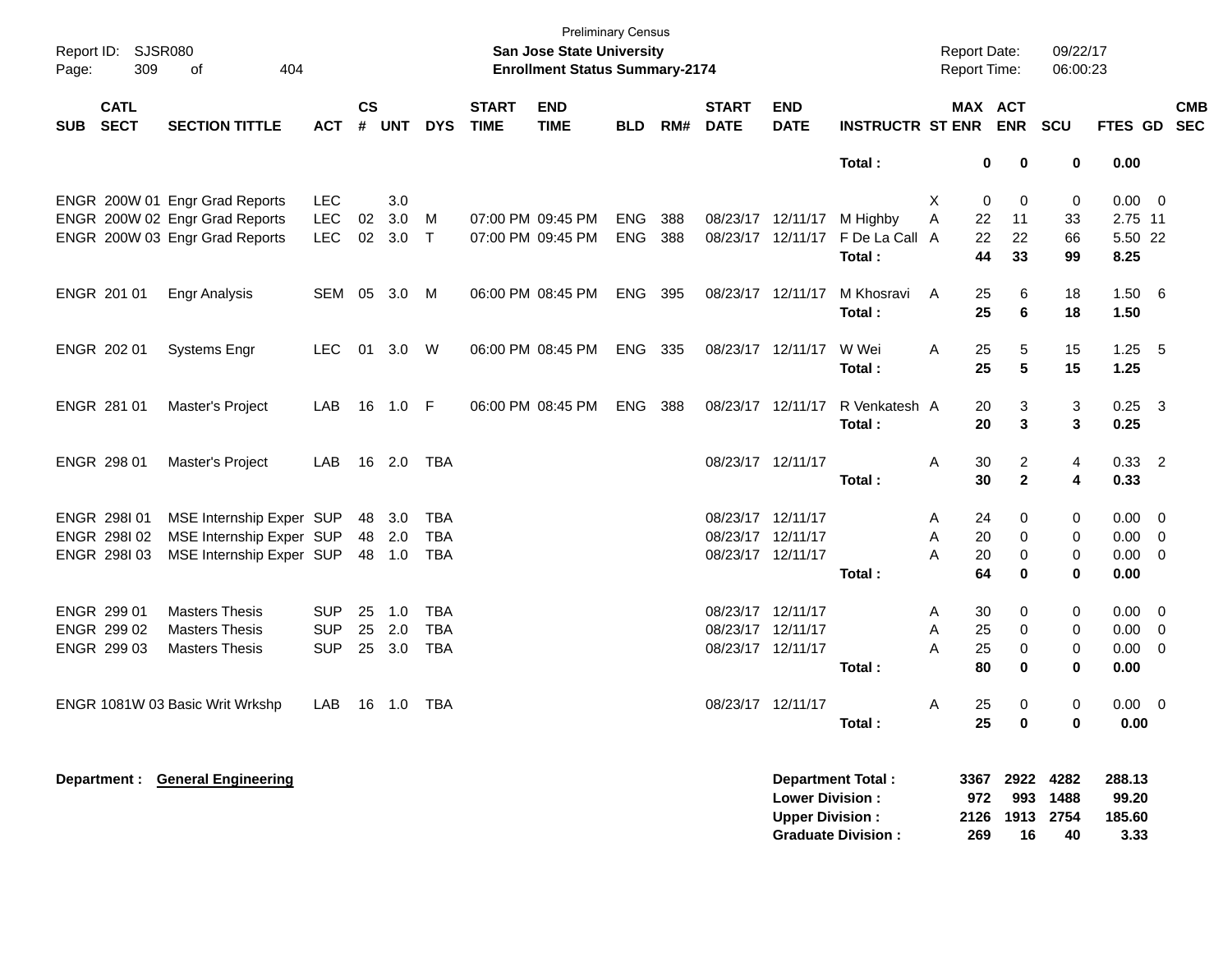| Report ID:<br>Page: | <b>SJSR080</b><br>309      | 404<br>of                       |            |                    |            |            |                             | <b>Preliminary Census</b><br>San Jose State University<br><b>Enrollment Status Summary-2174</b> |            |     |                             |                           |                           | Report Date:<br>Report Time: |      |                       | 09/22/17<br>06:00:23 |             |                          |
|---------------------|----------------------------|---------------------------------|------------|--------------------|------------|------------|-----------------------------|-------------------------------------------------------------------------------------------------|------------|-----|-----------------------------|---------------------------|---------------------------|------------------------------|------|-----------------------|----------------------|-------------|--------------------------|
| <b>SUB</b>          | <b>CATL</b><br><b>SECT</b> | <b>SECTION TITTLE</b>           | <b>ACT</b> | $\mathsf{cs}$<br># | <b>UNT</b> | <b>DYS</b> | <b>START</b><br><b>TIME</b> | <b>END</b><br><b>TIME</b>                                                                       | <b>BLD</b> | RM# | <b>START</b><br><b>DATE</b> | <b>END</b><br><b>DATE</b> | <b>INSTRUCTR ST ENR</b>   |                              |      | MAX ACT<br><b>ENR</b> | <b>SCU</b>           | FTES GD     | <b>CMB</b><br><b>SEC</b> |
|                     |                            |                                 |            |                    |            |            |                             |                                                                                                 |            |     |                             |                           | Total:                    |                              | 0    | 0                     | 0                    | 0.00        |                          |
|                     |                            | ENGR 200W 01 Engr Grad Reports  | <b>LEC</b> |                    | 3.0        |            |                             |                                                                                                 |            |     |                             |                           |                           | Χ                            | 0    | 0                     | 0                    | $0.00 \t 0$ |                          |
|                     |                            | ENGR 200W 02 Engr Grad Reports  | LEC        | 02                 | 3.0        | M          |                             | 07:00 PM 09:45 PM                                                                               | <b>ENG</b> | 388 | 08/23/17 12/11/17           |                           | M Highby                  | Α                            | 22   | 11                    | 33                   | 2.75 11     |                          |
|                     |                            | ENGR 200W 03 Engr Grad Reports  | <b>LEC</b> | 02                 | 3.0        | Т          |                             | 07:00 PM 09:45 PM                                                                               | <b>ENG</b> | 388 | 08/23/17                    | 12/11/17                  | F De La Call A            |                              | 22   | 22                    | 66                   | 5.50 22     |                          |
|                     |                            |                                 |            |                    |            |            |                             |                                                                                                 |            |     |                             |                           | Total:                    |                              | 44   | 33                    | 99                   | 8.25        |                          |
|                     | ENGR 201 01                | <b>Engr Analysis</b>            | SEM 05     |                    | 3.0        | M          |                             | 06:00 PM 08:45 PM                                                                               | <b>ENG</b> | 395 | 08/23/17 12/11/17           |                           | M Khosravi                | $\overline{A}$               | 25   | 6                     | 18                   | 1.506       |                          |
|                     |                            |                                 |            |                    |            |            |                             |                                                                                                 |            |     |                             |                           | Total:                    |                              | 25   | 6                     | 18                   | 1.50        |                          |
|                     | ENGR 202 01                | <b>Systems Engr</b>             | <b>LEC</b> | 01                 | 3.0        | W          |                             | 06:00 PM 08:45 PM                                                                               | <b>ENG</b> | 335 | 08/23/17 12/11/17           |                           | W Wei                     | Α                            | 25   | 5                     | 15                   | $1.25 - 5$  |                          |
|                     |                            |                                 |            |                    |            |            |                             |                                                                                                 |            |     |                             |                           | Total:                    |                              | 25   | 5                     | 15                   | 1.25        |                          |
|                     | ENGR 281 01                | Master's Project                | LAB        | 16                 | 1.0        | - F        |                             | 06:00 PM 08:45 PM                                                                               | <b>ENG</b> | 388 | 08/23/17 12/11/17           |                           | R Venkatesh A             |                              | 20   | 3                     | 3                    | $0.25$ 3    |                          |
|                     |                            |                                 |            |                    |            |            |                             |                                                                                                 |            |     |                             |                           | Total:                    |                              | 20   | 3                     | 3                    | 0.25        |                          |
|                     | ENGR 298 01                | Master's Project                | LAB        | 16                 | 2.0        | <b>TBA</b> |                             |                                                                                                 |            |     | 08/23/17 12/11/17           |                           |                           | Α                            | 30   | $\overline{2}$        | 4                    | $0.33$ 2    |                          |
|                     |                            |                                 |            |                    |            |            |                             |                                                                                                 |            |     |                             |                           | Total:                    |                              | 30   | $\mathbf{2}$          | 4                    | 0.33        |                          |
|                     | ENGR 298101                | MSE Internship Exper SUP        |            | 48                 | 3.0        | <b>TBA</b> |                             |                                                                                                 |            |     | 08/23/17 12/11/17           |                           |                           | Α                            | 24   | 0                     | 0                    | $0.00 \t 0$ |                          |
|                     | ENGR 298102                | MSE Internship Exper SUP        |            | 48                 | 2.0        | <b>TBA</b> |                             |                                                                                                 |            |     | 08/23/17 12/11/17           |                           |                           | Α                            | 20   | 0                     | 0                    | $0.00 \t 0$ |                          |
|                     | ENGR 298103                | MSE Internship Exper SUP        |            |                    | 48 1.0     | <b>TBA</b> |                             |                                                                                                 |            |     | 08/23/17 12/11/17           |                           |                           | Α                            | 20   | 0                     | 0                    | $0.00 \t 0$ |                          |
|                     |                            |                                 |            |                    |            |            |                             |                                                                                                 |            |     |                             |                           | Total:                    |                              | 64   | 0                     | 0                    | 0.00        |                          |
|                     | ENGR 299 01                | <b>Masters Thesis</b>           | <b>SUP</b> | 25                 | 1.0        | <b>TBA</b> |                             |                                                                                                 |            |     | 08/23/17 12/11/17           |                           |                           | Α                            | 30   | 0                     | 0                    | $0.00 \t 0$ |                          |
|                     | ENGR 299 02                | <b>Masters Thesis</b>           | <b>SUP</b> | 25                 | 2.0        | <b>TBA</b> |                             |                                                                                                 |            |     | 08/23/17 12/11/17           |                           |                           | Α                            | 25   | 0                     | 0                    | $0.00 \t 0$ |                          |
|                     | ENGR 299 03                | <b>Masters Thesis</b>           | <b>SUP</b> |                    | 25 3.0     | <b>TBA</b> |                             |                                                                                                 |            |     | 08/23/17 12/11/17           |                           |                           | Α                            | 25   | 0                     | 0                    | $0.00 \t 0$ |                          |
|                     |                            |                                 |            |                    |            |            |                             |                                                                                                 |            |     |                             |                           | Total:                    |                              | 80   | 0                     | 0                    | 0.00        |                          |
|                     |                            | ENGR 1081W 03 Basic Writ Wrkshp | LAB        | 16                 | 1.0        | <b>TBA</b> |                             |                                                                                                 |            |     | 08/23/17 12/11/17           |                           |                           | Α                            | 25   | 0                     | 0                    | $0.00 \ 0$  |                          |
|                     |                            |                                 |            |                    |            |            |                             |                                                                                                 |            |     |                             |                           | Total:                    |                              | 25   | 0                     | 0                    | 0.00        |                          |
|                     |                            | Department: General Engineering |            |                    |            |            |                             |                                                                                                 |            |     |                             |                           | <b>Department Total:</b>  |                              |      | 3367 2922 4282        |                      | 288.13      |                          |
|                     |                            |                                 |            |                    |            |            |                             |                                                                                                 |            |     |                             | <b>Lower Division:</b>    |                           |                              | 972  | 993                   | 1488                 | 99.20       |                          |
|                     |                            |                                 |            |                    |            |            |                             |                                                                                                 |            |     |                             | <b>Upper Division:</b>    |                           |                              | 2126 | 1913                  | 2754                 | 185.60      |                          |
|                     |                            |                                 |            |                    |            |            |                             |                                                                                                 |            |     |                             |                           | <b>Graduate Division:</b> |                              | 269  | 16                    | 40                   | 3.33        |                          |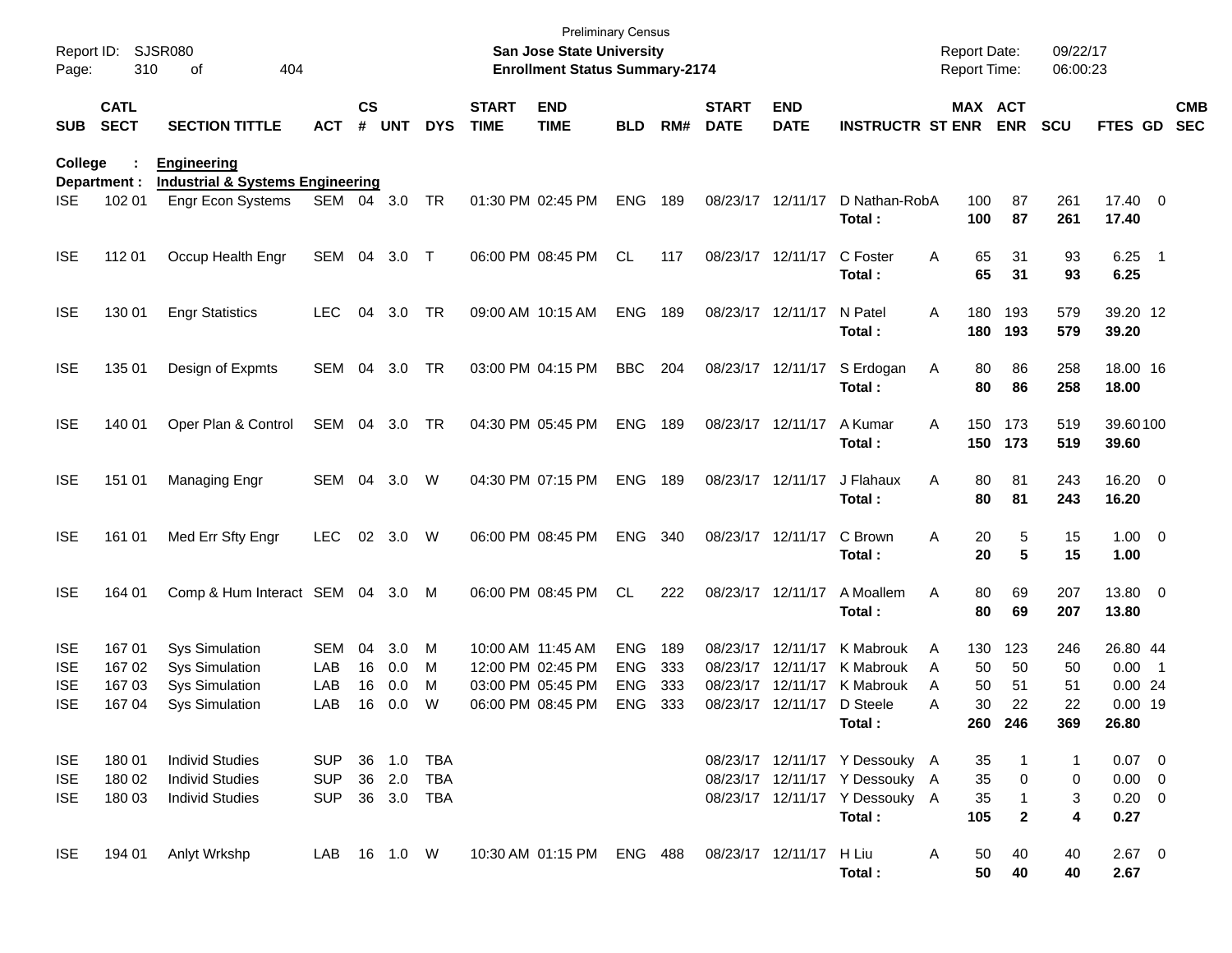| Report ID:<br>Page: | 310                        | <b>SJSR080</b><br>404<br>of                                       |              |                    |            |            |                             | <b>Preliminary Census</b><br><b>San Jose State University</b><br><b>Enrollment Status Summary-2174</b> |            |     |                             |                           |                                |   | <b>Report Date:</b><br><b>Report Time:</b> |              | 09/22/17<br>06:00:23 |                     |                          |
|---------------------|----------------------------|-------------------------------------------------------------------|--------------|--------------------|------------|------------|-----------------------------|--------------------------------------------------------------------------------------------------------|------------|-----|-----------------------------|---------------------------|--------------------------------|---|--------------------------------------------|--------------|----------------------|---------------------|--------------------------|
| <b>SUB</b>          | <b>CATL</b><br><b>SECT</b> | <b>SECTION TITTLE</b>                                             | <b>ACT</b>   | $\mathsf{cs}$<br># | <b>UNT</b> | <b>DYS</b> | <b>START</b><br><b>TIME</b> | <b>END</b><br><b>TIME</b>                                                                              | <b>BLD</b> | RM# | <b>START</b><br><b>DATE</b> | <b>END</b><br><b>DATE</b> | <b>INSTRUCTR ST ENR</b>        |   | MAX ACT                                    | <b>ENR</b>   | <b>SCU</b>           | FTES GD             | <b>CMB</b><br><b>SEC</b> |
| College             | Department :               | <b>Engineering</b><br><b>Industrial &amp; Systems Engineering</b> |              |                    |            |            |                             |                                                                                                        |            |     |                             |                           |                                |   |                                            |              |                      |                     |                          |
| <b>ISE</b>          | 102 01                     | <b>Engr Econ Systems</b>                                          | SEM 04       |                    | 3.0        | TR         |                             | 01:30 PM 02:45 PM                                                                                      | <b>ENG</b> | 189 |                             | 08/23/17 12/11/17         | D Nathan-RobA<br>Total :       |   | 100<br>100                                 | 87<br>87     | 261<br>261           | 17.40 0<br>17.40    |                          |
| <b>ISE</b>          | 112 01                     | Occup Health Engr                                                 | SEM 04       |                    | 3.0        | $\top$     |                             | 06:00 PM 08:45 PM                                                                                      | <b>CL</b>  | 117 |                             | 08/23/17 12/11/17         | C Foster<br>Total:             | Α | 65<br>65                                   | 31<br>31     | 93<br>93             | $6.25$ 1<br>6.25    |                          |
| <b>ISE</b>          | 130 01                     | <b>Engr Statistics</b>                                            | <b>LEC</b>   | 04                 | 3.0        | TR         |                             | 09:00 AM 10:15 AM                                                                                      | <b>ENG</b> | 189 |                             | 08/23/17 12/11/17         | N Patel<br>Total:              | Α | 180<br>180                                 | 193<br>193   | 579<br>579           | 39.20 12<br>39.20   |                          |
| <b>ISE</b>          | 135 01                     | Design of Expmts                                                  | SEM          | 04                 | 3.0        | TR         |                             | 03:00 PM 04:15 PM                                                                                      | <b>BBC</b> | 204 |                             | 08/23/17 12/11/17         | S Erdogan<br>Total:            | A | 80<br>80                                   | 86<br>86     | 258<br>258           | 18.00 16<br>18.00   |                          |
| <b>ISE</b>          | 140 01                     | Oper Plan & Control                                               | SEM          | 04                 | 3.0        | TR         |                             | 04:30 PM 05:45 PM                                                                                      | <b>ENG</b> | 189 |                             | 08/23/17 12/11/17         | A Kumar<br>Total:              | Α | 150<br>150                                 | 173<br>173   | 519<br>519           | 39.60100<br>39.60   |                          |
| <b>ISE</b>          | 151 01                     | Managing Engr                                                     | SEM          | 04                 | 3.0        | W          |                             | 04:30 PM 07:15 PM                                                                                      | <b>ENG</b> | 189 |                             | 08/23/17 12/11/17         | J Flahaux<br>Total:            | Α | 80<br>80                                   | 81<br>81     | 243<br>243           | 16.20 0<br>16.20    |                          |
| <b>ISE</b>          | 161 01                     | Med Err Sfty Engr                                                 | <b>LEC</b>   | 02                 | 3.0        | W          |                             | 06:00 PM 08:45 PM                                                                                      | <b>ENG</b> | 340 |                             | 08/23/17 12/11/17         | C Brown<br>Total:              | Α | 20<br>20                                   | 5<br>5       | 15<br>15             | $1.00 \t 0$<br>1.00 |                          |
| <b>ISE</b>          | 164 01                     | Comp & Hum Interact SEM 04 3.0                                    |              |                    |            | M          |                             | 06:00 PM 08:45 PM                                                                                      | <b>CL</b>  | 222 |                             | 08/23/17 12/11/17         | A Moallem<br>Total:            | Α | 80<br>80                                   | 69<br>69     | 207<br>207           | 13.80 0<br>13.80    |                          |
| <b>ISE</b>          | 16701                      | <b>Sys Simulation</b>                                             | <b>SEM</b>   | 04                 | 3.0        | M          | 10:00 AM 11:45 AM           |                                                                                                        | <b>ENG</b> | 189 |                             | 08/23/17 12/11/17         | K Mabrouk                      | Α | 130                                        | 123          | 246                  | 26.80 44            |                          |
| <b>ISE</b>          | 167 02                     | <b>Sys Simulation</b>                                             | LAB          | 16                 | 0.0        | м          |                             | 12:00 PM 02:45 PM                                                                                      | <b>ENG</b> | 333 |                             | 08/23/17 12/11/17         | K Mabrouk                      | Α | 50                                         | 50           | 50                   | $0.00$ 1            |                          |
| <b>ISE</b>          | 167 03                     | <b>Sys Simulation</b>                                             | LAB          | 16                 | 0.0        | м          |                             | 03:00 PM 05:45 PM                                                                                      | <b>ENG</b> | 333 |                             | 08/23/17 12/11/17         | K Mabrouk                      | A | 50                                         | 51           | 51                   | 0.0024              |                          |
| <b>ISE</b>          | 167 04                     | <b>Sys Simulation</b>                                             | LAB          | 16                 | 0.0        | W          |                             | 06:00 PM 08:45 PM                                                                                      | <b>ENG</b> | 333 |                             | 08/23/17 12/11/17         | D Steele                       | Α | 30                                         | 22           | 22                   | $0.00$ 19           |                          |
|                     |                            |                                                                   |              |                    |            |            |                             |                                                                                                        |            |     |                             |                           | Total:                         |   | 260 -                                      | 246          | 369                  | 26.80               |                          |
| <b>ISE</b>          | 180 01                     | <b>Individ Studies</b>                                            | SUP.         |                    | 36 1.0     | TBA        |                             |                                                                                                        |            |     |                             |                           | 08/23/17 12/11/17 Y Dessouky A |   | 35                                         |              | 1                    | $0.07 \quad 0$      |                          |
| <b>ISE</b>          | 180 02                     | <b>Individ Studies</b>                                            | <b>SUP</b>   |                    | 36 2.0     | TBA        |                             |                                                                                                        |            |     |                             |                           | 08/23/17 12/11/17 Y Dessouky A |   | 35                                         | 0            | 0                    | $0.00 \t 0$         |                          |
| <b>ISE</b>          | 180 03                     | <b>Individ Studies</b>                                            | <b>SUP</b>   |                    | 36 3.0 TBA |            |                             |                                                                                                        |            |     |                             |                           | 08/23/17 12/11/17 Y Dessouky A |   | 35                                         | $\mathbf{1}$ | 3                    | $0.20 \ 0$          |                          |
|                     |                            |                                                                   |              |                    |            |            |                             |                                                                                                        |            |     |                             |                           | Total:                         |   | 105                                        | $\mathbf{2}$ | 4                    | 0.27                |                          |
| <b>ISE</b>          | 194 01                     | Anlyt Wrkshp                                                      | LAB 16 1.0 W |                    |            |            |                             | 10:30 AM 01:15 PM ENG 488                                                                              |            |     |                             | 08/23/17 12/11/17         | H Liu<br>Total:                | A | 50<br>50                                   | 40<br>40     | 40<br>40             | $2.67$ 0<br>2.67    |                          |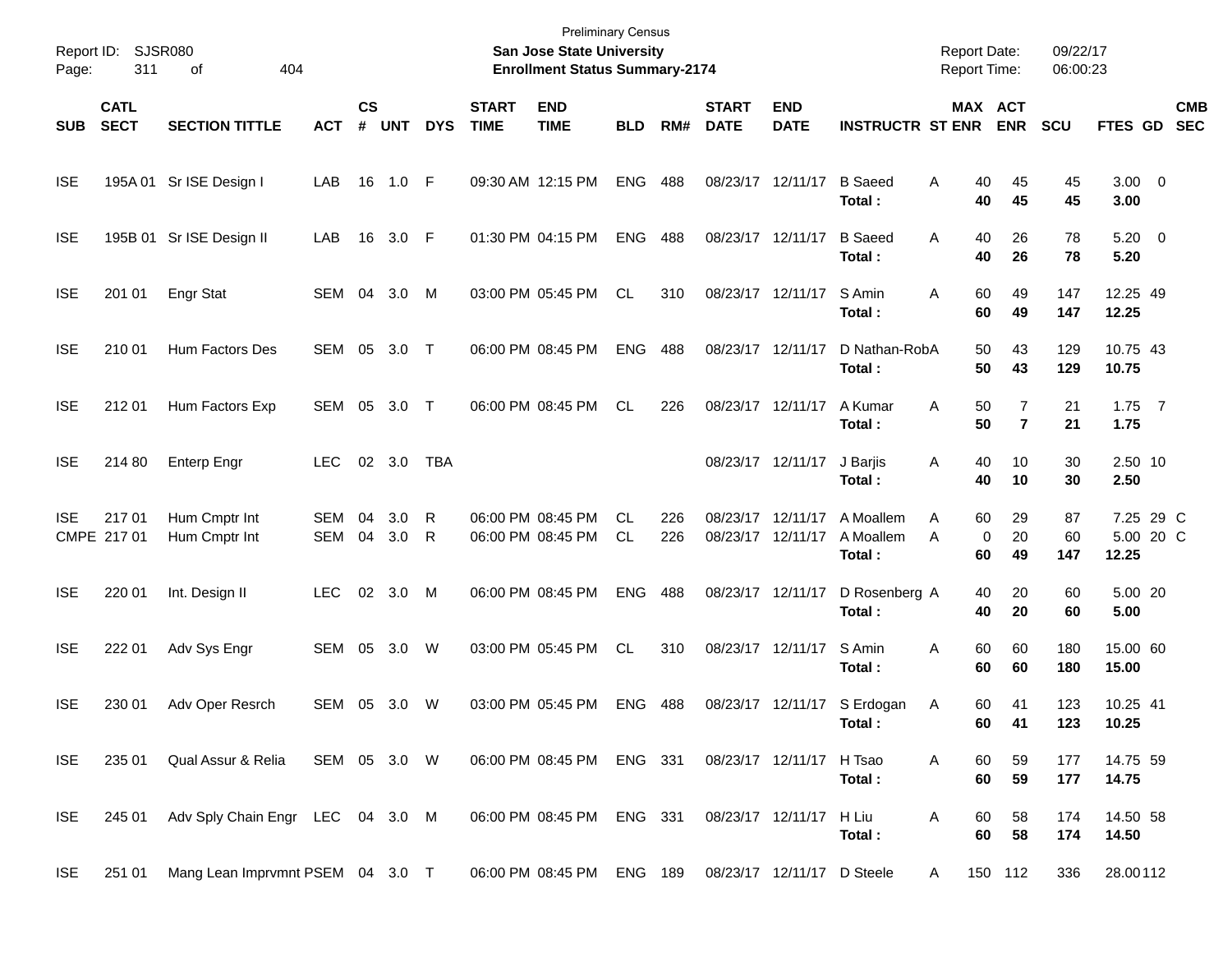| Report ID:<br>Page: | 311                        | <b>SJSR080</b><br>404<br>οf      |              |                |            |            |                             | <b>Preliminary Census</b><br><b>San Jose State University</b><br><b>Enrollment Status Summary-2174</b> |                  |            |                             |                               |                                  | <b>Report Date:</b><br><b>Report Time:</b> |                       | 09/22/17<br>06:00:23 |                                 |                          |
|---------------------|----------------------------|----------------------------------|--------------|----------------|------------|------------|-----------------------------|--------------------------------------------------------------------------------------------------------|------------------|------------|-----------------------------|-------------------------------|----------------------------------|--------------------------------------------|-----------------------|----------------------|---------------------------------|--------------------------|
| <b>SUB</b>          | <b>CATL</b><br><b>SECT</b> | <b>SECTION TITTLE</b>            | <b>ACT</b>   | <b>CS</b><br># | <b>UNT</b> | <b>DYS</b> | <b>START</b><br><b>TIME</b> | <b>END</b><br><b>TIME</b>                                                                              | <b>BLD</b>       | RM#        | <b>START</b><br><b>DATE</b> | <b>END</b><br><b>DATE</b>     | <b>INSTRUCTR ST ENR</b>          |                                            | MAX ACT<br><b>ENR</b> | <b>SCU</b>           | <b>FTES GD</b>                  | <b>CMB</b><br><b>SEC</b> |
| <b>ISE</b>          | 195A 01                    | Sr ISE Design I                  | LAB          | 16             | 1.0        | - F        |                             | 09:30 AM 12:15 PM                                                                                      | <b>ENG</b>       | 488        | 08/23/17 12/11/17           |                               | <b>B</b> Saeed<br>Total:         | Α<br>40<br>40                              | 45<br>45              | 45<br>45             | $3.00 \ 0$<br>3.00              |                          |
| <b>ISE</b>          |                            | 195B 01 Sr ISE Design II         | LAB          | 16             | 3.0        | F          |                             | 01:30 PM 04:15 PM                                                                                      | <b>ENG</b>       | 488        | 08/23/17 12/11/17           |                               | <b>B</b> Saeed<br>Total:         | 40<br>Α<br>40                              | 26<br>26              | 78<br>78             | $5.20 \ 0$<br>5.20              |                          |
| <b>ISE</b>          | 201 01                     | <b>Engr Stat</b>                 | SEM          | 04             | 3.0        | M          |                             | 03:00 PM 05:45 PM                                                                                      | CL.              | 310        | 08/23/17 12/11/17           |                               | S Amin<br>Total:                 | 60<br>Α<br>60                              | 49<br>49              | 147<br>147           | 12.25 49<br>12.25               |                          |
| <b>ISE</b>          | 210 01                     | Hum Factors Des                  | SEM          | 05             | 3.0        | $\top$     |                             | 06:00 PM 08:45 PM                                                                                      | <b>ENG</b>       | 488        | 08/23/17 12/11/17           |                               | D Nathan-RobA<br>Total:          | 50<br>50                                   | 43<br>43              | 129<br>129           | 10.75 43<br>10.75               |                          |
| <b>ISE</b>          | 212 01                     | Hum Factors Exp                  | <b>SEM</b>   | 05             | 3.0        | $\top$     |                             | 06:00 PM 08:45 PM                                                                                      | CL.              | 226        |                             | 08/23/17 12/11/17             | A Kumar<br>Total:                | 50<br>Α<br>50                              | 7<br>$\overline{7}$   | 21<br>21             | $1.75$ 7<br>1.75                |                          |
| <b>ISE</b>          | 214 80                     | <b>Enterp Engr</b>               | <b>LEC</b>   |                | 02 3.0     | <b>TBA</b> |                             |                                                                                                        |                  |            |                             | 08/23/17 12/11/17             | J Barjis<br>Total:               | 40<br>Α<br>40                              | 10<br>10              | 30<br>30             | 2.50 10<br>2.50                 |                          |
| <b>ISE</b>          | 21701<br>CMPE 217 01       | Hum Cmptr Int<br>Hum Cmptr Int   | SEM<br>SEM   | 04<br>04       | 3.0<br>3.0 | R<br>R     |                             | 06:00 PM 08:45 PM<br>06:00 PM 08:45 PM                                                                 | <b>CL</b><br>CL. | 226<br>226 | 08/23/17                    | 12/11/17<br>08/23/17 12/11/17 | A Moallem<br>A Moallem<br>Total: | Α<br>60<br>A<br>60                         | 29<br>0<br>20<br>49   | 87<br>60<br>147      | 7.25 29 C<br>5.00 20 C<br>12.25 |                          |
| <b>ISE</b>          | 220 01                     | Int. Design II                   | <b>LEC</b>   | 02             | 3.0        | M          |                             | 06:00 PM 08:45 PM                                                                                      | <b>ENG</b>       | 488        |                             | 08/23/17 12/11/17             | D Rosenberg A<br>Total:          | 40<br>40                                   | 20<br>20              | 60<br>60             | 5.00 20<br>5.00                 |                          |
| <b>ISE</b>          | 222 01                     | Adv Sys Engr                     | SEM          | 05             | 3.0        | W          |                             | 03:00 PM 05:45 PM                                                                                      | CL.              | 310        |                             | 08/23/17 12/11/17             | S Amin<br>Total:                 | 60<br>Α<br>60                              | 60<br>60              | 180<br>180           | 15.00 60<br>15.00               |                          |
| <b>ISE</b>          | 230 01                     | Adv Oper Resrch                  | SEM          | 05             | 3.0        | W          |                             | 03:00 PM 05:45 PM                                                                                      | <b>ENG</b>       | 488        |                             | 08/23/17 12/11/17             | S Erdogan<br>Total:              | 60<br>Α<br>60                              | 41<br>41              | 123<br>123           | 10.25 41<br>10.25               |                          |
| <b>ISE</b>          | 235 01                     | Qual Assur & Relia               | SEM 05 3.0 W |                |            |            |                             | 06:00 PM 08:45 PM ENG 331                                                                              |                  |            |                             | 08/23/17 12/11/17 H Tsao      | Total:                           | 60<br>A<br>60                              | 59<br>59              | 177<br>177           | 14.75 59<br>14.75               |                          |
| <b>ISE</b>          | 245 01                     | Adv Sply Chain Engr LEC 04 3.0 M |              |                |            |            |                             | 06:00 PM 08:45 PM ENG 331                                                                              |                  |            |                             | 08/23/17 12/11/17 H Liu       | Total:                           | Α<br>60<br>60                              | 58<br>58              | 174<br>174           | 14.50 58<br>14.50               |                          |
| <b>ISE</b>          | 251 01                     | Mang Lean Imprvmnt PSEM 04 3.0 T |              |                |            |            |                             | 06:00 PM 08:45 PM ENG 189                                                                              |                  |            |                             | 08/23/17 12/11/17 D Steele    |                                  | A                                          | 150 112               | 336                  | 28.00112                        |                          |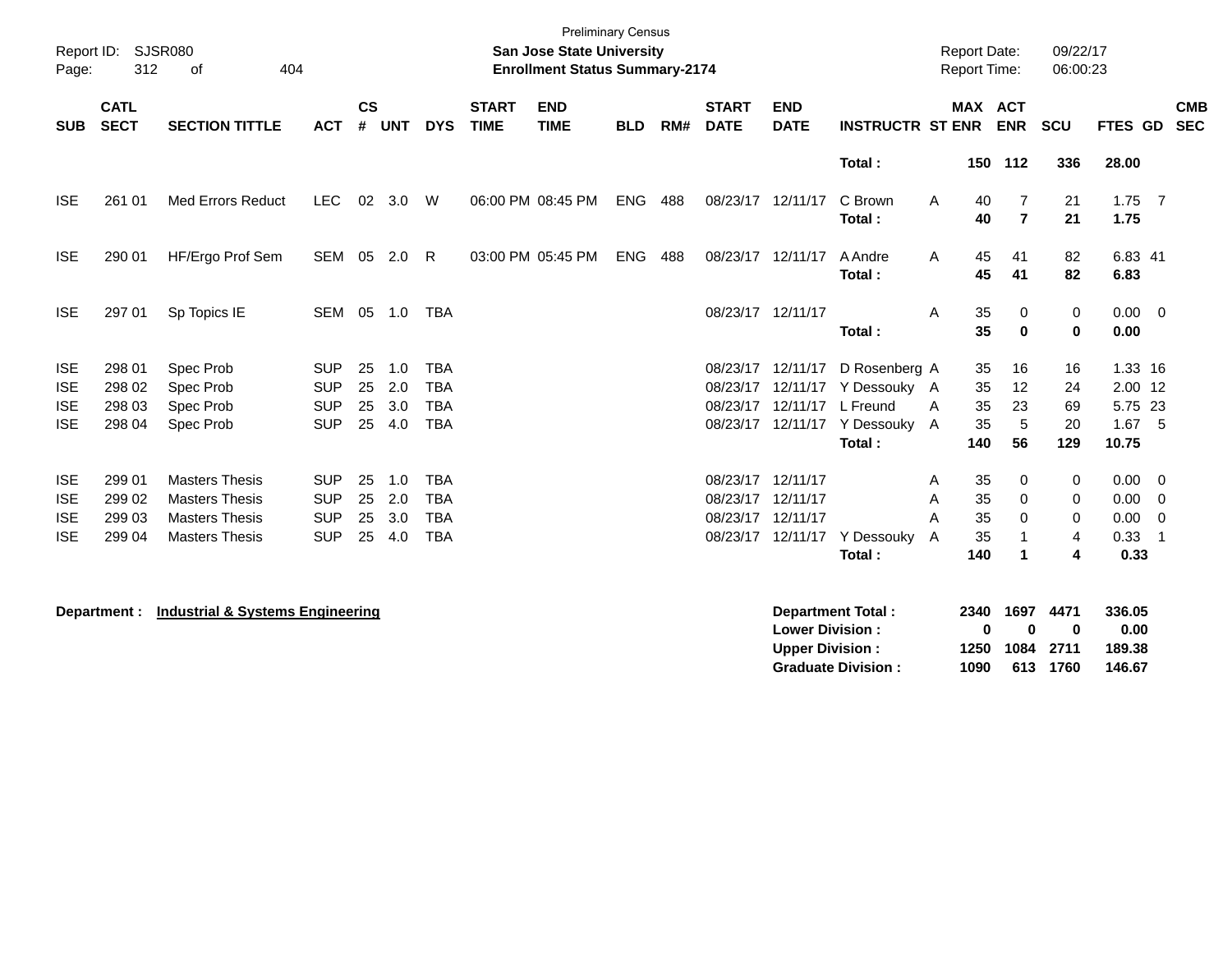| Page:                                                | Report ID: SJSR080<br>312            | 404<br>0f                                                                                        |                                                      |                      |                             |                                                      |                             | <b>Preliminary Census</b><br>San Jose State University<br><b>Enrollment Status Summary-2174</b> |            |     |                                                             |                                                  |                                                                                                       | <b>Report Date:</b><br><b>Report Time:</b> |                             |                                                      | 09/22/17<br>06:00:23                      |                                                    |                                                                   |
|------------------------------------------------------|--------------------------------------|--------------------------------------------------------------------------------------------------|------------------------------------------------------|----------------------|-----------------------------|------------------------------------------------------|-----------------------------|-------------------------------------------------------------------------------------------------|------------|-----|-------------------------------------------------------------|--------------------------------------------------|-------------------------------------------------------------------------------------------------------|--------------------------------------------|-----------------------------|------------------------------------------------------|-------------------------------------------|----------------------------------------------------|-------------------------------------------------------------------|
| <b>SUB</b>                                           | <b>CATL</b><br><b>SECT</b>           | <b>SECTION TITTLE</b>                                                                            | <b>ACT</b>                                           | $\mathsf{cs}$<br>#   | <b>UNT</b>                  | <b>DYS</b>                                           | <b>START</b><br><b>TIME</b> | <b>END</b><br><b>TIME</b>                                                                       | <b>BLD</b> | RM# | <b>START</b><br><b>DATE</b>                                 | <b>END</b><br><b>DATE</b>                        | <b>INSTRUCTR ST ENR</b>                                                                               |                                            |                             | MAX ACT<br><b>ENR</b>                                | <b>SCU</b>                                |                                                    | <b>CMB</b><br>FTES GD SEC                                         |
|                                                      |                                      |                                                                                                  |                                                      |                      |                             |                                                      |                             |                                                                                                 |            |     |                                                             |                                                  | Total:                                                                                                |                                            |                             | 150 112                                              | 336                                       | 28.00                                              |                                                                   |
| <b>ISE</b>                                           | 261 01                               | <b>Med Errors Reduct</b>                                                                         | <b>LEC</b>                                           | 02                   | 3.0                         | W                                                    |                             | 06:00 PM 08:45 PM                                                                               | <b>ENG</b> | 488 | 08/23/17 12/11/17                                           |                                                  | C Brown<br>Total:                                                                                     | A                                          | 40<br>40                    | $\overline{7}$<br>$\overline{7}$                     | 21<br>21                                  | $1.75$ 7<br>1.75                                   |                                                                   |
| <b>ISE</b>                                           | 290 01                               | HF/Ergo Prof Sem                                                                                 | SEM                                                  |                      | 05 2.0                      | $\mathsf{R}$                                         |                             | 03:00 PM 05:45 PM                                                                               | <b>ENG</b> | 488 | 08/23/17 12/11/17                                           |                                                  | A Andre<br>Total:                                                                                     | A                                          | 45<br>45                    | 41<br>41                                             | 82<br>82                                  | 6.83 41<br>6.83                                    |                                                                   |
| <b>ISE</b>                                           | 297 01                               | Sp Topics IE                                                                                     | SEM                                                  |                      | 05 1.0                      | <b>TBA</b>                                           |                             |                                                                                                 |            |     | 08/23/17 12/11/17                                           |                                                  | Total:                                                                                                | A                                          | 35<br>35                    | $\mathbf 0$<br>$\bf{0}$                              | 0<br>$\bf{0}$                             | $0.00 \ 0$<br>0.00                                 |                                                                   |
| <b>ISE</b><br><b>ISE</b><br><b>ISE</b><br><b>ISE</b> | 298 01<br>298 02<br>298 03<br>298 04 | Spec Prob<br>Spec Prob<br>Spec Prob<br>Spec Prob                                                 | <b>SUP</b><br><b>SUP</b><br><b>SUP</b><br><b>SUP</b> | 25<br>25<br>25<br>25 | 1.0<br>2.0<br>3.0<br>4.0    | <b>TBA</b><br><b>TBA</b><br><b>TBA</b><br><b>TBA</b> |                             |                                                                                                 |            |     |                                                             | 08/23/17 12/11/17<br>08/23/17 12/11/17           | D Rosenberg A<br>08/23/17 12/11/17 Y Dessouky A<br>L Freund<br>08/23/17 12/11/17 Y Dessouky<br>Total: | A<br>A                                     | 35<br>35<br>35<br>35<br>140 | 16<br>12<br>23<br>5<br>56                            | 16<br>24<br>69<br>20<br>129               | 1.33 16<br>2.00 12<br>5.75 23<br>$1.67$ 5<br>10.75 |                                                                   |
| <b>ISE</b><br><b>ISE</b><br><b>ISE</b><br><b>ISE</b> | 299 01<br>299 02<br>299 03<br>299 04 | <b>Masters Thesis</b><br><b>Masters Thesis</b><br><b>Masters Thesis</b><br><b>Masters Thesis</b> | <b>SUP</b><br><b>SUP</b><br><b>SUP</b><br><b>SUP</b> | 25<br>25<br>25       | 1.0<br>2.0<br>3.0<br>25 4.0 | <b>TBA</b><br><b>TBA</b><br><b>TBA</b><br><b>TBA</b> |                             |                                                                                                 |            |     | 08/23/17 12/11/17<br>08/23/17 12/11/17<br>08/23/17 12/11/17 | 08/23/17 12/11/17                                | Y Dessouky<br>Total:                                                                                  | Α<br>A<br>A<br>A                           | 35<br>35<br>35<br>35<br>140 | 0<br>$\mathbf 0$<br>$\Omega$<br>$\blacktriangleleft$ | 0<br>$\mathbf 0$<br>$\mathbf 0$<br>4<br>4 | 0.00<br>0.00<br>0.00<br>0.33<br>0.33               | $\overline{\mathbf{0}}$<br>$\overline{0}$<br>$\overline{0}$<br>-1 |
|                                                      | Department :                         | <b>Industrial &amp; Systems Engineering</b>                                                      |                                                      |                      |                             |                                                      |                             |                                                                                                 |            |     |                                                             | <b>Lower Division:</b><br><b>Upper Division:</b> | <b>Department Total:</b>                                                                              |                                            | 2340<br>0<br>1250           | 1697<br>0<br>1084                                    | 4471<br>0<br>2711                         | 336.05<br>0.00<br>189.38                           |                                                                   |

**Graduate Division : 1090 613 1760 146.67**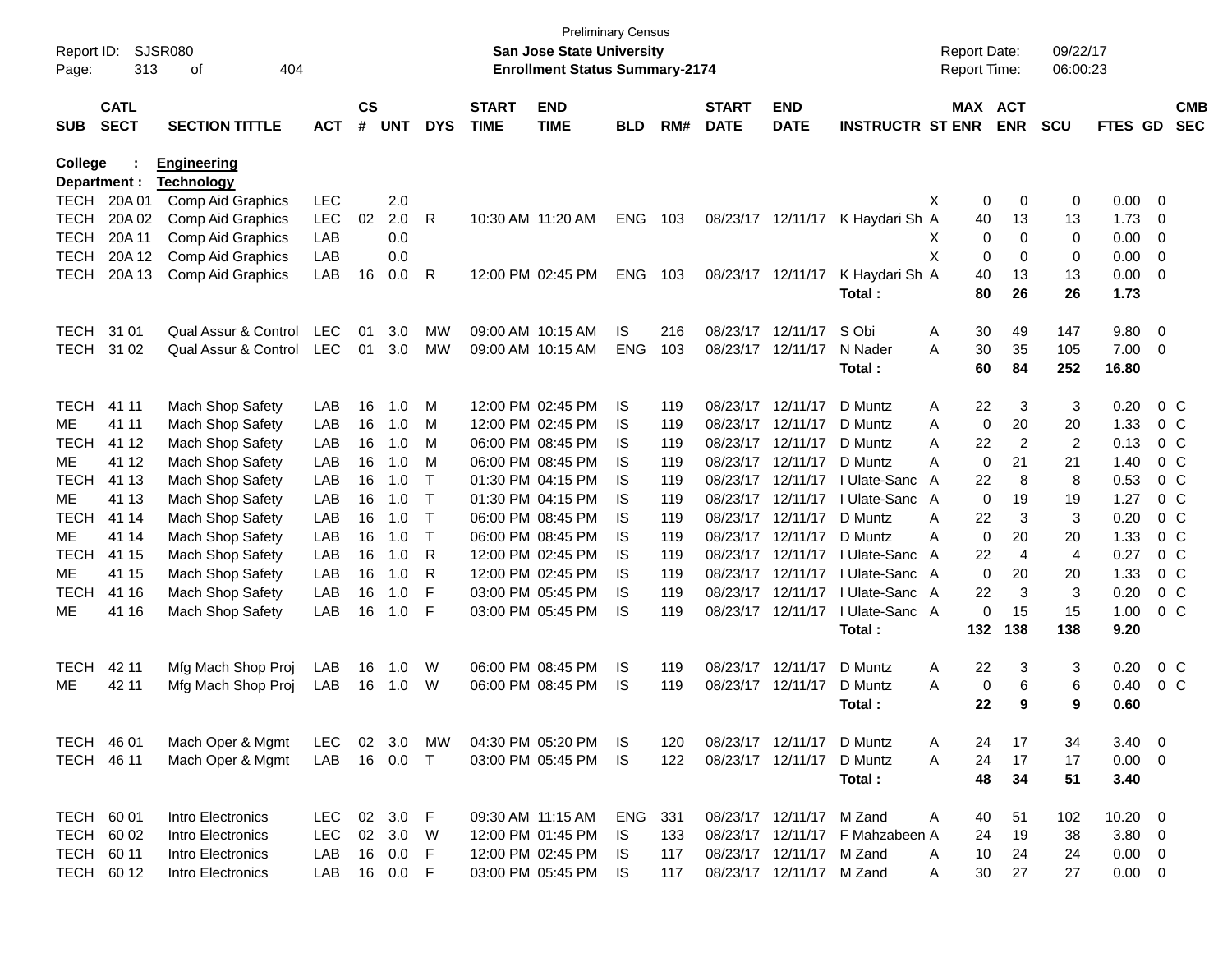| Report ID:<br>Page: | 313                        | SJSR080<br>404<br>оf  |            |                    |            |            |                             | <b>Preliminary Census</b><br>San Jose State University<br><b>Enrollment Status Summary-2174</b> |            |     |                             |                           |                                 |   | <b>Report Date:</b><br><b>Report Time:</b> |                | 09/22/17<br>06:00:23 |                |                |                          |
|---------------------|----------------------------|-----------------------|------------|--------------------|------------|------------|-----------------------------|-------------------------------------------------------------------------------------------------|------------|-----|-----------------------------|---------------------------|---------------------------------|---|--------------------------------------------|----------------|----------------------|----------------|----------------|--------------------------|
| <b>SUB</b>          | <b>CATL</b><br><b>SECT</b> | <b>SECTION TITTLE</b> | <b>ACT</b> | $\mathsf{cs}$<br># | <b>UNT</b> | <b>DYS</b> | <b>START</b><br><b>TIME</b> | <b>END</b><br><b>TIME</b>                                                                       | <b>BLD</b> | RM# | <b>START</b><br><b>DATE</b> | <b>END</b><br><b>DATE</b> | <b>INSTRUCTR ST ENR</b>         |   | MAX ACT                                    | <b>ENR</b>     | <b>SCU</b>           | <b>FTES GD</b> |                | <b>CMB</b><br><b>SEC</b> |
| College             |                            | <b>Engineering</b>    |            |                    |            |            |                             |                                                                                                 |            |     |                             |                           |                                 |   |                                            |                |                      |                |                |                          |
|                     | Department :               | <b>Technology</b>     |            |                    |            |            |                             |                                                                                                 |            |     |                             |                           |                                 |   |                                            |                |                      |                |                |                          |
| TECH                | 20A 01                     | Comp Aid Graphics     | <b>LEC</b> |                    | 2.0        |            |                             |                                                                                                 |            |     |                             |                           |                                 | X | 0                                          | 0              | 0                    | 0.00           | - 0            |                          |
| <b>TECH</b>         | 20A 02                     | Comp Aid Graphics     | LEC        | 02                 | 2.0        | R          |                             | 10:30 AM 11:20 AM                                                                               | <b>ENG</b> | 103 |                             | 08/23/17 12/11/17         | K Haydari Sh A                  |   | 40                                         | 13             | 13                   | 1.73           | 0              |                          |
| <b>TECH</b>         | 20A 11                     | Comp Aid Graphics     | LAB        |                    | 0.0        |            |                             |                                                                                                 |            |     |                             |                           |                                 | X | 0                                          | 0              | $\mathbf 0$          | 0.00           | 0              |                          |
| <b>TECH</b>         | 20A 12                     | Comp Aid Graphics     | LAB        |                    | 0.0        |            |                             |                                                                                                 |            |     |                             |                           |                                 | X | 0                                          | 0              | 0                    | 0.00           | 0              |                          |
| <b>TECH</b>         | 20A 13                     | Comp Aid Graphics     | LAB        | 16                 | 0.0        | R          |                             | 12:00 PM 02:45 PM                                                                               | <b>ENG</b> | 103 |                             | 08/23/17 12/11/17         | K Haydari Sh A                  |   | 40                                         | 13             | 13                   | 0.00           | - 0            |                          |
|                     |                            |                       |            |                    |            |            |                             |                                                                                                 |            |     |                             |                           | Total:                          |   | 80                                         | 26             | 26                   | 1.73           |                |                          |
| TECH                | 31 01                      | Qual Assur & Control  | <b>LEC</b> | 01                 | 3.0        | МW         |                             | 09:00 AM 10:15 AM                                                                               | IS         | 216 |                             | 08/23/17 12/11/17         | S Obi                           | A | 30                                         | 49             | 147                  | 9.80           | - 0            |                          |
| TECH 31 02          |                            | Qual Assur & Control  | <b>LEC</b> | 01                 | 3.0        | <b>MW</b>  |                             | 09:00 AM 10:15 AM                                                                               | ENG        | 103 |                             | 08/23/17 12/11/17         | N Nader                         | A | 30                                         | 35             | 105                  | 7.00           | - 0            |                          |
|                     |                            |                       |            |                    |            |            |                             |                                                                                                 |            |     |                             |                           | Total:                          |   | 60                                         | 84             | 252                  | 16.80          |                |                          |
| <b>TECH</b>         | 41 11                      | Mach Shop Safety      | LAB        | 16                 | 1.0        | м          |                             | 12:00 PM 02:45 PM                                                                               | IS         | 119 |                             | 08/23/17 12/11/17         | D Muntz                         | A | 22                                         | 3              | 3                    | 0.20           | 0 C            |                          |
| ME                  | 41 11                      | Mach Shop Safety      | LAB        | 16                 | 1.0        | м          |                             | 12:00 PM 02:45 PM                                                                               | IS         | 119 |                             | 08/23/17 12/11/17         | D Muntz                         | A | 0                                          | 20             | 20                   | 1.33           | $0\,$ C        |                          |
| TECH                | 41 12                      | Mach Shop Safety      | LAB        | 16                 | 1.0        | м          |                             | 06:00 PM 08:45 PM                                                                               | IS         | 119 |                             | 08/23/17 12/11/17         | D Muntz                         | A | 22                                         | $\overline{c}$ | 2                    | 0.13           | $0\,$ C        |                          |
| МE                  | 41 12                      | Mach Shop Safety      | LAB        | 16                 | 1.0        | м          |                             | 06:00 PM 08:45 PM                                                                               | IS         | 119 |                             | 08/23/17 12/11/17         | D Muntz                         | Α | 0                                          | 21             | 21                   | 1.40           | $0\,$ C        |                          |
| <b>TECH</b>         | 41 13                      | Mach Shop Safety      | LAB        | 16                 | 1.0        | Т          |                             | 01:30 PM 04:15 PM                                                                               | IS         | 119 |                             | 08/23/17 12/11/17         | I Ulate-Sanc                    | A | 22                                         | 8              | 8                    | 0.53           | $0\,$ C        |                          |
| МE                  | 41 13                      | Mach Shop Safety      | LAB        | 16                 | 1.0        | Т          |                             | 01:30 PM 04:15 PM                                                                               | IS         | 119 |                             | 08/23/17 12/11/17         | I Ulate-Sanc                    | A | 0                                          | 19             | 19                   | 1.27           | $0\,$ C        |                          |
| TECH                | 41 14                      | Mach Shop Safety      | LAB        | 16                 | 1.0        | Т          |                             | 06:00 PM 08:45 PM                                                                               | IS         | 119 |                             | 08/23/17 12/11/17         | D Muntz                         | Α | 22                                         | 3              | 3                    | 0.20           | $0\,C$         |                          |
| ME                  | 41 14                      | Mach Shop Safety      | LAB        | 16                 | 1.0        | Т          |                             | 06:00 PM 08:45 PM                                                                               | IS         | 119 |                             | 08/23/17 12/11/17         | D Muntz                         | Α | 0                                          | 20             | 20                   | 1.33           | $0\,$ C        |                          |
| <b>TECH</b>         | 41 15                      | Mach Shop Safety      | LAB        | 16                 | 1.0        | R          |                             | 12:00 PM 02:45 PM                                                                               | IS         | 119 |                             | 08/23/17 12/11/17         | l Ulate-Sanc                    | A | 22                                         | 4              | $\overline{4}$       | 0.27           | $0\,C$         |                          |
| МE                  | 41 15                      | Mach Shop Safety      | LAB        | 16                 | 1.0        | R          |                             | 12:00 PM 02:45 PM                                                                               | IS         | 119 |                             | 08/23/17 12/11/17         | I Ulate-Sanc A                  |   | 0                                          | 20             | 20                   | 1.33           | $0\,C$         |                          |
| <b>TECH</b>         | 41 16                      | Mach Shop Safety      | LAB        | 16                 | 1.0        | F          |                             | 03:00 PM 05:45 PM                                                                               | IS         | 119 |                             | 08/23/17 12/11/17         | I Ulate-Sanc A                  |   | 22                                         | 3              | 3                    | 0.20           | $0\,C$         |                          |
| ME                  | 41 16                      | Mach Shop Safety      | LAB        | 16                 | 1.0        | F          |                             | 03:00 PM 05:45 PM                                                                               | IS         | 119 |                             | 08/23/17 12/11/17         | I Ulate-Sanc A                  |   | 0                                          | 15             | 15                   | 1.00           | 0 <sup>o</sup> |                          |
|                     |                            |                       |            |                    |            |            |                             |                                                                                                 |            |     |                             |                           | Total:                          |   | 132                                        | 138            | 138                  | 9.20           |                |                          |
| <b>TECH</b>         | 42 11                      | Mfg Mach Shop Proj    | LAB        | 16                 | 1.0        | W          |                             | 06:00 PM 08:45 PM                                                                               | IS.        | 119 |                             | 08/23/17 12/11/17         | D Muntz                         | A | 22                                         | 3              | 3                    | 0.20           | $0\,$ C        |                          |
| ME                  | 42 11                      | Mfg Mach Shop Proj    | LAB        | 16                 | 1.0        | W          |                             | 06:00 PM 08:45 PM                                                                               | IS         | 119 |                             | 08/23/17 12/11/17         | D Muntz                         | A | 0                                          | 6              | 6                    | 0.40           | $0\,C$         |                          |
|                     |                            |                       |            |                    |            |            |                             |                                                                                                 |            |     |                             |                           | Total:                          |   | 22                                         | 9              | 9                    | 0.60           |                |                          |
| TECH 46 01          |                            | Mach Oper & Mgmt      | <b>LEC</b> |                    | 02 3.0     | МW         |                             | 04:30 PM 05:20 PM                                                                               | - IS       | 120 |                             | 08/23/17 12/11/17 D Muntz |                                 | A | 24                                         | 17             | 34                   | $3.40 \ 0$     |                |                          |
| TECH 46 11          |                            | Mach Oper & Mgmt      | LAB        |                    | 16 0.0     | $\top$     |                             | 03:00 PM 05:45 PM                                                                               | - IS       | 122 |                             | 08/23/17 12/11/17         | D Muntz                         | A | 24                                         | 17             | 17                   | $0.00 \t 0$    |                |                          |
|                     |                            |                       |            |                    |            |            |                             |                                                                                                 |            |     |                             |                           | Total:                          |   | 48                                         | 34             | 51                   | 3.40           |                |                          |
| TECH 60 01          |                            | Intro Electronics     | <b>LEC</b> |                    | 02 3.0 F   |            |                             | 09:30 AM 11:15 AM                                                                               | ENG        | 331 |                             | 08/23/17 12/11/17 M Zand  |                                 | A | 40                                         | 51             | 102                  | $10.20 \t 0$   |                |                          |
|                     | TECH 60 02                 | Intro Electronics     | <b>LEC</b> |                    | 02 3.0     | W          |                             | 12:00 PM 01:45 PM                                                                               | IS.        | 133 |                             |                           | 08/23/17 12/11/17 F Mahzabeen A |   | 24                                         | 19             | 38                   | $3.80\ 0$      |                |                          |
| TECH 60 11          |                            | Intro Electronics     | LAB        |                    | 16 0.0     | -F         |                             | 12:00 PM 02:45 PM                                                                               | IS.        | 117 |                             | 08/23/17 12/11/17 M Zand  |                                 | A | 10                                         | 24             | 24                   | $0.00 \t 0$    |                |                          |
| TECH 60 12          |                            | Intro Electronics     | LAB        |                    | 16  0.0  F |            |                             | 03:00 PM 05:45 PM                                                                               | IS         | 117 |                             | 08/23/17 12/11/17 M Zand  |                                 | A | 30                                         | 27             | 27                   | $0.00 \t 0$    |                |                          |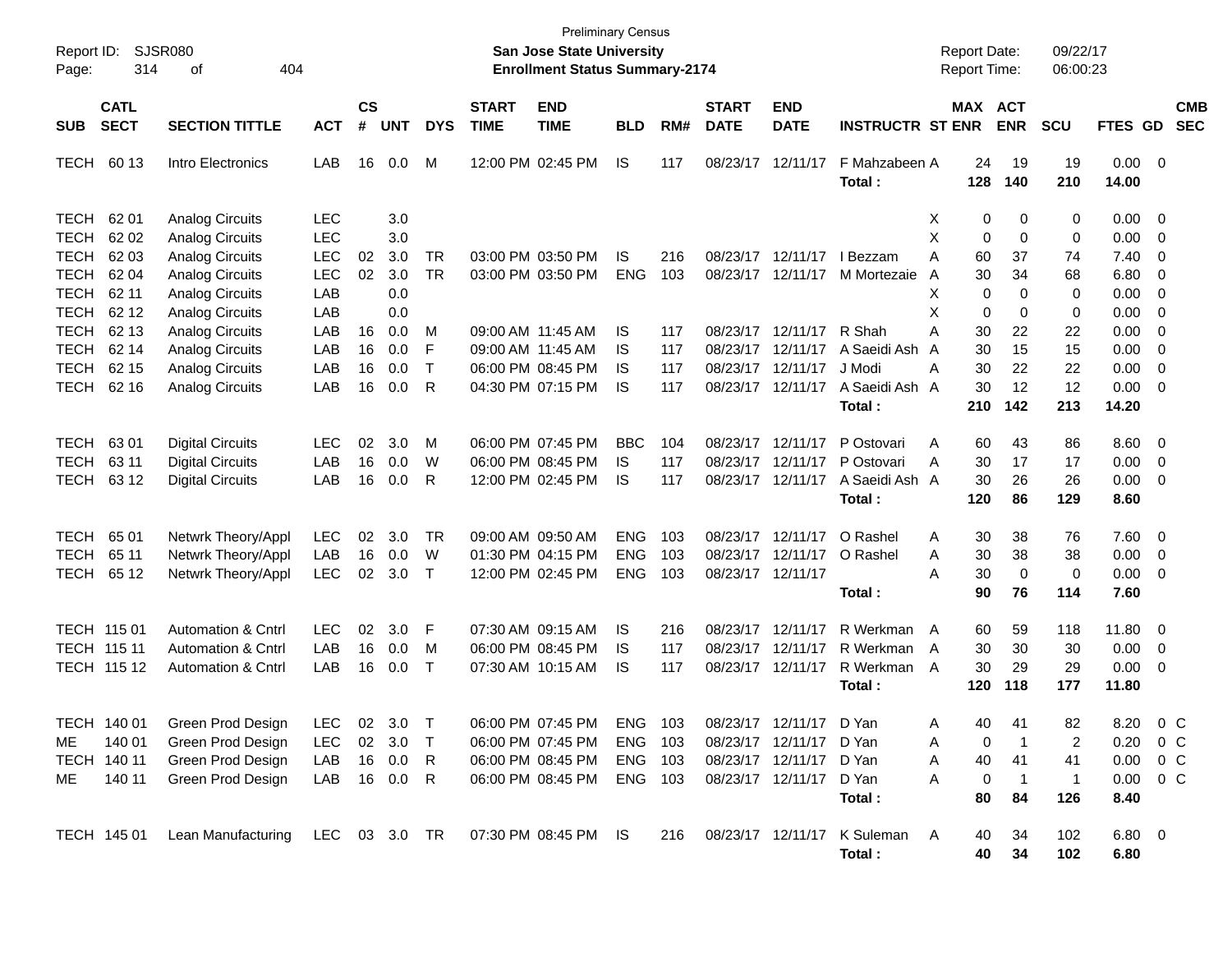| Page:                                     | <b>SJSR080</b><br>Report ID:<br>314<br>404<br>οf<br><b>CATL</b> |                                                                               |                                 |                    |                             |                          |                             | <b>Preliminary Census</b><br><b>San Jose State University</b><br><b>Enrollment Status Summary-2174</b> |                                        |                   |                             |                                                                   |                                                      | <b>Report Date:</b><br>Report Time: |                                              | 09/22/17<br>06:00:23             |                              |                                           |
|-------------------------------------------|-----------------------------------------------------------------|-------------------------------------------------------------------------------|---------------------------------|--------------------|-----------------------------|--------------------------|-----------------------------|--------------------------------------------------------------------------------------------------------|----------------------------------------|-------------------|-----------------------------|-------------------------------------------------------------------|------------------------------------------------------|-------------------------------------|----------------------------------------------|----------------------------------|------------------------------|-------------------------------------------|
| <b>SUB</b>                                | <b>SECT</b>                                                     | <b>SECTION TITTLE</b>                                                         | <b>ACT</b>                      | $\mathsf{cs}$<br># | <b>UNT</b>                  | <b>DYS</b>               | <b>START</b><br><b>TIME</b> | <b>END</b><br><b>TIME</b>                                                                              | <b>BLD</b>                             | RM#               | <b>START</b><br><b>DATE</b> | <b>END</b><br><b>DATE</b>                                         | <b>INSTRUCTR ST ENR</b>                              |                                     | MAX ACT<br><b>ENR</b>                        | SCU                              | FTES GD                      | <b>CMB</b><br><b>SEC</b>                  |
| <b>TECH</b>                               | 60 13                                                           | Intro Electronics                                                             | LAB                             | 16                 | 0.0                         | M                        |                             | 12:00 PM 02:45 PM                                                                                      | IS.                                    | 117               | 08/23/17                    | 12/11/17                                                          | F Mahzabeen A<br>Total:                              | 128                                 | 24<br>19<br>140                              | 19<br>210                        | 0.00<br>14.00                | $\overline{\mathbf{0}}$                   |
| <b>TECH</b><br><b>TECH</b><br><b>TECH</b> | 62 01<br>62 02<br>62 03                                         | <b>Analog Circuits</b><br><b>Analog Circuits</b><br><b>Analog Circuits</b>    | <b>LEC</b><br><b>LEC</b><br>LEC | 02                 | 3.0<br>3.0<br>3.0           | <b>TR</b>                |                             | 03:00 PM 03:50 PM                                                                                      | IS.                                    | 216               |                             | 08/23/17 12/11/17                                                 | I Bezzam                                             | X<br>х<br>Α                         | 0<br>0<br>0<br>0<br>60<br>37                 | 0<br>0<br>74                     | 0.00<br>0.00<br>7.40         | $\overline{0}$<br>0<br>0                  |
| <b>TECH</b><br><b>TECH</b><br><b>TECH</b> | 62 04<br>62 11<br>62 12                                         | <b>Analog Circuits</b><br><b>Analog Circuits</b><br><b>Analog Circuits</b>    | LEC<br>LAB<br>LAB               | 02                 | 3.0<br>0.0<br>0.0           | <b>TR</b>                |                             | 03:00 PM 03:50 PM                                                                                      | <b>ENG</b>                             | 103               | 08/23/17                    | 12/11/17                                                          | M Mortezaie                                          | A<br>х<br>Χ                         | 30<br>34<br>0<br>$\Omega$<br>0<br>0          | 68<br>0<br>0                     | 6.80<br>0.00<br>0.00         | 0<br>0<br>0                               |
| <b>TECH</b><br><b>TECH</b><br><b>TECH</b> | 62 13<br>62 14<br>62 15                                         | <b>Analog Circuits</b><br><b>Analog Circuits</b><br><b>Analog Circuits</b>    | LAB<br>LAB<br>LAB               | 16<br>16<br>16     | 0.0<br>0.0<br>0.0           | M<br>F<br>$\mathsf{T}$   |                             | 09:00 AM 11:45 AM<br>09:00 AM 11:45 AM<br>06:00 PM 08:45 PM                                            | IS<br>IS<br>IS.                        | 117<br>117<br>117 | 08/23/17<br>08/23/17        | 08/23/17 12/11/17<br>12/11/17<br>12/11/17                         | R Shah<br>A Saeidi Ash<br>J Modi                     | A<br>A<br>Α                         | 30<br>22<br>30<br>15<br>30<br>22             | 22<br>15<br>22                   | 0.00<br>0.00<br>0.00         | 0<br>0<br>0                               |
| <b>TECH</b>                               | 62 16                                                           | <b>Analog Circuits</b>                                                        | LAB                             | 16                 | 0.0                         | R                        |                             | 04:30 PM 07:15 PM                                                                                      | IS                                     | 117               |                             | 08/23/17 12/11/17                                                 | A Saeidi Ash A<br>Total:                             | 210                                 | 30<br>12<br>142                              | 12<br>213                        | 0.00<br>14.20                | 0                                         |
| <b>TECH</b><br><b>TECH</b><br><b>TECH</b> | 6301<br>63 11<br>63 12                                          | <b>Digital Circuits</b><br><b>Digital Circuits</b><br><b>Digital Circuits</b> | <b>LEC</b><br>LAB<br>LAB        | 02<br>16<br>16     | 3.0<br>0.0<br>0.0           | M<br>W<br>R              |                             | 06:00 PM 07:45 PM<br>06:00 PM 08:45 PM<br>12:00 PM 02:45 PM                                            | <b>BBC</b><br>IS.<br>IS                | 104<br>117<br>117 |                             | 08/23/17 12/11/17<br>08/23/17 12/11/17<br>08/23/17 12/11/17       | P Ostovari<br>P Ostovari<br>A Saeidi Ash A<br>Total: | Α<br>Α<br>120                       | 60<br>43<br>30<br>17<br>30<br>26<br>86       | 86<br>17<br>26<br>129            | 8.60<br>0.00<br>0.00<br>8.60 | $\overline{0}$<br>0<br>0                  |
| <b>TECH</b><br><b>TECH</b><br><b>TECH</b> | 65 01<br>65 11<br>65 12                                         | Netwrk Theory/Appl<br>Netwrk Theory/Appl<br>Netwrk Theory/Appl                | <b>LEC</b><br>LAB<br><b>LEC</b> | 02<br>16<br>02     | 3.0<br>0.0<br>3.0           | <b>TR</b><br>W<br>$\top$ |                             | 09:00 AM 09:50 AM<br>01:30 PM 04:15 PM<br>12:00 PM 02:45 PM                                            | <b>ENG</b><br><b>ENG</b><br><b>ENG</b> | 103<br>103<br>103 | 08/23/17 12/11/17           | 08/23/17 12/11/17<br>08/23/17 12/11/17                            | O Rashel<br>O Rashel                                 | Α<br>Α<br>Α                         | 30<br>38<br>30<br>38<br>30<br>$\overline{0}$ | 76<br>38<br>0                    | 7.60<br>0.00<br>0.00         | $\mathbf{0}$<br>0<br>$\mathbf{0}$         |
| TECH 115 01<br>TECH 115 11                |                                                                 | Automation & Cntrl<br>Automation & Cntrl                                      | <b>LEC</b><br>LAB               | 02<br>16           | 3.0<br>0.0                  | F<br>M<br>$\top$         |                             | 07:30 AM 09:15 AM<br>06:00 PM 08:45 PM                                                                 | IS.<br>IS.                             | 216<br>117        | 08/23/17<br>08/23/17        | 12/11/17<br>12/11/17<br>08/23/17 12/11/17                         | Total:<br>R Werkman<br>R Werkman                     | A<br>$\overline{A}$                 | 90<br>76<br>60<br>59<br>30<br>30             | 114<br>118<br>30                 | 7.60<br>11.80<br>0.00        | $\mathbf 0$<br>$\mathbf 0$                |
|                                           | TECH 115 12<br>TECH 140 01                                      | <b>Automation &amp; Cntrl</b><br>Green Prod Design                            | LAB<br>LEC                      | 16                 | 0.0<br>02 3.0 T             |                          |                             | 07:30 AM 10:15 AM<br>06:00 PM 07:45 PM                                                                 | IS<br>ENG 103                          | 117               |                             | 08/23/17 12/11/17                                                 | R Werkman<br>Total:<br>D Yan                         | A<br>120<br>A                       | 30<br>29<br>118<br>40.<br>41                 | 29<br>177<br>82                  | 0.00<br>11.80<br>8.20        | 0<br>0 C                                  |
| ME.<br>ME.                                | 140 01<br>TECH 140 11<br>140 11                                 | Green Prod Design<br>Green Prod Design<br>Green Prod Design                   | LEC<br>LAB<br>LAB               | 16                 | 02 3.0<br>0.0<br>16  0.0  R | $\top$<br>-R             |                             | 06:00 PM 07:45 PM<br>06:00 PM 08:45 PM<br>06:00 PM 08:45 PM                                            | ENG 103<br>ENG 103<br>ENG 103          |                   |                             | 08/23/17 12/11/17 D Yan<br>08/23/17 12/11/17<br>08/23/17 12/11/17 | D Yan<br>D Yan<br>Total:                             | Α<br>A<br>A                         | 0<br>40<br>41<br>0<br>-1<br>84<br>80         | 2<br>41<br>$\overline{1}$<br>126 | 0.00<br>8.40                 | $0.20 \t 0 C$<br>$0\,$ C<br>$0.00 \t 0 C$ |
|                                           | TECH 145 01                                                     | Lean Manufacturing                                                            | LEC 03 3.0 TR                   |                    |                             |                          |                             | 07:30 PM 08:45 PM IS                                                                                   |                                        |                   |                             |                                                                   | 216 08/23/17 12/11/17 K Suleman<br>Total:            | A                                   | 34<br>40<br>40<br>34                         | 102<br>102                       | 6.80 0<br>6.80               |                                           |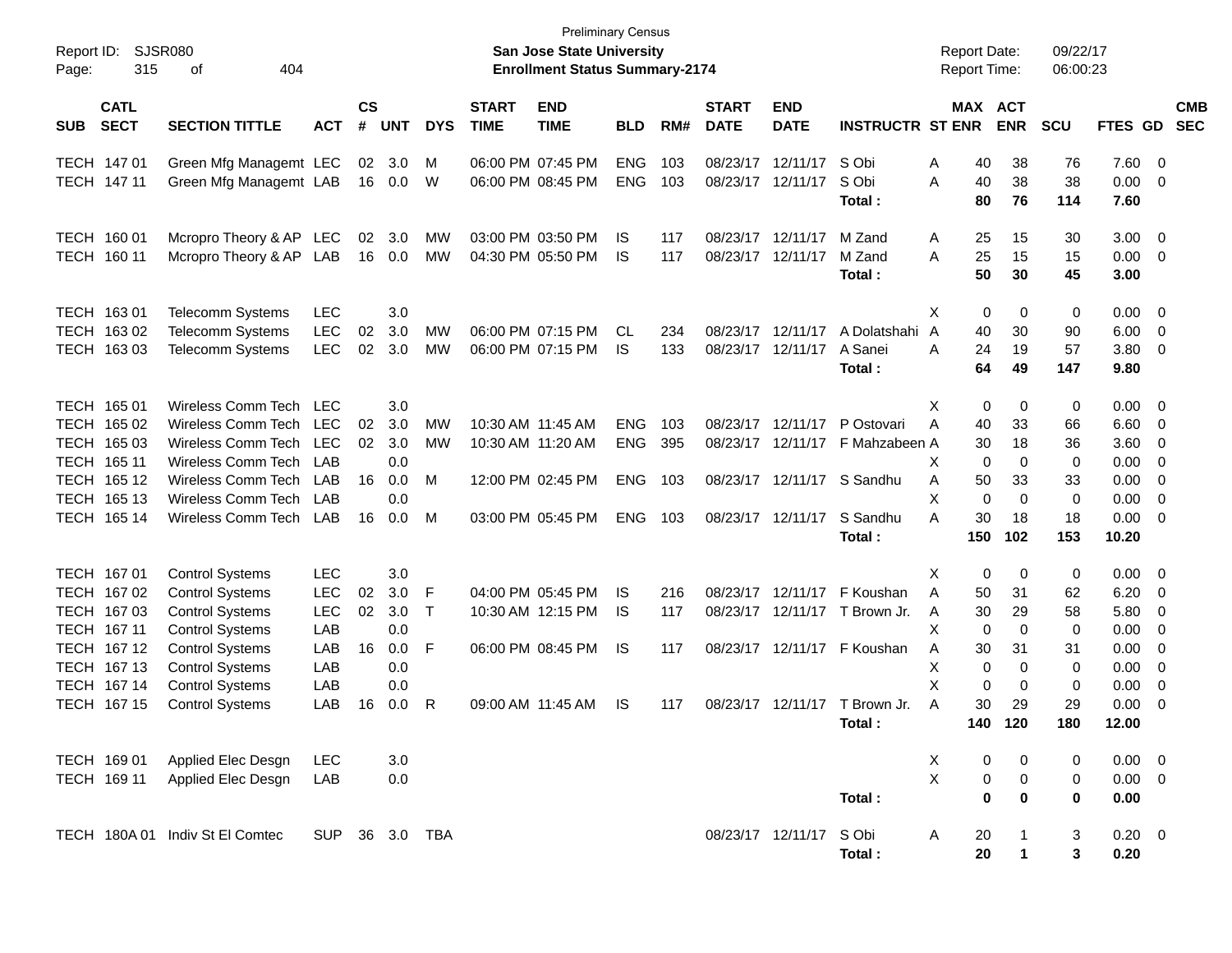| Report ID:<br>Page: | 315                        | <b>SJSR080</b><br>404<br>οf                      |            |                |            |            |                             | San Jose State University<br><b>Enrollment Status Summary-2174</b> | <b>Preliminary Census</b> |     |                             |                           |                             | <b>Report Date:</b><br>Report Time: |                       | 09/22/17<br>06:00:23 |                    |                |                          |
|---------------------|----------------------------|--------------------------------------------------|------------|----------------|------------|------------|-----------------------------|--------------------------------------------------------------------|---------------------------|-----|-----------------------------|---------------------------|-----------------------------|-------------------------------------|-----------------------|----------------------|--------------------|----------------|--------------------------|
| <b>SUB</b>          | <b>CATL</b><br><b>SECT</b> | <b>SECTION TITTLE</b>                            | <b>ACT</b> | <b>CS</b><br># | <b>UNT</b> | <b>DYS</b> | <b>START</b><br><b>TIME</b> | <b>END</b><br><b>TIME</b>                                          | <b>BLD</b>                | RM# | <b>START</b><br><b>DATE</b> | <b>END</b><br><b>DATE</b> | <b>INSTRUCTR ST ENR</b>     |                                     | MAX ACT<br><b>ENR</b> | <b>SCU</b>           | FTES GD            |                | <b>CMB</b><br><b>SEC</b> |
|                     | TECH 147 01                | Green Mfg Managemt LEC                           |            | 02             | 3.0        | М          |                             | 06:00 PM 07:45 PM                                                  | <b>ENG</b>                | 103 |                             | 08/23/17 12/11/17         | S Obi                       | Α                                   | 38<br>40              | 76                   | 7.60               | $\overline{0}$ |                          |
|                     | TECH 147 11                | Green Mfg Managemt LAB                           |            |                | 16 0.0     | W          |                             | 06:00 PM 08:45 PM                                                  | <b>ENG</b>                | 103 |                             | 08/23/17 12/11/17         | S Obi<br>Total :            | 40<br>Α                             | 38<br>80<br>76        | 38<br>114            | 0.00<br>7.60       | 0              |                          |
|                     | TECH 160 01                | Mcropro Theory & AP LEC                          |            | 02             | 3.0        | MW         |                             | 03:00 PM 03:50 PM                                                  | IS                        | 117 |                             | 08/23/17 12/11/17         | M Zand                      | A                                   | 25<br>15              | 30                   | 3.00               | $\overline{0}$ |                          |
| TECH                | 160 11                     | Mcropro Theory & AP LAB                          |            | 16             | 0.0        | MW         |                             | 04:30 PM 05:50 PM                                                  | IS                        | 117 |                             | 08/23/17 12/11/17         | M Zand<br>Total :           | 25<br>Α                             | 15<br>50<br>30        | 15<br>45             | 0.00<br>3.00       | 0              |                          |
|                     | TECH 163 01                | <b>Telecomm Systems</b>                          | <b>LEC</b> |                | 3.0        |            |                             |                                                                    |                           |     |                             |                           |                             | X                                   | 0                     | 0<br>0               | 0.00               | $\mathbf 0$    |                          |
| TECH                | 16302                      | Telecomm Systems                                 | <b>LEC</b> | 02             | 3.0        | MW         |                             | 06:00 PM 07:15 PM                                                  | CL                        | 234 |                             | 08/23/17 12/11/17         | A Dolatshahi                | A                                   | 40<br>30              | 90                   | 6.00               | $\mathbf 0$    |                          |
| <b>TECH</b>         | 16303                      | Telecomm Systems                                 | <b>LEC</b> | 02             | 3.0        | MW         |                             | 06:00 PM 07:15 PM                                                  | IS                        | 133 |                             | 08/23/17 12/11/17         | A Sanei<br>Total :          | Α                                   | 24<br>19<br>64<br>49  | 57<br>147            | 3.80<br>9.80       | 0              |                          |
|                     | TECH 165 01                | Wireless Comm Tech                               | <b>LEC</b> |                | 3.0        |            |                             |                                                                    |                           |     |                             |                           |                             | х                                   | 0                     | 0<br>0               | 0.00               | 0              |                          |
|                     | TECH 165 02                | Wireless Comm Tech                               | <b>LEC</b> | 02             | 3.0        | MW         | 10:30 AM 11:45 AM           |                                                                    | <b>ENG</b>                | 103 |                             | 08/23/17 12/11/17         | P Ostovari                  | Α                                   | 40<br>33              | 66                   | 6.60               | 0              |                          |
| TECH                | 165 03                     | Wireless Comm Tech                               | <b>LEC</b> | 02             | 3.0        | MW         | 10:30 AM 11:20 AM           |                                                                    | <b>ENG</b>                | 395 |                             | 08/23/17 12/11/17         | F Mahzabeen A               |                                     | 30                    | 36<br>18             | 3.60               | 0              |                          |
| TECH                | 165 11                     | Wireless Comm Tech                               | LAB        |                | 0.0        |            |                             |                                                                    |                           |     |                             |                           |                             | X                                   | 0                     | 0<br>0               | 0.00               | 0              |                          |
| TECH                | 165 12<br>165 13           | Wireless Comm Tech                               | LAB        | 16             | 0.0        | М          |                             | 12:00 PM 02:45 PM                                                  | <b>ENG</b>                | 103 |                             | 08/23/17 12/11/17         | S Sandhu                    | Α<br>X                              | 50<br>33<br>0         | 33<br>$\mathbf 0$    | 0.00               | 0              |                          |
| TECH<br>TECH        | 165 14                     | Wireless Comm Tech<br>Wireless Comm Tech         | LAB<br>LAB | 16             | 0.0<br>0.0 | М          |                             | 03:00 PM 05:45 PM                                                  | <b>ENG</b>                | 103 |                             | 08/23/17 12/11/17         | S Sandhu                    | A                                   | 30<br>18              | 0<br>18              | 0.00<br>0.00       | 0<br>0         |                          |
|                     |                            |                                                  |            |                |            |            |                             |                                                                    |                           |     |                             |                           | Total :                     | 150                                 | 102                   | 153                  | 10.20              |                |                          |
|                     | TECH 167 01                | <b>Control Systems</b>                           | <b>LEC</b> |                | 3.0        |            |                             |                                                                    |                           |     |                             |                           |                             | X                                   | 0                     | 0<br>0               | 0.00               | $\overline{0}$ |                          |
|                     | TECH 167 02                | <b>Control Systems</b>                           | <b>LEC</b> | 02             | 3.0        | F          |                             | 04:00 PM 05:45 PM                                                  | IS                        | 216 |                             | 08/23/17 12/11/17         | F Koushan                   | A                                   | 50<br>31              | 62                   | 6.20               | $\mathbf 0$    |                          |
|                     | TECH 167 03                | <b>Control Systems</b>                           | <b>LEC</b> | 02             | 3.0        | $\top$     |                             | 10:30 AM 12:15 PM                                                  | IS                        | 117 |                             | 08/23/17 12/11/17         | T Brown Jr.                 | A                                   | 30<br>29              | 58                   | 5.80               | 0              |                          |
|                     | TECH 167 11                | <b>Control Systems</b>                           | LAB        |                | 0.0        |            |                             |                                                                    |                           |     |                             |                           |                             | Х                                   | 0                     | 0<br>0               | 0.00               | 0              |                          |
|                     | TECH 167 12<br>TECH 167 13 | <b>Control Systems</b>                           | LAB        | 16             | 0.0        | F          |                             | 06:00 PM 08:45 PM                                                  | <b>IS</b>                 | 117 |                             |                           | 08/23/17 12/11/17 F Koushan | A<br>Х                              | 30<br>31              | 31                   | 0.00               | 0              |                          |
|                     | TECH 167 14                | <b>Control Systems</b><br><b>Control Systems</b> | LAB<br>LAB |                | 0.0<br>0.0 |            |                             |                                                                    |                           |     |                             |                           |                             | X                                   | 0<br>0                | 0<br>0<br>0<br>0     | 0.00<br>0.00       | 0<br>0         |                          |
|                     | TECH 167 15                | <b>Control Systems</b>                           | LAB        | 16             | 0.0        | R          |                             | 09:00 AM 11:45 AM                                                  | <b>IS</b>                 | 117 |                             | 08/23/17 12/11/17         | T Brown Jr.                 | A                                   | 30<br>29              | 29                   | 0.00               | 0              |                          |
|                     |                            |                                                  |            |                |            |            |                             |                                                                    |                           |     |                             |                           | Total:                      | 140                                 | 120                   | 180                  | 12.00              |                |                          |
|                     | TECH 169 01                | Applied Elec Desgn                               | LEC        |                | 3.0        |            |                             |                                                                    |                           |     |                             |                           |                             | X                                   | 0                     | 0<br>0               | $0.00 \quad 0$     |                |                          |
|                     | TECH 169 11                | Applied Elec Desgn                               | LAB        |                | 0.0        |            |                             |                                                                    |                           |     |                             |                           |                             | X                                   | 0                     | 0<br>0               | $0.00 \t 0$        |                |                          |
|                     |                            |                                                  |            |                |            |            |                             |                                                                    |                           |     |                             |                           | Total:                      |                                     | $\mathbf 0$           | 0<br>0               | 0.00               |                |                          |
|                     |                            | TECH 180A 01 Indiv St El Comtec                  | <b>SUP</b> |                | 36 3.0 TBA |            |                             |                                                                    |                           |     |                             | 08/23/17 12/11/17         | S Obi<br>Total:             | Α                                   | 20<br>20              | 3<br>3<br>1          | $0.20 \ 0$<br>0.20 |                |                          |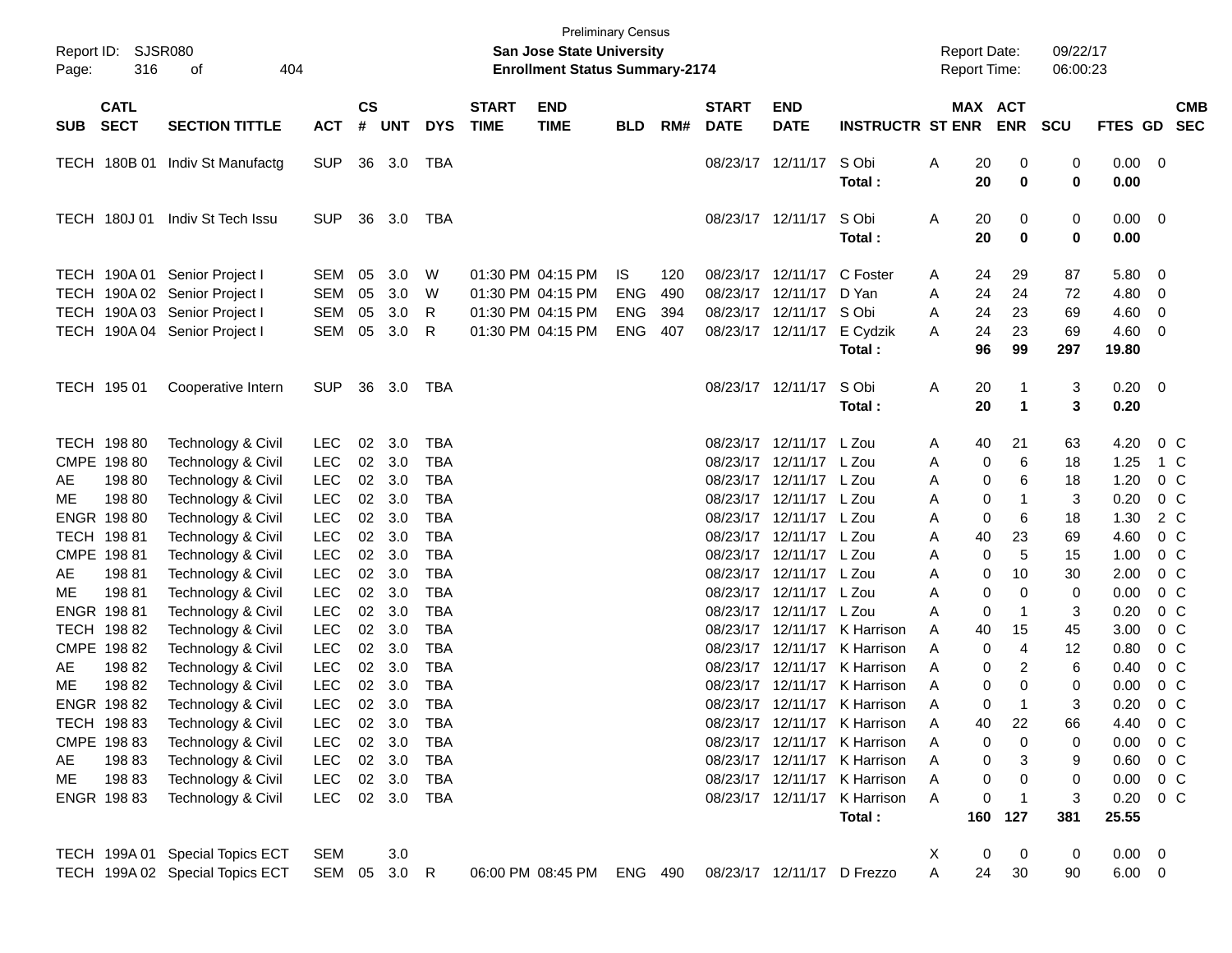| Report ID:<br>Page: | SJSR080<br>316                                      | 404<br>of                                                                                                                        |                                                      |                      |                            |                                                      |                             | <b>Preliminary Census</b><br><b>San Jose State University</b><br><b>Enrollment Status Summary-2174</b> |                                               |                          |                                              |                                                                      |                                                                                                        | <b>Report Date:</b><br><b>Report Time:</b> |                                   | 09/22/17<br>06:00:23                                     |                               |                                                                      |
|---------------------|-----------------------------------------------------|----------------------------------------------------------------------------------------------------------------------------------|------------------------------------------------------|----------------------|----------------------------|------------------------------------------------------|-----------------------------|--------------------------------------------------------------------------------------------------------|-----------------------------------------------|--------------------------|----------------------------------------------|----------------------------------------------------------------------|--------------------------------------------------------------------------------------------------------|--------------------------------------------|-----------------------------------|----------------------------------------------------------|-------------------------------|----------------------------------------------------------------------|
| <b>SUB</b>          | <b>CATL</b><br><b>SECT</b>                          | <b>SECTION TITTLE</b>                                                                                                            | <b>ACT</b>                                           | $\mathsf{cs}$<br>#   | <b>UNT</b>                 | <b>DYS</b>                                           | <b>START</b><br><b>TIME</b> | <b>END</b><br><b>TIME</b>                                                                              | <b>BLD</b>                                    | RM#                      | <b>START</b><br><b>DATE</b>                  | <b>END</b><br><b>DATE</b>                                            | <b>INSTRUCTR ST ENR</b>                                                                                |                                            | MAX ACT<br><b>ENR</b>             | <b>SCU</b>                                               | FTES GD                       | <b>CMB</b><br><b>SEC</b>                                             |
|                     |                                                     | TECH 180B 01 Indiv St Manufactg                                                                                                  | <b>SUP</b>                                           |                      | 36 3.0                     | TBA                                                  |                             |                                                                                                        |                                               |                          |                                              | 08/23/17 12/11/17                                                    | S Obi<br>Total:                                                                                        | Α<br>20<br>20                              |                                   | 0<br>0<br>$\bf{0}$<br>0                                  | 0.00<br>0.00                  | - 0                                                                  |
|                     | <b>TECH 180J01</b>                                  | Indiv St Tech Issu                                                                                                               | <b>SUP</b>                                           |                      | 36 3.0                     | TBA                                                  |                             |                                                                                                        |                                               |                          |                                              | 08/23/17 12/11/17                                                    | S Obi<br>Total:                                                                                        | Α<br>20<br>20                              |                                   | 0<br>0<br>$\bf{0}$<br>0                                  | 0.00<br>0.00                  | $\overline{\mathbf{0}}$                                              |
|                     |                                                     | TECH 190A 01 Senior Project I<br>TECH 190A 02 Senior Project I<br>TECH 190A 03 Senior Project I<br>TECH 190A 04 Senior Project I | <b>SEM</b><br><b>SEM</b><br><b>SEM</b><br><b>SEM</b> | 05<br>05<br>05<br>05 | 3.0<br>3.0<br>3.0<br>3.0   | W<br>W<br>R<br>R                                     |                             | 01:30 PM 04:15 PM<br>01:30 PM 04:15 PM<br>01:30 PM 04:15 PM<br>01:30 PM 04:15 PM                       | IS.<br><b>ENG</b><br><b>ENG</b><br><b>ENG</b> | 120<br>490<br>394<br>407 | 08/23/17<br>08/23/17<br>08/23/17<br>08/23/17 | 12/11/17<br>12/11/17<br>12/11/17<br>12/11/17                         | C Foster<br>D Yan<br>S Obi<br>E Cydzik                                                                 | 24<br>A<br>24<br>A<br>24<br>A<br>24<br>A   | 29<br>24<br>23<br>23              | 87<br>72<br>69<br>69                                     | 5.80<br>4.80<br>4.60<br>4.60  | - 0<br>0<br>0<br>0                                                   |
|                     | TECH 195 01                                         | Cooperative Intern                                                                                                               | <b>SUP</b>                                           |                      | 36 3.0                     | TBA                                                  |                             |                                                                                                        |                                               |                          |                                              | 08/23/17 12/11/17                                                    | Total:<br>S Obi<br>Total:                                                                              | 96<br>Α<br>20<br>20                        | 99<br>$\mathbf 1$<br>1            | 297<br>3<br>3                                            | 19.80<br>0.20<br>0.20         | $\overline{\mathbf{0}}$                                              |
| AE                  | TECH 198 80<br>CMPE 198 80<br>198 80                | Technology & Civil<br>Technology & Civil<br>Technology & Civil                                                                   | <b>LEC</b><br><b>LEC</b><br><b>LEC</b>               | 02<br>02<br>02       | 3.0<br>3.0<br>3.0          | <b>TBA</b><br><b>TBA</b><br><b>TBA</b>               |                             |                                                                                                        |                                               |                          | 08/23/17<br>08/23/17<br>08/23/17             | 12/11/17 L Zou<br>12/11/17 L Zou<br>12/11/17 L Zou                   |                                                                                                        | 40<br>A<br>Α<br>Α                          | 21<br>0<br>0                      | 63<br>6<br>18<br>6<br>18                                 | 4.20<br>1.25<br>1.20          | 0 <sup>o</sup><br>1 C<br>0 <sup>o</sup>                              |
| МE                  | 198 80<br>ENGR 198 80<br>TECH 198 81<br>CMPE 198 81 | Technology & Civil<br>Technology & Civil<br>Technology & Civil<br>Technology & Civil                                             | <b>LEC</b><br><b>LEC</b><br><b>LEC</b><br><b>LEC</b> | 02<br>02<br>02<br>02 | 3.0<br>3.0<br>3.0<br>3.0   | <b>TBA</b><br><b>TBA</b><br><b>TBA</b><br><b>TBA</b> |                             |                                                                                                        |                                               |                          | 08/23/17<br>08/23/17<br>08/23/17<br>08/23/17 | 12/11/17 L Zou<br>12/11/17 L Zou<br>12/11/17 L Zou<br>12/11/17 L Zou |                                                                                                        | Α<br>A<br>40<br>Α<br>Α                     | $\mathbf 1$<br>0<br>0<br>23<br>0  | 3<br>18<br>6<br>69<br>5<br>15                            | 0.20<br>1.30<br>4.60<br>1.00  | 0 <sup>o</sup><br>2 C<br>0 <sup>o</sup><br>0 <sup>o</sup>            |
| AE<br>ME            | 19881<br>19881<br>ENGR 198 81                       | Technology & Civil<br>Technology & Civil<br>Technology & Civil                                                                   | <b>LEC</b><br><b>LEC</b><br><b>LEC</b>               | 02<br>02<br>02       | 3.0<br>3.0<br>3.0          | <b>TBA</b><br><b>TBA</b><br><b>TBA</b>               |                             |                                                                                                        |                                               |                          | 08/23/17<br>08/23/17<br>08/23/17             | 12/11/17<br>12/11/17<br>12/11/17                                     | L Zou<br>L Zou<br>L Zou                                                                                | Α<br>Α<br>Α                                | 10<br>0<br>0<br>$\mathbf 1$<br>0  | 30<br>$\mathbf 0$<br>0<br>3                              | 2.00<br>0.00<br>0.20          | 0 <sub>C</sub><br>0 <sub>C</sub><br>0 <sub>C</sub>                   |
| AE<br>ME            | TECH 198 82<br>CMPE 198 82<br>19882<br>19882        | Technology & Civil<br>Technology & Civil<br>Technology & Civil<br>Technology & Civil                                             | <b>LEC</b><br><b>LEC</b><br><b>LEC</b><br><b>LEC</b> | 02<br>02<br>02<br>02 | 3.0<br>3.0<br>3.0<br>3.0   | <b>TBA</b><br><b>TBA</b><br><b>TBA</b><br><b>TBA</b> |                             |                                                                                                        |                                               |                          | 08/23/17<br>08/23/17<br>08/23/17<br>08/23/17 | 12/11/17<br>12/11/17<br>12/11/17<br>12/11/17                         | K Harrison<br>K Harrison<br>K Harrison<br>K Harrison                                                   | 40<br>A<br>A<br>A<br>A                     | 15<br>0<br>0<br>0                 | 45<br>$\overline{4}$<br>12<br>2<br>6<br>$\mathbf 0$<br>0 | 3.00<br>0.80<br>0.40<br>0.00  | 0 <sub>C</sub><br>0 <sub>C</sub><br>0 <sub>C</sub><br>0 <sup>C</sup> |
|                     | ENGR 198 82<br>TECH 198 83<br>CMPE 198 83           | Technology & Civil<br>Technology & Civil<br>Technology & Civil                                                                   | <b>LEC</b><br>LEC<br><b>LEC</b>                      | 02                   | 02 3.0<br>3.0<br>02 3.0    | <b>TBA</b><br><b>TBA</b><br>TBA                      |                             |                                                                                                        |                                               |                          |                                              |                                                                      | 08/23/17 12/11/17 K Harrison<br>08/23/17 12/11/17 K Harrison<br>08/23/17 12/11/17 K Harrison           | A<br>40<br>А                               | $\overline{1}$<br>0<br>22<br>0    | 3<br>66<br>0<br>0                                        | 0.20<br>4.40<br>0.00          | 0 <sup>o</sup><br>$0\,C$<br>0 <sup>o</sup>                           |
| AE<br>ME            | 19883<br>19883<br>ENGR 198 83                       | Technology & Civil<br>Technology & Civil<br>Technology & Civil                                                                   | <b>LEC</b><br><b>LEC</b><br><b>LEC</b>               |                      | 02 3.0<br>02 3.0<br>02 3.0 | <b>TBA</b><br><b>TBA</b><br>TBA                      |                             |                                                                                                        |                                               |                          |                                              |                                                                      | 08/23/17 12/11/17 K Harrison<br>08/23/17 12/11/17 K Harrison<br>08/23/17 12/11/17 K Harrison<br>Total: | Α<br>A<br>Α<br>160                         | 0<br>0<br>0<br>$\mathbf 1$<br>127 | 3<br>9<br>0<br>0<br>3<br>381                             | 0.60<br>0.00<br>0.20<br>25.55 | $0\,C$<br>$0\,C$<br>$0\,C$                                           |
|                     |                                                     | TECH 199A 01 Special Topics ECT<br>TECH 199A 02 Special Topics ECT                                                               | <b>SEM</b><br>SEM 05 3.0 R                           |                      | 3.0                        |                                                      |                             | 06:00 PM 08:45 PM                                                                                      | ENG 490                                       |                          |                                              | 08/23/17 12/11/17 D Frezzo                                           |                                                                                                        | X<br>Α                                     | 0<br>0<br>24<br>30                | 0<br>90                                                  | $0.00 \t 0$<br>$6.00 \t 0$    |                                                                      |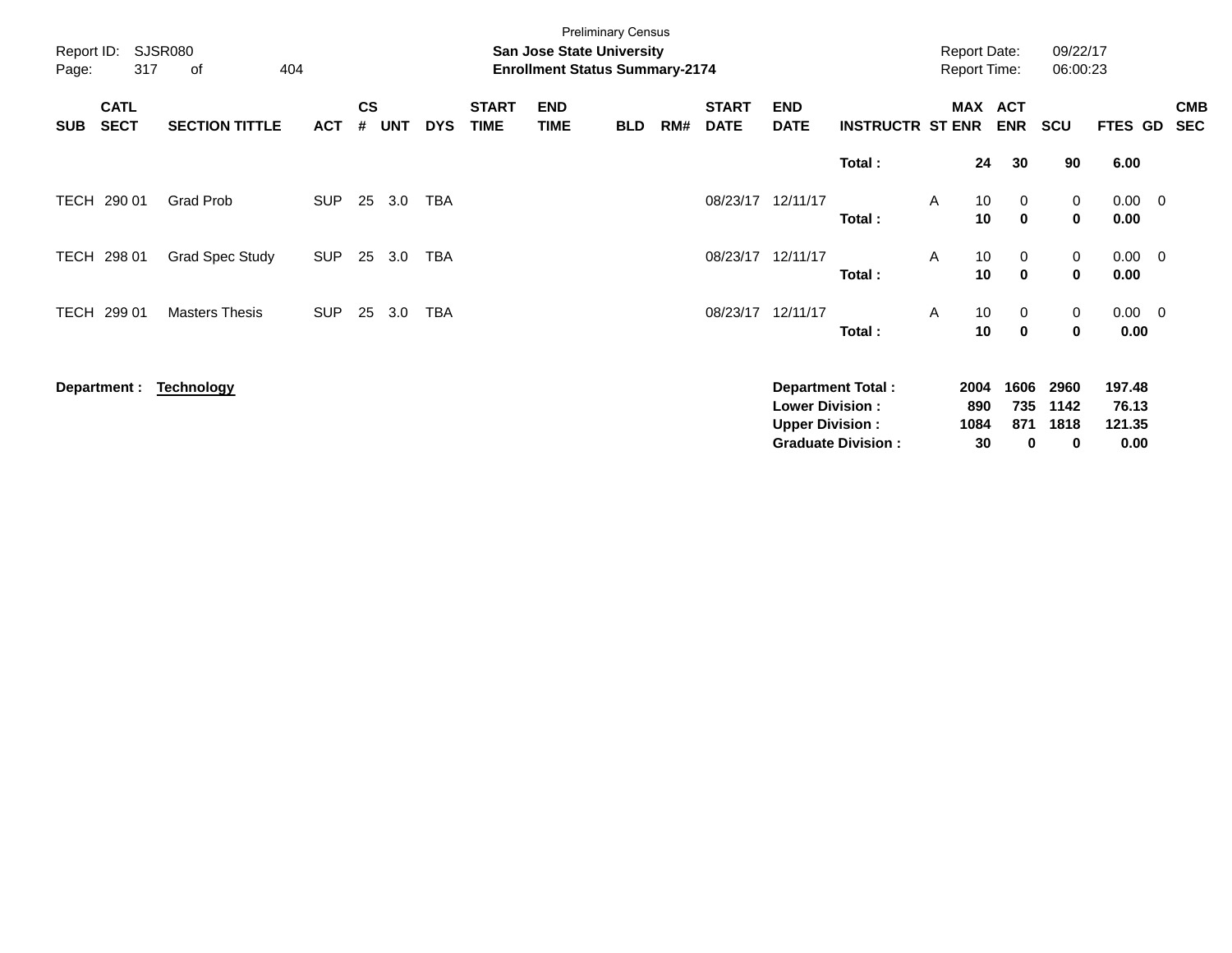|                     |                            |                             |            |                    |            |            |                             |                                                                           | <b>Preliminary Census</b> |     |                             |                                                  |                                                       |   |                           |                                            |                           |                                   |                          |
|---------------------|----------------------------|-----------------------------|------------|--------------------|------------|------------|-----------------------------|---------------------------------------------------------------------------|---------------------------|-----|-----------------------------|--------------------------------------------------|-------------------------------------------------------|---|---------------------------|--------------------------------------------|---------------------------|-----------------------------------|--------------------------|
| Report ID:<br>Page: | 317                        | <b>SJSR080</b><br>404<br>of |            |                    |            |            |                             | <b>San Jose State University</b><br><b>Enrollment Status Summary-2174</b> |                           |     |                             |                                                  |                                                       |   |                           | <b>Report Date:</b><br><b>Report Time:</b> | 09/22/17<br>06:00:23      |                                   |                          |
| <b>SUB</b>          | <b>CATL</b><br><b>SECT</b> | <b>SECTION TITTLE</b>       | <b>ACT</b> | $\mathsf{cs}$<br># | <b>UNT</b> | <b>DYS</b> | <b>START</b><br><b>TIME</b> | <b>END</b><br><b>TIME</b>                                                 | <b>BLD</b>                | RM# | <b>START</b><br><b>DATE</b> | <b>END</b><br><b>DATE</b>                        | <b>INSTRUCTR ST ENR</b>                               |   |                           | MAX ACT<br><b>ENR</b>                      | <b>SCU</b>                | <b>FTES GD</b>                    | <b>CMB</b><br><b>SEC</b> |
|                     |                            |                             |            |                    |            |            |                             |                                                                           |                           |     |                             |                                                  | Total:                                                |   | 24                        | 30                                         | 90                        | 6.00                              |                          |
| TECH                | 290 01                     | <b>Grad Prob</b>            | <b>SUP</b> | 25                 | 3.0        | <b>TBA</b> |                             |                                                                           |                           |     | 08/23/17                    | 12/11/17                                         | Total:                                                | A | 10<br>10                  | 0<br>$\mathbf 0$                           | 0<br>0                    | $0.00 \t 0$<br>0.00               |                          |
| TECH                | 298 01                     | <b>Grad Spec Study</b>      | <b>SUP</b> | 25                 | 3.0        | <b>TBA</b> |                             |                                                                           |                           |     | 08/23/17                    | 12/11/17                                         | Total:                                                | A | 10 <sup>°</sup><br>10     | 0<br>$\mathbf 0$                           | 0<br>0                    | $0.00 \t 0$<br>0.00               |                          |
| TECH                | 299 01                     | <b>Masters Thesis</b>       | <b>SUP</b> | 25                 | 3.0        | <b>TBA</b> |                             |                                                                           |                           |     | 08/23/17                    | 12/11/17                                         | Total:                                                | A | 10<br>10                  | 0<br>$\mathbf 0$                           | 0<br>0                    | $0.00 \t 0$<br>0.00               |                          |
|                     | Department :               | <b>Technology</b>           |            |                    |            |            |                             |                                                                           |                           |     |                             | <b>Lower Division:</b><br><b>Upper Division:</b> | <b>Department Total:</b><br><b>Graduate Division:</b> |   | 2004<br>890<br>1084<br>30 | 1606<br>735<br>871<br>0                    | 2960<br>1142<br>1818<br>0 | 197.48<br>76.13<br>121.35<br>0.00 |                          |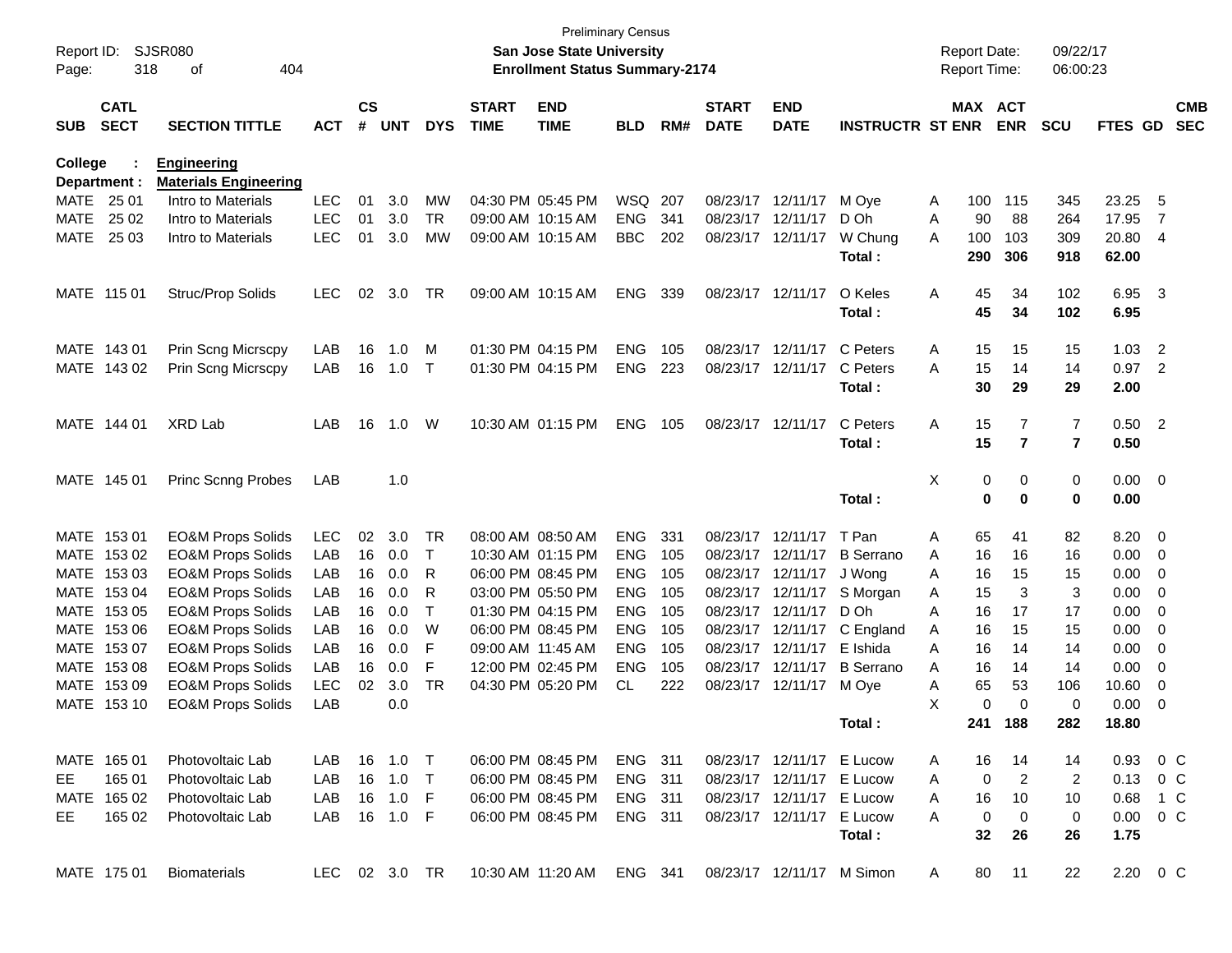| Report ID:<br>Page:        | 318                        | SJSR080<br>404<br>оf                     |                          |                    |            |                 |                             | <b>San Jose State University</b><br><b>Enrollment Status Summary-2174</b> | <b>Preliminary Census</b> |            |                             |                           |                         |        | <b>Report Date:</b><br><b>Report Time:</b> |                | 09/22/17<br>06:00:23 |                |                         |                          |
|----------------------------|----------------------------|------------------------------------------|--------------------------|--------------------|------------|-----------------|-----------------------------|---------------------------------------------------------------------------|---------------------------|------------|-----------------------------|---------------------------|-------------------------|--------|--------------------------------------------|----------------|----------------------|----------------|-------------------------|--------------------------|
| <b>SUB</b>                 | <b>CATL</b><br><b>SECT</b> | <b>SECTION TITTLE</b>                    | <b>ACT</b>               | $\mathsf{cs}$<br># | <b>UNT</b> | <b>DYS</b>      | <b>START</b><br><b>TIME</b> | <b>END</b><br><b>TIME</b>                                                 | <b>BLD</b>                | RM#        | <b>START</b><br><b>DATE</b> | <b>END</b><br><b>DATE</b> | <b>INSTRUCTR ST ENR</b> |        | MAX ACT                                    | <b>ENR</b>     | <b>SCU</b>           | FTES GD        |                         | <b>CMB</b><br><b>SEC</b> |
| <b>College</b>             |                            | <b>Engineering</b>                       |                          |                    |            |                 |                             |                                                                           |                           |            |                             |                           |                         |        |                                            |                |                      |                |                         |                          |
|                            | Department :               | <b>Materials Engineering</b>             |                          |                    |            |                 |                             | 04:30 PM 05:45 PM                                                         |                           |            |                             |                           |                         |        |                                            |                |                      |                |                         |                          |
| <b>MATE</b>                | 25 01                      | Intro to Materials                       | <b>LEC</b>               | 01                 | 3.0        | MW              |                             |                                                                           | WSQ 207                   |            | 08/23/17                    | 12/11/17                  | M Ove                   | A      | 100                                        | 115            | 345                  | 23.25          | -5                      |                          |
| <b>MATE</b><br><b>MATE</b> | 25 02<br>25 03             | Intro to Materials<br>Intro to Materials | <b>LEC</b><br><b>LEC</b> | 01<br>01           | 3.0<br>3.0 | <b>TR</b><br>МW |                             | 09:00 AM 10:15 AM<br>09:00 AM 10:15 AM                                    | <b>ENG</b><br><b>BBC</b>  | 341<br>202 | 08/23/17<br>08/23/17        | 12/11/17<br>12/11/17      | D Oh<br>W Chung         | Α<br>A | 90<br>100                                  | 88<br>103      | 264<br>309           | 17.95<br>20.80 | 7<br>$\overline{4}$     |                          |
|                            |                            |                                          |                          |                    |            |                 |                             |                                                                           |                           |            |                             |                           | Total:                  |        | 290                                        | 306            | 918                  | 62.00          |                         |                          |
|                            | MATE 115 01                | Struc/Prop Solids                        | <b>LEC</b>               | 02                 | 3.0        | TR              |                             | 09:00 AM 10:15 AM                                                         | <b>ENG</b>                | 339        | 08/23/17                    | 12/11/17                  | O Keles<br>Total:       | Α      | 45<br>45                                   | 34<br>34       | 102<br>102           | 6.95<br>6.95   | $\overline{\mathbf{3}}$ |                          |
| MATE                       | 14301                      | Prin Scng Micrscpy                       | LAB                      | 16                 | 1.0        | м               |                             | 01:30 PM 04:15 PM                                                         | <b>ENG</b>                | 105        | 08/23/17                    | 12/11/17                  | C Peters                | Α      | 15                                         | 15             | 15                   | 1.03           | 2                       |                          |
| MATE                       | 143 02                     | Prin Scng Micrscpy                       | LAB                      | 16                 | 1.0        | $\mathsf{T}$    |                             | 01:30 PM 04:15 PM                                                         | <b>ENG</b>                | 223        | 08/23/17                    | 12/11/17                  | C Peters                | A      | 15                                         | 14             | 14                   | 0.97           | $\overline{2}$          |                          |
|                            |                            |                                          |                          |                    |            |                 |                             |                                                                           |                           |            |                             |                           | Total:                  |        | 30                                         | 29             | 29                   | 2.00           |                         |                          |
|                            | MATE 144 01                | <b>XRD Lab</b>                           | LAB                      | 16                 | 1.0        | W               |                             | 10:30 AM 01:15 PM                                                         | <b>ENG</b>                | 105        | 08/23/17                    | 12/11/17                  | C Peters                | Α      | 15                                         | 7              | 7                    | 0.50           | $\overline{2}$          |                          |
|                            |                            |                                          |                          |                    |            |                 |                             |                                                                           |                           |            |                             |                           | Total:                  |        | 15                                         | $\overline{7}$ | $\overline{7}$       | 0.50           |                         |                          |
|                            | MATE 145 01                | <b>Princ Scnng Probes</b>                | LAB                      |                    | 1.0        |                 |                             |                                                                           |                           |            |                             |                           |                         | Χ      | 0                                          | 0              | 0                    | 0.00           | $\overline{\mathbf{0}}$ |                          |
|                            |                            |                                          |                          |                    |            |                 |                             |                                                                           |                           |            |                             |                           | Total:                  |        | $\bf{0}$                                   | 0              | $\mathbf 0$          | 0.00           |                         |                          |
| MATE                       | 15301                      | <b>EO&amp;M Props Solids</b>             | LEC                      | 02                 | 3.0        | TR              |                             | 08:00 AM 08:50 AM                                                         | <b>ENG</b>                | 331        | 08/23/17                    | 12/11/17                  | T Pan                   | Α      | 65                                         | 41             | 82                   | 8.20           | $\overline{0}$          |                          |
| <b>MATE</b>                | 153 02                     | <b>EO&amp;M Props Solids</b>             | LAB                      | 16                 | 0.0        | Т               |                             | 10:30 AM 01:15 PM                                                         | <b>ENG</b>                | 105        | 08/23/17                    | 12/11/17                  | <b>B</b> Serrano        | A      | 16                                         | 16             | 16                   | 0.00           | 0                       |                          |
| <b>MATE</b>                | 153 03                     | <b>EO&amp;M Props Solids</b>             | LAB                      | 16                 | 0.0        | R               |                             | 06:00 PM 08:45 PM                                                         | <b>ENG</b>                | 105        | 08/23/17                    | 12/11/17                  | J Wong                  | A      | 16                                         | 15             | 15                   | 0.00           | 0                       |                          |
| <b>MATE</b>                | 153 04                     | <b>EO&amp;M Props Solids</b>             | LAB                      | 16                 | 0.0        | R               |                             | 03:00 PM 05:50 PM                                                         | <b>ENG</b>                | 105        | 08/23/17                    | 12/11/17                  | S Morgan                | A      | 15                                         | 3              | 3                    | 0.00           | 0                       |                          |
| <b>MATE</b>                | 153 05                     | <b>EO&amp;M Props Solids</b>             | LAB                      | 16                 | 0.0        | Τ               |                             | 01:30 PM 04:15 PM                                                         | <b>ENG</b>                | 105        | 08/23/17                    | 12/11/17                  | D Oh                    | A      | 16                                         | 17             | 17                   | 0.00           | 0                       |                          |
| <b>MATE</b>                | 153 06                     | <b>EO&amp;M Props Solids</b>             | LAB                      | 16                 | 0.0        | W               |                             | 06:00 PM 08:45 PM                                                         | <b>ENG</b>                | 105        | 08/23/17                    | 12/11/17                  | C England               | A      | 16                                         | 15             | 15                   | 0.00           | 0                       |                          |
| <b>MATE</b>                | 153 07                     | <b>EO&amp;M Props Solids</b>             | LAB                      | 16                 | 0.0        | F               | 09:00 AM 11:45 AM           |                                                                           | <b>ENG</b>                | 105        | 08/23/17                    | 12/11/17                  | E Ishida                | A      | 16                                         | 14             | 14                   | 0.00           | 0                       |                          |
| <b>MATE</b>                | 153 08                     | <b>EO&amp;M Props Solids</b>             | LAB                      | 16                 | 0.0        | F               |                             | 12:00 PM 02:45 PM                                                         | <b>ENG</b>                | 105        | 08/23/17                    | 12/11/17                  | <b>B</b> Serrano        | A      | 16                                         | 14             | 14                   | 0.00           | 0                       |                          |
| <b>MATE</b>                | 153 09                     | <b>EO&amp;M Props Solids</b>             | <b>LEC</b>               | 02                 | 3.0        | <b>TR</b>       |                             | 04:30 PM 05:20 PM                                                         | CL                        | 222        |                             | 08/23/17 12/11/17         | M Oye                   | Α      | 65                                         | 53             | 106                  | 10.60          | 0                       |                          |
| MATE                       | 153 10                     | <b>EO&amp;M Props Solids</b>             | LAB                      |                    | 0.0        |                 |                             |                                                                           |                           |            |                             |                           |                         | X      | 0                                          | 0              | 0                    | 0.00           | 0                       |                          |
|                            |                            |                                          |                          |                    |            |                 |                             |                                                                           |                           |            |                             |                           | Total:                  |        | 241                                        | 188            | 282                  | 18.80          |                         |                          |
|                            | MATE 165 01                | Photovoltaic Lab                         | LAB                      |                    | 16  1.0    | $\top$          |                             | 06:00 PM 08:45 PM                                                         | ENG 311                   |            |                             | 08/23/17 12/11/17 E Lucow |                         | A      | 16                                         | 14             | 14                   | 0.93           | $0\,$ C                 |                          |
| EE.                        | 165 01                     | Photovoltaic Lab                         | LAB                      |                    | 16 1.0     | $\top$          |                             | 06:00 PM 08:45 PM                                                         | <b>ENG 311</b>            |            |                             | 08/23/17 12/11/17 E Lucow |                         | A      | 0                                          | $\overline{2}$ | 2                    | 0.13           | $0\,$ C                 |                          |
|                            | MATE 165 02                | Photovoltaic Lab                         | LAB                      |                    | 16 1.0     | -F              |                             | 06:00 PM 08:45 PM                                                         | ENG 311                   |            |                             | 08/23/17 12/11/17 E Lucow |                         | A      | 16                                         | 10             | 10                   | 0.68           | 1 C                     |                          |
| EE.                        | 165 02                     | Photovoltaic Lab                         | LAB                      |                    | 16 1.0 F   |                 |                             | 06:00 PM 08:45 PM                                                         | ENG 311                   |            |                             | 08/23/17 12/11/17 E Lucow |                         | A      | 0                                          | 0              | 0                    | $0.00 \t 0 C$  |                         |                          |
|                            |                            |                                          |                          |                    |            |                 |                             |                                                                           |                           |            |                             |                           | Total:                  |        | 32                                         | 26             | 26                   | 1.75           |                         |                          |
|                            | MATE 175 01                | <b>Biomaterials</b>                      | LEC 02 3.0 TR            |                    |            |                 |                             | 10:30 AM 11:20 AM ENG 341                                                 |                           |            |                             | 08/23/17 12/11/17 M Simon |                         | A      | 80                                         | 11             | 22                   | 2.20 0 C       |                         |                          |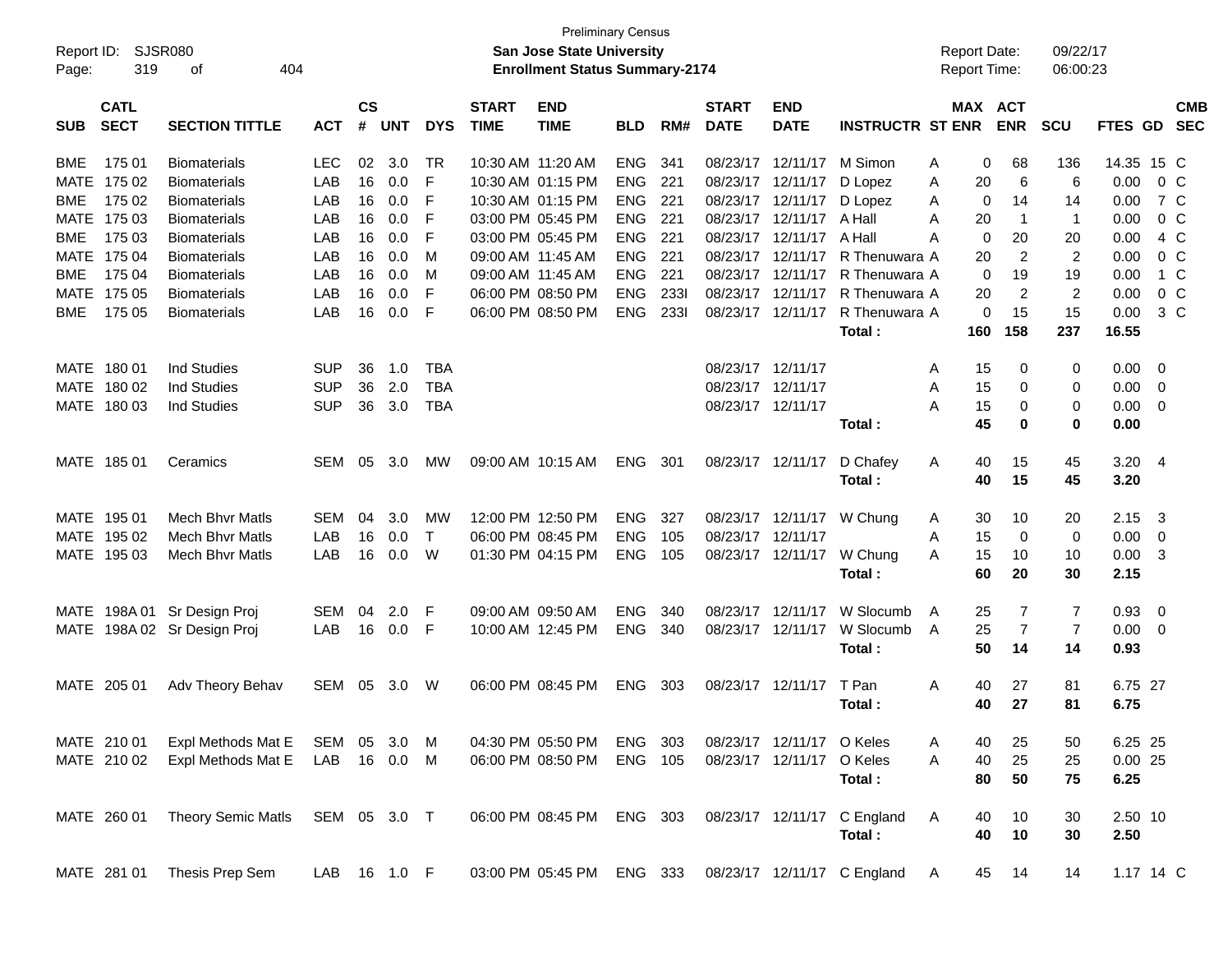| <b>Preliminary Census</b><br><b>SJSR080</b><br>Report ID:<br><b>San Jose State University</b><br><b>Report Date:</b><br>319<br><b>Enrollment Status Summary-2174</b><br>Report Time:<br>404<br>Page:<br>οf |                            |                             |              |                |     |              |                             |                           |            |      |                             | 09/22/17<br>06:00:23      |                             |                  |             |                |             |                         |            |
|------------------------------------------------------------------------------------------------------------------------------------------------------------------------------------------------------------|----------------------------|-----------------------------|--------------|----------------|-----|--------------|-----------------------------|---------------------------|------------|------|-----------------------------|---------------------------|-----------------------------|------------------|-------------|----------------|-------------|-------------------------|------------|
| <b>SUB</b>                                                                                                                                                                                                 | <b>CATL</b><br><b>SECT</b> | <b>SECTION TITTLE</b>       | <b>ACT</b>   | <b>CS</b><br># | UNT | <b>DYS</b>   | <b>START</b><br><b>TIME</b> | <b>END</b><br><b>TIME</b> | <b>BLD</b> | RM#  | <b>START</b><br><b>DATE</b> | <b>END</b><br><b>DATE</b> | <b>INSTRUCTR ST ENR</b>     | MAX ACT          | <b>ENR</b>  | <b>SCU</b>     | FTES GD SEC |                         | <b>CMB</b> |
| BME                                                                                                                                                                                                        | 175 01                     | <b>Biomaterials</b>         | LEC.         | 02             | 3.0 | TR           |                             | 10:30 AM 11:20 AM         | <b>ENG</b> | 341  |                             | 08/23/17 12/11/17         | M Simon                     | 0<br>Α           | 68          | 136            | 14.35 15 C  |                         |            |
| MATE 175 02                                                                                                                                                                                                |                            | <b>Biomaterials</b>         | LAB          | 16             | 0.0 | F            |                             | 10:30 AM 01:15 PM         | <b>ENG</b> | 221  |                             | 08/23/17 12/11/17         | D Lopez                     | 20<br>Α          | 6           | 6              | 0.00        | $0\,$ C                 |            |
| <b>BME</b>                                                                                                                                                                                                 | 175 02                     | <b>Biomaterials</b>         | LAB          | 16             | 0.0 | F            |                             | 10:30 AM 01:15 PM         | <b>ENG</b> | 221  |                             | 08/23/17 12/11/17         | D Lopez                     | 0<br>A           | 14          | 14             | 0.00        | 7 C                     |            |
| MATE 175 03                                                                                                                                                                                                |                            | <b>Biomaterials</b>         | LAB          | 16             | 0.0 | F            |                             | 03:00 PM 05:45 PM         | <b>ENG</b> | 221  |                             | 08/23/17 12/11/17 A Hall  |                             | Α<br>20          | $\mathbf 1$ | $\mathbf 1$    | 0.00        | $0\,C$                  |            |
| <b>BME</b>                                                                                                                                                                                                 | 175 03                     | <b>Biomaterials</b>         | LAB          | 16             | 0.0 | F            |                             | 03:00 PM 05:45 PM         | <b>ENG</b> | 221  |                             | 08/23/17 12/11/17         | A Hall                      | $\mathbf 0$<br>A | 20          | 20             | 0.00        | 4 C                     |            |
| MATE 175 04                                                                                                                                                                                                |                            | <b>Biomaterials</b>         | LAB          | 16             | 0.0 | м            |                             | 09:00 AM 11:45 AM         | <b>ENG</b> | 221  |                             | 08/23/17 12/11/17         | R Thenuwara A               | 20               | 2           | $\overline{2}$ | 0.00        | $0\,C$                  |            |
| <b>BME</b>                                                                                                                                                                                                 | 175 04                     | <b>Biomaterials</b>         | LAB          | 16             | 0.0 | м            |                             | 09:00 AM 11:45 AM         | <b>ENG</b> | 221  |                             | 08/23/17 12/11/17         | R Thenuwara A               | $\mathbf 0$      | 19          | 19             | 0.00        | 1 C                     |            |
| MATE 175 05                                                                                                                                                                                                |                            | <b>Biomaterials</b>         | LAB          | 16             | 0.0 | F            |                             | 06:00 PM 08:50 PM         | <b>ENG</b> | 2331 |                             | 08/23/17 12/11/17         | R Thenuwara A               | 20               | 2           | $\overline{2}$ | 0.00        | 0 <sup>o</sup>          |            |
| <b>BME</b>                                                                                                                                                                                                 | 175 05                     | <b>Biomaterials</b>         | LAB          | 16             | 0.0 | F            |                             | 06:00 PM 08:50 PM         | <b>ENG</b> | 2331 |                             | 08/23/17 12/11/17         | R Thenuwara A               | 0                | 15          | 15             | 0.00        | $3\,C$                  |            |
|                                                                                                                                                                                                            |                            |                             |              |                |     |              |                             |                           |            |      |                             |                           | Total:                      | 160              | 158         | 237            | 16.55       |                         |            |
| MATE 180 01                                                                                                                                                                                                |                            | <b>Ind Studies</b>          | <b>SUP</b>   | 36             | 1.0 | <b>TBA</b>   |                             |                           |            |      |                             | 08/23/17 12/11/17         |                             | 15<br>Α          | 0           | 0              | 0.00        | $\overline{0}$          |            |
| MATE 180 02                                                                                                                                                                                                |                            | <b>Ind Studies</b>          | <b>SUP</b>   | 36             | 2.0 | <b>TBA</b>   |                             |                           |            |      |                             | 08/23/17 12/11/17         |                             | 15<br>Α          | 0           | 0              | 0.00        | 0                       |            |
| MATE 180 03                                                                                                                                                                                                |                            | <b>Ind Studies</b>          | <b>SUP</b>   | 36             | 3.0 | <b>TBA</b>   |                             |                           |            |      |                             | 08/23/17 12/11/17         |                             | 15<br>Α          | 0           | 0              | 0.00        | $\overline{0}$          |            |
|                                                                                                                                                                                                            |                            |                             |              |                |     |              |                             |                           |            |      |                             |                           | Total:                      | 45               | 0           | 0              | 0.00        |                         |            |
| MATE 185 01                                                                                                                                                                                                |                            | Ceramics                    | SEM          | 05             | 3.0 | MW           |                             | 09:00 AM 10:15 AM         | <b>ENG</b> | 301  |                             | 08/23/17 12/11/17         | D Chafey                    | 40<br>A          | 15          | 45             | $3.20$ 4    |                         |            |
|                                                                                                                                                                                                            |                            |                             |              |                |     |              |                             |                           |            |      |                             |                           | Total:                      | 40               | 15          | 45             | 3.20        |                         |            |
| MATE 195 01                                                                                                                                                                                                |                            | <b>Mech Bhyr Matls</b>      | SEM          | 04             | 3.0 | МW           |                             | 12:00 PM 12:50 PM         | <b>ENG</b> | 327  |                             | 08/23/17 12/11/17         | W Chung                     | 30<br>A          | 10          | 20             | 2.15        | $\overline{\mathbf{3}}$ |            |
| MATE 195 02                                                                                                                                                                                                |                            | <b>Mech Bhyr Matls</b>      | LAB          | 16             | 0.0 | $\mathsf{T}$ |                             | 06:00 PM 08:45 PM         | <b>ENG</b> | 105  |                             | 08/23/17 12/11/17         |                             | 15<br>A          | 0           | 0              | 0.00        | - 0                     |            |
| MATE 195 03                                                                                                                                                                                                |                            | <b>Mech Bhyr Matls</b>      | LAB          | 16             | 0.0 | W            |                             | 01:30 PM 04:15 PM         | <b>ENG</b> | 105  |                             | 08/23/17 12/11/17         | W Chung                     | 15<br>A          | 10          | 10             | 0.00        | -3                      |            |
|                                                                                                                                                                                                            |                            |                             |              |                |     |              |                             |                           |            |      |                             |                           | Total:                      | 60               | 20          | 30             | 2.15        |                         |            |
|                                                                                                                                                                                                            |                            | MATE 198A 01 Sr Design Proj | SEM          | 04             | 2.0 | F            |                             | 09:00 AM 09:50 AM         | <b>ENG</b> | 340  |                             | 08/23/17 12/11/17         | W Slocumb                   | 25<br>A          | 7           | $\overline{7}$ | 0.93        | $\overline{0}$          |            |
|                                                                                                                                                                                                            |                            | MATE 198A 02 Sr Design Proj | LAB          | 16             | 0.0 | F            |                             | 10:00 AM 12:45 PM         | <b>ENG</b> | 340  |                             | 08/23/17 12/11/17         | W Slocumb                   | 25<br>A          | 7           | 7              | 0.00        | $\overline{\mathbf{0}}$ |            |
|                                                                                                                                                                                                            |                            |                             |              |                |     |              |                             |                           |            |      |                             |                           | Total:                      | 50               | 14          | 14             | 0.93        |                         |            |
| MATE 205 01                                                                                                                                                                                                |                            | Adv Theory Behav            | SEM          | 05             | 3.0 | W            |                             | 06:00 PM 08:45 PM         | <b>ENG</b> | 303  |                             | 08/23/17 12/11/17         | T Pan                       | 40<br>Α          | 27          | 81             | 6.75 27     |                         |            |
|                                                                                                                                                                                                            |                            |                             |              |                |     |              |                             |                           |            |      |                             |                           | Total:                      | 40               | 27          | 81             | 6.75        |                         |            |
|                                                                                                                                                                                                            |                            |                             |              |                |     |              |                             |                           |            |      |                             |                           |                             |                  |             |                |             |                         |            |
| MATE 210 01                                                                                                                                                                                                |                            | Expl Methods Mat E          | SEM 05 3.0   |                |     | M            |                             | 04:30 PM 05:50 PM         | ENG        | 303  |                             | 08/23/17 12/11/17 O Keles |                             | A<br>40          | 25          | 50             | 6.25 25     |                         |            |
|                                                                                                                                                                                                            | MATE 210 02                | Expl Methods Mat E          | LAB 16 0.0 M |                |     |              |                             | 06:00 PM 08:50 PM         | ENG 105    |      |                             | 08/23/17 12/11/17         | O Keles                     | 40<br>A          | 25          | 25             | 0.0025      |                         |            |
|                                                                                                                                                                                                            |                            |                             |              |                |     |              |                             |                           |            |      |                             |                           | Total:                      | 80               | 50          | 75             | 6.25        |                         |            |
| MATE 260 01                                                                                                                                                                                                |                            | <b>Theory Semic Matls</b>   | SEM 05 3.0 T |                |     |              |                             | 06:00 PM 08:45 PM         | ENG 303    |      |                             | 08/23/17 12/11/17         | C England                   | Α<br>40          | 10          | 30             | 2.50 10     |                         |            |
|                                                                                                                                                                                                            |                            |                             |              |                |     |              |                             |                           |            |      |                             |                           | Total:                      | 40               | 10          | 30             | 2.50        |                         |            |
| MATE 281 01                                                                                                                                                                                                |                            | Thesis Prep Sem             | LAB 16 1.0 F |                |     |              |                             | 03:00 PM 05:45 PM         | ENG 333    |      |                             |                           | 08/23/17 12/11/17 C England | 45<br>A          | 14          | 14             | 1.17 14 C   |                         |            |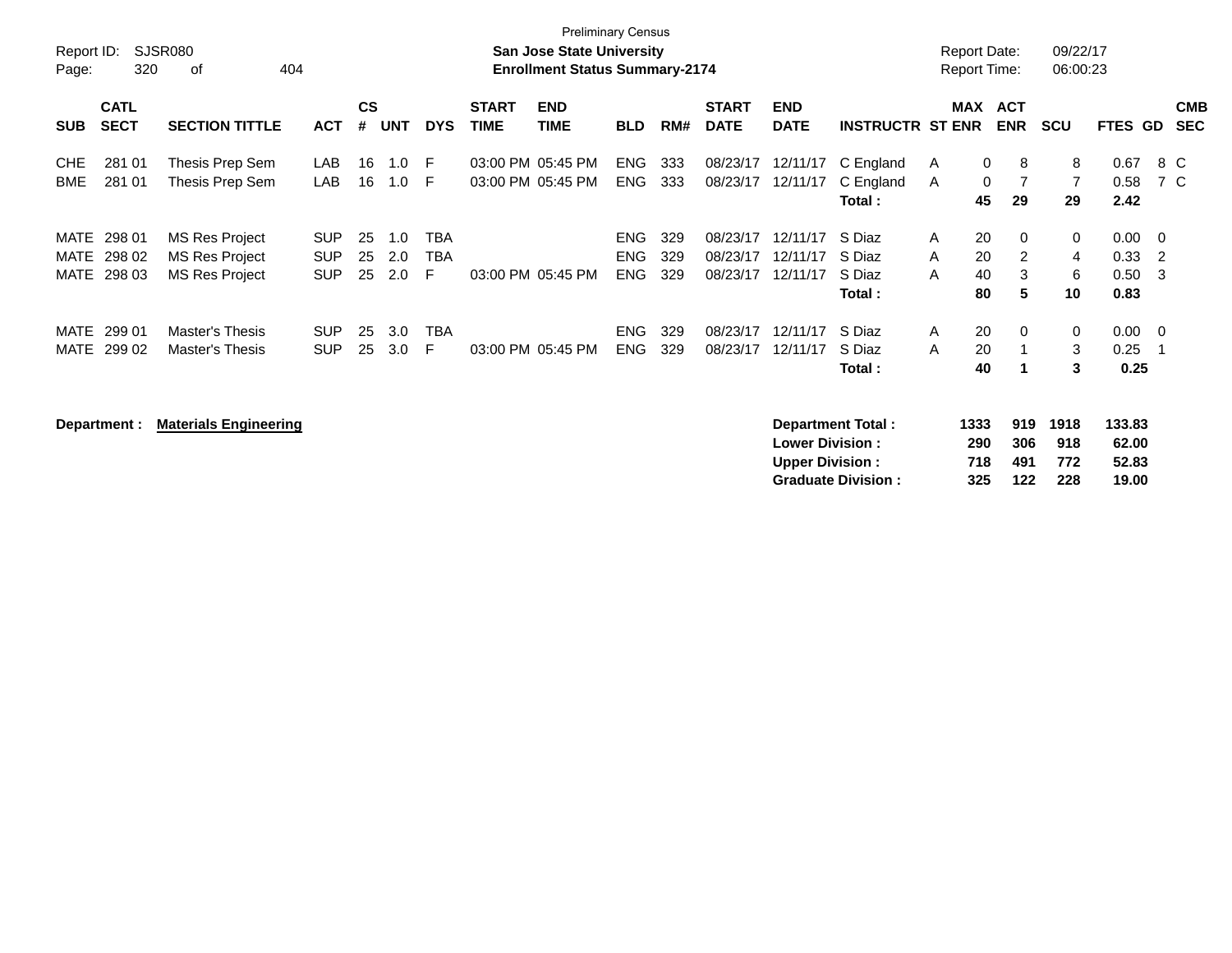| <b>Preliminary Census</b><br>SJSR080<br>Report ID:<br><b>San Jose State University</b><br>320<br><b>Enrollment Status Summary-2174</b><br>of<br>404<br>Page: |                            |                                                                         |                                        |                |                   |                 |                             |                           |                                        |                   |                                  |                                  | <b>Report Date:</b><br><b>Report Time:</b> |                                     | 09/22/17<br>06:00:23                  |                             |                              |                                         |                          |
|--------------------------------------------------------------------------------------------------------------------------------------------------------------|----------------------------|-------------------------------------------------------------------------|----------------------------------------|----------------|-------------------|-----------------|-----------------------------|---------------------------|----------------------------------------|-------------------|----------------------------------|----------------------------------|--------------------------------------------|-------------------------------------|---------------------------------------|-----------------------------|------------------------------|-----------------------------------------|--------------------------|
| <b>SUB</b>                                                                                                                                                   | <b>CATL</b><br><b>SECT</b> | <b>SECTION TITTLE</b>                                                   | <b>ACT</b>                             | <b>CS</b><br># | <b>UNT</b>        | <b>DYS</b>      | <b>START</b><br><b>TIME</b> | <b>END</b><br><b>TIME</b> | <b>BLD</b>                             | RM#               | <b>START</b><br><b>DATE</b>      | <b>END</b><br><b>DATE</b>        | <b>INSTRUCTR ST ENR</b>                    | <b>MAX</b>                          | <b>ACT</b><br><b>ENR</b>              | <b>SCU</b>                  | <b>FTES GD</b>               |                                         | <b>CMB</b><br><b>SEC</b> |
| <b>CHE</b><br>BME                                                                                                                                            | 281 01<br>281 01           | Thesis Prep Sem<br>Thesis Prep Sem                                      | LAB<br>LAB                             | 16<br>16       | 1.0<br>1.0        | E<br>E          | 03:00 PM 05:45 PM           | 03:00 PM 05:45 PM         | ENG<br><b>ENG</b>                      | 333<br>333        | 08/23/17<br>08/23/17             | 12/11/17<br>12/11/17             | C England<br>C England<br>Total:           | A<br>A<br>45                        | $\mathbf 0$<br>8<br>$\mathbf 0$<br>29 | 8<br>$\overline{7}$<br>29   | 0.67<br>0.58<br>2.42         | 8 C<br>7 C                              |                          |
| MATE<br>MATE<br>MATE                                                                                                                                         | 298 01<br>298 02<br>298 03 | <b>MS Res Project</b><br><b>MS Res Project</b><br><b>MS Res Project</b> | <b>SUP</b><br><b>SUP</b><br><b>SUP</b> | 25<br>25<br>25 | 1.0<br>2.0<br>2.0 | TBA<br>TBA<br>F |                             | 03:00 PM 05:45 PM         | <b>ENG</b><br><b>ENG</b><br><b>ENG</b> | 329<br>329<br>329 | 08/23/17<br>08/23/17<br>08/23/17 | 12/11/17<br>12/11/17<br>12/11/17 | S Diaz<br>S Diaz<br>S Diaz<br>Total :      | 20<br>A<br>20<br>A<br>40<br>A<br>80 | $\Omega$<br>2<br>3<br>5               | $\mathbf 0$<br>4<br>6<br>10 | 0.00<br>0.33<br>0.50<br>0.83 | $\overline{0}$<br>$\overline{2}$<br>- 3 |                          |
| MATE<br>MATE                                                                                                                                                 | 299 01<br>299 02           | Master's Thesis<br>Master's Thesis                                      | <b>SUP</b><br><b>SUP</b>               | 25<br>25       | 3.0<br>3.0        | <b>TBA</b><br>E |                             | 03:00 PM 05:45 PM         | <b>ENG</b><br><b>ENG</b>               | 329<br>329        | 08/23/17<br>08/23/17             | 12/11/17<br>12/11/17             | S Diaz<br>S Diaz<br>Total:                 | 20<br>$\mathsf{A}$<br>A<br>20<br>40 | $\Omega$                              | 0<br>3<br>3                 | 0.00<br>0.25<br>0.25         | $\overline{\phantom{0}}$                |                          |

Department : Materials Engineering **التي تتاوين التي تتاوين التي تتاوين التي تتاوين التي يتاوين التي تتاوين ال**<br>290 186 186 290 1918 133.83<br>290 1862.00 **Lower Division : Upper Division : 718 491 772 52.83<br>
Graduate Division : 325 122 228 19.00 Graduate Division :**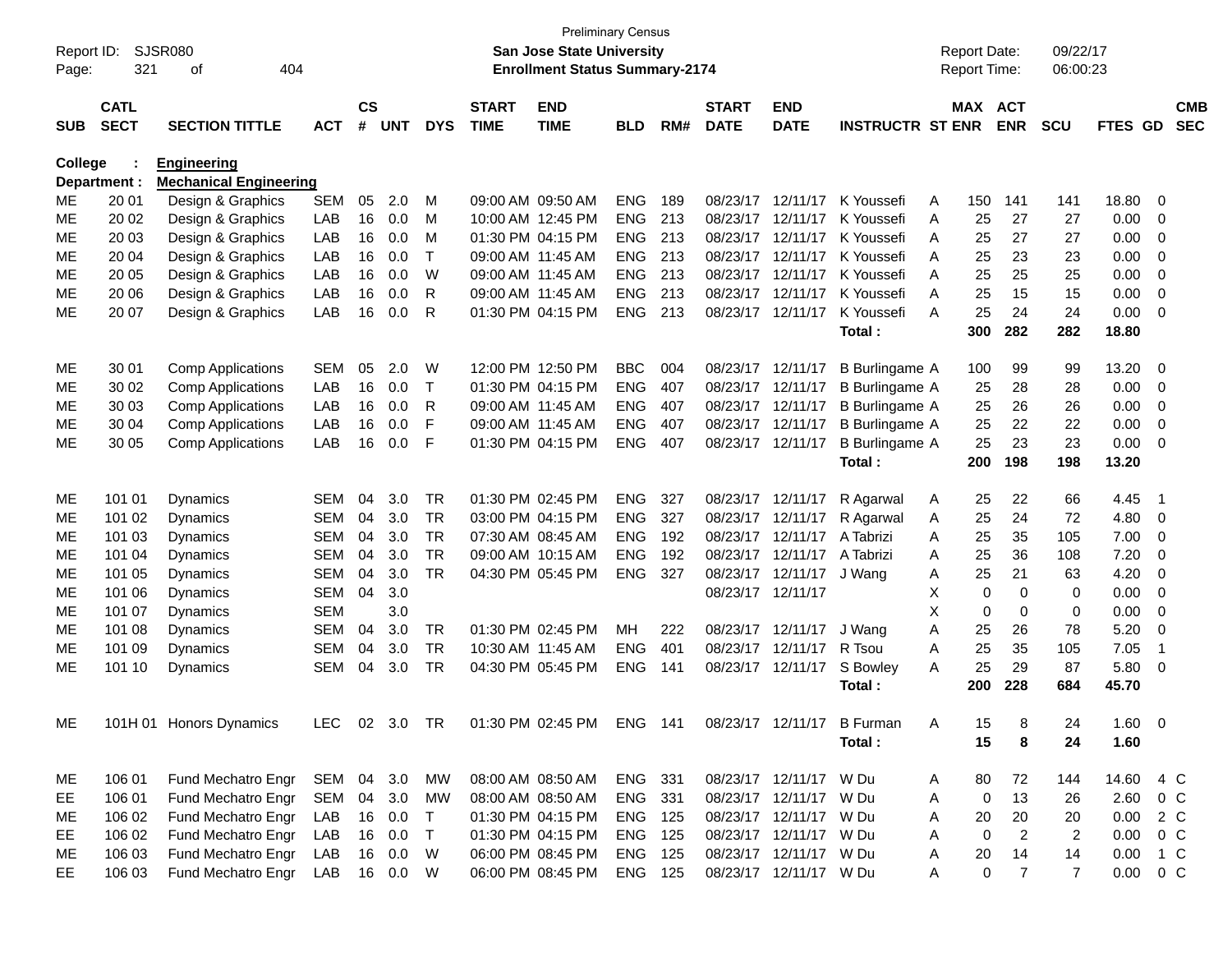|                |              |                               |              |               |            |            |              | <b>Preliminary Census</b>             |            |     |                   |                        |                         |   |                     |                |                |               |                |            |
|----------------|--------------|-------------------------------|--------------|---------------|------------|------------|--------------|---------------------------------------|------------|-----|-------------------|------------------------|-------------------------|---|---------------------|----------------|----------------|---------------|----------------|------------|
| Report ID:     |              | <b>SJSR080</b>                |              |               |            |            |              | <b>San Jose State University</b>      |            |     |                   |                        |                         |   | <b>Report Date:</b> |                | 09/22/17       |               |                |            |
| Page:          | 321          | 404<br>οf                     |              |               |            |            |              | <b>Enrollment Status Summary-2174</b> |            |     |                   |                        |                         |   | <b>Report Time:</b> |                | 06:00:23       |               |                |            |
|                | <b>CATL</b>  |                               |              | $\mathsf{cs}$ |            |            | <b>START</b> | <b>END</b>                            |            |     | <b>START</b>      | <b>END</b>             |                         |   | MAX ACT             |                |                |               |                | <b>CMB</b> |
| <b>SUB</b>     | <b>SECT</b>  | <b>SECTION TITTLE</b>         | <b>ACT</b>   | #             | <b>UNT</b> | <b>DYS</b> | <b>TIME</b>  | <b>TIME</b>                           | <b>BLD</b> | RM# | <b>DATE</b>       | <b>DATE</b>            | <b>INSTRUCTR ST ENR</b> |   |                     | <b>ENR</b>     | <b>SCU</b>     | FTES GD       |                | <b>SEC</b> |
|                |              |                               |              |               |            |            |              |                                       |            |     |                   |                        |                         |   |                     |                |                |               |                |            |
| <b>College</b> |              | <b>Engineering</b>            |              |               |            |            |              |                                       |            |     |                   |                        |                         |   |                     |                |                |               |                |            |
|                | Department : | <b>Mechanical Engineering</b> |              |               |            |            |              |                                       |            |     |                   |                        |                         |   |                     |                |                |               |                |            |
| ME             | 20 01        | Design & Graphics             | <b>SEM</b>   | 05            | 2.0        | м          |              | 09:00 AM 09:50 AM                     | <b>ENG</b> | 189 |                   | 08/23/17 12/11/17      | K Youssefi              | A | 150                 | 141            | 141            | 18.80         | 0              |            |
| MЕ             | 20 02        | Design & Graphics             | LAB          | 16            | 0.0        | M          |              | 10:00 AM 12:45 PM                     | <b>ENG</b> | 213 |                   | 08/23/17 12/11/17      | K Youssefi              | A | 25                  | 27             | 27             | 0.00          | 0              |            |
| MЕ             | 20 03        | Design & Graphics             | LAB          | 16            | 0.0        | м          |              | 01:30 PM 04:15 PM                     | <b>ENG</b> | 213 |                   | 08/23/17 12/11/17      | K Youssefi              | A | 25                  | 27             | 27             | 0.00          | 0              |            |
| МE             | 20 04        | Design & Graphics             | LAB          | 16            | 0.0        | T          |              | 09:00 AM 11:45 AM                     | <b>ENG</b> | 213 |                   | 08/23/17 12/11/17      | K Youssefi              | A | 25                  | 23             | 23             | 0.00          | 0              |            |
| МE             | 20 05        | Design & Graphics             | LAB          | 16            | 0.0        | W          |              | 09:00 AM 11:45 AM                     | <b>ENG</b> | 213 |                   | 08/23/17 12/11/17      | K Youssefi              | A | 25                  | 25             | 25             | 0.00          | 0              |            |
| MЕ             | 20 06        | Design & Graphics             | LAB          | 16            | 0.0        | R          |              | 09:00 AM 11:45 AM                     | <b>ENG</b> | 213 |                   | 08/23/17 12/11/17      | K Youssefi              | A | 25                  | 15             | 15             | 0.00          | 0              |            |
| MЕ             | 20 07        | Design & Graphics             | LAB          | 16            | 0.0        | R          |              | 01:30 PM 04:15 PM                     | <b>ENG</b> | 213 |                   | 08/23/17 12/11/17      | K Youssefi              | A | 25                  | 24             | 24             | 0.00          | $\mathbf 0$    |            |
|                |              |                               |              |               |            |            |              |                                       |            |     |                   |                        | Total:                  |   | 300                 | 282            | 282            | 18.80         |                |            |
| ME             | 30 01        | <b>Comp Applications</b>      | <b>SEM</b>   | 05            | 2.0        | W          |              | 12:00 PM 12:50 PM                     | <b>BBC</b> | 004 | 08/23/17 12/11/17 |                        | <b>B</b> Burlingame A   |   | 100                 | 99             | 99             | 13.20         | 0              |            |
| ME             | 30 02        | <b>Comp Applications</b>      | LAB          | 16            | 0.0        | T          |              | 01:30 PM 04:15 PM                     | <b>ENG</b> | 407 |                   | 08/23/17 12/11/17      | B Burlingame A          |   | 25                  | 28             | 28             | 0.00          | 0              |            |
| ME             | 30 03        | <b>Comp Applications</b>      | LAB          | 16            | 0.0        | R          |              | 09:00 AM 11:45 AM                     | <b>ENG</b> | 407 |                   | 08/23/17 12/11/17      | <b>B</b> Burlingame A   |   | 25                  | 26             | 26             | 0.00          | 0              |            |
| ME             | 30 04        | <b>Comp Applications</b>      | LAB          | 16            | 0.0        | F          |              | 09:00 AM 11:45 AM                     | <b>ENG</b> | 407 |                   | 08/23/17 12/11/17      | <b>B</b> Burlingame A   |   | 25                  | 22             | 22             | 0.00          | 0              |            |
| MЕ             | 30 05        | <b>Comp Applications</b>      | LAB          | 16            | 0.0        | F          |              | 01:30 PM 04:15 PM                     | <b>ENG</b> | 407 |                   | 08/23/17 12/11/17      | <b>B</b> Burlingame A   |   | 25                  | 23             | 23             | 0.00          | $\mathbf 0$    |            |
|                |              |                               |              |               |            |            |              |                                       |            |     |                   |                        | Total:                  |   | 200                 | 198            | 198            | 13.20         |                |            |
|                |              |                               |              |               |            |            |              |                                       |            |     |                   |                        |                         |   |                     |                |                |               |                |            |
| ME             | 101 01       | Dynamics                      | SEM          | 04            | 3.0        | <b>TR</b>  |              | 01:30 PM 02:45 PM                     | <b>ENG</b> | 327 |                   | 08/23/17 12/11/17      | R Agarwal               | A | 25                  | 22             | 66             | 4.45          | $\overline{1}$ |            |
| МE             | 101 02       | <b>Dynamics</b>               | <b>SEM</b>   | 04            | 3.0        | <b>TR</b>  |              | 03:00 PM 04:15 PM                     | <b>ENG</b> | 327 |                   | 08/23/17 12/11/17      | R Agarwal               | A | 25                  | 24             | 72             | 4.80          | 0              |            |
| МE             | 101 03       | <b>Dynamics</b>               | <b>SEM</b>   | 04            | 3.0        | TR         |              | 07:30 AM 08:45 AM                     | <b>ENG</b> | 192 |                   | 08/23/17 12/11/17      | A Tabrizi               | A | 25                  | 35             | 105            | 7.00          | 0              |            |
| MЕ             | 101 04       | <b>Dynamics</b>               | <b>SEM</b>   | 04            | 3.0        | <b>TR</b>  |              | 09:00 AM 10:15 AM                     | <b>ENG</b> | 192 |                   | 08/23/17 12/11/17      | A Tabrizi               | A | 25                  | 36             | 108            | 7.20          | 0              |            |
| MЕ             | 101 05       | Dynamics                      | <b>SEM</b>   | 04            | 3.0        | <b>TR</b>  |              | 04:30 PM 05:45 PM                     | <b>ENG</b> | 327 |                   | 08/23/17 12/11/17      | J Wang                  | A | 25                  | 21             | 63             | 4.20          | 0              |            |
| МE             | 101 06       | <b>Dynamics</b>               | SEM          | 04            | 3.0        |            |              |                                       |            |     | 08/23/17 12/11/17 |                        |                         | X | 0                   | 0              | 0              | 0.00          | 0              |            |
| МE             | 101 07       | <b>Dynamics</b>               | <b>SEM</b>   |               | 3.0        |            |              |                                       |            |     |                   |                        |                         | X | 0                   | 0              | 0              | 0.00          | 0              |            |
| MЕ             | 101 08       | Dynamics                      | <b>SEM</b>   | 04            | 3.0        | TR         |              | 01:30 PM 02:45 PM                     | MН         | 222 |                   | 08/23/17 12/11/17      | J Wang                  | A | 25                  | 26             | 78             | 5.20          | 0              |            |
| МE             | 101 09       | <b>Dynamics</b>               | <b>SEM</b>   | 04            | 3.0        | <b>TR</b>  |              | 10:30 AM 11:45 AM                     | <b>ENG</b> | 401 |                   | 08/23/17 12/11/17      | R Tsou                  | A | 25                  | 35             | 105            | 7.05          | -1             |            |
| MЕ             | 101 10       | Dynamics                      | <b>SEM</b>   | 04            | 3.0        | <b>TR</b>  |              | 04:30 PM 05:45 PM                     | <b>ENG</b> | 141 |                   | 08/23/17 12/11/17      | S Bowley                | A | 25                  | 29             | 87             | 5.80          | 0              |            |
|                |              |                               |              |               |            |            |              |                                       |            |     |                   |                        | Total:                  |   | 200                 | 228            | 684            | 45.70         |                |            |
|                |              |                               |              |               |            |            |              |                                       |            |     |                   |                        |                         |   |                     |                |                |               |                |            |
| ME             |              | 101H 01 Honors Dynamics       | LEC          | 02            | 3.0        | <b>TR</b>  |              | 01:30 PM 02:45 PM                     | ENG        | 141 |                   | 08/23/17 12/11/17      | <b>B</b> Furman         | A | 15                  | 8              | 24             | 1.60          | - 0            |            |
|                |              |                               |              |               |            |            |              |                                       |            |     |                   |                        | Total:                  |   | 15                  | 8              | 24             | 1.60          |                |            |
|                |              |                               |              |               |            |            |              |                                       |            |     |                   |                        |                         |   |                     |                |                |               |                |            |
| ME             | 106 01       | Fund Mechatro Engr            | SEM 04 3.0   |               |            | МW         |              | 08:00 AM 08:50 AM                     | ENG 331    |     |                   | 08/23/17 12/11/17 W Du |                         | A | 80                  | 72             | 144            | 14.60 4 C     |                |            |
| EE.            | 106 01       | Fund Mechatro Engr            | SEM          | 04            | 3.0        | MW         |              | 08:00 AM 08:50 AM                     | ENG 331    |     |                   | 08/23/17 12/11/17 W Du |                         | A | 0                   | 13             | 26             | 2.60          | $0\,C$         |            |
| ME             | 106 02       | Fund Mechatro Engr            | LAB          |               | 16 0.0     | T          |              | 01:30 PM 04:15 PM                     | ENG 125    |     |                   | 08/23/17 12/11/17 W Du |                         | A | 20                  | 20             | 20             | 0.00          | 2 C            |            |
| EE.            | 106 02       | Fund Mechatro Engr            | LAB          |               | 16 0.0     | T          |              | 01:30 PM 04:15 PM                     | ENG 125    |     |                   | 08/23/17 12/11/17 W Du |                         | A | 0                   | $\overline{2}$ | 2              | 0.00          | 0 C            |            |
| ME             | 106 03       | Fund Mechatro Engr            | LAB          |               | 16 0.0     | W          |              | 06:00 PM 08:45 PM                     | ENG 125    |     |                   | 08/23/17 12/11/17 W Du |                         | A | 20                  | 14             | 14             | 0.00          | 1 C            |            |
| EE.            | 106 03       | Fund Mechatro Engr            | LAB 16 0.0 W |               |            |            |              | 06:00 PM 08:45 PM                     | ENG 125    |     |                   | 08/23/17 12/11/17 W Du |                         | Α | 0                   | $\overline{7}$ | $\overline{7}$ | $0.00 \t 0 C$ |                |            |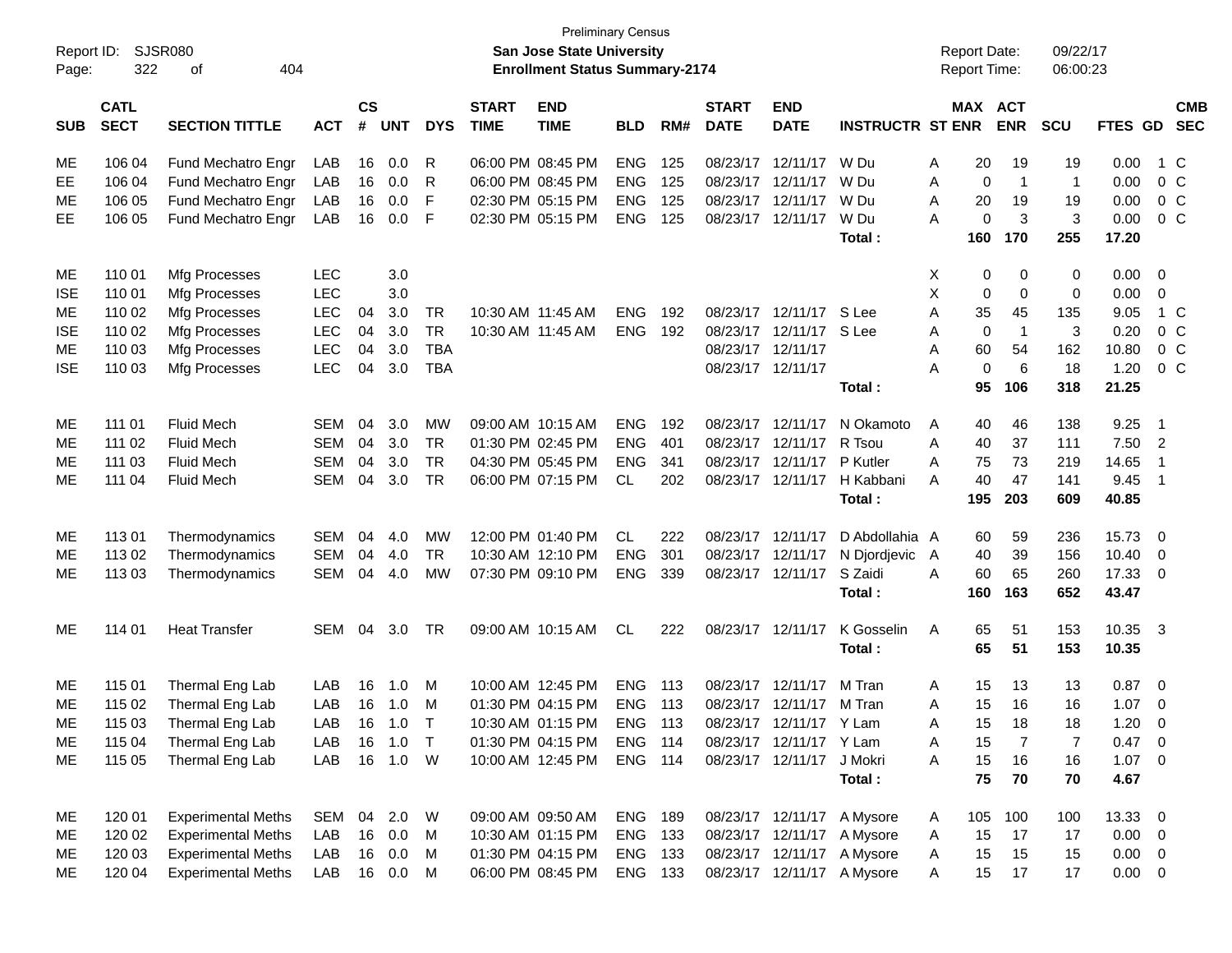|            |                                             |                           |            |               |            |            |              |                                       | <b>Preliminary Census</b> |     |                   |                           |                            |   |                     |                 |                |                |                          |            |
|------------|---------------------------------------------|---------------------------|------------|---------------|------------|------------|--------------|---------------------------------------|---------------------------|-----|-------------------|---------------------------|----------------------------|---|---------------------|-----------------|----------------|----------------|--------------------------|------------|
| Report ID: | <b>SJSR080</b><br>San Jose State University |                           |            |               |            |            |              |                                       |                           |     |                   |                           |                            |   | <b>Report Date:</b> |                 | 09/22/17       |                |                          |            |
| Page:      | 322                                         | 404<br>0f                 |            |               |            |            |              | <b>Enrollment Status Summary-2174</b> |                           |     |                   |                           |                            |   | Report Time:        |                 | 06:00:23       |                |                          |            |
|            | <b>CATL</b>                                 |                           |            | $\mathsf{cs}$ |            |            | <b>START</b> | <b>END</b>                            |                           |     | <b>START</b>      | <b>END</b>                |                            |   | MAX ACT             |                 |                |                |                          | <b>CMB</b> |
| <b>SUB</b> | <b>SECT</b>                                 | <b>SECTION TITTLE</b>     | <b>ACT</b> | #             | <b>UNT</b> | <b>DYS</b> | <b>TIME</b>  | <b>TIME</b>                           | <b>BLD</b>                | RM# | <b>DATE</b>       | <b>DATE</b>               | <b>INSTRUCTR ST ENR</b>    |   |                     | <b>ENR</b>      | <b>SCU</b>     | <b>FTES GD</b> |                          | <b>SEC</b> |
| ME         | 106 04                                      | Fund Mechatro Engr        | LAB        | 16            | 0.0        | R          |              | 06:00 PM 08:45 PM                     | <b>ENG</b>                | 125 | 08/23/17          | 12/11/17                  | W Du                       | Α | 20                  | 19              | 19             | 0.00           |                          | 1 C        |
| EE         | 106 04                                      | Fund Mechatro Engr        | LAB        | 16            | 0.0        | R          |              | 06:00 PM 08:45 PM                     | <b>ENG</b>                | 125 | 08/23/17          | 12/11/17                  | W Du                       | Α | 0                   | $\mathbf{1}$    | $\mathbf{1}$   | 0.00           |                          | $0\,C$     |
| МE         | 106 05                                      | Fund Mechatro Engr        | LAB        | 16            | 0.0        | F          |              | 02:30 PM 05:15 PM                     | <b>ENG</b>                | 125 | 08/23/17          | 12/11/17                  | W Du                       | A | 20                  | 19              | 19             | 0.00           |                          | $0\,C$     |
| EE.        | 106 05                                      | Fund Mechatro Engr        | LAB        | 16            | 0.0        | F          |              | 02:30 PM 05:15 PM                     | <b>ENG</b>                | 125 | 08/23/17          | 12/11/17                  | W Du                       | A | 0                   | 3               | $\mathbf{3}$   | 0.00           |                          | $0\,C$     |
|            |                                             |                           |            |               |            |            |              |                                       |                           |     |                   |                           | Total:                     |   | 160                 | 170             | 255            | 17.20          |                          |            |
| ME         | 110 01                                      | Mfg Processes             | <b>LEC</b> |               | 3.0        |            |              |                                       |                           |     |                   |                           |                            | X | 0                   | 0               | 0              | 0.00           | - 0                      |            |
| <b>ISE</b> | 110 01                                      | Mfg Processes             | <b>LEC</b> |               | 3.0        |            |              |                                       |                           |     |                   |                           |                            | X | 0                   | 0               | $\mathbf 0$    | 0.00           | $\mathbf 0$              |            |
| МE         | 110 02                                      | Mfg Processes             | <b>LEC</b> | 04            | 3.0        | <b>TR</b>  |              | 10:30 AM 11:45 AM                     | <b>ENG</b>                | 192 |                   | 08/23/17 12/11/17         | S Lee                      | A | 35                  | 45              | 135            | 9.05           |                          | 1 C        |
| <b>ISE</b> | 110 02                                      | Mfg Processes             | <b>LEC</b> | 04            | 3.0        | <b>TR</b>  |              | 10:30 AM 11:45 AM                     | <b>ENG</b>                | 192 |                   | 08/23/17 12/11/17         | S Lee                      | Α | 0                   | $\overline{1}$  | 3              | 0.20           |                          | $0\,C$     |
| МE         | 110 03                                      | Mfg Processes             | <b>LEC</b> | 04            | 3.0        | <b>TBA</b> |              |                                       |                           |     |                   | 08/23/17 12/11/17         |                            | Α | 60                  | 54              | 162            | 10.80          |                          | $0\,C$     |
| <b>ISE</b> | 110 03                                      | Mfg Processes             | <b>LEC</b> | 04            | 3.0        | <b>TBA</b> |              |                                       |                           |     | 08/23/17 12/11/17 |                           |                            | А | $\mathbf 0$         | $6\phantom{1}6$ | 18             | 1.20           |                          | $0\,C$     |
|            |                                             |                           |            |               |            |            |              |                                       |                           |     |                   |                           | Total:                     |   | 95                  | 106             | 318            | 21.25          |                          |            |
| ME         | 111 01                                      | <b>Fluid Mech</b>         | SEM        | 04            | 3.0        | MW         |              | 09:00 AM 10:15 AM                     | <b>ENG</b>                | 192 | 08/23/17          | 12/11/17                  | N Okamoto                  | A | 40                  | 46              | 138            | 9.25           | $\overline{1}$           |            |
| МE         | 111 02                                      | <b>Fluid Mech</b>         | <b>SEM</b> | 04            | 3.0        | <b>TR</b>  |              | 01:30 PM 02:45 PM                     | <b>ENG</b>                | 401 |                   | 08/23/17 12/11/17         | R Tsou                     | A | 40                  | 37              | 111            | 7.50           | $\overline{2}$           |            |
| МE         | 111 03                                      | <b>Fluid Mech</b>         | <b>SEM</b> | 04            | 3.0        | <b>TR</b>  |              | 04:30 PM 05:45 PM                     | <b>ENG</b>                | 341 | 08/23/17          | 12/11/17                  | P Kutler                   | А | 75                  | 73              | 219            | 14.65          | $\overline{1}$           |            |
| МE         | 111 04                                      | <b>Fluid Mech</b>         | <b>SEM</b> | 04            | 3.0        | <b>TR</b>  |              | 06:00 PM 07:15 PM                     | <b>CL</b>                 | 202 |                   | 08/23/17 12/11/17         | H Kabbani                  | А | 40                  | 47              | 141            | 9.45           | $\overline{1}$           |            |
|            |                                             |                           |            |               |            |            |              |                                       |                           |     |                   |                           | Total:                     |   | 195                 | 203             | 609            | 40.85          |                          |            |
| ME         | 11301                                       | Thermodynamics            | SEM        | 04            | 4.0        | MW         |              | 12:00 PM 01:40 PM                     | CL                        | 222 | 08/23/17          | 12/11/17                  | D Abdollahia A             |   | 60                  | 59              | 236            | 15.73          | - 0                      |            |
| МE         | 113 02                                      | Thermodynamics            | <b>SEM</b> | 04            | 4.0        | <b>TR</b>  |              | 10:30 AM 12:10 PM                     | <b>ENG</b>                | 301 | 08/23/17          | 12/11/17                  | N Djordjevic               | A | 40                  | 39              | 156            | 10.40          | $\overline{\mathbf{0}}$  |            |
| ME         | 113 03                                      | Thermodynamics            | <b>SEM</b> | 04            | 4.0        | <b>MW</b>  |              | 07:30 PM 09:10 PM                     | <b>ENG</b>                | 339 |                   | 08/23/17 12/11/17         | S Zaidi                    | A | 60                  | 65              | 260            | 17.33 0        |                          |            |
|            |                                             |                           |            |               |            |            |              |                                       |                           |     |                   |                           | Total:                     |   | 160                 | 163             | 652            | 43.47          |                          |            |
| ME         | 114 01                                      | <b>Heat Transfer</b>      | SEM        | 04            | 3.0        | <b>TR</b>  |              | 09:00 AM 10:15 AM                     | <b>CL</b>                 | 222 |                   | 08/23/17 12/11/17         | K Gosselin                 | A | 65                  | 51              | 153            | 10.35 3        |                          |            |
|            |                                             |                           |            |               |            |            |              |                                       |                           |     |                   |                           | Total:                     |   | 65                  | 51              | 153            | 10.35          |                          |            |
| ME         | 115 01                                      | Thermal Eng Lab           | LAB        | 16            | 1.0        | M          |              | 10:00 AM 12:45 PM                     | <b>ENG</b>                | 113 | 08/23/17          | 12/11/17                  | M Tran                     | A | 15                  | 13              | 13             | 0.87           | $\overline{\mathbf{0}}$  |            |
| ME         | 115 02                                      | Thermal Eng Lab           | LAB        | 16            | 1.0        | M          |              | 01:30 PM 04:15 PM                     | <b>ENG</b>                | 113 |                   | 08/23/17 12/11/17         | M Tran                     | A | 15                  | 16              | 16             | 1.07           | 0                        |            |
| ME         | 115 03                                      | Thermal Eng Lab           | LAB        |               | 16 1.0     | T          |              | 10:30 AM 01:15 PM                     | ENG                       | 113 |                   | 08/23/17 12/11/17 Y Lam   |                            | A |                     | 15 18           | 18             | $1.20 \t 0$    |                          |            |
| ME         | 115 04                                      | Thermal Eng Lab           | LAB        | 16            | 1.0        | $\top$     |              | 01:30 PM 04:15 PM                     | <b>ENG 114</b>            |     |                   | 08/23/17 12/11/17 Y Lam   |                            | Α | 15                  | 7               | $\overline{7}$ | 0.47           | $\overline{\phantom{0}}$ |            |
| ME         | 115 05                                      | Thermal Eng Lab           | LAB        |               | 16  1.0  W |            |              | 10:00 AM 12:45 PM                     | <b>ENG 114</b>            |     |                   | 08/23/17 12/11/17 J Mokri |                            | Α | 15                  | 16              | 16             | $1.07 \t 0$    |                          |            |
|            |                                             |                           |            |               |            |            |              |                                       |                           |     |                   |                           | Total:                     |   | 75                  | 70              | 70             | 4.67           |                          |            |
| ME         | 120 01                                      | <b>Experimental Meths</b> | SEM        |               | 04 2.0     | W          |              | 09:00 AM 09:50 AM                     | <b>ENG 189</b>            |     |                   |                           | 08/23/17 12/11/17 A Mysore | A | 105                 | 100             | 100            | 13.33 0        |                          |            |
| ME         | 120 02                                      | <b>Experimental Meths</b> | LAB        |               | 16 0.0     | M          |              | 10:30 AM 01:15 PM                     | ENG 133                   |     |                   |                           | 08/23/17 12/11/17 A Mysore | Α | 15                  | 17              | 17             | $0.00 \t 0$    |                          |            |
| ME         | 120 03                                      | <b>Experimental Meths</b> | LAB        |               | 16 0.0     | M          |              | 01:30 PM 04:15 PM                     | ENG 133                   |     |                   |                           | 08/23/17 12/11/17 A Mysore | A | 15                  | 15              | 15             | $0.00 \t 0$    |                          |            |
| ME         | 120 04                                      | <b>Experimental Meths</b> | LAB        |               | 16  0.0    | M          |              | 06:00 PM 08:45 PM                     | ENG 133                   |     |                   |                           | 08/23/17 12/11/17 A Mysore | Α | 15                  | 17              | 17             | $0.00 \t 0$    |                          |            |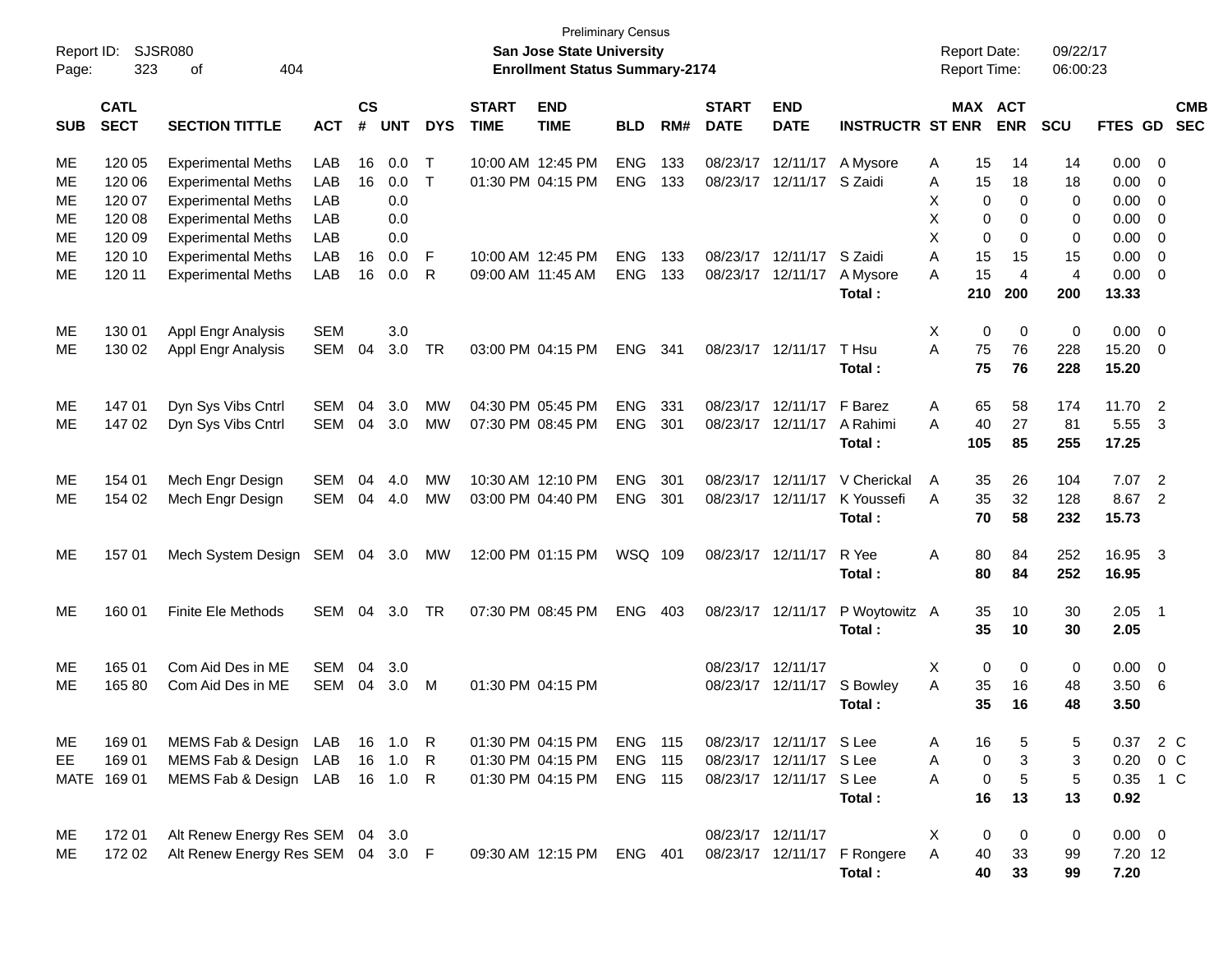| <b>CS</b><br><b>END</b><br><b>START</b><br><b>END</b><br><b>ACT</b><br><b>CMB</b><br><b>CATL</b><br><b>START</b><br><b>MAX</b><br><b>SECT</b><br>#<br><b>TIME</b><br><b>INSTRUCTR ST ENR</b><br><b>ENR</b><br>FTES GD<br><b>SEC</b><br><b>SECTION TITTLE</b><br><b>ACT</b><br><b>UNT</b><br><b>DYS</b><br><b>TIME</b><br><b>BLD</b><br>RM#<br><b>DATE</b><br><b>DATE</b><br><b>SCU</b><br><b>SUB</b><br>120 05<br>LAB<br>10:00 AM 12:45 PM<br><b>ENG</b><br>133<br>08/23/17<br>0.00<br>ME<br><b>Experimental Meths</b><br>16<br>0.0<br>Т<br>12/11/17<br>A Mysore<br>15<br>14<br>14<br>0<br>Α<br>16<br>$\mathsf{T}$<br>120 06<br><b>Experimental Meths</b><br>LAB<br>0.0<br>01:30 PM 04:15 PM<br><b>ENG</b><br>133<br>08/23/17<br>12/11/17<br>S Zaidi<br>15<br>18<br>18<br>0.00<br>МE<br>Α<br>0<br><b>Experimental Meths</b><br>LAB<br>0.0<br>X<br>0<br>0<br>0.00<br>$\mathbf 0$<br>МE<br>120 07<br>0<br>Χ<br><b>Experimental Meths</b><br>LAB<br>0.0<br>0<br>0.00<br>$\mathbf 0$<br>МE<br>120 08<br>0<br>0<br>X<br><b>Experimental Meths</b><br>LAB<br>0.0<br>0<br>0<br>0.00<br>$\mathbf 0$<br>МE<br>120 09<br>0<br><b>Experimental Meths</b><br>LAB<br>0.0<br>F<br>10:00 AM 12:45 PM<br><b>ENG</b><br>133<br>08/23/17<br>12/11/17<br>S Zaidi<br>A<br>15<br>15<br>15<br>0.00<br>$\mathbf 0$<br>МE<br>120 10<br>16<br>$\overline{4}$<br>LAB<br>133<br>15<br>$\overline{4}$<br><b>Experimental Meths</b><br>16<br>R<br>09:00 AM 11:45 AM<br><b>ENG</b><br>08/23/17<br>12/11/17<br>A<br>0.00<br>$\mathbf 0$<br>ME<br>120 11<br>0.0<br>A Mysore<br>200<br>200<br>Total:<br>210<br>13.33<br>130 01<br><b>SEM</b><br>3.0<br>Χ<br>0<br>0<br>0.00<br>$\mathbf 0$<br>Appl Engr Analysis<br>0<br>MЕ<br>A<br>75<br>76<br>228<br>130 02<br>Appl Engr Analysis<br>SEM<br>04<br>3.0<br>TR<br>03:00 PM 04:15 PM<br><b>ENG</b><br>341<br>08/23/17<br>12/11/17<br>T Hsu<br>15.20<br>ME<br>0<br>75<br>76<br>228<br>Total:<br>15.20<br>147 01<br>04:30 PM 05:45 PM<br><b>ENG</b><br>331<br>08/23/17<br>12/11/17<br>F Barez<br>58<br>174<br>11.70<br>$\overline{2}$<br>ME<br>Dyn Sys Vibs Cntrl<br><b>SEM</b><br>04<br>3.0<br>МW<br>Α<br>65<br>27<br>81<br>147 02<br>Dyn Sys Vibs Cntrl<br><b>SEM</b><br>04<br>3.0<br>07:30 PM 08:45 PM<br><b>ENG</b><br>301<br>08/23/17<br>12/11/17<br>A Rahimi<br>A<br>40<br>5.55<br>3<br>ME<br>МW<br>85<br>255<br>17.25<br>Total:<br>105<br>154 01<br>Mech Engr Design<br>10:30 AM 12:10 PM<br><b>ENG</b><br>301<br>12/11/17<br>V Cherickal<br>26<br>104<br>7.07<br>$\overline{2}$<br><b>SEM</b><br>04<br>4.0<br>МW<br>08/23/17<br>35<br>MЕ<br>A<br>35<br>32<br>128<br>154 02<br>Mech Engr Design<br><b>SEM</b><br>04<br><b>MW</b><br>03:00 PM 04:40 PM<br><b>ENG</b><br>301<br>08/23/17<br>12/11/17<br>K Youssefi<br>A<br>8.67<br>$\overline{2}$<br>ME<br>4.0<br>58<br>70<br>Total:<br>232<br>15.73<br>SEM 04 3.0<br>12:00 PM 01:15 PM<br>WSQ 109<br>08/23/17<br>12/11/17<br>R Yee<br>80<br>84<br>252<br>16.95<br>- 3<br>ME<br>157 01<br>Mech System Design<br>Α<br>МW<br>84<br>252<br>Total:<br>80<br>16.95<br><b>Finite Ele Methods</b><br>07:30 PM 08:45 PM<br><b>ENG</b><br>08/23/17<br>12/11/17<br>P Woytowitz A<br>35<br>10<br>30<br>2.05<br>ME<br>160 01<br>SEM<br>04<br>3.0<br>TR<br>403<br>- 1<br>35<br>2.05<br>Total:<br>10<br>30<br>Com Aid Des in ME<br>12/11/17<br>0.00<br>165 01<br><b>SEM</b><br>04<br>3.0<br>08/23/17<br>х<br>0<br>0<br>0<br>0<br>MЕ<br>165 80<br>Com Aid Des in ME<br><b>SEM</b><br>04<br>3.0<br>01:30 PM 04:15 PM<br>12/11/17<br>S Bowley<br>Α<br>35<br>16<br>3.50<br>6<br>ME<br>м<br>08/23/17<br>48<br>35<br>Total:<br>16<br>48<br>3.50<br>MEMS Fab & Design LAB<br>2 C<br>169 01<br>16<br>1.0<br>01:30 PM 04:15 PM<br><b>ENG 115</b><br>08/23/17 12/11/17 S Lee<br>16<br>5<br>0.37<br>ME<br>R<br>5<br>Α<br>$\sqrt{3}$<br>$\pmb{0}$<br>3<br>EE<br>169 01<br>MEMS Fab & Design<br>LAB<br>16<br>1.0<br><b>ENG</b><br>115<br>08/23/17 12/11/17 S Lee<br>Α<br>0.20<br>0 C<br>R<br>01:30 PM 04:15 PM<br>$\,$ 5 $\,$<br>A<br>$\mathbf 5$<br>MATE 169 01<br>MEMS Fab & Design LAB<br>16 1.0 R<br>01:30 PM 04:15 PM<br><b>ENG 115</b><br>08/23/17 12/11/17 S Lee<br>$\pmb{0}$<br>0.35<br>1 C<br>16<br>13<br>Total:<br>13<br>0.92<br>Alt Renew Energy Res SEM 04 3.0<br>08/23/17 12/11/17<br>X<br>0<br>0<br>0<br>$0.00 \t 0$<br>ME<br>172 01<br>40<br>33<br>Alt Renew Energy Res SEM 04 3.0 F<br>ENG 401<br>08/23/17 12/11/17 F Rongere<br>A<br>99<br>7.20 12<br>ME<br>172 02<br>09:30 AM 12:15 PM<br>40<br>33<br>99<br>7.20<br>Total: | <b>Preliminary Census</b><br>Report ID:<br><b>SJSR080</b><br>San Jose State University<br><b>Report Date:</b><br>323<br>404<br><b>Enrollment Status Summary-2174</b><br>Report Time:<br>οf<br>Page: |  |  |  |  |  |  |  |  |  |  |  | 09/22/17<br>06:00:23 |  |  |  |
|----------------------------------------------------------------------------------------------------------------------------------------------------------------------------------------------------------------------------------------------------------------------------------------------------------------------------------------------------------------------------------------------------------------------------------------------------------------------------------------------------------------------------------------------------------------------------------------------------------------------------------------------------------------------------------------------------------------------------------------------------------------------------------------------------------------------------------------------------------------------------------------------------------------------------------------------------------------------------------------------------------------------------------------------------------------------------------------------------------------------------------------------------------------------------------------------------------------------------------------------------------------------------------------------------------------------------------------------------------------------------------------------------------------------------------------------------------------------------------------------------------------------------------------------------------------------------------------------------------------------------------------------------------------------------------------------------------------------------------------------------------------------------------------------------------------------------------------------------------------------------------------------------------------------------------------------------------------------------------------------------------------------------------------------------------------------------------------------------------------------------------------------------------------------------------------------------------------------------------------------------------------------------------------------------------------------------------------------------------------------------------------------------------------------------------------------------------------------------------------------------------------------------------------------------------------------------------------------------------------------------------------------------------------------------------------------------------------------------------------------------------------------------------------------------------------------------------------------------------------------------------------------------------------------------------------------------------------------------------------------------------------------------------------------------------------------------------------------------------------------------------------------------------------------------------------------------------------------------------------------------------------------------------------------------------------------------------------------------------------------------------------------------------------------------------------------------------------------------------------------------------------------------------------------------------------------------------------------------------------------------------------------------------------------------------------------------------------------------------------------------------------------------------------------------------------------------------------------------------------------------------------------------------------------------------------------------------------------------------------------------------------------------------------------------------------------------------------------------------------------------------------------------------------------------------------------------------------------------------------------------------------------------------------------------------------------------------------------------------------------------------------------------------------------------------------------------------------------------------|-----------------------------------------------------------------------------------------------------------------------------------------------------------------------------------------------------|--|--|--|--|--|--|--|--|--|--|--|----------------------|--|--|--|
|                                                                                                                                                                                                                                                                                                                                                                                                                                                                                                                                                                                                                                                                                                                                                                                                                                                                                                                                                                                                                                                                                                                                                                                                                                                                                                                                                                                                                                                                                                                                                                                                                                                                                                                                                                                                                                                                                                                                                                                                                                                                                                                                                                                                                                                                                                                                                                                                                                                                                                                                                                                                                                                                                                                                                                                                                                                                                                                                                                                                                                                                                                                                                                                                                                                                                                                                                                                                                                                                                                                                                                                                                                                                                                                                                                                                                                                                                                                                                                                                                                                                                                                                                                                                                                                                                                                                                                                                                                                                                  |                                                                                                                                                                                                     |  |  |  |  |  |  |  |  |  |  |  |                      |  |  |  |
|                                                                                                                                                                                                                                                                                                                                                                                                                                                                                                                                                                                                                                                                                                                                                                                                                                                                                                                                                                                                                                                                                                                                                                                                                                                                                                                                                                                                                                                                                                                                                                                                                                                                                                                                                                                                                                                                                                                                                                                                                                                                                                                                                                                                                                                                                                                                                                                                                                                                                                                                                                                                                                                                                                                                                                                                                                                                                                                                                                                                                                                                                                                                                                                                                                                                                                                                                                                                                                                                                                                                                                                                                                                                                                                                                                                                                                                                                                                                                                                                                                                                                                                                                                                                                                                                                                                                                                                                                                                                                  |                                                                                                                                                                                                     |  |  |  |  |  |  |  |  |  |  |  |                      |  |  |  |
|                                                                                                                                                                                                                                                                                                                                                                                                                                                                                                                                                                                                                                                                                                                                                                                                                                                                                                                                                                                                                                                                                                                                                                                                                                                                                                                                                                                                                                                                                                                                                                                                                                                                                                                                                                                                                                                                                                                                                                                                                                                                                                                                                                                                                                                                                                                                                                                                                                                                                                                                                                                                                                                                                                                                                                                                                                                                                                                                                                                                                                                                                                                                                                                                                                                                                                                                                                                                                                                                                                                                                                                                                                                                                                                                                                                                                                                                                                                                                                                                                                                                                                                                                                                                                                                                                                                                                                                                                                                                                  |                                                                                                                                                                                                     |  |  |  |  |  |  |  |  |  |  |  |                      |  |  |  |
|                                                                                                                                                                                                                                                                                                                                                                                                                                                                                                                                                                                                                                                                                                                                                                                                                                                                                                                                                                                                                                                                                                                                                                                                                                                                                                                                                                                                                                                                                                                                                                                                                                                                                                                                                                                                                                                                                                                                                                                                                                                                                                                                                                                                                                                                                                                                                                                                                                                                                                                                                                                                                                                                                                                                                                                                                                                                                                                                                                                                                                                                                                                                                                                                                                                                                                                                                                                                                                                                                                                                                                                                                                                                                                                                                                                                                                                                                                                                                                                                                                                                                                                                                                                                                                                                                                                                                                                                                                                                                  |                                                                                                                                                                                                     |  |  |  |  |  |  |  |  |  |  |  |                      |  |  |  |
|                                                                                                                                                                                                                                                                                                                                                                                                                                                                                                                                                                                                                                                                                                                                                                                                                                                                                                                                                                                                                                                                                                                                                                                                                                                                                                                                                                                                                                                                                                                                                                                                                                                                                                                                                                                                                                                                                                                                                                                                                                                                                                                                                                                                                                                                                                                                                                                                                                                                                                                                                                                                                                                                                                                                                                                                                                                                                                                                                                                                                                                                                                                                                                                                                                                                                                                                                                                                                                                                                                                                                                                                                                                                                                                                                                                                                                                                                                                                                                                                                                                                                                                                                                                                                                                                                                                                                                                                                                                                                  |                                                                                                                                                                                                     |  |  |  |  |  |  |  |  |  |  |  |                      |  |  |  |
|                                                                                                                                                                                                                                                                                                                                                                                                                                                                                                                                                                                                                                                                                                                                                                                                                                                                                                                                                                                                                                                                                                                                                                                                                                                                                                                                                                                                                                                                                                                                                                                                                                                                                                                                                                                                                                                                                                                                                                                                                                                                                                                                                                                                                                                                                                                                                                                                                                                                                                                                                                                                                                                                                                                                                                                                                                                                                                                                                                                                                                                                                                                                                                                                                                                                                                                                                                                                                                                                                                                                                                                                                                                                                                                                                                                                                                                                                                                                                                                                                                                                                                                                                                                                                                                                                                                                                                                                                                                                                  |                                                                                                                                                                                                     |  |  |  |  |  |  |  |  |  |  |  |                      |  |  |  |
|                                                                                                                                                                                                                                                                                                                                                                                                                                                                                                                                                                                                                                                                                                                                                                                                                                                                                                                                                                                                                                                                                                                                                                                                                                                                                                                                                                                                                                                                                                                                                                                                                                                                                                                                                                                                                                                                                                                                                                                                                                                                                                                                                                                                                                                                                                                                                                                                                                                                                                                                                                                                                                                                                                                                                                                                                                                                                                                                                                                                                                                                                                                                                                                                                                                                                                                                                                                                                                                                                                                                                                                                                                                                                                                                                                                                                                                                                                                                                                                                                                                                                                                                                                                                                                                                                                                                                                                                                                                                                  |                                                                                                                                                                                                     |  |  |  |  |  |  |  |  |  |  |  |                      |  |  |  |
|                                                                                                                                                                                                                                                                                                                                                                                                                                                                                                                                                                                                                                                                                                                                                                                                                                                                                                                                                                                                                                                                                                                                                                                                                                                                                                                                                                                                                                                                                                                                                                                                                                                                                                                                                                                                                                                                                                                                                                                                                                                                                                                                                                                                                                                                                                                                                                                                                                                                                                                                                                                                                                                                                                                                                                                                                                                                                                                                                                                                                                                                                                                                                                                                                                                                                                                                                                                                                                                                                                                                                                                                                                                                                                                                                                                                                                                                                                                                                                                                                                                                                                                                                                                                                                                                                                                                                                                                                                                                                  |                                                                                                                                                                                                     |  |  |  |  |  |  |  |  |  |  |  |                      |  |  |  |
|                                                                                                                                                                                                                                                                                                                                                                                                                                                                                                                                                                                                                                                                                                                                                                                                                                                                                                                                                                                                                                                                                                                                                                                                                                                                                                                                                                                                                                                                                                                                                                                                                                                                                                                                                                                                                                                                                                                                                                                                                                                                                                                                                                                                                                                                                                                                                                                                                                                                                                                                                                                                                                                                                                                                                                                                                                                                                                                                                                                                                                                                                                                                                                                                                                                                                                                                                                                                                                                                                                                                                                                                                                                                                                                                                                                                                                                                                                                                                                                                                                                                                                                                                                                                                                                                                                                                                                                                                                                                                  |                                                                                                                                                                                                     |  |  |  |  |  |  |  |  |  |  |  |                      |  |  |  |
|                                                                                                                                                                                                                                                                                                                                                                                                                                                                                                                                                                                                                                                                                                                                                                                                                                                                                                                                                                                                                                                                                                                                                                                                                                                                                                                                                                                                                                                                                                                                                                                                                                                                                                                                                                                                                                                                                                                                                                                                                                                                                                                                                                                                                                                                                                                                                                                                                                                                                                                                                                                                                                                                                                                                                                                                                                                                                                                                                                                                                                                                                                                                                                                                                                                                                                                                                                                                                                                                                                                                                                                                                                                                                                                                                                                                                                                                                                                                                                                                                                                                                                                                                                                                                                                                                                                                                                                                                                                                                  |                                                                                                                                                                                                     |  |  |  |  |  |  |  |  |  |  |  |                      |  |  |  |
|                                                                                                                                                                                                                                                                                                                                                                                                                                                                                                                                                                                                                                                                                                                                                                                                                                                                                                                                                                                                                                                                                                                                                                                                                                                                                                                                                                                                                                                                                                                                                                                                                                                                                                                                                                                                                                                                                                                                                                                                                                                                                                                                                                                                                                                                                                                                                                                                                                                                                                                                                                                                                                                                                                                                                                                                                                                                                                                                                                                                                                                                                                                                                                                                                                                                                                                                                                                                                                                                                                                                                                                                                                                                                                                                                                                                                                                                                                                                                                                                                                                                                                                                                                                                                                                                                                                                                                                                                                                                                  |                                                                                                                                                                                                     |  |  |  |  |  |  |  |  |  |  |  |                      |  |  |  |
|                                                                                                                                                                                                                                                                                                                                                                                                                                                                                                                                                                                                                                                                                                                                                                                                                                                                                                                                                                                                                                                                                                                                                                                                                                                                                                                                                                                                                                                                                                                                                                                                                                                                                                                                                                                                                                                                                                                                                                                                                                                                                                                                                                                                                                                                                                                                                                                                                                                                                                                                                                                                                                                                                                                                                                                                                                                                                                                                                                                                                                                                                                                                                                                                                                                                                                                                                                                                                                                                                                                                                                                                                                                                                                                                                                                                                                                                                                                                                                                                                                                                                                                                                                                                                                                                                                                                                                                                                                                                                  |                                                                                                                                                                                                     |  |  |  |  |  |  |  |  |  |  |  |                      |  |  |  |
|                                                                                                                                                                                                                                                                                                                                                                                                                                                                                                                                                                                                                                                                                                                                                                                                                                                                                                                                                                                                                                                                                                                                                                                                                                                                                                                                                                                                                                                                                                                                                                                                                                                                                                                                                                                                                                                                                                                                                                                                                                                                                                                                                                                                                                                                                                                                                                                                                                                                                                                                                                                                                                                                                                                                                                                                                                                                                                                                                                                                                                                                                                                                                                                                                                                                                                                                                                                                                                                                                                                                                                                                                                                                                                                                                                                                                                                                                                                                                                                                                                                                                                                                                                                                                                                                                                                                                                                                                                                                                  |                                                                                                                                                                                                     |  |  |  |  |  |  |  |  |  |  |  |                      |  |  |  |
|                                                                                                                                                                                                                                                                                                                                                                                                                                                                                                                                                                                                                                                                                                                                                                                                                                                                                                                                                                                                                                                                                                                                                                                                                                                                                                                                                                                                                                                                                                                                                                                                                                                                                                                                                                                                                                                                                                                                                                                                                                                                                                                                                                                                                                                                                                                                                                                                                                                                                                                                                                                                                                                                                                                                                                                                                                                                                                                                                                                                                                                                                                                                                                                                                                                                                                                                                                                                                                                                                                                                                                                                                                                                                                                                                                                                                                                                                                                                                                                                                                                                                                                                                                                                                                                                                                                                                                                                                                                                                  |                                                                                                                                                                                                     |  |  |  |  |  |  |  |  |  |  |  |                      |  |  |  |
|                                                                                                                                                                                                                                                                                                                                                                                                                                                                                                                                                                                                                                                                                                                                                                                                                                                                                                                                                                                                                                                                                                                                                                                                                                                                                                                                                                                                                                                                                                                                                                                                                                                                                                                                                                                                                                                                                                                                                                                                                                                                                                                                                                                                                                                                                                                                                                                                                                                                                                                                                                                                                                                                                                                                                                                                                                                                                                                                                                                                                                                                                                                                                                                                                                                                                                                                                                                                                                                                                                                                                                                                                                                                                                                                                                                                                                                                                                                                                                                                                                                                                                                                                                                                                                                                                                                                                                                                                                                                                  |                                                                                                                                                                                                     |  |  |  |  |  |  |  |  |  |  |  |                      |  |  |  |
|                                                                                                                                                                                                                                                                                                                                                                                                                                                                                                                                                                                                                                                                                                                                                                                                                                                                                                                                                                                                                                                                                                                                                                                                                                                                                                                                                                                                                                                                                                                                                                                                                                                                                                                                                                                                                                                                                                                                                                                                                                                                                                                                                                                                                                                                                                                                                                                                                                                                                                                                                                                                                                                                                                                                                                                                                                                                                                                                                                                                                                                                                                                                                                                                                                                                                                                                                                                                                                                                                                                                                                                                                                                                                                                                                                                                                                                                                                                                                                                                                                                                                                                                                                                                                                                                                                                                                                                                                                                                                  |                                                                                                                                                                                                     |  |  |  |  |  |  |  |  |  |  |  |                      |  |  |  |
|                                                                                                                                                                                                                                                                                                                                                                                                                                                                                                                                                                                                                                                                                                                                                                                                                                                                                                                                                                                                                                                                                                                                                                                                                                                                                                                                                                                                                                                                                                                                                                                                                                                                                                                                                                                                                                                                                                                                                                                                                                                                                                                                                                                                                                                                                                                                                                                                                                                                                                                                                                                                                                                                                                                                                                                                                                                                                                                                                                                                                                                                                                                                                                                                                                                                                                                                                                                                                                                                                                                                                                                                                                                                                                                                                                                                                                                                                                                                                                                                                                                                                                                                                                                                                                                                                                                                                                                                                                                                                  |                                                                                                                                                                                                     |  |  |  |  |  |  |  |  |  |  |  |                      |  |  |  |
|                                                                                                                                                                                                                                                                                                                                                                                                                                                                                                                                                                                                                                                                                                                                                                                                                                                                                                                                                                                                                                                                                                                                                                                                                                                                                                                                                                                                                                                                                                                                                                                                                                                                                                                                                                                                                                                                                                                                                                                                                                                                                                                                                                                                                                                                                                                                                                                                                                                                                                                                                                                                                                                                                                                                                                                                                                                                                                                                                                                                                                                                                                                                                                                                                                                                                                                                                                                                                                                                                                                                                                                                                                                                                                                                                                                                                                                                                                                                                                                                                                                                                                                                                                                                                                                                                                                                                                                                                                                                                  |                                                                                                                                                                                                     |  |  |  |  |  |  |  |  |  |  |  |                      |  |  |  |
|                                                                                                                                                                                                                                                                                                                                                                                                                                                                                                                                                                                                                                                                                                                                                                                                                                                                                                                                                                                                                                                                                                                                                                                                                                                                                                                                                                                                                                                                                                                                                                                                                                                                                                                                                                                                                                                                                                                                                                                                                                                                                                                                                                                                                                                                                                                                                                                                                                                                                                                                                                                                                                                                                                                                                                                                                                                                                                                                                                                                                                                                                                                                                                                                                                                                                                                                                                                                                                                                                                                                                                                                                                                                                                                                                                                                                                                                                                                                                                                                                                                                                                                                                                                                                                                                                                                                                                                                                                                                                  |                                                                                                                                                                                                     |  |  |  |  |  |  |  |  |  |  |  |                      |  |  |  |
|                                                                                                                                                                                                                                                                                                                                                                                                                                                                                                                                                                                                                                                                                                                                                                                                                                                                                                                                                                                                                                                                                                                                                                                                                                                                                                                                                                                                                                                                                                                                                                                                                                                                                                                                                                                                                                                                                                                                                                                                                                                                                                                                                                                                                                                                                                                                                                                                                                                                                                                                                                                                                                                                                                                                                                                                                                                                                                                                                                                                                                                                                                                                                                                                                                                                                                                                                                                                                                                                                                                                                                                                                                                                                                                                                                                                                                                                                                                                                                                                                                                                                                                                                                                                                                                                                                                                                                                                                                                                                  |                                                                                                                                                                                                     |  |  |  |  |  |  |  |  |  |  |  |                      |  |  |  |
|                                                                                                                                                                                                                                                                                                                                                                                                                                                                                                                                                                                                                                                                                                                                                                                                                                                                                                                                                                                                                                                                                                                                                                                                                                                                                                                                                                                                                                                                                                                                                                                                                                                                                                                                                                                                                                                                                                                                                                                                                                                                                                                                                                                                                                                                                                                                                                                                                                                                                                                                                                                                                                                                                                                                                                                                                                                                                                                                                                                                                                                                                                                                                                                                                                                                                                                                                                                                                                                                                                                                                                                                                                                                                                                                                                                                                                                                                                                                                                                                                                                                                                                                                                                                                                                                                                                                                                                                                                                                                  |                                                                                                                                                                                                     |  |  |  |  |  |  |  |  |  |  |  |                      |  |  |  |
|                                                                                                                                                                                                                                                                                                                                                                                                                                                                                                                                                                                                                                                                                                                                                                                                                                                                                                                                                                                                                                                                                                                                                                                                                                                                                                                                                                                                                                                                                                                                                                                                                                                                                                                                                                                                                                                                                                                                                                                                                                                                                                                                                                                                                                                                                                                                                                                                                                                                                                                                                                                                                                                                                                                                                                                                                                                                                                                                                                                                                                                                                                                                                                                                                                                                                                                                                                                                                                                                                                                                                                                                                                                                                                                                                                                                                                                                                                                                                                                                                                                                                                                                                                                                                                                                                                                                                                                                                                                                                  |                                                                                                                                                                                                     |  |  |  |  |  |  |  |  |  |  |  |                      |  |  |  |
|                                                                                                                                                                                                                                                                                                                                                                                                                                                                                                                                                                                                                                                                                                                                                                                                                                                                                                                                                                                                                                                                                                                                                                                                                                                                                                                                                                                                                                                                                                                                                                                                                                                                                                                                                                                                                                                                                                                                                                                                                                                                                                                                                                                                                                                                                                                                                                                                                                                                                                                                                                                                                                                                                                                                                                                                                                                                                                                                                                                                                                                                                                                                                                                                                                                                                                                                                                                                                                                                                                                                                                                                                                                                                                                                                                                                                                                                                                                                                                                                                                                                                                                                                                                                                                                                                                                                                                                                                                                                                  |                                                                                                                                                                                                     |  |  |  |  |  |  |  |  |  |  |  |                      |  |  |  |
|                                                                                                                                                                                                                                                                                                                                                                                                                                                                                                                                                                                                                                                                                                                                                                                                                                                                                                                                                                                                                                                                                                                                                                                                                                                                                                                                                                                                                                                                                                                                                                                                                                                                                                                                                                                                                                                                                                                                                                                                                                                                                                                                                                                                                                                                                                                                                                                                                                                                                                                                                                                                                                                                                                                                                                                                                                                                                                                                                                                                                                                                                                                                                                                                                                                                                                                                                                                                                                                                                                                                                                                                                                                                                                                                                                                                                                                                                                                                                                                                                                                                                                                                                                                                                                                                                                                                                                                                                                                                                  |                                                                                                                                                                                                     |  |  |  |  |  |  |  |  |  |  |  |                      |  |  |  |
|                                                                                                                                                                                                                                                                                                                                                                                                                                                                                                                                                                                                                                                                                                                                                                                                                                                                                                                                                                                                                                                                                                                                                                                                                                                                                                                                                                                                                                                                                                                                                                                                                                                                                                                                                                                                                                                                                                                                                                                                                                                                                                                                                                                                                                                                                                                                                                                                                                                                                                                                                                                                                                                                                                                                                                                                                                                                                                                                                                                                                                                                                                                                                                                                                                                                                                                                                                                                                                                                                                                                                                                                                                                                                                                                                                                                                                                                                                                                                                                                                                                                                                                                                                                                                                                                                                                                                                                                                                                                                  |                                                                                                                                                                                                     |  |  |  |  |  |  |  |  |  |  |  |                      |  |  |  |
|                                                                                                                                                                                                                                                                                                                                                                                                                                                                                                                                                                                                                                                                                                                                                                                                                                                                                                                                                                                                                                                                                                                                                                                                                                                                                                                                                                                                                                                                                                                                                                                                                                                                                                                                                                                                                                                                                                                                                                                                                                                                                                                                                                                                                                                                                                                                                                                                                                                                                                                                                                                                                                                                                                                                                                                                                                                                                                                                                                                                                                                                                                                                                                                                                                                                                                                                                                                                                                                                                                                                                                                                                                                                                                                                                                                                                                                                                                                                                                                                                                                                                                                                                                                                                                                                                                                                                                                                                                                                                  |                                                                                                                                                                                                     |  |  |  |  |  |  |  |  |  |  |  |                      |  |  |  |
|                                                                                                                                                                                                                                                                                                                                                                                                                                                                                                                                                                                                                                                                                                                                                                                                                                                                                                                                                                                                                                                                                                                                                                                                                                                                                                                                                                                                                                                                                                                                                                                                                                                                                                                                                                                                                                                                                                                                                                                                                                                                                                                                                                                                                                                                                                                                                                                                                                                                                                                                                                                                                                                                                                                                                                                                                                                                                                                                                                                                                                                                                                                                                                                                                                                                                                                                                                                                                                                                                                                                                                                                                                                                                                                                                                                                                                                                                                                                                                                                                                                                                                                                                                                                                                                                                                                                                                                                                                                                                  |                                                                                                                                                                                                     |  |  |  |  |  |  |  |  |  |  |  |                      |  |  |  |
|                                                                                                                                                                                                                                                                                                                                                                                                                                                                                                                                                                                                                                                                                                                                                                                                                                                                                                                                                                                                                                                                                                                                                                                                                                                                                                                                                                                                                                                                                                                                                                                                                                                                                                                                                                                                                                                                                                                                                                                                                                                                                                                                                                                                                                                                                                                                                                                                                                                                                                                                                                                                                                                                                                                                                                                                                                                                                                                                                                                                                                                                                                                                                                                                                                                                                                                                                                                                                                                                                                                                                                                                                                                                                                                                                                                                                                                                                                                                                                                                                                                                                                                                                                                                                                                                                                                                                                                                                                                                                  |                                                                                                                                                                                                     |  |  |  |  |  |  |  |  |  |  |  |                      |  |  |  |
|                                                                                                                                                                                                                                                                                                                                                                                                                                                                                                                                                                                                                                                                                                                                                                                                                                                                                                                                                                                                                                                                                                                                                                                                                                                                                                                                                                                                                                                                                                                                                                                                                                                                                                                                                                                                                                                                                                                                                                                                                                                                                                                                                                                                                                                                                                                                                                                                                                                                                                                                                                                                                                                                                                                                                                                                                                                                                                                                                                                                                                                                                                                                                                                                                                                                                                                                                                                                                                                                                                                                                                                                                                                                                                                                                                                                                                                                                                                                                                                                                                                                                                                                                                                                                                                                                                                                                                                                                                                                                  |                                                                                                                                                                                                     |  |  |  |  |  |  |  |  |  |  |  |                      |  |  |  |
|                                                                                                                                                                                                                                                                                                                                                                                                                                                                                                                                                                                                                                                                                                                                                                                                                                                                                                                                                                                                                                                                                                                                                                                                                                                                                                                                                                                                                                                                                                                                                                                                                                                                                                                                                                                                                                                                                                                                                                                                                                                                                                                                                                                                                                                                                                                                                                                                                                                                                                                                                                                                                                                                                                                                                                                                                                                                                                                                                                                                                                                                                                                                                                                                                                                                                                                                                                                                                                                                                                                                                                                                                                                                                                                                                                                                                                                                                                                                                                                                                                                                                                                                                                                                                                                                                                                                                                                                                                                                                  |                                                                                                                                                                                                     |  |  |  |  |  |  |  |  |  |  |  |                      |  |  |  |
|                                                                                                                                                                                                                                                                                                                                                                                                                                                                                                                                                                                                                                                                                                                                                                                                                                                                                                                                                                                                                                                                                                                                                                                                                                                                                                                                                                                                                                                                                                                                                                                                                                                                                                                                                                                                                                                                                                                                                                                                                                                                                                                                                                                                                                                                                                                                                                                                                                                                                                                                                                                                                                                                                                                                                                                                                                                                                                                                                                                                                                                                                                                                                                                                                                                                                                                                                                                                                                                                                                                                                                                                                                                                                                                                                                                                                                                                                                                                                                                                                                                                                                                                                                                                                                                                                                                                                                                                                                                                                  |                                                                                                                                                                                                     |  |  |  |  |  |  |  |  |  |  |  |                      |  |  |  |
|                                                                                                                                                                                                                                                                                                                                                                                                                                                                                                                                                                                                                                                                                                                                                                                                                                                                                                                                                                                                                                                                                                                                                                                                                                                                                                                                                                                                                                                                                                                                                                                                                                                                                                                                                                                                                                                                                                                                                                                                                                                                                                                                                                                                                                                                                                                                                                                                                                                                                                                                                                                                                                                                                                                                                                                                                                                                                                                                                                                                                                                                                                                                                                                                                                                                                                                                                                                                                                                                                                                                                                                                                                                                                                                                                                                                                                                                                                                                                                                                                                                                                                                                                                                                                                                                                                                                                                                                                                                                                  |                                                                                                                                                                                                     |  |  |  |  |  |  |  |  |  |  |  |                      |  |  |  |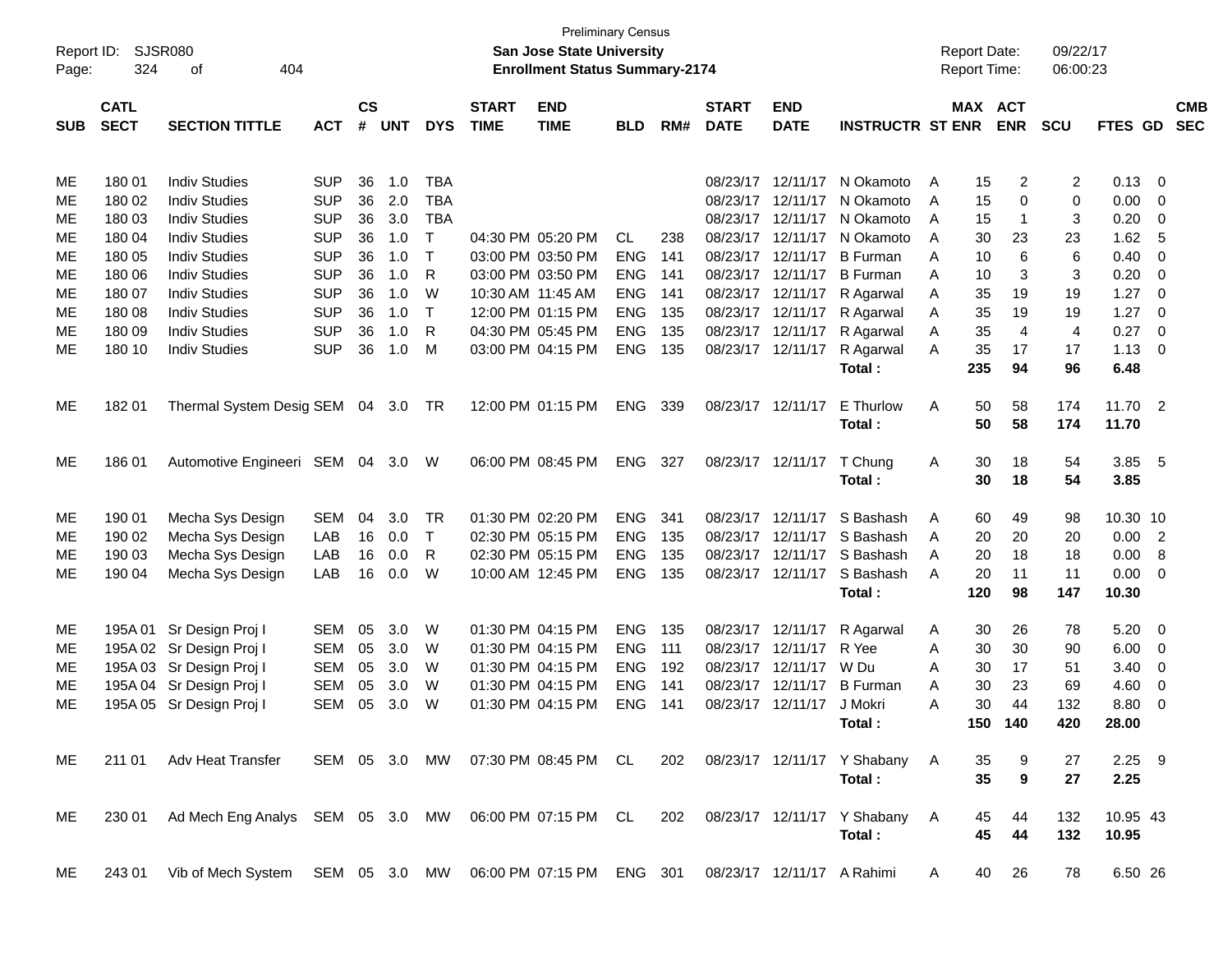| Report ID: |             | SJSR080                                                      |            |           |            |              |              | San Jose State University             | <b>Preliminary Census</b> |     |              |                            |                               |   | <b>Report Date:</b> |             | 09/22/17   |          |                          |            |
|------------|-------------|--------------------------------------------------------------|------------|-----------|------------|--------------|--------------|---------------------------------------|---------------------------|-----|--------------|----------------------------|-------------------------------|---|---------------------|-------------|------------|----------|--------------------------|------------|
| Page:      | 324         | 404<br>οf                                                    |            |           |            |              |              | <b>Enrollment Status Summary-2174</b> |                           |     |              |                            |                               |   | <b>Report Time:</b> |             | 06:00:23   |          |                          |            |
|            | <b>CATL</b> |                                                              |            | <b>CS</b> |            |              | <b>START</b> | <b>END</b>                            |                           |     | <b>START</b> | <b>END</b>                 |                               |   | MAX ACT             |             |            |          |                          | <b>CMB</b> |
| <b>SUB</b> | <b>SECT</b> | <b>SECTION TITTLE</b>                                        | <b>ACT</b> | #         | <b>UNT</b> | <b>DYS</b>   | <b>TIME</b>  | <b>TIME</b>                           | <b>BLD</b>                | RM# | <b>DATE</b>  | <b>DATE</b>                | <b>INSTRUCTR ST ENR</b>       |   |                     | <b>ENR</b>  | <b>SCU</b> | FTES GD  |                          | <b>SEC</b> |
|            |             |                                                              |            |           |            |              |              |                                       |                           |     |              |                            |                               |   |                     |             |            |          |                          |            |
| ME         | 180 01      | <b>Indiv Studies</b>                                         | <b>SUP</b> | 36        | 1.0        | <b>TBA</b>   |              |                                       |                           |     | 08/23/17     | 12/11/17                   | N Okamoto                     | A | 15                  | 2           | 2          | 0.13     | $\overline{\phantom{0}}$ |            |
| ME         | 180 02      | <b>Indiv Studies</b>                                         | <b>SUP</b> | 36        | 2.0        | <b>TBA</b>   |              |                                       |                           |     | 08/23/17     | 12/11/17                   | N Okamoto                     | A | 15                  | 0           | 0          | 0.00     | 0                        |            |
| ME         | 180 03      | <b>Indiv Studies</b>                                         | <b>SUP</b> | 36        | 3.0        | <b>TBA</b>   |              |                                       |                           |     | 08/23/17     | 12/11/17                   | N Okamoto                     | A | 15                  | $\mathbf 1$ | 3          | 0.20     | 0                        |            |
| ME         | 180 04      | <b>Indiv Studies</b>                                         | <b>SUP</b> | 36        | 1.0        | $\mathsf{T}$ |              | 04:30 PM 05:20 PM                     | CL                        | 238 | 08/23/17     | 12/11/17                   | N Okamoto                     | A | 30                  | 23          | 23         | 1.62     | -5                       |            |
| ME         | 180 05      | <b>Indiv Studies</b>                                         | <b>SUP</b> | 36        | 1.0        | $\mathsf{T}$ |              | 03:00 PM 03:50 PM                     | <b>ENG</b>                | 141 | 08/23/17     | 12/11/17                   | <b>B</b> Furman               | A | 10                  | 6           | 6          | 0.40     | 0                        |            |
| ME         | 180 06      | <b>Indiv Studies</b>                                         | <b>SUP</b> | 36        | 1.0        | R            |              | 03:00 PM 03:50 PM                     | <b>ENG</b>                | 141 | 08/23/17     | 12/11/17                   | <b>B</b> Furman               | A | 10                  | 3           | 3          | 0.20     | $\overline{\mathbf{0}}$  |            |
| ME         | 180 07      | <b>Indiv Studies</b>                                         | <b>SUP</b> | 36        | 1.0        | W            |              | 10:30 AM 11:45 AM                     | <b>ENG</b>                | 141 | 08/23/17     | 12/11/17                   | R Agarwal                     | A | 35                  | 19          | 19         | 1.27     | $\overline{\mathbf{0}}$  |            |
| ME         | 180 08      | <b>Indiv Studies</b>                                         | <b>SUP</b> | 36        | 1.0        | $\mathsf{T}$ |              | 12:00 PM 01:15 PM                     | <b>ENG</b>                | 135 | 08/23/17     | 12/11/17                   | R Agarwal                     | Α | 35                  | 19          | 19         | 1.27     | $\overline{0}$           |            |
| ME         | 180 09      | <b>Indiv Studies</b>                                         | <b>SUP</b> | 36        | 1.0        | R            |              | 04:30 PM 05:45 PM                     | <b>ENG</b>                | 135 | 08/23/17     | 12/11/17                   | R Agarwal                     | Α | 35                  | 4           | 4          | 0.27     | $\overline{0}$           |            |
| ME         | 180 10      | <b>Indiv Studies</b>                                         | <b>SUP</b> | 36        | 1.0        | M            |              | 03:00 PM 04:15 PM                     | <b>ENG</b>                | 135 |              | 08/23/17 12/11/17          | R Agarwal                     | A | 35                  | 17          | 17         | 1.13     | $\overline{0}$           |            |
|            |             |                                                              |            |           |            |              |              |                                       |                           |     |              |                            | Total:                        |   | 235                 | 94          | 96         | 6.48     |                          |            |
| ME         | 18201       | Thermal System Desig SEM 04                                  |            |           | 3.0        | TR           |              | 12:00 PM 01:15 PM                     | <b>ENG</b>                | 339 |              | 08/23/17 12/11/17          | E Thurlow                     | Α | 50                  | 58          | 174        | 11.70    | $\overline{\phantom{0}}$ |            |
|            |             |                                                              |            |           |            |              |              |                                       |                           |     |              |                            | Total:                        |   | 50                  | 58          | 174        | 11.70    |                          |            |
| ME         | 186 01      | Automotive Engineeri SEM 04                                  |            |           | 3.0        | W            |              | 06:00 PM 08:45 PM                     | <b>ENG</b>                | 327 |              | 08/23/17 12/11/17          | T Chung                       | Α | 30                  | 18          | 54         | 3.85 5   |                          |            |
|            |             |                                                              |            |           |            |              |              |                                       |                           |     |              |                            | Total:                        |   | 30                  | 18          | 54         | 3.85     |                          |            |
| ME         | 190 01      | Mecha Sys Design                                             | <b>SEM</b> | 04        | 3.0        | TR           |              | 01:30 PM 02:20 PM                     | <b>ENG</b>                | 341 | 08/23/17     | 12/11/17                   | S Bashash                     | A | 60                  | 49          | 98         | 10.30 10 |                          |            |
| ME         | 190 02      | Mecha Sys Design                                             | LAB        | 16        | 0.0        | $\mathsf{T}$ |              | 02:30 PM 05:15 PM                     | <b>ENG</b>                | 135 | 08/23/17     | 12/11/17                   | S Bashash                     | A | 20                  | 20          | 20         | 0.00     | $\overline{2}$           |            |
| ME         | 190 03      | Mecha Sys Design                                             | LAB        | 16        | 0.0        | R            |              | 02:30 PM 05:15 PM                     | <b>ENG</b>                | 135 | 08/23/17     | 12/11/17                   | S Bashash                     | A | 20                  | 18          | 18         | 0.00     | 8                        |            |
| ME         | 190 04      | Mecha Sys Design                                             | LAB        | 16        | 0.0        | W            |              | 10:00 AM 12:45 PM                     | <b>ENG</b>                | 135 |              | 08/23/17 12/11/17          | S Bashash                     | A | 20                  | 11          | 11         | 0.00     | 0                        |            |
|            |             |                                                              |            |           |            |              |              |                                       |                           |     |              |                            | Total:                        |   | 120                 | 98          | 147        | 10.30    |                          |            |
| МE         | 195A 01     | Sr Design Proj I                                             | SEM        | 05        | 3.0        | W            |              | 01:30 PM 04:15 PM                     | <b>ENG</b>                | 135 |              | 08/23/17 12/11/17          | R Agarwal                     | A | 30                  | 26          | 78         | 5.20     | $\overline{\phantom{0}}$ |            |
| ME         |             | 195A 02 Sr Design Proj I                                     | SEM        | 05        | 3.0        | W            |              | 01:30 PM 04:15 PM                     | <b>ENG</b>                | 111 | 08/23/17     | 12/11/17                   | R Yee                         | Α | 30                  | 30          | 90         | 6.00     | 0                        |            |
| ME         |             | 195A 03 Sr Design Proj I                                     | <b>SEM</b> | 05        | 3.0        | W            |              | 01:30 PM 04:15 PM                     | <b>ENG</b>                | 192 | 08/23/17     | 12/11/17                   | W Du                          | Α | 30                  | 17          | 51         | 3.40     | 0                        |            |
| МE         |             | 195A 04 Sr Design Proj I                                     | SEM        | 05        | 3.0        | W            |              | 01:30 PM 04:15 PM                     | <b>ENG</b>                | 141 | 08/23/17     | 12/11/17                   | <b>B</b> Furman               | A | 30                  | 23          | 69         | 4.60     | 0                        |            |
| ME         |             | 195A 05 Sr Design Proj I                                     | SEM        | 05        | 3.0        | W            |              | 01:30 PM 04:15 PM                     | <b>ENG</b>                | 141 |              | 08/23/17 12/11/17          | J Mokri                       | Α | 30                  | 44          | 132        | 8.80     | 0                        |            |
|            |             |                                                              |            |           |            |              |              |                                       |                           |     |              |                            | Total:                        |   |                     | 150 140     | 420        | 28.00    |                          |            |
| ME.        |             | 211 01 Adv Heat Transfer                                     |            |           |            |              |              | SEM 05 3.0 MW 07:30 PM 08:45 PM CL    |                           | 202 |              |                            | 08/23/17 12/11/17 Y Shabany A |   | 35                  | 9           | 27         | $2.25$ 9 |                          |            |
|            |             |                                                              |            |           |            |              |              |                                       |                           |     |              |                            | Total:                        |   | 35                  | 9           | 27         | 2.25     |                          |            |
| ME.        |             | 230 01 Ad Mech Eng Analys SEM 05 3.0 MW 06:00 PM 07:15 PM CL |            |           |            |              |              |                                       |                           | 202 |              |                            | 08/23/17 12/11/17 Y Shabany   | A | 45                  | 44          | 132        | 10.95 43 |                          |            |
|            |             |                                                              |            |           |            |              |              |                                       |                           |     |              |                            | Total:                        |   | 45                  | 44          | 132        | 10.95    |                          |            |
| ME         | 243 01      | Vib of Mech System SEM 05 3.0 MW 06:00 PM 07:15 PM ENG 301   |            |           |            |              |              |                                       |                           |     |              | 08/23/17 12/11/17 A Rahimi |                               | A | 40                  | 26          | 78         | 6.50 26  |                          |            |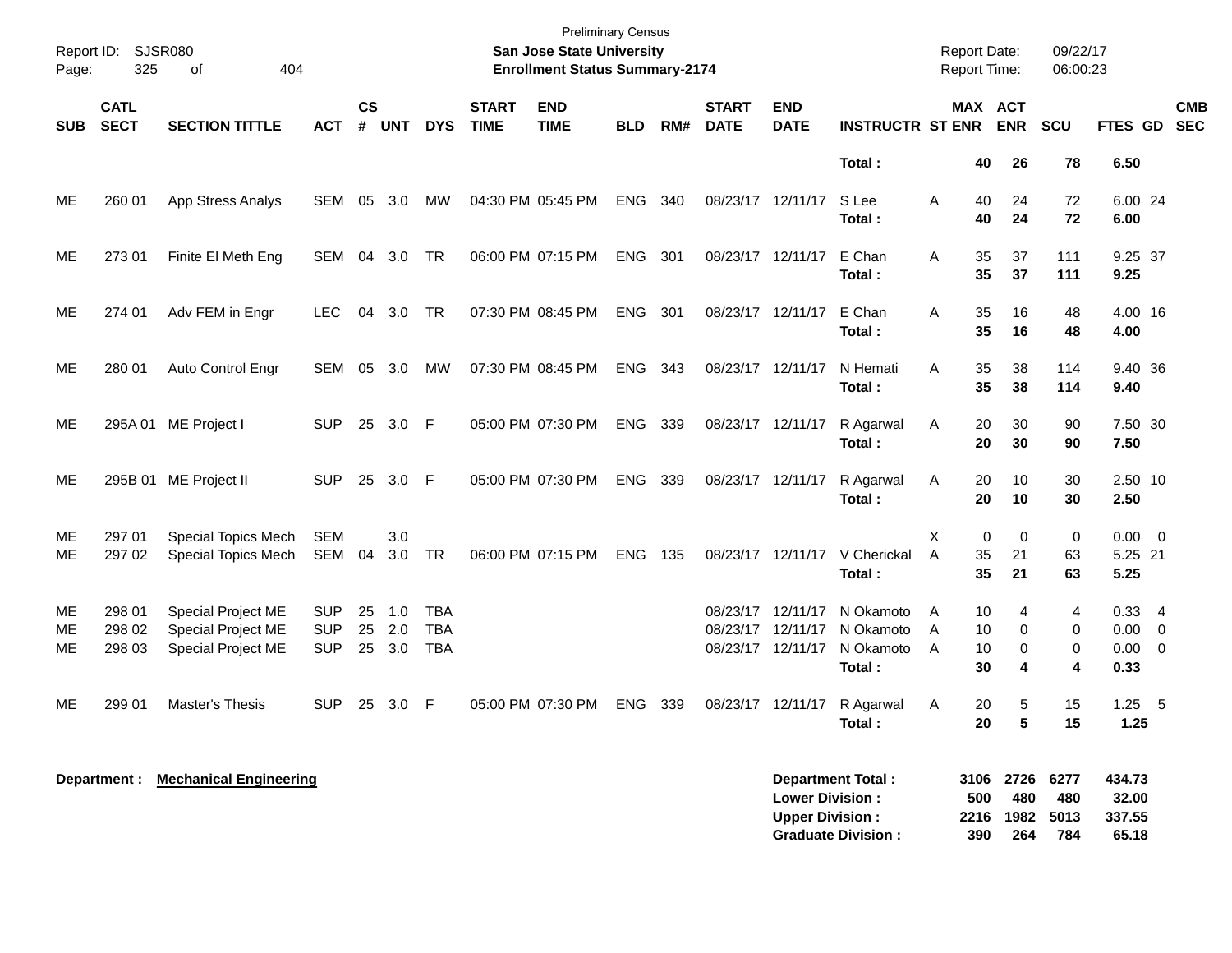| Page:          | Report ID: SJSR080<br>325  | 404<br>of                                                      |                                        |                |                   |                                        |                             | <b>Preliminary Census</b><br><b>San Jose State University</b><br><b>Enrollment Status Summary-2174</b> |            |       |                             |                                                    |                                               | <b>Report Date:</b><br><b>Report Time:</b> |                         |                            | 09/22/17<br>06:00:23    |                                                     |            |
|----------------|----------------------------|----------------------------------------------------------------|----------------------------------------|----------------|-------------------|----------------------------------------|-----------------------------|--------------------------------------------------------------------------------------------------------|------------|-------|-----------------------------|----------------------------------------------------|-----------------------------------------------|--------------------------------------------|-------------------------|----------------------------|-------------------------|-----------------------------------------------------|------------|
| <b>SUB</b>     | <b>CATL</b><br><b>SECT</b> | <b>SECTION TITTLE</b>                                          | <b>ACT</b>                             | <b>CS</b><br># | <b>UNT</b>        | <b>DYS</b>                             | <b>START</b><br><b>TIME</b> | <b>END</b><br><b>TIME</b>                                                                              | <b>BLD</b> | RM#   | <b>START</b><br><b>DATE</b> | <b>END</b><br><b>DATE</b>                          | <b>INSTRUCTR ST ENR</b>                       |                                            |                         | MAX ACT<br><b>ENR</b>      | <b>SCU</b>              | FTES GD SEC                                         | <b>CMB</b> |
|                |                            |                                                                |                                        |                |                   |                                        |                             |                                                                                                        |            |       |                             |                                                    | Total:                                        |                                            | 40                      | 26                         | 78                      | 6.50                                                |            |
| ME             | 260 01                     | App Stress Analys                                              | SEM                                    | 05             | 3.0               | <b>MW</b>                              |                             | 04:30 PM 05:45 PM                                                                                      | <b>ENG</b> | 340   |                             | 08/23/17 12/11/17                                  | S Lee<br>Total:                               | A                                          | 40<br>40                | 24<br>24                   | 72<br>72                | 6.00 24<br>6.00                                     |            |
| ME             | 27301                      | Finite El Meth Eng                                             | SEM                                    | 04             | 3.0               | TR                                     |                             | 06:00 PM 07:15 PM                                                                                      | <b>ENG</b> | - 301 |                             | 08/23/17 12/11/17                                  | E Chan<br>Total:                              | Α                                          | 35<br>35                | 37<br>37                   | 111<br>111              | 9.25 37<br>9.25                                     |            |
| МE             | 274 01                     | Adv FEM in Engr                                                | LEC.                                   |                | 04 3.0            | TR                                     |                             | 07:30 PM 08:45 PM                                                                                      | <b>ENG</b> | - 301 |                             | 08/23/17 12/11/17                                  | E Chan<br>Total:                              | Α                                          | 35<br>35                | 16<br>16                   | 48<br>48                | 4.00 16<br>4.00                                     |            |
| ME             | 280 01                     | Auto Control Engr                                              | SEM                                    | 05             | 3.0               | МW                                     |                             | 07:30 PM 08:45 PM                                                                                      | <b>ENG</b> | 343   |                             | 08/23/17 12/11/17                                  | N Hemati<br>Total:                            | A                                          | 35<br>35                | 38<br>38                   | 114<br>114              | 9.40 36<br>9.40                                     |            |
| МE             | 295A 01                    | ME Project I                                                   | <b>SUP</b>                             | 25             | 3.0               | - F                                    |                             | 05:00 PM 07:30 PM                                                                                      | <b>ENG</b> | 339   | 08/23/17 12/11/17           |                                                    | R Agarwal<br>Total:                           | Α                                          | 20<br>20                | 30<br>30                   | 90<br>90                | 7.50 30<br>7.50                                     |            |
| МE             | 295B 01                    | ME Project II                                                  | <b>SUP</b>                             | 25             | 3.0               | $\mathsf{F}$                           |                             | 05:00 PM 07:30 PM                                                                                      | <b>ENG</b> | 339   | 08/23/17 12/11/17           |                                                    | R Agarwal<br>Total :                          | Α                                          | 20<br>20                | 10<br>10                   | 30<br>30                | 2.50 10<br>2.50                                     |            |
| МE<br>ME       | 297 01<br>297 02           | <b>Special Topics Mech</b><br>Special Topics Mech              | <b>SEM</b><br>SEM                      | 04             | 3.0<br>3.0        | <b>TR</b>                              |                             | 06:00 PM 07:15 PM                                                                                      | <b>ENG</b> | - 135 |                             | 08/23/17 12/11/17                                  | V Cherickal<br>Total:                         | X<br>$\overline{A}$                        | $\mathbf 0$<br>35<br>35 | $\mathbf 0$<br>21<br>21    | $\mathbf 0$<br>63<br>63 | $0.00 \quad 0$<br>5.25 21<br>5.25                   |            |
| ME<br>МE<br>МE | 298 01<br>298 02<br>298 03 | Special Project ME<br>Special Project ME<br>Special Project ME | <b>SUP</b><br><b>SUP</b><br><b>SUP</b> | 25<br>25<br>25 | 1.0<br>2.0<br>3.0 | <b>TBA</b><br><b>TBA</b><br><b>TBA</b> |                             |                                                                                                        |            |       | 08/23/17                    | 08/23/17 12/11/17<br>12/11/17<br>08/23/17 12/11/17 | N Okamoto<br>N Okamoto<br>N Okamoto<br>Total: | A<br>Α<br>A                                | 10<br>10<br>10<br>30    | 4<br>$\mathbf 0$<br>0<br>4 | 4<br>0<br>0<br>4        | $0.33 + 4$<br>$0.00 \t 0$<br>$0.00 \quad 0$<br>0.33 |            |
| МE             | 299 01                     | <b>Master's Thesis</b>                                         | <b>SUP</b>                             | 25             | 3.0               | F                                      |                             | 05:00 PM 07:30 PM                                                                                      | <b>ENG</b> | 339   |                             | 08/23/17 12/11/17                                  | R Agarwal<br>Total :                          | Α                                          | 20<br>20                | 5<br>5                     | 15<br>15                | $1.25 - 5$<br>1.25                                  |            |
|                | Department :               | <b>Mechanical Engineering</b>                                  |                                        |                |                   |                                        |                             |                                                                                                        |            |       |                             | <b>Lower Division:</b>                             | <b>Department Total:</b>                      |                                            | 3106<br>500             | 2726<br>480                | 6277<br>480             | 434.73<br>32.00                                     |            |

**Upper Division : 2216 1982 5013 337.55<br>Graduate Division : 290 264 784 65.18** 

**Graduate Division : 390 264 784 65.18**